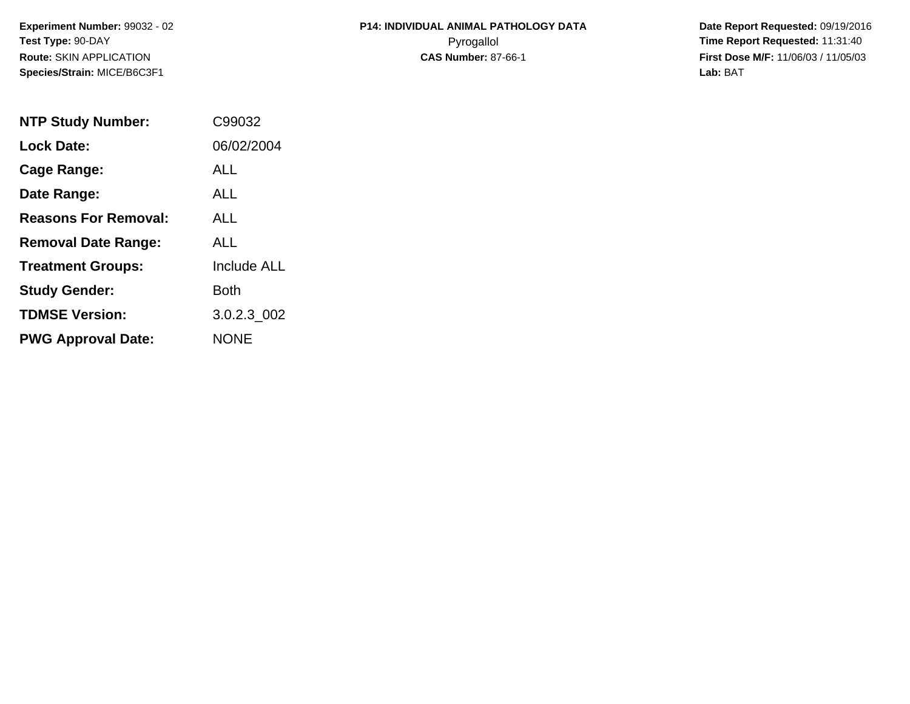**Experiment Number:** 99032 - 02**Test Type:** 90-DAY**Route:** SKIN APPLICATION**Species/Strain:** MICE/B6C3F1

## **P14: INDIVIDUAL ANIMAL PATHOLOGY DATA**Pyrogallol **Time Report Requested:** 11:31:40

 **Date Report Requested:** 09/19/2016 **First Dose M/F:** 11/06/03 / 11/05/03<br>Lab: BAT **Lab:** BAT

| <b>NTP Study Number:</b>    | C99032      |
|-----------------------------|-------------|
| <b>Lock Date:</b>           | 06/02/2004  |
| Cage Range:                 | ALL         |
| Date Range:                 | ALL         |
| <b>Reasons For Removal:</b> | ALL         |
| <b>Removal Date Range:</b>  | ALL         |
| <b>Treatment Groups:</b>    | Include ALL |
| <b>Study Gender:</b>        | Both        |
| <b>TDMSE Version:</b>       | 3.0.2.3_002 |
| <b>PWG Approval Date:</b>   | <b>NONF</b> |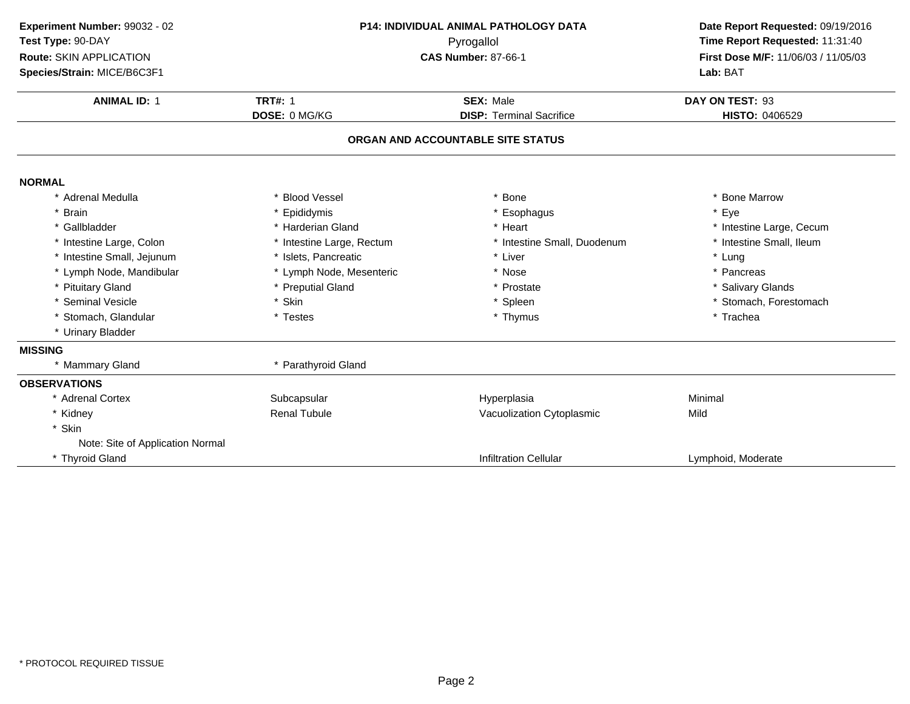| Experiment Number: 99032 - 02<br>Test Type: 90-DAY<br>Route: SKIN APPLICATION<br>Species/Strain: MICE/B6C3F1 | <b>P14: INDIVIDUAL ANIMAL PATHOLOGY DATA</b><br>Pyrogallol<br><b>CAS Number: 87-66-1</b> |                                   | Date Report Requested: 09/19/2016<br>Time Report Requested: 11:31:40<br>First Dose M/F: 11/06/03 / 11/05/03<br>Lab: BAT |  |
|--------------------------------------------------------------------------------------------------------------|------------------------------------------------------------------------------------------|-----------------------------------|-------------------------------------------------------------------------------------------------------------------------|--|
| <b>ANIMAL ID: 1</b>                                                                                          | <b>TRT#: 1</b>                                                                           | <b>SEX: Male</b>                  | DAY ON TEST: 93                                                                                                         |  |
|                                                                                                              | DOSE: 0 MG/KG                                                                            | <b>DISP: Terminal Sacrifice</b>   | <b>HISTO: 0406529</b>                                                                                                   |  |
|                                                                                                              |                                                                                          | ORGAN AND ACCOUNTABLE SITE STATUS |                                                                                                                         |  |
| <b>NORMAL</b>                                                                                                |                                                                                          |                                   |                                                                                                                         |  |
| * Adrenal Medulla                                                                                            | * Blood Vessel                                                                           | * Bone                            | * Bone Marrow                                                                                                           |  |
| * Brain                                                                                                      | * Epididymis                                                                             | * Esophagus                       | * Eye                                                                                                                   |  |
| * Gallbladder                                                                                                | * Harderian Gland                                                                        | * Heart                           | * Intestine Large, Cecum                                                                                                |  |
| * Intestine Large, Colon                                                                                     | * Intestine Large, Rectum                                                                | * Intestine Small, Duodenum       | * Intestine Small, Ileum                                                                                                |  |
| * Intestine Small, Jejunum                                                                                   | * Islets, Pancreatic                                                                     | * Liver                           | * Lung                                                                                                                  |  |
| * Lymph Node, Mandibular                                                                                     | * Lymph Node, Mesenteric                                                                 | * Nose                            | * Pancreas                                                                                                              |  |
| * Pituitary Gland                                                                                            | * Preputial Gland                                                                        | * Prostate                        | * Salivary Glands                                                                                                       |  |
| * Seminal Vesicle                                                                                            | * Skin                                                                                   | * Spleen                          | * Stomach, Forestomach                                                                                                  |  |
| * Stomach, Glandular                                                                                         | * Testes                                                                                 | * Thymus                          | * Trachea                                                                                                               |  |
| * Urinary Bladder                                                                                            |                                                                                          |                                   |                                                                                                                         |  |
| <b>MISSING</b>                                                                                               |                                                                                          |                                   |                                                                                                                         |  |
| * Mammary Gland                                                                                              | * Parathyroid Gland                                                                      |                                   |                                                                                                                         |  |
| <b>OBSERVATIONS</b>                                                                                          |                                                                                          |                                   |                                                                                                                         |  |
| * Adrenal Cortex                                                                                             | Subcapsular                                                                              | Hyperplasia                       | Minimal                                                                                                                 |  |
| * Kidney                                                                                                     | <b>Renal Tubule</b>                                                                      | Vacuolization Cytoplasmic         | Mild                                                                                                                    |  |
| * Skin                                                                                                       |                                                                                          |                                   |                                                                                                                         |  |
| Note: Site of Application Normal                                                                             |                                                                                          |                                   |                                                                                                                         |  |
| * Thyroid Gland                                                                                              |                                                                                          | <b>Infiltration Cellular</b>      | Lymphoid, Moderate                                                                                                      |  |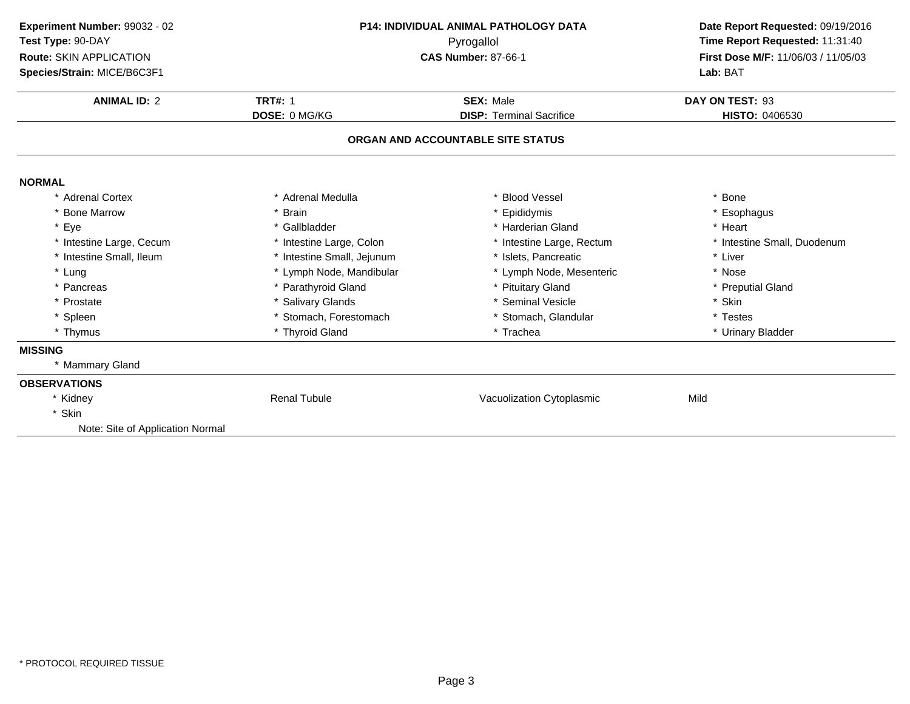| Experiment Number: 99032 - 02    | <b>P14: INDIVIDUAL ANIMAL PATHOLOGY DATA</b><br>Pyrogallol<br><b>CAS Number: 87-66-1</b> |                                   | Date Report Requested: 09/19/2016                                      |  |
|----------------------------------|------------------------------------------------------------------------------------------|-----------------------------------|------------------------------------------------------------------------|--|
| Test Type: 90-DAY                |                                                                                          |                                   | Time Report Requested: 11:31:40<br>First Dose M/F: 11/06/03 / 11/05/03 |  |
| Route: SKIN APPLICATION          |                                                                                          |                                   |                                                                        |  |
| Species/Strain: MICE/B6C3F1      |                                                                                          |                                   | Lab: BAT                                                               |  |
| <b>ANIMAL ID: 2</b>              | <b>TRT#: 1</b>                                                                           | <b>SEX: Male</b>                  | DAY ON TEST: 93                                                        |  |
|                                  | DOSE: 0 MG/KG                                                                            | <b>DISP: Terminal Sacrifice</b>   | <b>HISTO: 0406530</b>                                                  |  |
|                                  |                                                                                          | ORGAN AND ACCOUNTABLE SITE STATUS |                                                                        |  |
|                                  |                                                                                          |                                   |                                                                        |  |
| <b>NORMAL</b>                    |                                                                                          |                                   |                                                                        |  |
| * Adrenal Cortex                 | * Adrenal Medulla                                                                        | * Blood Vessel                    | * Bone                                                                 |  |
| * Bone Marrow                    | * Brain                                                                                  | Epididymis                        | * Esophagus                                                            |  |
| * Eye                            | * Gallbladder                                                                            | * Harderian Gland                 | * Heart                                                                |  |
| * Intestine Large, Cecum         | * Intestine Large, Colon                                                                 | * Intestine Large, Rectum         | * Intestine Small, Duodenum                                            |  |
| * Intestine Small, Ileum         | * Intestine Small, Jejunum                                                               | * Islets, Pancreatic              | * Liver                                                                |  |
| * Lung                           | * Lymph Node, Mandibular                                                                 | * Lymph Node, Mesenteric          | * Nose                                                                 |  |
| * Pancreas                       | * Parathyroid Gland                                                                      | * Pituitary Gland                 | * Preputial Gland                                                      |  |
| * Prostate                       | * Salivary Glands                                                                        | * Seminal Vesicle                 | * Skin                                                                 |  |
| * Spleen                         | * Stomach, Forestomach                                                                   | * Stomach, Glandular              | * Testes                                                               |  |
| * Thymus                         | * Thyroid Gland                                                                          | * Trachea                         | * Urinary Bladder                                                      |  |
| <b>MISSING</b>                   |                                                                                          |                                   |                                                                        |  |
| * Mammary Gland                  |                                                                                          |                                   |                                                                        |  |
| <b>OBSERVATIONS</b>              |                                                                                          |                                   |                                                                        |  |
| * Kidney                         | <b>Renal Tubule</b>                                                                      | Vacuolization Cytoplasmic         | Mild                                                                   |  |
| * Skin                           |                                                                                          |                                   |                                                                        |  |
| Note: Site of Application Normal |                                                                                          |                                   |                                                                        |  |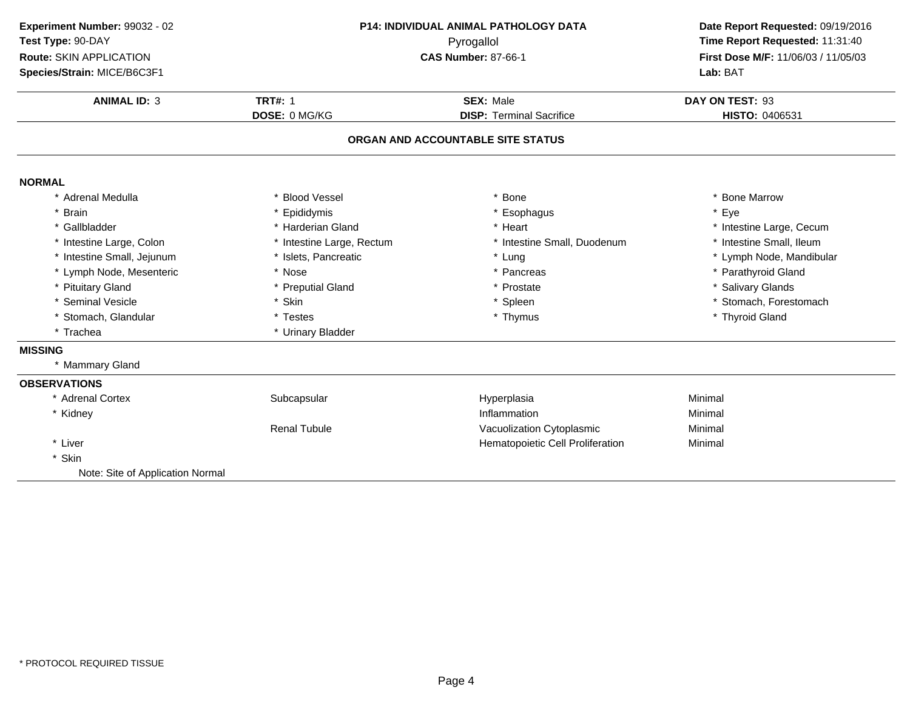| Experiment Number: 99032 - 02<br>Test Type: 90-DAY<br>Route: SKIN APPLICATION<br>Species/Strain: MICE/B6C3F1 | P14: INDIVIDUAL ANIMAL PATHOLOGY DATA<br>Pyrogallol<br><b>CAS Number: 87-66-1</b> |                                                     | Date Report Requested: 09/19/2016<br>Time Report Requested: 11:31:40<br>First Dose M/F: 11/06/03 / 11/05/03<br>Lab: BAT |  |
|--------------------------------------------------------------------------------------------------------------|-----------------------------------------------------------------------------------|-----------------------------------------------------|-------------------------------------------------------------------------------------------------------------------------|--|
| <b>ANIMAL ID: 3</b>                                                                                          | <b>TRT#: 1</b><br>DOSE: 0 MG/KG                                                   | <b>SEX: Male</b><br><b>DISP: Terminal Sacrifice</b> | DAY ON TEST: 93<br>HISTO: 0406531                                                                                       |  |
|                                                                                                              |                                                                                   | ORGAN AND ACCOUNTABLE SITE STATUS                   |                                                                                                                         |  |
| <b>NORMAL</b>                                                                                                |                                                                                   |                                                     |                                                                                                                         |  |
| * Adrenal Medulla                                                                                            | * Blood Vessel                                                                    | * Bone                                              | * Bone Marrow                                                                                                           |  |
| <b>Brain</b>                                                                                                 | * Epididymis                                                                      | * Esophagus                                         | * Eye                                                                                                                   |  |
| * Gallbladder                                                                                                | * Harderian Gland                                                                 | * Heart                                             | * Intestine Large, Cecum                                                                                                |  |
| * Intestine Large, Colon                                                                                     | * Intestine Large, Rectum                                                         | * Intestine Small, Duodenum                         | * Intestine Small, Ileum                                                                                                |  |
| * Intestine Small, Jejunum                                                                                   | * Islets, Pancreatic                                                              | * Lung                                              | * Lymph Node, Mandibular                                                                                                |  |
| * Lymph Node, Mesenteric                                                                                     | * Nose                                                                            | * Pancreas                                          | * Parathyroid Gland                                                                                                     |  |
| * Pituitary Gland                                                                                            | * Preputial Gland                                                                 | * Prostate                                          | * Salivary Glands                                                                                                       |  |
| * Seminal Vesicle                                                                                            | * Skin                                                                            | * Spleen                                            | * Stomach, Forestomach                                                                                                  |  |
| * Stomach, Glandular                                                                                         | * Testes                                                                          | * Thymus                                            | * Thyroid Gland                                                                                                         |  |
| * Trachea                                                                                                    | * Urinary Bladder                                                                 |                                                     |                                                                                                                         |  |
| <b>MISSING</b>                                                                                               |                                                                                   |                                                     |                                                                                                                         |  |
| * Mammary Gland                                                                                              |                                                                                   |                                                     |                                                                                                                         |  |
| <b>OBSERVATIONS</b>                                                                                          |                                                                                   |                                                     |                                                                                                                         |  |
| * Adrenal Cortex                                                                                             | Subcapsular                                                                       | Hyperplasia                                         | Minimal                                                                                                                 |  |
| * Kidney                                                                                                     |                                                                                   | Inflammation                                        | Minimal                                                                                                                 |  |
|                                                                                                              | <b>Renal Tubule</b>                                                               | Vacuolization Cytoplasmic                           | Minimal                                                                                                                 |  |
| * Liver                                                                                                      |                                                                                   | Hematopoietic Cell Proliferation                    | Minimal                                                                                                                 |  |
| * Skin                                                                                                       |                                                                                   |                                                     |                                                                                                                         |  |
| Note: Site of Application Normal                                                                             |                                                                                   |                                                     |                                                                                                                         |  |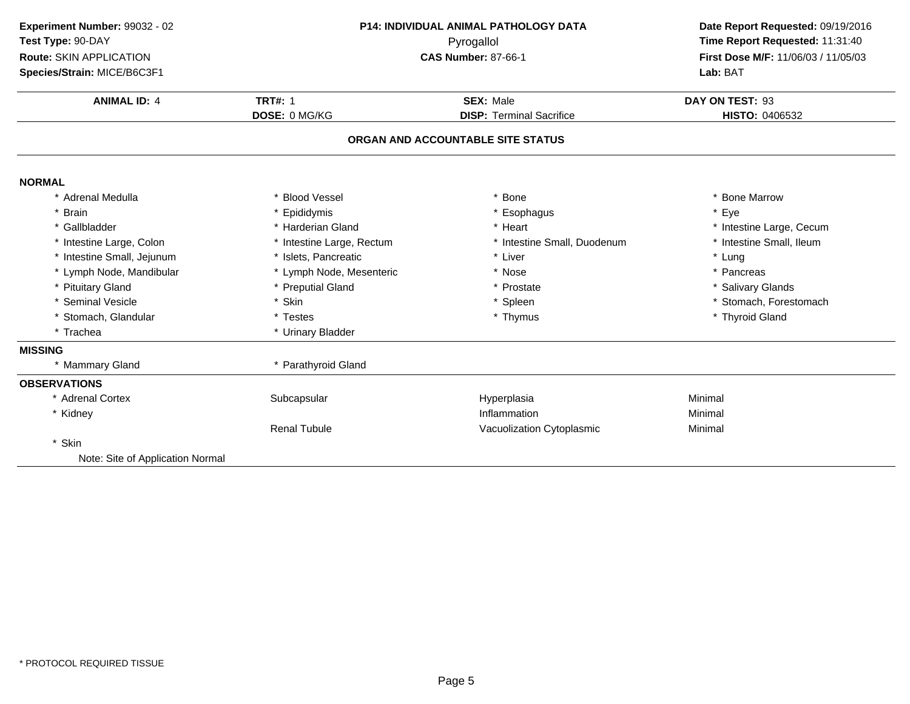| Experiment Number: 99032 - 02<br>Test Type: 90-DAY<br>Route: SKIN APPLICATION<br>Species/Strain: MICE/B6C3F1 | P14: INDIVIDUAL ANIMAL PATHOLOGY DATA<br>Pyrogallol<br><b>CAS Number: 87-66-1</b> |                                   | Date Report Requested: 09/19/2016<br>Time Report Requested: 11:31:40<br>First Dose M/F: 11/06/03 / 11/05/03<br>Lab: BAT |
|--------------------------------------------------------------------------------------------------------------|-----------------------------------------------------------------------------------|-----------------------------------|-------------------------------------------------------------------------------------------------------------------------|
| <b>ANIMAL ID: 4</b>                                                                                          | <b>TRT#: 1</b>                                                                    | <b>SEX: Male</b>                  | DAY ON TEST: 93                                                                                                         |
|                                                                                                              | DOSE: 0 MG/KG                                                                     | <b>DISP: Terminal Sacrifice</b>   | HISTO: 0406532                                                                                                          |
|                                                                                                              |                                                                                   | ORGAN AND ACCOUNTABLE SITE STATUS |                                                                                                                         |
| <b>NORMAL</b>                                                                                                |                                                                                   |                                   |                                                                                                                         |
| * Adrenal Medulla                                                                                            | <b>Blood Vessel</b>                                                               | <b>Bone</b>                       | * Bone Marrow                                                                                                           |
| * Brain                                                                                                      | Epididymis                                                                        | * Esophagus                       | * Eye                                                                                                                   |
| * Gallbladder                                                                                                | * Harderian Gland                                                                 | * Heart                           | * Intestine Large, Cecum                                                                                                |
| * Intestine Large, Colon                                                                                     | * Intestine Large, Rectum                                                         | * Intestine Small, Duodenum       | * Intestine Small, Ileum                                                                                                |
| * Intestine Small, Jejunum                                                                                   | * Islets, Pancreatic                                                              | * Liver                           | * Lung                                                                                                                  |
| * Lymph Node, Mandibular                                                                                     | * Lymph Node, Mesenteric                                                          | * Nose                            | * Pancreas                                                                                                              |
| * Pituitary Gland                                                                                            | * Preputial Gland                                                                 | * Prostate                        | * Salivary Glands                                                                                                       |
| * Seminal Vesicle                                                                                            | * Skin                                                                            | * Spleen                          | * Stomach, Forestomach                                                                                                  |
| * Stomach, Glandular                                                                                         | * Testes                                                                          | * Thymus                          | * Thyroid Gland                                                                                                         |
| * Trachea                                                                                                    | * Urinary Bladder                                                                 |                                   |                                                                                                                         |
| <b>MISSING</b>                                                                                               |                                                                                   |                                   |                                                                                                                         |
| * Mammary Gland                                                                                              | * Parathyroid Gland                                                               |                                   |                                                                                                                         |
| <b>OBSERVATIONS</b>                                                                                          |                                                                                   |                                   |                                                                                                                         |
| * Adrenal Cortex                                                                                             | Subcapsular                                                                       | Hyperplasia                       | Minimal                                                                                                                 |
| * Kidney                                                                                                     |                                                                                   | Inflammation                      | Minimal                                                                                                                 |
|                                                                                                              | <b>Renal Tubule</b>                                                               | Vacuolization Cytoplasmic         | Minimal                                                                                                                 |
| * Skin                                                                                                       |                                                                                   |                                   |                                                                                                                         |
| Note: Site of Application Normal                                                                             |                                                                                   |                                   |                                                                                                                         |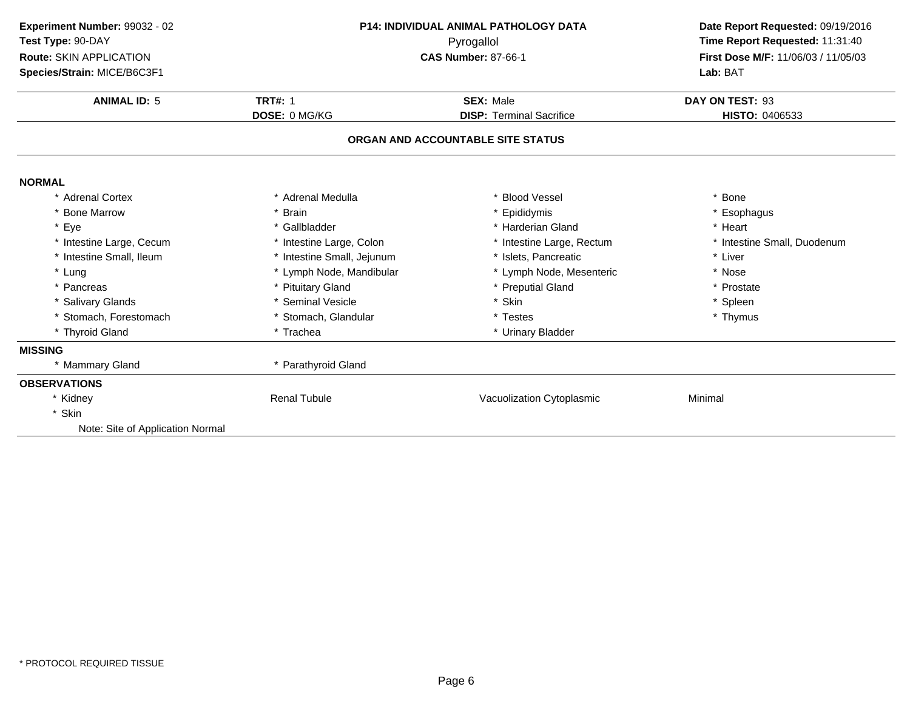| <b>P14: INDIVIDUAL ANIMAL PATHOLOGY DATA</b><br>Pyrogallol |                                 | Date Report Requested: 09/19/2016                               |  |
|------------------------------------------------------------|---------------------------------|-----------------------------------------------------------------|--|
|                                                            |                                 | Time Report Requested: 11:31:40                                 |  |
|                                                            |                                 | First Dose M/F: 11/06/03 / 11/05/03                             |  |
|                                                            |                                 | Lab: BAT                                                        |  |
| <b>TRT#: 1</b>                                             | <b>SEX: Male</b>                | DAY ON TEST: 93                                                 |  |
| DOSE: 0 MG/KG                                              | <b>DISP: Terminal Sacrifice</b> | HISTO: 0406533                                                  |  |
|                                                            |                                 |                                                                 |  |
|                                                            |                                 |                                                                 |  |
| * Adrenal Medulla                                          | * Blood Vessel                  | * Bone                                                          |  |
| * Brain                                                    | * Epididymis                    | Esophagus                                                       |  |
| * Gallbladder                                              | * Harderian Gland               | * Heart                                                         |  |
| * Intestine Large, Colon                                   | * Intestine Large, Rectum       | * Intestine Small, Duodenum                                     |  |
| * Intestine Small, Jejunum                                 | * Islets, Pancreatic            | * Liver                                                         |  |
| * Lymph Node, Mandibular                                   | * Lymph Node, Mesenteric        | * Nose                                                          |  |
| * Pituitary Gland                                          | * Preputial Gland               | * Prostate                                                      |  |
| * Seminal Vesicle                                          | * Skin                          | * Spleen                                                        |  |
| * Stomach, Glandular                                       | * Testes                        | * Thymus                                                        |  |
| * Trachea                                                  | * Urinary Bladder               |                                                                 |  |
|                                                            |                                 |                                                                 |  |
| * Parathyroid Gland                                        |                                 |                                                                 |  |
|                                                            |                                 |                                                                 |  |
| <b>Renal Tubule</b>                                        | Vacuolization Cytoplasmic       | Minimal                                                         |  |
|                                                            |                                 |                                                                 |  |
|                                                            |                                 |                                                                 |  |
|                                                            |                                 | <b>CAS Number: 87-66-1</b><br>ORGAN AND ACCOUNTABLE SITE STATUS |  |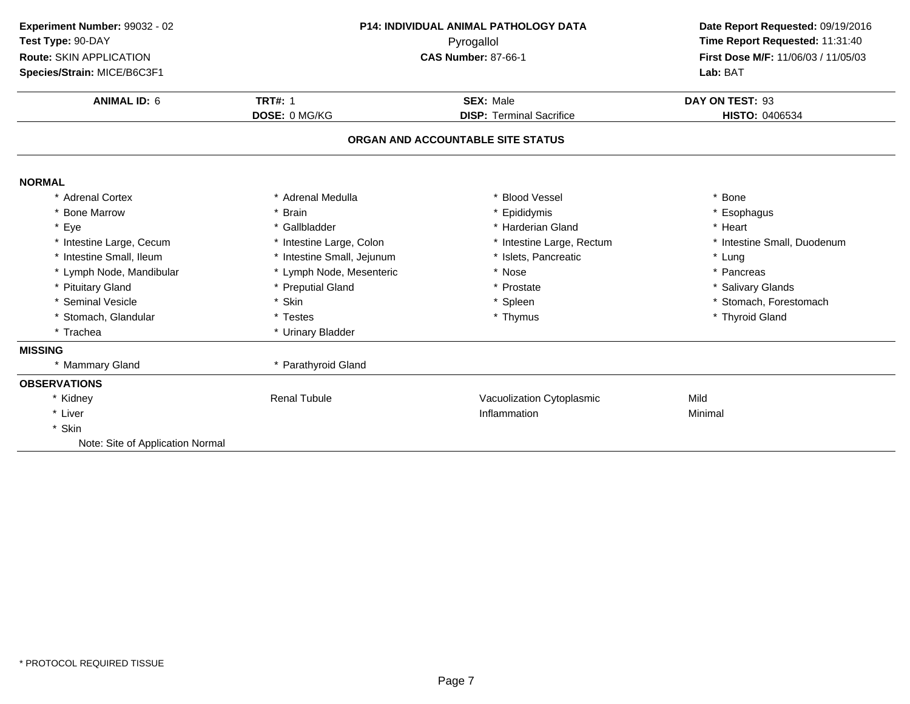| Experiment Number: 99032 - 02<br>Test Type: 90-DAY<br>Route: SKIN APPLICATION | P14: INDIVIDUAL ANIMAL PATHOLOGY DATA<br>Pyrogallol<br><b>CAS Number: 87-66-1</b> |                                   | Date Report Requested: 09/19/2016<br>Time Report Requested: 11:31:40<br>First Dose M/F: 11/06/03 / 11/05/03 |  |
|-------------------------------------------------------------------------------|-----------------------------------------------------------------------------------|-----------------------------------|-------------------------------------------------------------------------------------------------------------|--|
| Species/Strain: MICE/B6C3F1                                                   |                                                                                   |                                   | Lab: BAT                                                                                                    |  |
| <b>ANIMAL ID: 6</b>                                                           | <b>TRT#: 1</b>                                                                    | <b>SEX: Male</b>                  | DAY ON TEST: 93                                                                                             |  |
|                                                                               | DOSE: 0 MG/KG                                                                     | <b>DISP: Terminal Sacrifice</b>   | HISTO: 0406534                                                                                              |  |
|                                                                               |                                                                                   | ORGAN AND ACCOUNTABLE SITE STATUS |                                                                                                             |  |
| <b>NORMAL</b>                                                                 |                                                                                   |                                   |                                                                                                             |  |
| * Adrenal Cortex                                                              | * Adrenal Medulla                                                                 | <b>Blood Vessel</b>               | * Bone                                                                                                      |  |
| * Bone Marrow                                                                 | <b>Brain</b>                                                                      | * Epididymis                      | * Esophagus                                                                                                 |  |
| * Eye                                                                         | * Gallbladder                                                                     | * Harderian Gland                 | * Heart                                                                                                     |  |
| * Intestine Large, Cecum                                                      | * Intestine Large, Colon                                                          | * Intestine Large, Rectum         | * Intestine Small, Duodenum                                                                                 |  |
| * Intestine Small, Ileum                                                      | * Intestine Small, Jejunum                                                        | * Islets, Pancreatic              | * Lung                                                                                                      |  |
| * Lymph Node, Mandibular                                                      | * Lymph Node, Mesenteric                                                          | * Nose                            | * Pancreas                                                                                                  |  |
| * Pituitary Gland                                                             | * Preputial Gland                                                                 | * Prostate                        | * Salivary Glands                                                                                           |  |
| * Seminal Vesicle                                                             | * Skin                                                                            | * Spleen                          | * Stomach, Forestomach                                                                                      |  |
| * Stomach, Glandular                                                          | * Testes                                                                          | * Thymus                          | * Thyroid Gland                                                                                             |  |
| * Trachea                                                                     | * Urinary Bladder                                                                 |                                   |                                                                                                             |  |
| <b>MISSING</b>                                                                |                                                                                   |                                   |                                                                                                             |  |
| * Mammary Gland                                                               | * Parathyroid Gland                                                               |                                   |                                                                                                             |  |
| <b>OBSERVATIONS</b>                                                           |                                                                                   |                                   |                                                                                                             |  |
| * Kidney                                                                      | <b>Renal Tubule</b>                                                               | Vacuolization Cytoplasmic         | Mild                                                                                                        |  |
| * Liver                                                                       |                                                                                   | Inflammation                      | Minimal                                                                                                     |  |
| * Skin                                                                        |                                                                                   |                                   |                                                                                                             |  |
| Note: Site of Application Normal                                              |                                                                                   |                                   |                                                                                                             |  |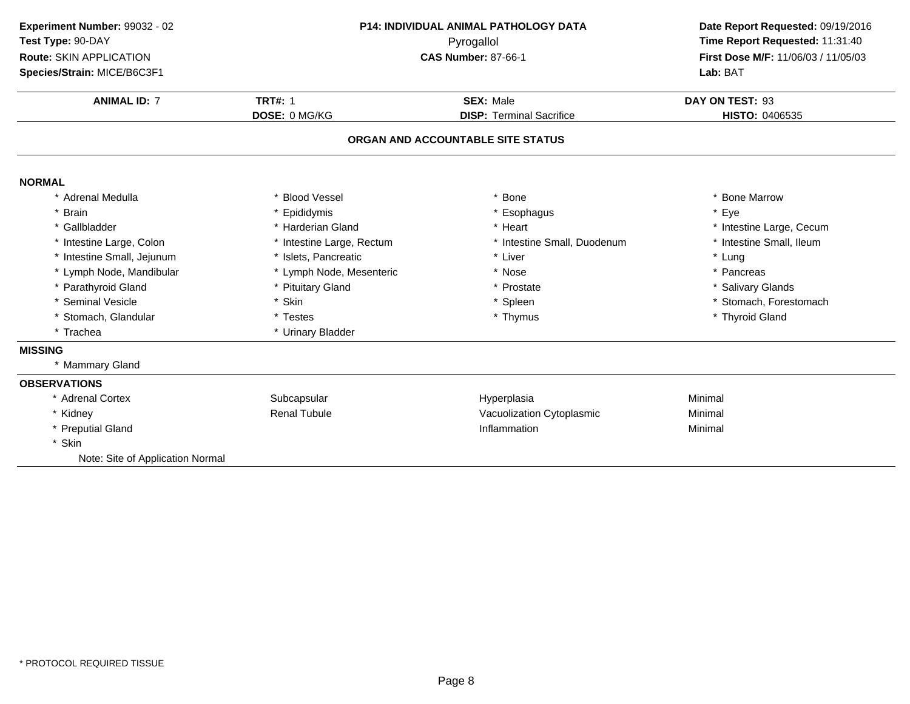| Experiment Number: 99032 - 02<br>Test Type: 90-DAY<br>Route: SKIN APPLICATION<br>Species/Strain: MICE/B6C3F1 | P14: INDIVIDUAL ANIMAL PATHOLOGY DATA<br>Pyrogallol<br><b>CAS Number: 87-66-1</b> |                                   | Lab: BAT                 |  | Date Report Requested: 09/19/2016<br>Time Report Requested: 11:31:40<br>First Dose M/F: 11/06/03 / 11/05/03 |
|--------------------------------------------------------------------------------------------------------------|-----------------------------------------------------------------------------------|-----------------------------------|--------------------------|--|-------------------------------------------------------------------------------------------------------------|
| <b>ANIMAL ID: 7</b>                                                                                          | <b>TRT#: 1</b>                                                                    | <b>SEX: Male</b>                  | DAY ON TEST: 93          |  |                                                                                                             |
|                                                                                                              | DOSE: 0 MG/KG                                                                     | <b>DISP: Terminal Sacrifice</b>   | <b>HISTO: 0406535</b>    |  |                                                                                                             |
|                                                                                                              |                                                                                   | ORGAN AND ACCOUNTABLE SITE STATUS |                          |  |                                                                                                             |
| <b>NORMAL</b>                                                                                                |                                                                                   |                                   |                          |  |                                                                                                             |
| * Adrenal Medulla                                                                                            | * Blood Vessel                                                                    | Bone                              | * Bone Marrow            |  |                                                                                                             |
| <b>Brain</b>                                                                                                 | Epididymis                                                                        | * Esophagus                       | * Eye                    |  |                                                                                                             |
| * Gallbladder                                                                                                | * Harderian Gland                                                                 | * Heart                           | * Intestine Large, Cecum |  |                                                                                                             |
| * Intestine Large, Colon                                                                                     | Intestine Large, Rectum                                                           | * Intestine Small, Duodenum       | * Intestine Small, Ileum |  |                                                                                                             |
| * Intestine Small, Jejunum                                                                                   | * Islets, Pancreatic                                                              | * Liver                           | * Lung                   |  |                                                                                                             |
| * Lymph Node, Mandibular                                                                                     | * Lymph Node, Mesenteric                                                          | * Nose                            | * Pancreas               |  |                                                                                                             |
| * Parathyroid Gland                                                                                          | * Pituitary Gland                                                                 | * Prostate                        | * Salivary Glands        |  |                                                                                                             |
| * Seminal Vesicle                                                                                            | * Skin                                                                            | * Spleen                          | * Stomach, Forestomach   |  |                                                                                                             |
| * Stomach, Glandular                                                                                         | * Testes                                                                          | * Thymus                          | * Thyroid Gland          |  |                                                                                                             |
| * Trachea                                                                                                    | * Urinary Bladder                                                                 |                                   |                          |  |                                                                                                             |
| <b>MISSING</b>                                                                                               |                                                                                   |                                   |                          |  |                                                                                                             |
| * Mammary Gland                                                                                              |                                                                                   |                                   |                          |  |                                                                                                             |
| <b>OBSERVATIONS</b>                                                                                          |                                                                                   |                                   |                          |  |                                                                                                             |
| * Adrenal Cortex                                                                                             | Subcapsular                                                                       | Hyperplasia                       | Minimal                  |  |                                                                                                             |
| * Kidney                                                                                                     | <b>Renal Tubule</b>                                                               | Vacuolization Cytoplasmic         | Minimal                  |  |                                                                                                             |
| * Preputial Gland                                                                                            |                                                                                   | Inflammation                      | Minimal                  |  |                                                                                                             |
| * Skin                                                                                                       |                                                                                   |                                   |                          |  |                                                                                                             |
| Note: Site of Application Normal                                                                             |                                                                                   |                                   |                          |  |                                                                                                             |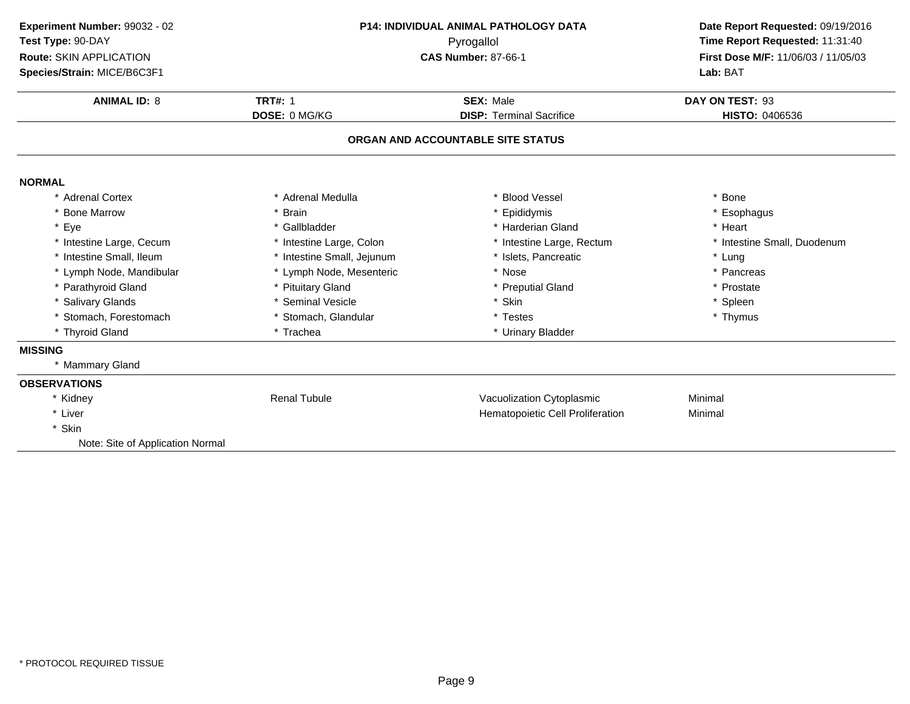| Experiment Number: 99032 - 02<br>Test Type: 90-DAY | <b>P14: INDIVIDUAL ANIMAL PATHOLOGY DATA</b><br>Pyrogallol |                                   | Date Report Requested: 09/19/2016<br>Time Report Requested: 11:31:40 |  |
|----------------------------------------------------|------------------------------------------------------------|-----------------------------------|----------------------------------------------------------------------|--|
| Route: SKIN APPLICATION                            |                                                            | <b>CAS Number: 87-66-1</b>        | First Dose M/F: 11/06/03 / 11/05/03                                  |  |
| Species/Strain: MICE/B6C3F1                        |                                                            |                                   | Lab: BAT                                                             |  |
| <b>ANIMAL ID: 8</b>                                | <b>TRT#: 1</b>                                             | <b>SEX: Male</b>                  | DAY ON TEST: 93                                                      |  |
|                                                    | DOSE: 0 MG/KG                                              | <b>DISP: Terminal Sacrifice</b>   | <b>HISTO: 0406536</b>                                                |  |
|                                                    |                                                            | ORGAN AND ACCOUNTABLE SITE STATUS |                                                                      |  |
| <b>NORMAL</b>                                      |                                                            |                                   |                                                                      |  |
| * Adrenal Cortex                                   | * Adrenal Medulla                                          | * Blood Vessel                    | * Bone                                                               |  |
| * Bone Marrow                                      | * Brain                                                    | * Epididymis                      | * Esophagus                                                          |  |
| * Eye                                              | * Gallbladder                                              | * Harderian Gland                 | * Heart                                                              |  |
| * Intestine Large, Cecum                           | * Intestine Large, Colon                                   | * Intestine Large, Rectum         | * Intestine Small, Duodenum                                          |  |
| * Intestine Small, Ileum                           | * Intestine Small, Jejunum                                 | * Islets, Pancreatic              | * Lung                                                               |  |
| * Lymph Node, Mandibular                           | * Lymph Node, Mesenteric                                   | * Nose                            | * Pancreas                                                           |  |
| * Parathyroid Gland                                | * Pituitary Gland                                          | * Preputial Gland                 | * Prostate                                                           |  |
| * Salivary Glands                                  | * Seminal Vesicle                                          | * Skin                            | * Spleen                                                             |  |
| * Stomach, Forestomach                             | * Stomach, Glandular                                       | * Testes                          | * Thymus                                                             |  |
| * Thyroid Gland                                    | * Trachea                                                  | * Urinary Bladder                 |                                                                      |  |
| <b>MISSING</b>                                     |                                                            |                                   |                                                                      |  |
| * Mammary Gland                                    |                                                            |                                   |                                                                      |  |
| <b>OBSERVATIONS</b>                                |                                                            |                                   |                                                                      |  |
| * Kidney                                           | <b>Renal Tubule</b>                                        | Vacuolization Cytoplasmic         | Minimal                                                              |  |
| * Liver                                            |                                                            | Hematopoietic Cell Proliferation  | Minimal                                                              |  |
| * Skin                                             |                                                            |                                   |                                                                      |  |
| Note: Site of Application Normal                   |                                                            |                                   |                                                                      |  |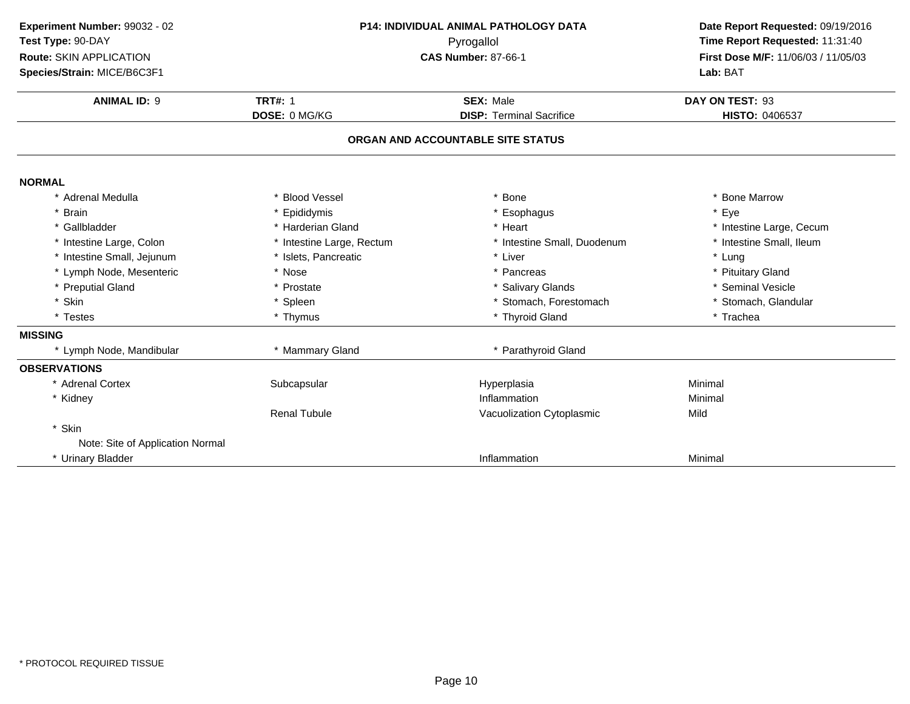| Experiment Number: 99032 - 02<br>Test Type: 90-DAY<br>Route: SKIN APPLICATION<br>Species/Strain: MICE/B6C3F1 | P14: INDIVIDUAL ANIMAL PATHOLOGY DATA<br>Pyrogallol<br><b>CAS Number: 87-66-1</b> |                                                     | Date Report Requested: 09/19/2016<br>Time Report Requested: 11:31:40<br>First Dose M/F: 11/06/03 / 11/05/03<br>Lab: BAT |
|--------------------------------------------------------------------------------------------------------------|-----------------------------------------------------------------------------------|-----------------------------------------------------|-------------------------------------------------------------------------------------------------------------------------|
| <b>ANIMAL ID: 9</b>                                                                                          | <b>TRT#: 1</b><br>DOSE: 0 MG/KG                                                   | <b>SEX: Male</b><br><b>DISP: Terminal Sacrifice</b> | DAY ON TEST: 93<br><b>HISTO: 0406537</b>                                                                                |
|                                                                                                              |                                                                                   | ORGAN AND ACCOUNTABLE SITE STATUS                   |                                                                                                                         |
| <b>NORMAL</b>                                                                                                |                                                                                   |                                                     |                                                                                                                         |
| * Adrenal Medulla                                                                                            | * Blood Vessel                                                                    | * Bone                                              | * Bone Marrow                                                                                                           |
| <b>Brain</b>                                                                                                 | * Epididymis                                                                      | * Esophagus                                         | * Eye                                                                                                                   |
| * Gallbladder                                                                                                | * Harderian Gland                                                                 | * Heart                                             | * Intestine Large, Cecum                                                                                                |
| * Intestine Large, Colon                                                                                     | * Intestine Large, Rectum                                                         | * Intestine Small, Duodenum                         | * Intestine Small, Ileum                                                                                                |
| * Intestine Small, Jejunum                                                                                   | * Islets, Pancreatic                                                              | * Liver                                             | * Lung                                                                                                                  |
| * Lymph Node, Mesenteric                                                                                     | * Nose                                                                            | * Pancreas                                          | * Pituitary Gland                                                                                                       |
| <b>Preputial Gland</b>                                                                                       | * Prostate                                                                        | * Salivary Glands                                   | * Seminal Vesicle                                                                                                       |
| Skin                                                                                                         | * Spleen                                                                          | * Stomach, Forestomach                              | * Stomach, Glandular                                                                                                    |
| * Testes                                                                                                     | * Thymus                                                                          | * Thyroid Gland                                     | * Trachea                                                                                                               |
| <b>MISSING</b>                                                                                               |                                                                                   |                                                     |                                                                                                                         |
| * Lymph Node, Mandibular                                                                                     | * Mammary Gland                                                                   | * Parathyroid Gland                                 |                                                                                                                         |
| <b>OBSERVATIONS</b>                                                                                          |                                                                                   |                                                     |                                                                                                                         |
| * Adrenal Cortex                                                                                             | Subcapsular                                                                       | Hyperplasia                                         | Minimal                                                                                                                 |
| * Kidney                                                                                                     |                                                                                   | Inflammation                                        | Minimal                                                                                                                 |
|                                                                                                              | <b>Renal Tubule</b>                                                               | Vacuolization Cytoplasmic                           | Mild                                                                                                                    |
| * Skin                                                                                                       |                                                                                   |                                                     |                                                                                                                         |
| Note: Site of Application Normal                                                                             |                                                                                   |                                                     |                                                                                                                         |
| * Urinary Bladder                                                                                            |                                                                                   | Inflammation                                        | Minimal                                                                                                                 |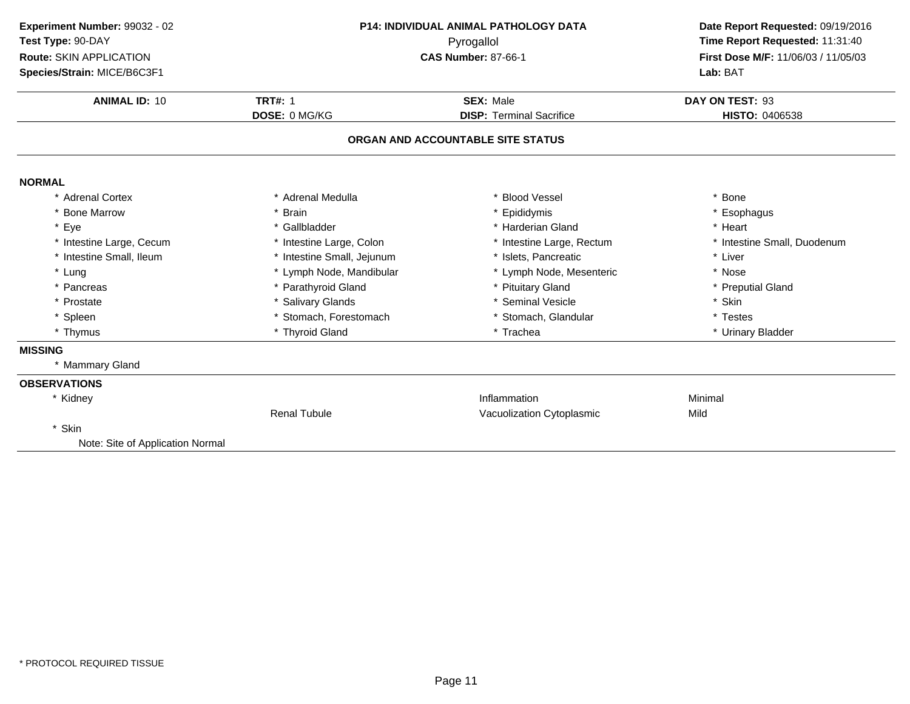| Experiment Number: 99032 - 02<br>Test Type: 90-DAY<br>Route: SKIN APPLICATION | <b>P14: INDIVIDUAL ANIMAL PATHOLOGY DATA</b><br>Pyrogallol<br><b>CAS Number: 87-66-1</b> |                                   | Date Report Requested: 09/19/2016<br>Time Report Requested: 11:31:40<br>First Dose M/F: 11/06/03 / 11/05/03 |  |
|-------------------------------------------------------------------------------|------------------------------------------------------------------------------------------|-----------------------------------|-------------------------------------------------------------------------------------------------------------|--|
| Species/Strain: MICE/B6C3F1                                                   |                                                                                          |                                   | Lab: BAT                                                                                                    |  |
| <b>ANIMAL ID: 10</b>                                                          | <b>TRT#: 1</b>                                                                           | <b>SEX: Male</b>                  | DAY ON TEST: 93                                                                                             |  |
|                                                                               | DOSE: 0 MG/KG                                                                            | <b>DISP: Terminal Sacrifice</b>   | <b>HISTO: 0406538</b>                                                                                       |  |
|                                                                               |                                                                                          | ORGAN AND ACCOUNTABLE SITE STATUS |                                                                                                             |  |
| <b>NORMAL</b>                                                                 |                                                                                          |                                   |                                                                                                             |  |
| * Adrenal Cortex                                                              | * Adrenal Medulla                                                                        | <b>Blood Vessel</b>               | * Bone                                                                                                      |  |
| * Bone Marrow                                                                 | * Brain                                                                                  | Epididymis                        | * Esophagus                                                                                                 |  |
| * Eye                                                                         | * Gallbladder                                                                            | * Harderian Gland                 | * Heart                                                                                                     |  |
| * Intestine Large, Cecum                                                      | * Intestine Large, Colon                                                                 | * Intestine Large, Rectum         | * Intestine Small, Duodenum                                                                                 |  |
| * Intestine Small, Ileum                                                      | * Intestine Small, Jejunum                                                               | * Islets, Pancreatic              | * Liver                                                                                                     |  |
| * Lung                                                                        | * Lymph Node, Mandibular                                                                 | * Lymph Node, Mesenteric          | * Nose                                                                                                      |  |
| * Pancreas                                                                    | * Parathyroid Gland                                                                      | * Pituitary Gland                 | * Preputial Gland                                                                                           |  |
| * Prostate                                                                    | * Salivary Glands                                                                        | * Seminal Vesicle                 | * Skin                                                                                                      |  |
| * Spleen                                                                      | * Stomach, Forestomach                                                                   | * Stomach, Glandular              | * Testes                                                                                                    |  |
| * Thymus                                                                      | * Thyroid Gland                                                                          | * Trachea                         | * Urinary Bladder                                                                                           |  |
| <b>MISSING</b>                                                                |                                                                                          |                                   |                                                                                                             |  |
| * Mammary Gland                                                               |                                                                                          |                                   |                                                                                                             |  |
| <b>OBSERVATIONS</b>                                                           |                                                                                          |                                   |                                                                                                             |  |
| * Kidney                                                                      |                                                                                          | Inflammation                      | Minimal                                                                                                     |  |
|                                                                               | <b>Renal Tubule</b>                                                                      | Vacuolization Cytoplasmic         | Mild                                                                                                        |  |
| * Skin                                                                        |                                                                                          |                                   |                                                                                                             |  |
| Note: Site of Application Normal                                              |                                                                                          |                                   |                                                                                                             |  |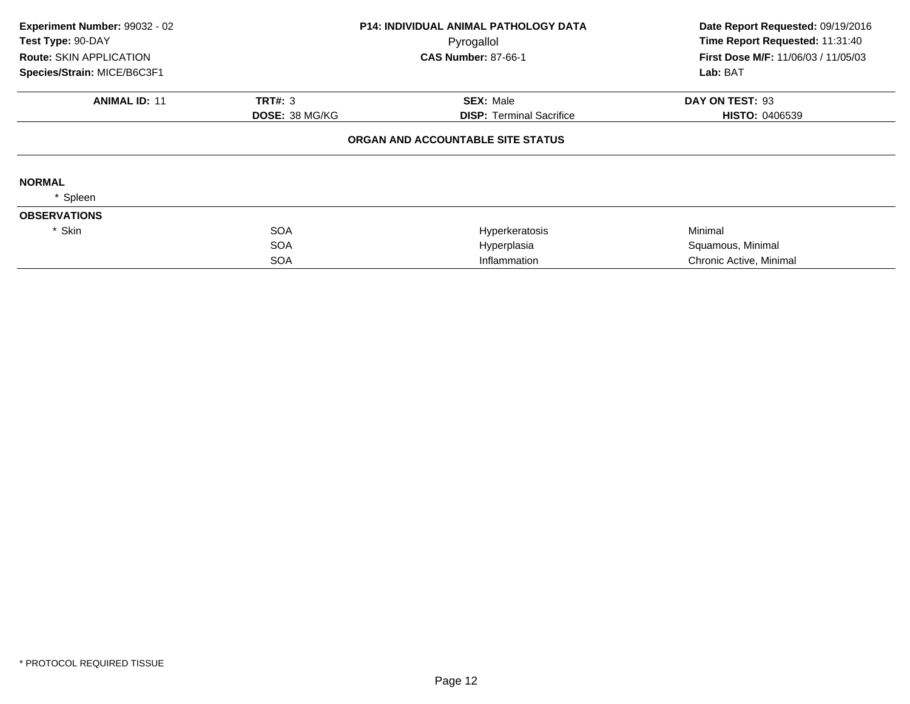| Experiment Number: 99032 - 02<br>Test Type: 90-DAY<br><b>Route: SKIN APPLICATION</b> |                       | <b>P14: INDIVIDUAL ANIMAL PATHOLOGY DATA</b><br>Pyrogallol<br><b>CAS Number: 87-66-1</b> | Date Report Requested: 09/19/2016<br>Time Report Requested: 11:31:40<br><b>First Dose M/F: 11/06/03 / 11/05/03</b> |  |
|--------------------------------------------------------------------------------------|-----------------------|------------------------------------------------------------------------------------------|--------------------------------------------------------------------------------------------------------------------|--|
| Species/Strain: MICE/B6C3F1                                                          |                       |                                                                                          | Lab: BAT                                                                                                           |  |
| <b>ANIMAL ID: 11</b>                                                                 | TRT#: 3               | <b>SEX: Male</b>                                                                         | DAY ON TEST: 93                                                                                                    |  |
|                                                                                      | <b>DOSE: 38 MG/KG</b> | <b>DISP:</b> Terminal Sacrifice                                                          | <b>HISTO: 0406539</b>                                                                                              |  |
|                                                                                      |                       | ORGAN AND ACCOUNTABLE SITE STATUS                                                        |                                                                                                                    |  |
| <b>NORMAL</b>                                                                        |                       |                                                                                          |                                                                                                                    |  |
| Spleen                                                                               |                       |                                                                                          |                                                                                                                    |  |
| <b>OBSERVATIONS</b>                                                                  |                       |                                                                                          |                                                                                                                    |  |
| * Skin                                                                               | <b>SOA</b>            | Hyperkeratosis                                                                           | Minimal                                                                                                            |  |
|                                                                                      | <b>SOA</b>            | Hyperplasia                                                                              | Squamous, Minimal                                                                                                  |  |
|                                                                                      | <b>SOA</b>            | Inflammation                                                                             | Chronic Active, Minimal                                                                                            |  |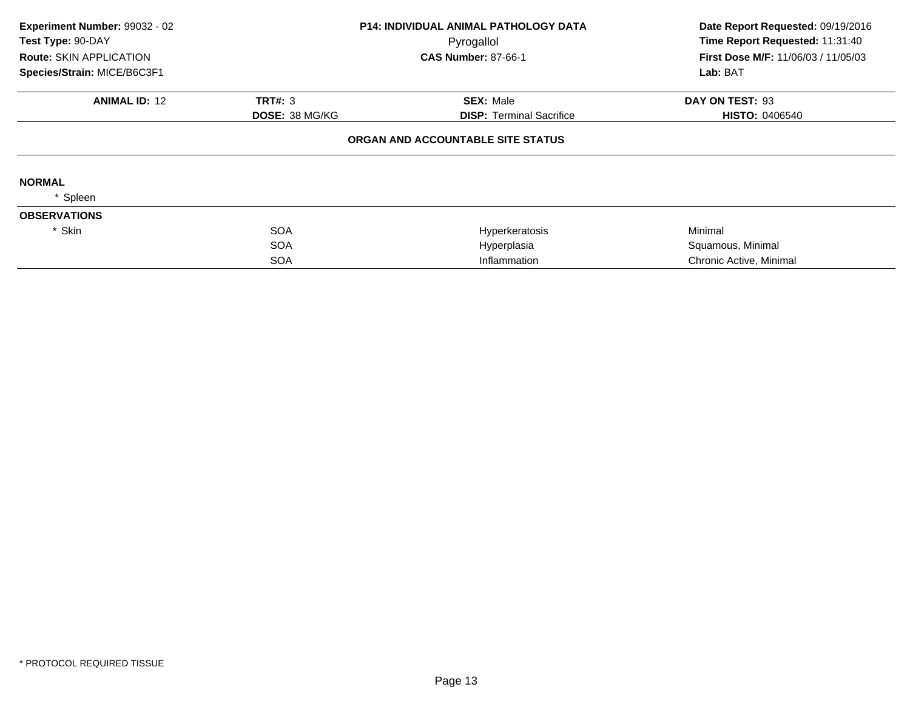| Experiment Number: 99032 - 02<br>Test Type: 90-DAY<br><b>Route: SKIN APPLICATION</b> |                       | <b>P14: INDIVIDUAL ANIMAL PATHOLOGY DATA</b><br>Pyrogallol | Date Report Requested: 09/19/2016<br>Time Report Requested: 11:31:40 |
|--------------------------------------------------------------------------------------|-----------------------|------------------------------------------------------------|----------------------------------------------------------------------|
|                                                                                      |                       | <b>CAS Number: 87-66-1</b>                                 | <b>First Dose M/F: 11/06/03 / 11/05/03</b>                           |
| Species/Strain: MICE/B6C3F1                                                          |                       |                                                            | Lab: BAT                                                             |
| <b>ANIMAL ID: 12</b>                                                                 | <b>TRT#: 3</b>        | <b>SEX: Male</b>                                           | DAY ON TEST: 93                                                      |
|                                                                                      | <b>DOSE: 38 MG/KG</b> | <b>DISP:</b> Terminal Sacrifice                            | <b>HISTO: 0406540</b>                                                |
|                                                                                      |                       | ORGAN AND ACCOUNTABLE SITE STATUS                          |                                                                      |
| <b>NORMAL</b>                                                                        |                       |                                                            |                                                                      |
| Spleen                                                                               |                       |                                                            |                                                                      |
| <b>OBSERVATIONS</b>                                                                  |                       |                                                            |                                                                      |
| * Skin                                                                               | <b>SOA</b>            | Hyperkeratosis                                             | Minimal                                                              |
|                                                                                      | <b>SOA</b>            | Hyperplasia                                                | Squamous, Minimal                                                    |
|                                                                                      | <b>SOA</b>            | Inflammation                                               | Chronic Active, Minimal                                              |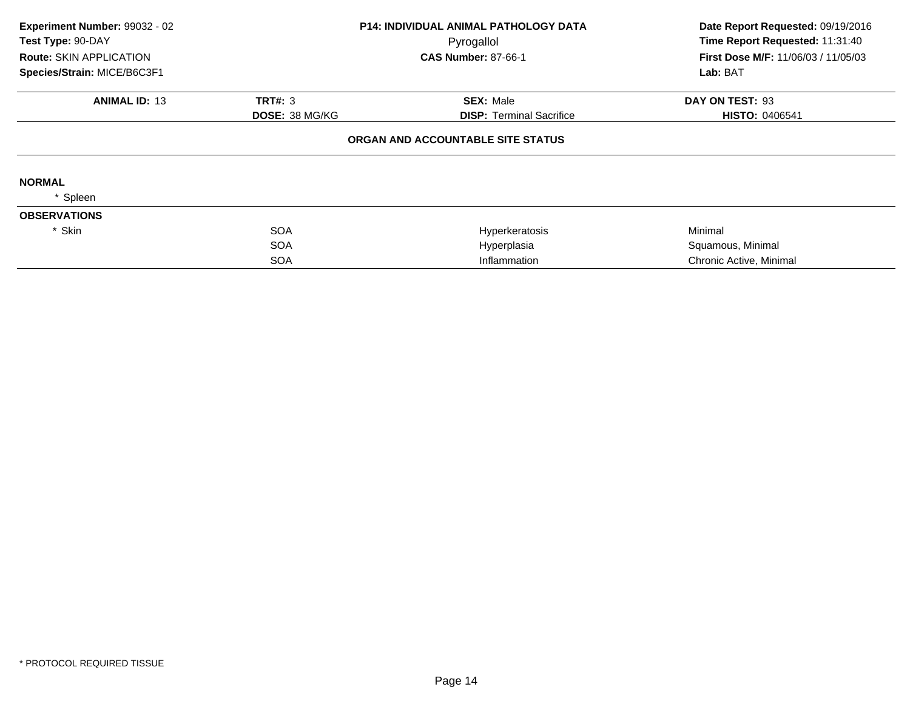| Experiment Number: 99032 - 02<br>Test Type: 90-DAY<br><b>Route: SKIN APPLICATION</b><br>Species/Strain: MICE/B6C3F1 |                       | <b>P14: INDIVIDUAL ANIMAL PATHOLOGY DATA</b><br>Pyrogallol<br><b>CAS Number: 87-66-1</b> | Date Report Requested: 09/19/2016<br>Time Report Requested: 11:31:40<br><b>First Dose M/F: 11/06/03 / 11/05/03</b><br>Lab: BAT |
|---------------------------------------------------------------------------------------------------------------------|-----------------------|------------------------------------------------------------------------------------------|--------------------------------------------------------------------------------------------------------------------------------|
|                                                                                                                     |                       |                                                                                          |                                                                                                                                |
| <b>ANIMAL ID: 13</b>                                                                                                | TRT#: 3               | <b>SEX: Male</b>                                                                         | DAY ON TEST: 93                                                                                                                |
|                                                                                                                     | <b>DOSE: 38 MG/KG</b> | <b>DISP:</b> Terminal Sacrifice                                                          | <b>HISTO: 0406541</b>                                                                                                          |
|                                                                                                                     |                       | ORGAN AND ACCOUNTABLE SITE STATUS                                                        |                                                                                                                                |
| <b>NORMAL</b>                                                                                                       |                       |                                                                                          |                                                                                                                                |
| Spleen                                                                                                              |                       |                                                                                          |                                                                                                                                |
| <b>OBSERVATIONS</b>                                                                                                 |                       |                                                                                          |                                                                                                                                |
| * Skin                                                                                                              | <b>SOA</b>            | Hyperkeratosis                                                                           | Minimal                                                                                                                        |
|                                                                                                                     | <b>SOA</b>            | Hyperplasia                                                                              | Squamous, Minimal                                                                                                              |
|                                                                                                                     | <b>SOA</b>            | Inflammation                                                                             | Chronic Active, Minimal                                                                                                        |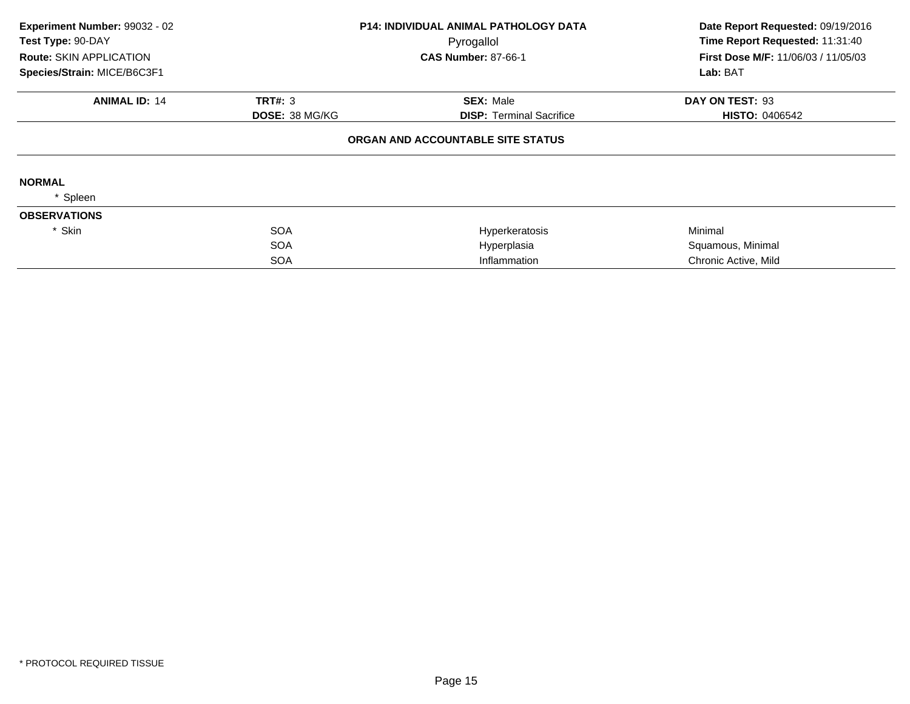| Experiment Number: 99032 - 02<br>Test Type: 90-DAY |                       | P14: INDIVIDUAL ANIMAL PATHOLOGY DATA<br>Pyrogallol | Date Report Requested: 09/19/2016<br>Time Report Requested: 11:31:40 |
|----------------------------------------------------|-----------------------|-----------------------------------------------------|----------------------------------------------------------------------|
| Route: SKIN APPLICATION                            |                       | <b>CAS Number: 87-66-1</b>                          | First Dose M/F: 11/06/03 / 11/05/03                                  |
| Species/Strain: MICE/B6C3F1                        |                       |                                                     | Lab: BAT                                                             |
| <b>ANIMAL ID: 14</b>                               | TRT#: 3               | <b>SEX: Male</b>                                    | DAY ON TEST: 93                                                      |
|                                                    | <b>DOSE: 38 MG/KG</b> | <b>DISP: Terminal Sacrifice</b>                     | <b>HISTO: 0406542</b>                                                |
|                                                    |                       | ORGAN AND ACCOUNTABLE SITE STATUS                   |                                                                      |
| <b>NORMAL</b>                                      |                       |                                                     |                                                                      |
| Spleen                                             |                       |                                                     |                                                                      |
| <b>OBSERVATIONS</b>                                |                       |                                                     |                                                                      |
| * Skin                                             | <b>SOA</b>            | Hyperkeratosis                                      | Minimal                                                              |
|                                                    | <b>SOA</b>            | Hyperplasia                                         | Squamous, Minimal                                                    |
|                                                    | <b>SOA</b>            | Inflammation                                        | Chronic Active, Mild                                                 |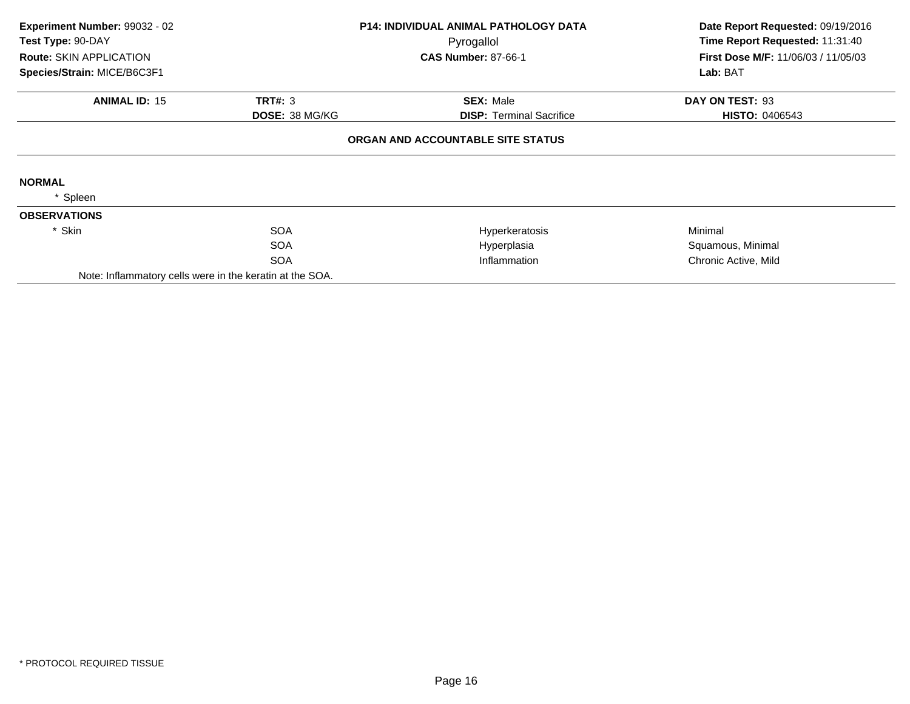| Experiment Number: 99032 - 02                                 |                       | <b>P14: INDIVIDUAL ANIMAL PATHOLOGY DATA</b> | Date Report Requested: 09/19/2016                      |
|---------------------------------------------------------------|-----------------------|----------------------------------------------|--------------------------------------------------------|
| Test Type: 90-DAY                                             |                       | Pyrogallol                                   | Time Report Requested: 11:31:40                        |
| <b>Route: SKIN APPLICATION</b><br>Species/Strain: MICE/B6C3F1 |                       | <b>CAS Number: 87-66-1</b>                   | <b>First Dose M/F: 11/06/03 / 11/05/03</b><br>Lab: BAT |
| <b>ANIMAL ID: 15</b>                                          | <b>TRT#: 3</b>        | <b>SEX: Male</b>                             | DAY ON TEST: 93                                        |
|                                                               | <b>DOSE: 38 MG/KG</b> | <b>DISP:</b> Terminal Sacrifice              | <b>HISTO: 0406543</b>                                  |
|                                                               |                       | ORGAN AND ACCOUNTABLE SITE STATUS            |                                                        |
| <b>NORMAL</b>                                                 |                       |                                              |                                                        |
| Spleen                                                        |                       |                                              |                                                        |
| <b>OBSERVATIONS</b>                                           |                       |                                              |                                                        |
| * Skin                                                        | <b>SOA</b>            | Hyperkeratosis                               | Minimal                                                |
|                                                               | <b>SOA</b>            | Hyperplasia                                  | Squamous, Minimal                                      |
|                                                               | <b>SOA</b>            | Inflammation                                 | Chronic Active, Mild                                   |
| Note: Inflammatory cells were in the keratin at the SOA.      |                       |                                              |                                                        |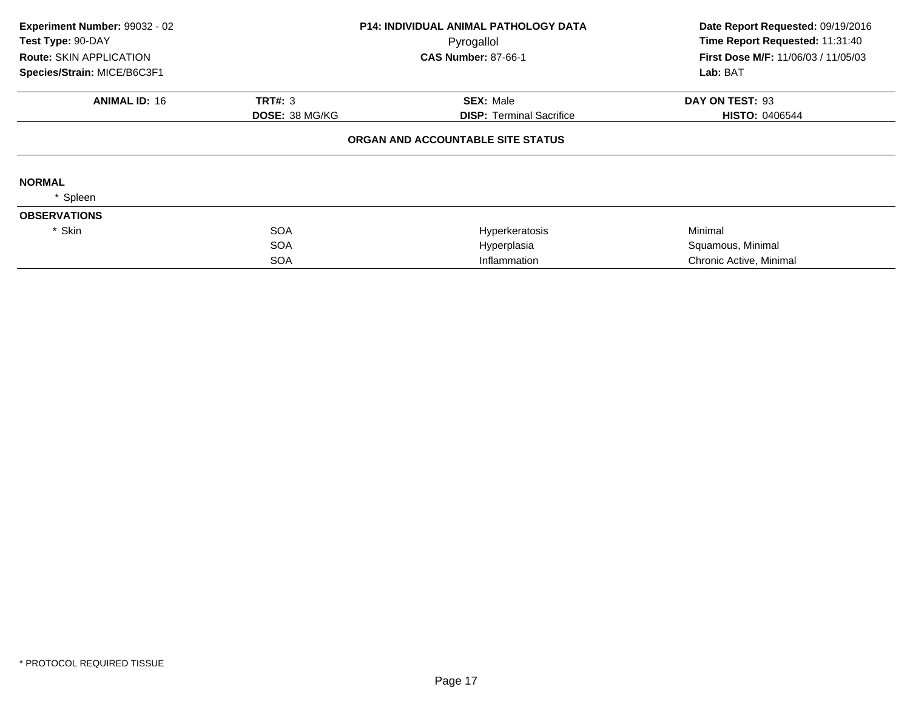| Experiment Number: 99032 - 02<br>Test Type: 90-DAY<br><b>Route: SKIN APPLICATION</b> |                       | <b>P14: INDIVIDUAL ANIMAL PATHOLOGY DATA</b><br>Pyrogallol | Date Report Requested: 09/19/2016<br>Time Report Requested: 11:31:40 |  |
|--------------------------------------------------------------------------------------|-----------------------|------------------------------------------------------------|----------------------------------------------------------------------|--|
|                                                                                      |                       | <b>CAS Number: 87-66-1</b>                                 | <b>First Dose M/F: 11/06/03 / 11/05/03</b>                           |  |
| Species/Strain: MICE/B6C3F1                                                          |                       |                                                            | Lab: BAT                                                             |  |
| <b>ANIMAL ID: 16</b>                                                                 | <b>TRT#: 3</b>        | <b>SEX: Male</b>                                           | DAY ON TEST: 93                                                      |  |
|                                                                                      | <b>DOSE: 38 MG/KG</b> | <b>DISP:</b> Terminal Sacrifice                            | <b>HISTO: 0406544</b>                                                |  |
|                                                                                      |                       | ORGAN AND ACCOUNTABLE SITE STATUS                          |                                                                      |  |
| <b>NORMAL</b>                                                                        |                       |                                                            |                                                                      |  |
| Spleen                                                                               |                       |                                                            |                                                                      |  |
| <b>OBSERVATIONS</b>                                                                  |                       |                                                            |                                                                      |  |
| * Skin                                                                               | <b>SOA</b>            | Hyperkeratosis                                             | Minimal                                                              |  |
|                                                                                      | <b>SOA</b>            | Hyperplasia                                                | Squamous, Minimal                                                    |  |
|                                                                                      | <b>SOA</b>            | Inflammation                                               | Chronic Active, Minimal                                              |  |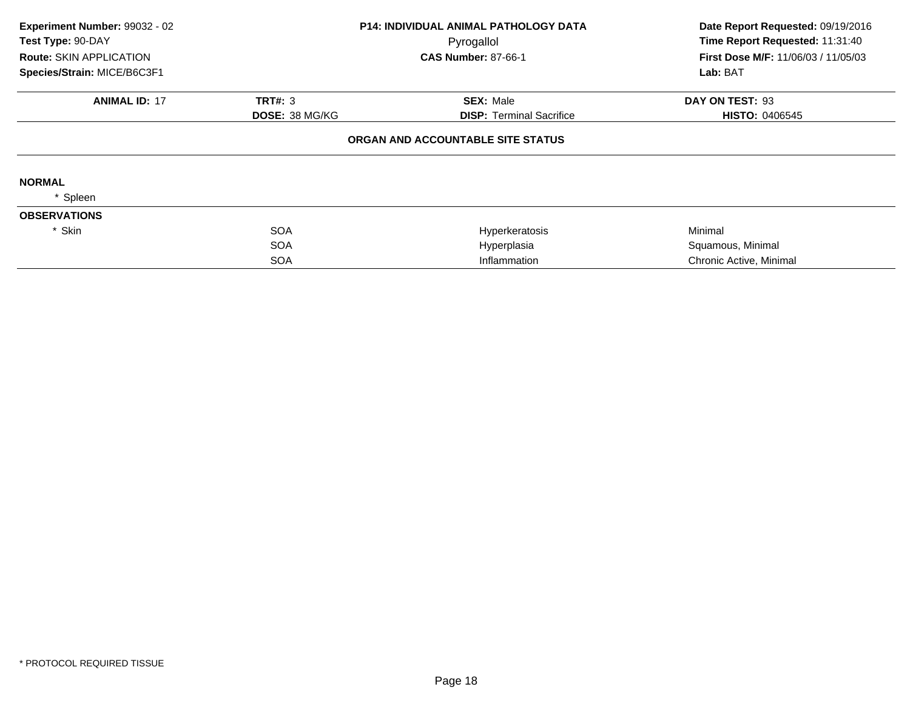| Experiment Number: 99032 - 02<br>Test Type: 90-DAY |                       | <b>P14: INDIVIDUAL ANIMAL PATHOLOGY DATA</b><br>Pyrogallol | Date Report Requested: 09/19/2016<br>Time Report Requested: 11:31:40 |
|----------------------------------------------------|-----------------------|------------------------------------------------------------|----------------------------------------------------------------------|
| <b>Route: SKIN APPLICATION</b>                     |                       | <b>CAS Number: 87-66-1</b>                                 | First Dose M/F: 11/06/03 / 11/05/03                                  |
| Species/Strain: MICE/B6C3F1                        |                       |                                                            | Lab: BAT                                                             |
| <b>ANIMAL ID: 17</b>                               | <b>TRT#: 3</b>        | <b>SEX: Male</b>                                           | DAY ON TEST: 93                                                      |
|                                                    | <b>DOSE: 38 MG/KG</b> | <b>DISP:</b> Terminal Sacrifice                            | <b>HISTO: 0406545</b>                                                |
|                                                    |                       | ORGAN AND ACCOUNTABLE SITE STATUS                          |                                                                      |
| <b>NORMAL</b>                                      |                       |                                                            |                                                                      |
| Spleen                                             |                       |                                                            |                                                                      |
| <b>OBSERVATIONS</b>                                |                       |                                                            |                                                                      |
| * Skin                                             | <b>SOA</b>            | Hyperkeratosis                                             | Minimal                                                              |
|                                                    | <b>SOA</b>            | Hyperplasia                                                | Squamous, Minimal                                                    |
|                                                    | <b>SOA</b>            | Inflammation                                               | Chronic Active, Minimal                                              |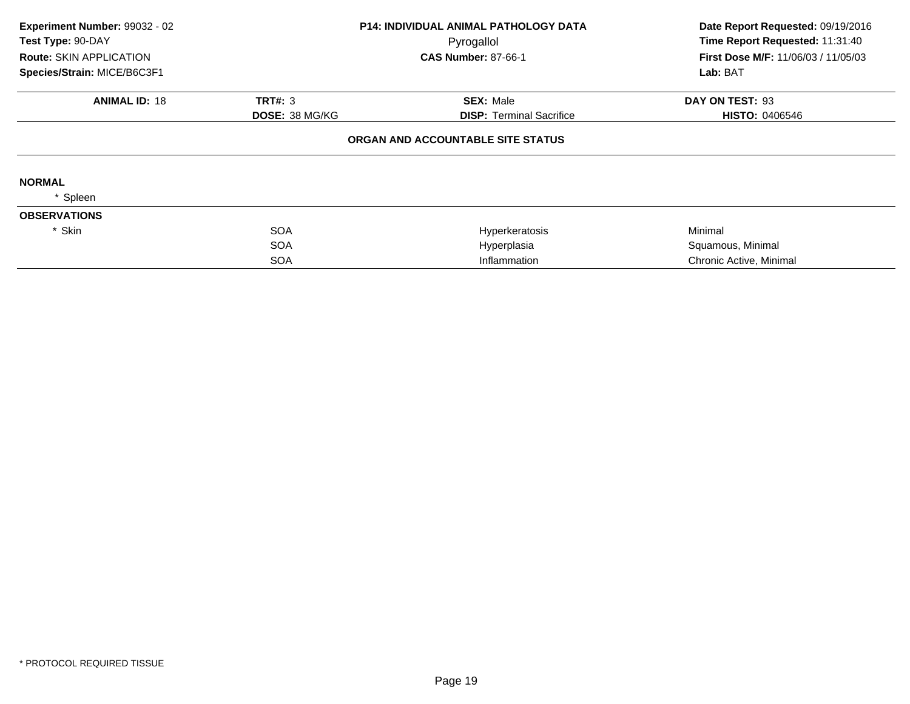| Experiment Number: 99032 - 02<br>Test Type: 90-DAY<br><b>Route: SKIN APPLICATION</b><br>Species/Strain: MICE/B6C3F1 |                       | <b>P14: INDIVIDUAL ANIMAL PATHOLOGY DATA</b><br>Pyrogallol<br><b>CAS Number: 87-66-1</b> | Date Report Requested: 09/19/2016<br>Time Report Requested: 11:31:40<br><b>First Dose M/F: 11/06/03 / 11/05/03</b><br>Lab: BAT |
|---------------------------------------------------------------------------------------------------------------------|-----------------------|------------------------------------------------------------------------------------------|--------------------------------------------------------------------------------------------------------------------------------|
|                                                                                                                     |                       |                                                                                          |                                                                                                                                |
| <b>ANIMAL ID: 18</b>                                                                                                | TRT#: 3               | <b>SEX: Male</b>                                                                         | DAY ON TEST: 93                                                                                                                |
|                                                                                                                     | <b>DOSE: 38 MG/KG</b> | <b>DISP:</b> Terminal Sacrifice                                                          | <b>HISTO: 0406546</b>                                                                                                          |
|                                                                                                                     |                       | ORGAN AND ACCOUNTABLE SITE STATUS                                                        |                                                                                                                                |
| <b>NORMAL</b>                                                                                                       |                       |                                                                                          |                                                                                                                                |
| Spleen                                                                                                              |                       |                                                                                          |                                                                                                                                |
| <b>OBSERVATIONS</b>                                                                                                 |                       |                                                                                          |                                                                                                                                |
| * Skin                                                                                                              | <b>SOA</b>            | Hyperkeratosis                                                                           | Minimal                                                                                                                        |
|                                                                                                                     | <b>SOA</b>            | Hyperplasia                                                                              | Squamous, Minimal                                                                                                              |
|                                                                                                                     | <b>SOA</b>            | Inflammation                                                                             | Chronic Active, Minimal                                                                                                        |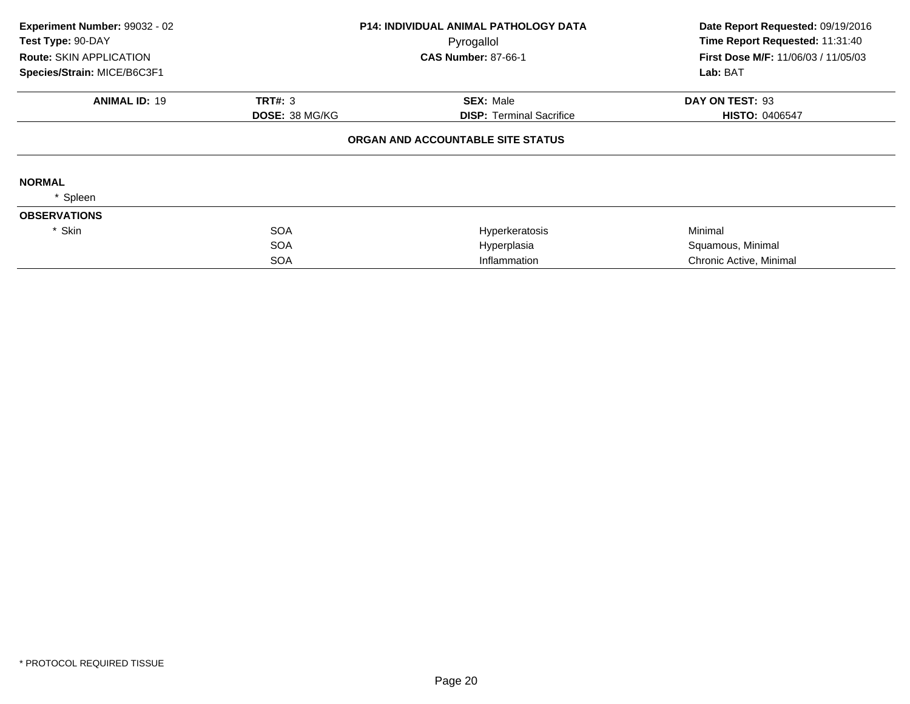| Experiment Number: 99032 - 02<br>Test Type: 90-DAY |                       | <b>P14: INDIVIDUAL ANIMAL PATHOLOGY DATA</b><br>Pyrogallol | Date Report Requested: 09/19/2016<br>Time Report Requested: 11:31:40 |
|----------------------------------------------------|-----------------------|------------------------------------------------------------|----------------------------------------------------------------------|
| Route: SKIN APPLICATION                            |                       | <b>CAS Number: 87-66-1</b>                                 | First Dose M/F: 11/06/03 / 11/05/03                                  |
| Species/Strain: MICE/B6C3F1                        |                       |                                                            | Lab: BAT                                                             |
| <b>ANIMAL ID: 19</b>                               | TRT#: 3               | <b>SEX: Male</b>                                           | DAY ON TEST: 93                                                      |
|                                                    | <b>DOSE: 38 MG/KG</b> | <b>DISP:</b> Terminal Sacrifice                            | <b>HISTO: 0406547</b>                                                |
|                                                    |                       | ORGAN AND ACCOUNTABLE SITE STATUS                          |                                                                      |
| <b>NORMAL</b>                                      |                       |                                                            |                                                                      |
| Spleen                                             |                       |                                                            |                                                                      |
| <b>OBSERVATIONS</b>                                |                       |                                                            |                                                                      |
| * Skin                                             | <b>SOA</b>            | Hyperkeratosis                                             | Minimal                                                              |
|                                                    | <b>SOA</b>            | Hyperplasia                                                | Squamous, Minimal                                                    |
|                                                    | <b>SOA</b>            | Inflammation                                               | Chronic Active, Minimal                                              |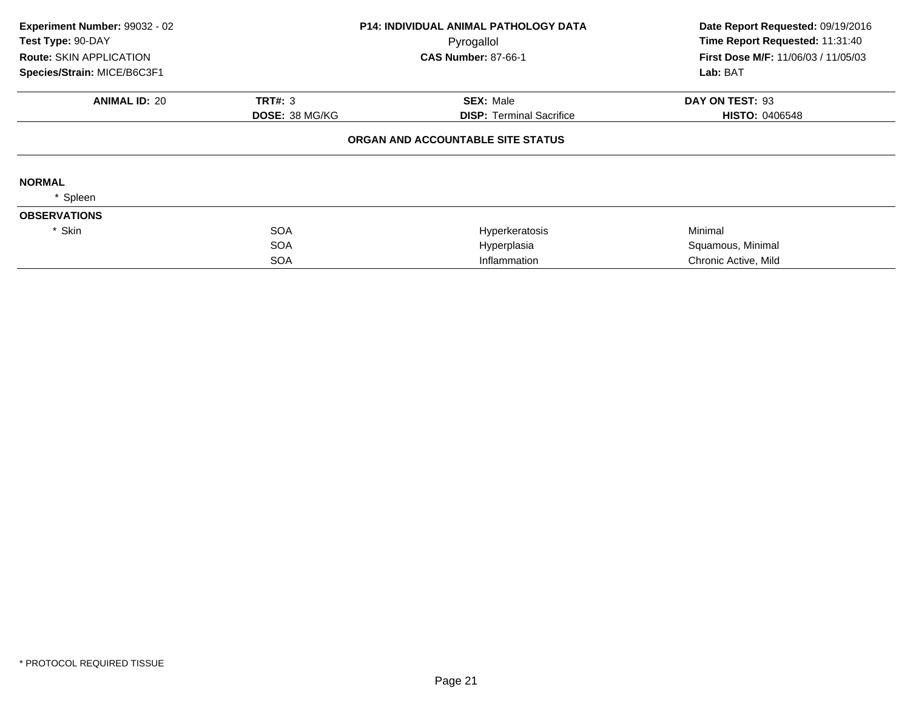| Experiment Number: 99032 - 02<br>Test Type: 90-DAY |                       | P14: INDIVIDUAL ANIMAL PATHOLOGY DATA<br>Pyrogallol | Date Report Requested: 09/19/2016<br>Time Report Requested: 11:31:40 |
|----------------------------------------------------|-----------------------|-----------------------------------------------------|----------------------------------------------------------------------|
| <b>Route: SKIN APPLICATION</b>                     |                       | <b>CAS Number: 87-66-1</b>                          | First Dose M/F: 11/06/03 / 11/05/03                                  |
| Species/Strain: MICE/B6C3F1                        |                       |                                                     | Lab: BAT                                                             |
| <b>ANIMAL ID: 20</b>                               | TRT#: 3               | <b>SEX: Male</b>                                    | DAY ON TEST: 93                                                      |
|                                                    | <b>DOSE: 38 MG/KG</b> | <b>DISP: Terminal Sacrifice</b>                     | <b>HISTO: 0406548</b>                                                |
|                                                    |                       | ORGAN AND ACCOUNTABLE SITE STATUS                   |                                                                      |
| <b>NORMAL</b>                                      |                       |                                                     |                                                                      |
| Spleen                                             |                       |                                                     |                                                                      |
| <b>OBSERVATIONS</b>                                |                       |                                                     |                                                                      |
| * Skin                                             | <b>SOA</b>            | Hyperkeratosis                                      | Minimal                                                              |
|                                                    | <b>SOA</b>            | Hyperplasia                                         | Squamous, Minimal                                                    |
|                                                    | <b>SOA</b>            | Inflammation                                        | Chronic Active, Mild                                                 |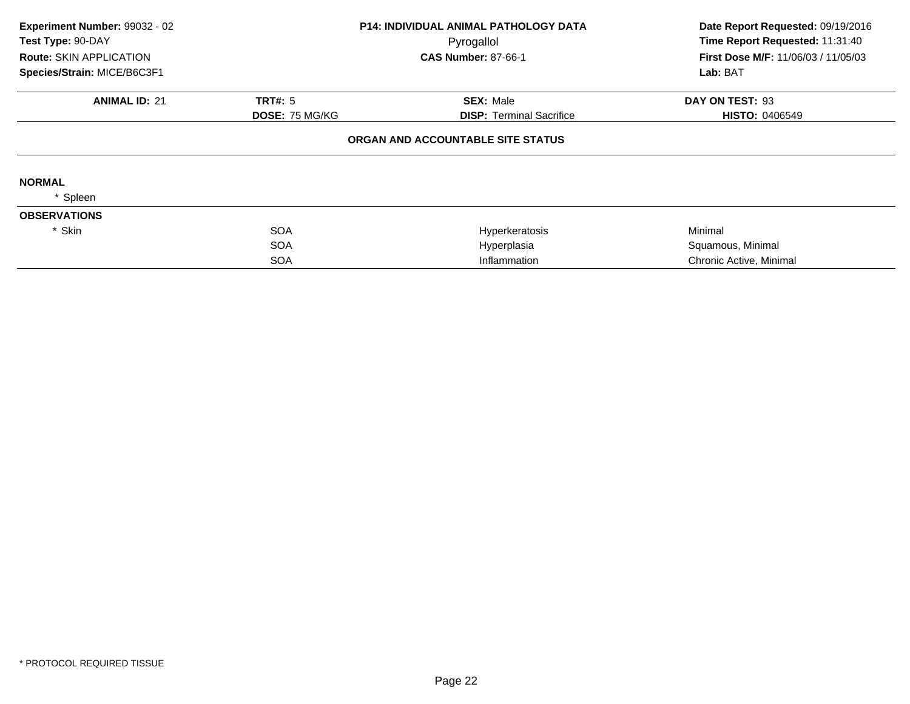| Experiment Number: 99032 - 02<br>Test Type: 90-DAY<br><b>Route: SKIN APPLICATION</b> |                       | <b>P14: INDIVIDUAL ANIMAL PATHOLOGY DATA</b><br>Pyrogallol | Date Report Requested: 09/19/2016<br>Time Report Requested: 11:31:40 |  |
|--------------------------------------------------------------------------------------|-----------------------|------------------------------------------------------------|----------------------------------------------------------------------|--|
|                                                                                      |                       | <b>CAS Number: 87-66-1</b>                                 | <b>First Dose M/F: 11/06/03 / 11/05/03</b>                           |  |
| Species/Strain: MICE/B6C3F1                                                          |                       |                                                            | Lab: BAT                                                             |  |
| <b>ANIMAL ID: 21</b>                                                                 | <b>TRT#: 5</b>        | <b>SEX: Male</b>                                           | DAY ON TEST: 93                                                      |  |
|                                                                                      | <b>DOSE: 75 MG/KG</b> | <b>DISP:</b> Terminal Sacrifice                            | <b>HISTO: 0406549</b>                                                |  |
|                                                                                      |                       | ORGAN AND ACCOUNTABLE SITE STATUS                          |                                                                      |  |
| <b>NORMAL</b>                                                                        |                       |                                                            |                                                                      |  |
| Spleen                                                                               |                       |                                                            |                                                                      |  |
| <b>OBSERVATIONS</b>                                                                  |                       |                                                            |                                                                      |  |
| * Skin                                                                               | <b>SOA</b>            | Hyperkeratosis                                             | Minimal                                                              |  |
|                                                                                      | <b>SOA</b>            | Hyperplasia                                                | Squamous, Minimal                                                    |  |
|                                                                                      | <b>SOA</b>            | Inflammation                                               | Chronic Active, Minimal                                              |  |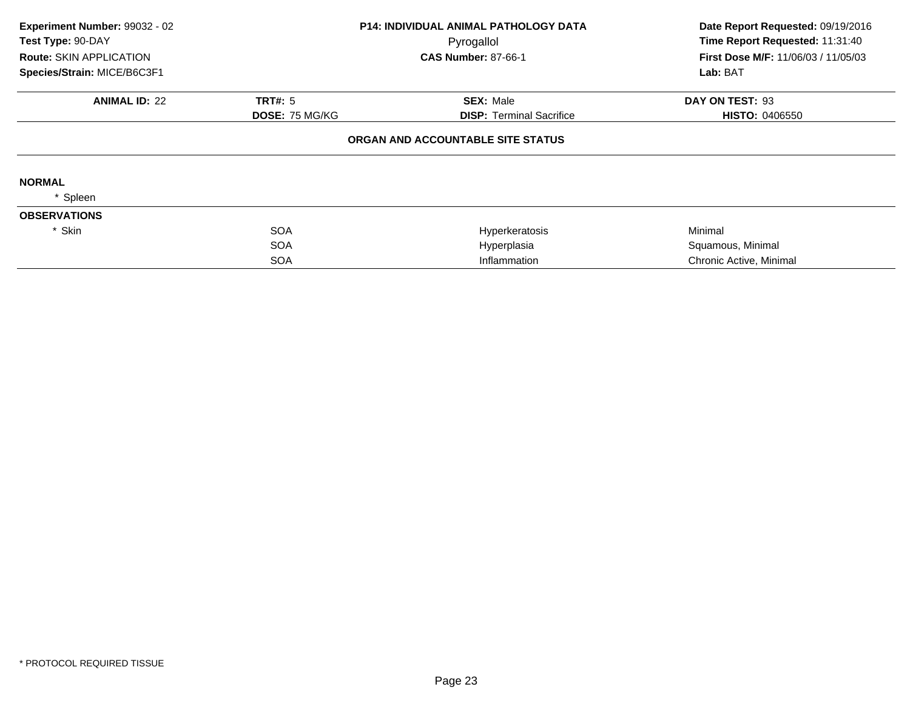| Experiment Number: 99032 - 02<br>Test Type: 90-DAY |                       | <b>P14: INDIVIDUAL ANIMAL PATHOLOGY DATA</b><br>Pyrogallol | Date Report Requested: 09/19/2016<br>Time Report Requested: 11:31:40 |
|----------------------------------------------------|-----------------------|------------------------------------------------------------|----------------------------------------------------------------------|
| <b>Route: SKIN APPLICATION</b>                     |                       | <b>CAS Number: 87-66-1</b>                                 | <b>First Dose M/F: 11/06/03 / 11/05/03</b>                           |
| Species/Strain: MICE/B6C3F1                        |                       |                                                            | Lab: BAT                                                             |
| <b>ANIMAL ID: 22</b>                               | <b>TRT#: 5</b>        | <b>SEX: Male</b>                                           | DAY ON TEST: 93                                                      |
|                                                    | <b>DOSE: 75 MG/KG</b> | <b>DISP:</b> Terminal Sacrifice                            | <b>HISTO: 0406550</b>                                                |
|                                                    |                       | ORGAN AND ACCOUNTABLE SITE STATUS                          |                                                                      |
| <b>NORMAL</b>                                      |                       |                                                            |                                                                      |
| Spleen                                             |                       |                                                            |                                                                      |
| <b>OBSERVATIONS</b>                                |                       |                                                            |                                                                      |
| * Skin                                             | <b>SOA</b>            | Hyperkeratosis                                             | Minimal                                                              |
|                                                    | <b>SOA</b>            | Hyperplasia                                                | Squamous, Minimal                                                    |
|                                                    | <b>SOA</b>            | Inflammation                                               | Chronic Active, Minimal                                              |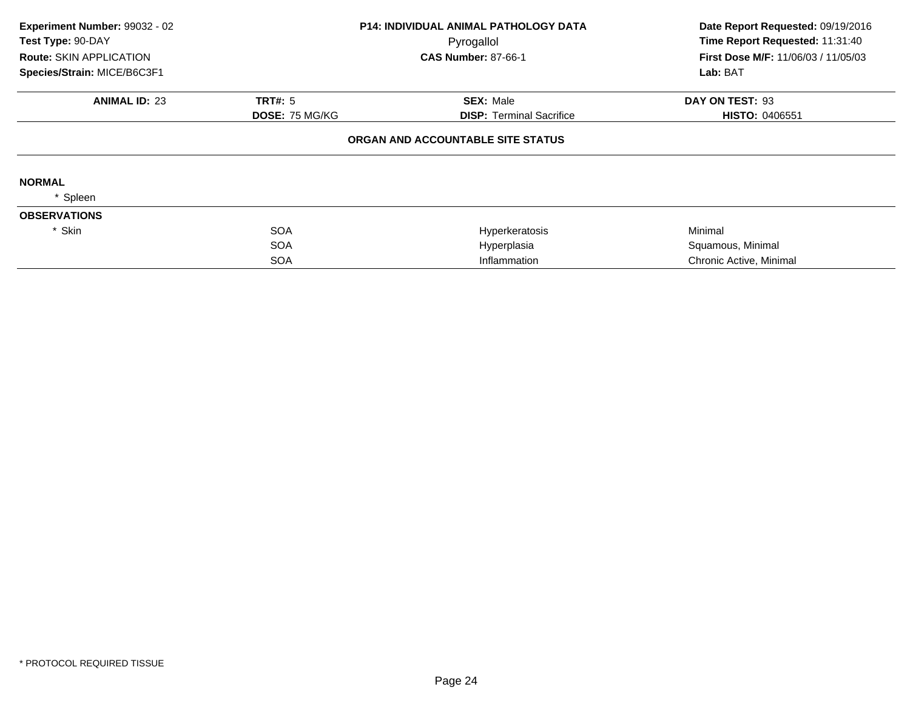| Experiment Number: 99032 - 02<br>Test Type: 90-DAY<br><b>Route: SKIN APPLICATION</b> |                       | <b>P14: INDIVIDUAL ANIMAL PATHOLOGY DATA</b><br>Pyrogallol | Date Report Requested: 09/19/2016<br>Time Report Requested: 11:31:40 |
|--------------------------------------------------------------------------------------|-----------------------|------------------------------------------------------------|----------------------------------------------------------------------|
|                                                                                      |                       | <b>CAS Number: 87-66-1</b>                                 | <b>First Dose M/F: 11/06/03 / 11/05/03</b>                           |
| Species/Strain: MICE/B6C3F1                                                          |                       |                                                            | Lab: BAT                                                             |
| <b>ANIMAL ID: 23</b>                                                                 | <b>TRT#: 5</b>        | <b>SEX: Male</b>                                           | DAY ON TEST: 93                                                      |
|                                                                                      | <b>DOSE: 75 MG/KG</b> | <b>DISP:</b> Terminal Sacrifice                            | <b>HISTO: 0406551</b>                                                |
|                                                                                      |                       | ORGAN AND ACCOUNTABLE SITE STATUS                          |                                                                      |
| <b>NORMAL</b>                                                                        |                       |                                                            |                                                                      |
| Spleen                                                                               |                       |                                                            |                                                                      |
| <b>OBSERVATIONS</b>                                                                  |                       |                                                            |                                                                      |
| * Skin                                                                               | <b>SOA</b>            | Hyperkeratosis                                             | Minimal                                                              |
|                                                                                      | <b>SOA</b>            | Hyperplasia                                                | Squamous, Minimal                                                    |
|                                                                                      | <b>SOA</b>            | Inflammation                                               | Chronic Active, Minimal                                              |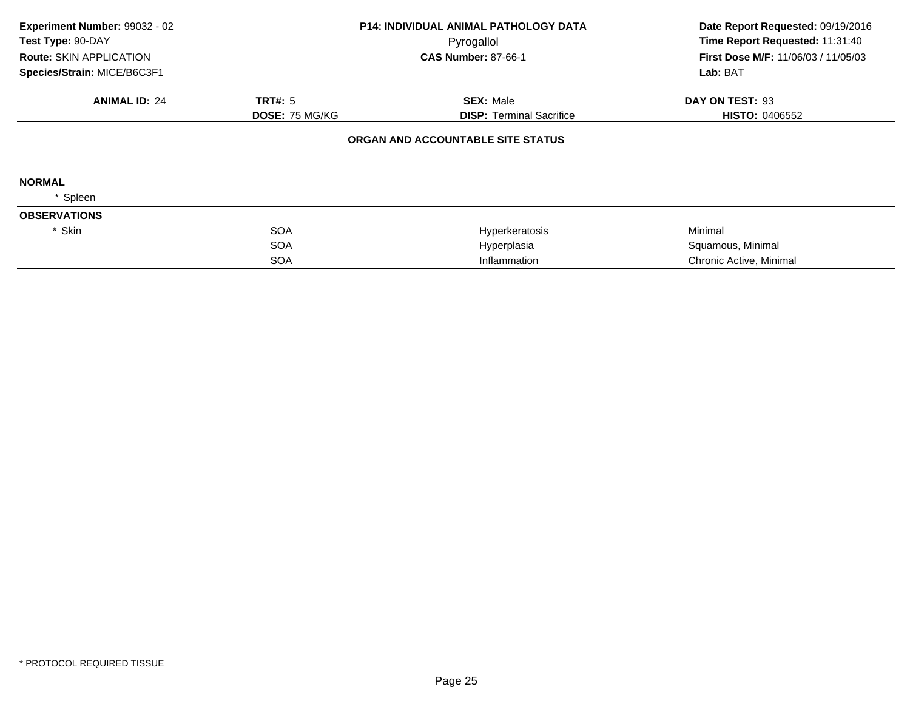| Experiment Number: 99032 - 02<br>Test Type: 90-DAY |                       | <b>P14: INDIVIDUAL ANIMAL PATHOLOGY DATA</b><br>Pyrogallol | Date Report Requested: 09/19/2016<br>Time Report Requested: 11:31:40 |
|----------------------------------------------------|-----------------------|------------------------------------------------------------|----------------------------------------------------------------------|
| <b>Route: SKIN APPLICATION</b>                     |                       | <b>CAS Number: 87-66-1</b>                                 | <b>First Dose M/F: 11/06/03 / 11/05/03</b>                           |
| Species/Strain: MICE/B6C3F1                        |                       |                                                            | Lab: BAT                                                             |
| <b>ANIMAL ID: 24</b>                               | <b>TRT#: 5</b>        | <b>SEX: Male</b>                                           | DAY ON TEST: 93                                                      |
|                                                    | <b>DOSE: 75 MG/KG</b> | <b>DISP:</b> Terminal Sacrifice                            | <b>HISTO: 0406552</b>                                                |
|                                                    |                       | ORGAN AND ACCOUNTABLE SITE STATUS                          |                                                                      |
| <b>NORMAL</b>                                      |                       |                                                            |                                                                      |
| Spleen                                             |                       |                                                            |                                                                      |
| <b>OBSERVATIONS</b>                                |                       |                                                            |                                                                      |
| * Skin                                             | <b>SOA</b>            | Hyperkeratosis                                             | Minimal                                                              |
|                                                    | <b>SOA</b>            | Hyperplasia                                                | Squamous, Minimal                                                    |
|                                                    | <b>SOA</b>            | Inflammation                                               | Chronic Active, Minimal                                              |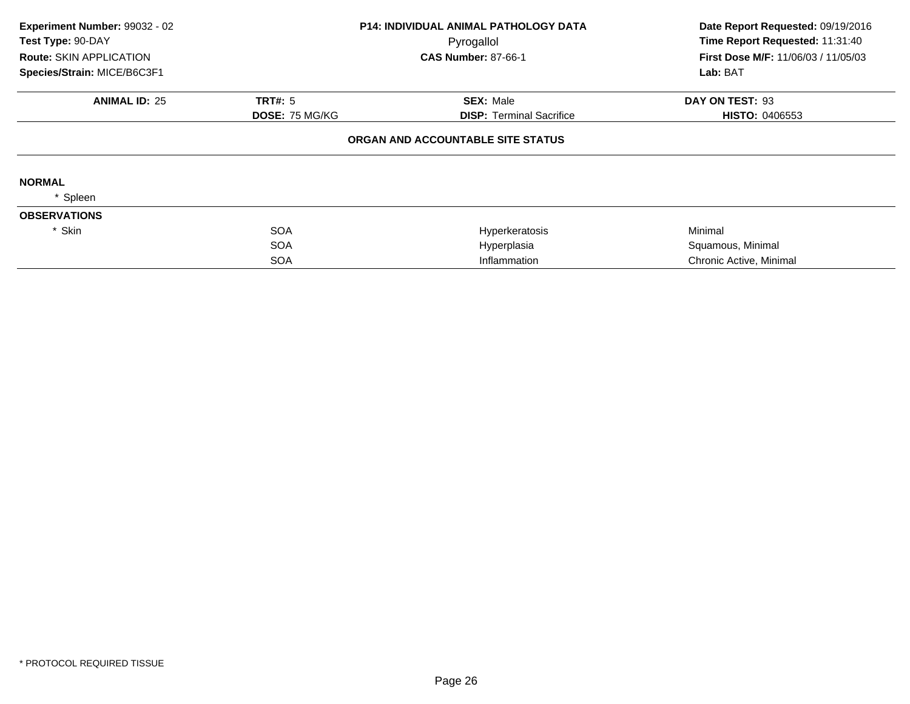| Experiment Number: 99032 - 02<br>Test Type: 90-DAY<br><b>Route: SKIN APPLICATION</b><br>Species/Strain: MICE/B6C3F1 |                       | <b>P14: INDIVIDUAL ANIMAL PATHOLOGY DATA</b><br>Pyrogallol<br><b>CAS Number: 87-66-1</b> | Date Report Requested: 09/19/2016<br>Time Report Requested: 11:31:40<br><b>First Dose M/F: 11/06/03 / 11/05/03</b> |
|---------------------------------------------------------------------------------------------------------------------|-----------------------|------------------------------------------------------------------------------------------|--------------------------------------------------------------------------------------------------------------------|
|                                                                                                                     |                       |                                                                                          | Lab: BAT                                                                                                           |
| <b>ANIMAL ID: 25</b>                                                                                                | <b>TRT#: 5</b>        | <b>SEX: Male</b>                                                                         | DAY ON TEST: 93                                                                                                    |
|                                                                                                                     | <b>DOSE: 75 MG/KG</b> | <b>DISP:</b> Terminal Sacrifice                                                          | <b>HISTO: 0406553</b>                                                                                              |
|                                                                                                                     |                       | ORGAN AND ACCOUNTABLE SITE STATUS                                                        |                                                                                                                    |
| <b>NORMAL</b>                                                                                                       |                       |                                                                                          |                                                                                                                    |
| Spleen                                                                                                              |                       |                                                                                          |                                                                                                                    |
| <b>OBSERVATIONS</b>                                                                                                 |                       |                                                                                          |                                                                                                                    |
| * Skin                                                                                                              | <b>SOA</b>            | Hyperkeratosis                                                                           | Minimal                                                                                                            |
|                                                                                                                     | <b>SOA</b>            | Hyperplasia                                                                              | Squamous, Minimal                                                                                                  |
|                                                                                                                     | <b>SOA</b>            | Inflammation                                                                             | Chronic Active, Minimal                                                                                            |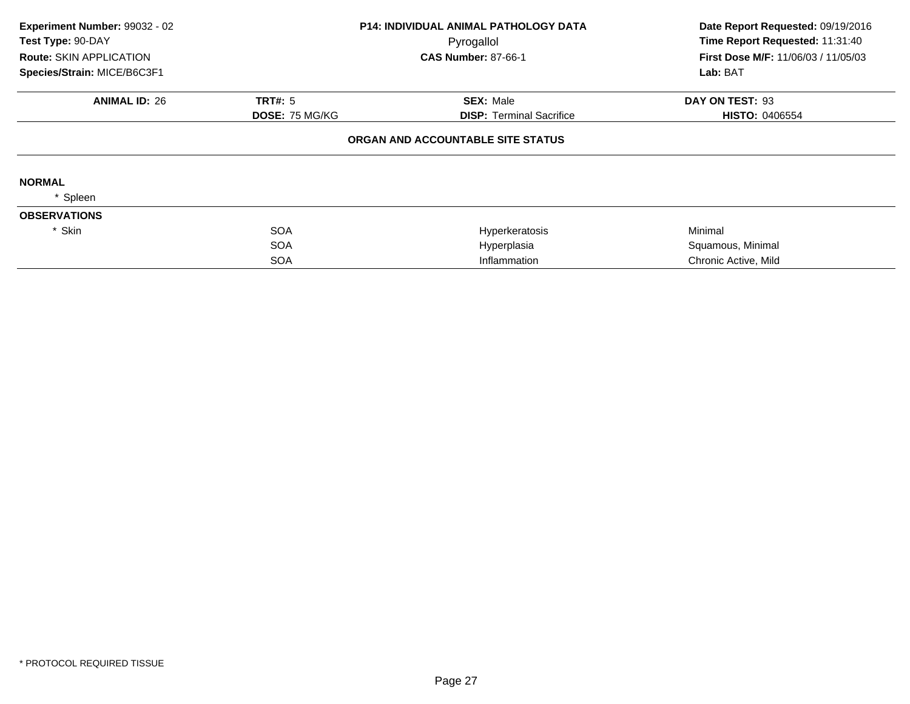| Experiment Number: 99032 - 02<br>Test Type: 90-DAY |                       | P14: INDIVIDUAL ANIMAL PATHOLOGY DATA<br>Pyrogallol | Date Report Requested: 09/19/2016<br>Time Report Requested: 11:31:40 |  |
|----------------------------------------------------|-----------------------|-----------------------------------------------------|----------------------------------------------------------------------|--|
| <b>Route: SKIN APPLICATION</b>                     |                       | <b>CAS Number: 87-66-1</b>                          | First Dose M/F: 11/06/03 / 11/05/03                                  |  |
| Species/Strain: MICE/B6C3F1                        |                       |                                                     | Lab: BAT                                                             |  |
| <b>ANIMAL ID: 26</b>                               | TRT#: 5               | <b>SEX: Male</b>                                    | DAY ON TEST: 93                                                      |  |
|                                                    | <b>DOSE: 75 MG/KG</b> | <b>DISP: Terminal Sacrifice</b>                     | <b>HISTO: 0406554</b>                                                |  |
|                                                    |                       | ORGAN AND ACCOUNTABLE SITE STATUS                   |                                                                      |  |
| <b>NORMAL</b>                                      |                       |                                                     |                                                                      |  |
| Spleen                                             |                       |                                                     |                                                                      |  |
| <b>OBSERVATIONS</b>                                |                       |                                                     |                                                                      |  |
| * Skin                                             | <b>SOA</b>            | Hyperkeratosis                                      | Minimal                                                              |  |
|                                                    | <b>SOA</b>            | Hyperplasia                                         | Squamous, Minimal                                                    |  |
|                                                    | <b>SOA</b>            | Inflammation                                        | Chronic Active, Mild                                                 |  |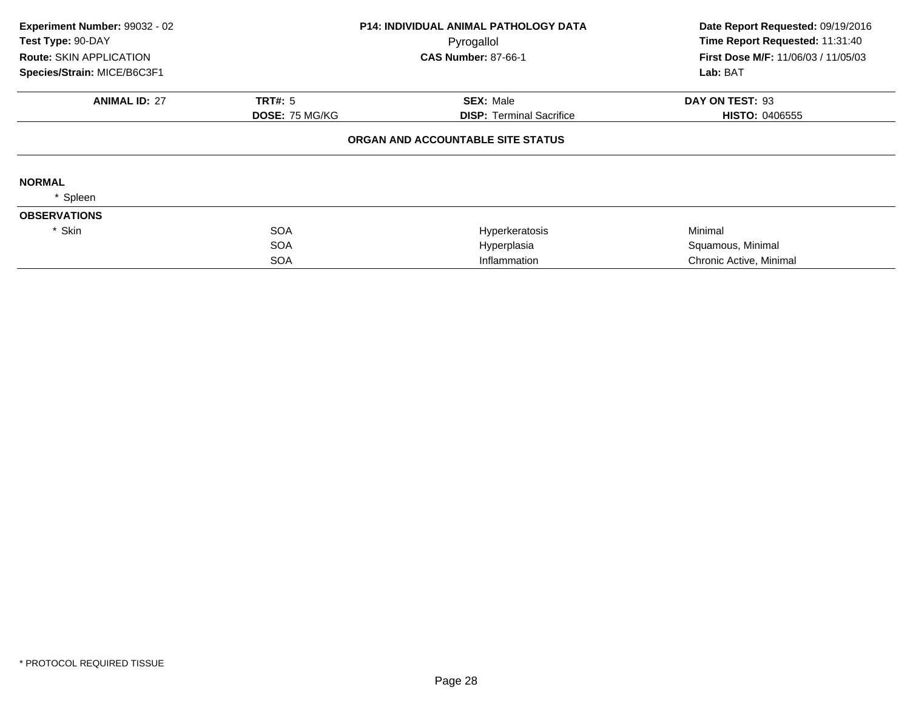| Experiment Number: 99032 - 02<br>Test Type: 90-DAY |                       | <b>P14: INDIVIDUAL ANIMAL PATHOLOGY DATA</b><br>Pyrogallol | Date Report Requested: 09/19/2016<br>Time Report Requested: 11:31:40 |  |
|----------------------------------------------------|-----------------------|------------------------------------------------------------|----------------------------------------------------------------------|--|
| <b>Route: SKIN APPLICATION</b>                     |                       | <b>CAS Number: 87-66-1</b>                                 | First Dose M/F: 11/06/03 / 11/05/03                                  |  |
| Species/Strain: MICE/B6C3F1                        |                       |                                                            | Lab: BAT                                                             |  |
| <b>ANIMAL ID: 27</b>                               | <b>TRT#: 5</b>        | <b>SEX: Male</b>                                           | DAY ON TEST: 93                                                      |  |
|                                                    | <b>DOSE: 75 MG/KG</b> | <b>DISP:</b> Terminal Sacrifice                            | <b>HISTO: 0406555</b>                                                |  |
|                                                    |                       | ORGAN AND ACCOUNTABLE SITE STATUS                          |                                                                      |  |
| <b>NORMAL</b>                                      |                       |                                                            |                                                                      |  |
| Spleen                                             |                       |                                                            |                                                                      |  |
| <b>OBSERVATIONS</b>                                |                       |                                                            |                                                                      |  |
| * Skin                                             | <b>SOA</b>            | Hyperkeratosis                                             | Minimal                                                              |  |
|                                                    | <b>SOA</b>            | Hyperplasia                                                | Squamous, Minimal                                                    |  |
|                                                    | <b>SOA</b>            | Inflammation                                               | Chronic Active, Minimal                                              |  |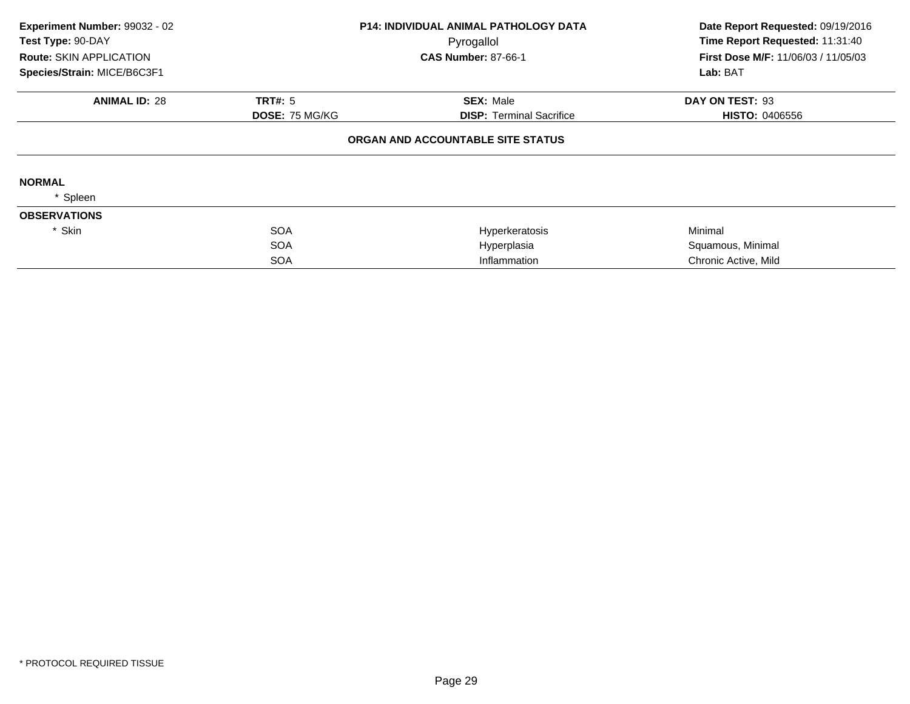| Experiment Number: 99032 - 02<br>Test Type: 90-DAY |                       | P14: INDIVIDUAL ANIMAL PATHOLOGY DATA<br>Pyrogallol | Date Report Requested: 09/19/2016<br>Time Report Requested: 11:31:40 |  |
|----------------------------------------------------|-----------------------|-----------------------------------------------------|----------------------------------------------------------------------|--|
| <b>Route: SKIN APPLICATION</b>                     |                       | <b>CAS Number: 87-66-1</b>                          | First Dose M/F: 11/06/03 / 11/05/03                                  |  |
| Species/Strain: MICE/B6C3F1                        |                       |                                                     | Lab: BAT                                                             |  |
| <b>ANIMAL ID: 28</b>                               | TRT#: 5               | <b>SEX: Male</b>                                    | DAY ON TEST: 93                                                      |  |
|                                                    | <b>DOSE: 75 MG/KG</b> | <b>DISP: Terminal Sacrifice</b>                     | <b>HISTO: 0406556</b>                                                |  |
|                                                    |                       | ORGAN AND ACCOUNTABLE SITE STATUS                   |                                                                      |  |
| <b>NORMAL</b>                                      |                       |                                                     |                                                                      |  |
| Spleen                                             |                       |                                                     |                                                                      |  |
| <b>OBSERVATIONS</b>                                |                       |                                                     |                                                                      |  |
| * Skin                                             | <b>SOA</b>            | Hyperkeratosis                                      | Minimal                                                              |  |
|                                                    | <b>SOA</b>            | Hyperplasia                                         | Squamous, Minimal                                                    |  |
|                                                    | <b>SOA</b>            | Inflammation                                        | Chronic Active, Mild                                                 |  |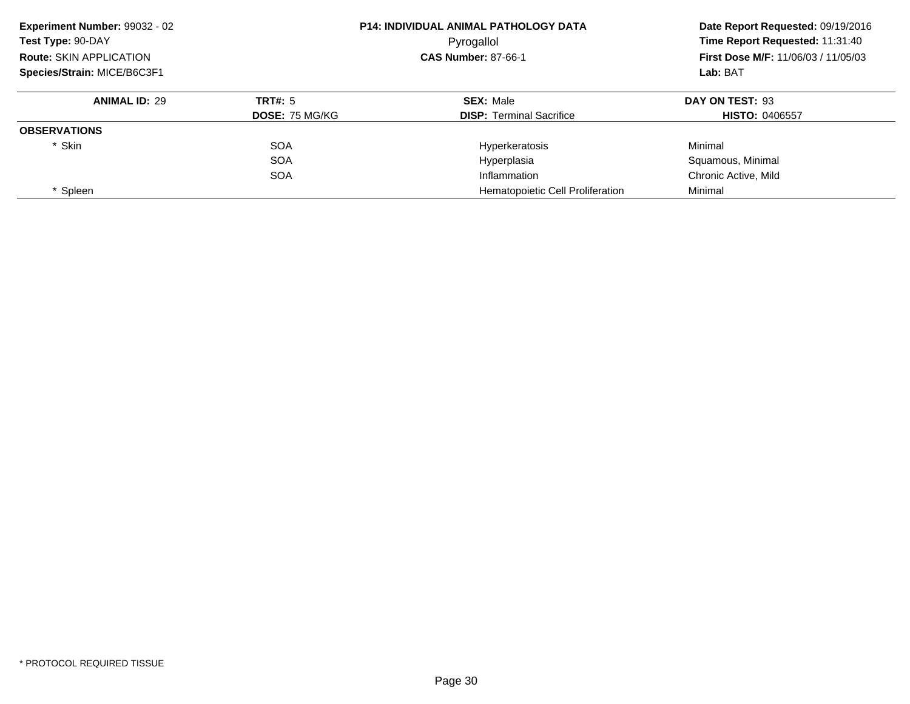| Experiment Number: 99032 - 02  |                       | <b>P14: INDIVIDUAL ANIMAL PATHOLOGY DATA</b> | Date Report Requested: 09/19/2016          |
|--------------------------------|-----------------------|----------------------------------------------|--------------------------------------------|
| Test Type: 90-DAY              |                       | Pyrogallol                                   | Time Report Requested: 11:31:40            |
| <b>Route: SKIN APPLICATION</b> |                       | <b>CAS Number: 87-66-1</b>                   | <b>First Dose M/F: 11/06/03 / 11/05/03</b> |
| Species/Strain: MICE/B6C3F1    |                       |                                              | Lab: BAT                                   |
| <b>ANIMAL ID: 29</b>           | TRT#: 5               | <b>SEX: Male</b>                             | DAY ON TEST: 93                            |
|                                | <b>DOSE: 75 MG/KG</b> | <b>DISP:</b> Terminal Sacrifice              | <b>HISTO: 0406557</b>                      |
| <b>OBSERVATIONS</b>            |                       |                                              |                                            |
| * Skin                         | <b>SOA</b>            | Hyperkeratosis                               | Minimal                                    |
|                                | <b>SOA</b>            | Hyperplasia                                  | Squamous, Minimal                          |
|                                | <b>SOA</b>            | Inflammation                                 | Chronic Active, Mild                       |
| Spleen                         |                       | Hematopoietic Cell Proliferation             | Minimal                                    |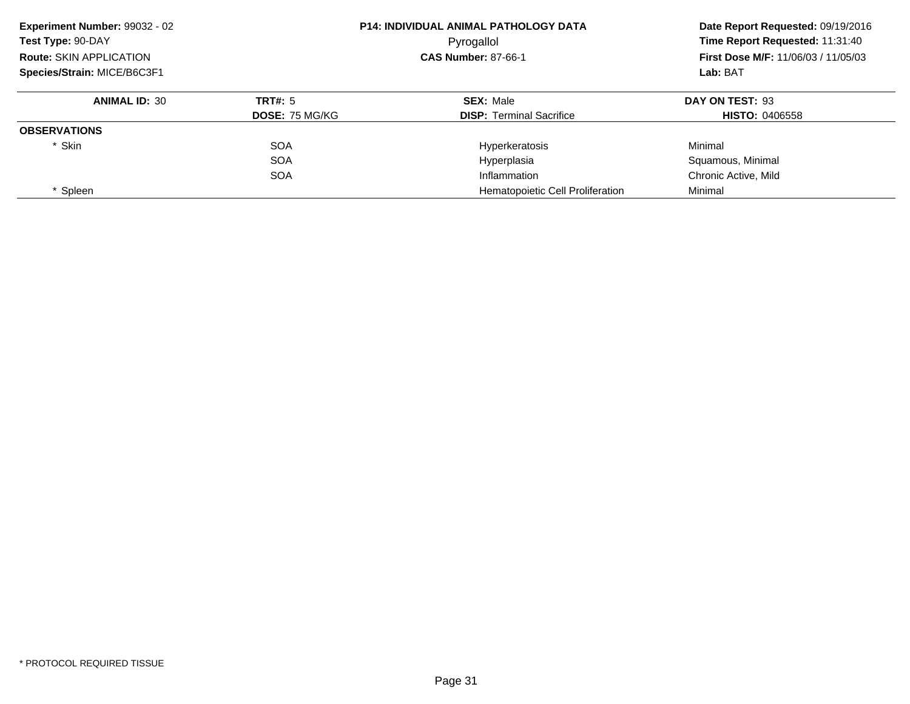| Experiment Number: 99032 - 02  |                       | <b>P14: INDIVIDUAL ANIMAL PATHOLOGY DATA</b> | Date Report Requested: 09/19/2016<br>Time Report Requested: 11:31:40 |
|--------------------------------|-----------------------|----------------------------------------------|----------------------------------------------------------------------|
| Test Type: 90-DAY              |                       | Pyrogallol                                   |                                                                      |
| <b>Route: SKIN APPLICATION</b> |                       | <b>CAS Number: 87-66-1</b>                   | <b>First Dose M/F: 11/06/03 / 11/05/03</b>                           |
| Species/Strain: MICE/B6C3F1    |                       |                                              | Lab: BAT                                                             |
| <b>ANIMAL ID: 30</b>           | TRT#: 5               | <b>SEX: Male</b>                             | DAY ON TEST: 93                                                      |
|                                | <b>DOSE: 75 MG/KG</b> | <b>DISP: Terminal Sacrifice</b>              | <b>HISTO: 0406558</b>                                                |
| <b>OBSERVATIONS</b>            |                       |                                              |                                                                      |
| * Skin                         | <b>SOA</b>            | Hyperkeratosis                               | Minimal                                                              |
|                                | <b>SOA</b>            | Hyperplasia                                  | Squamous, Minimal                                                    |
|                                | <b>SOA</b>            | Inflammation                                 | Chronic Active, Mild                                                 |
| Spleen                         |                       | Hematopoietic Cell Proliferation             | Minimal                                                              |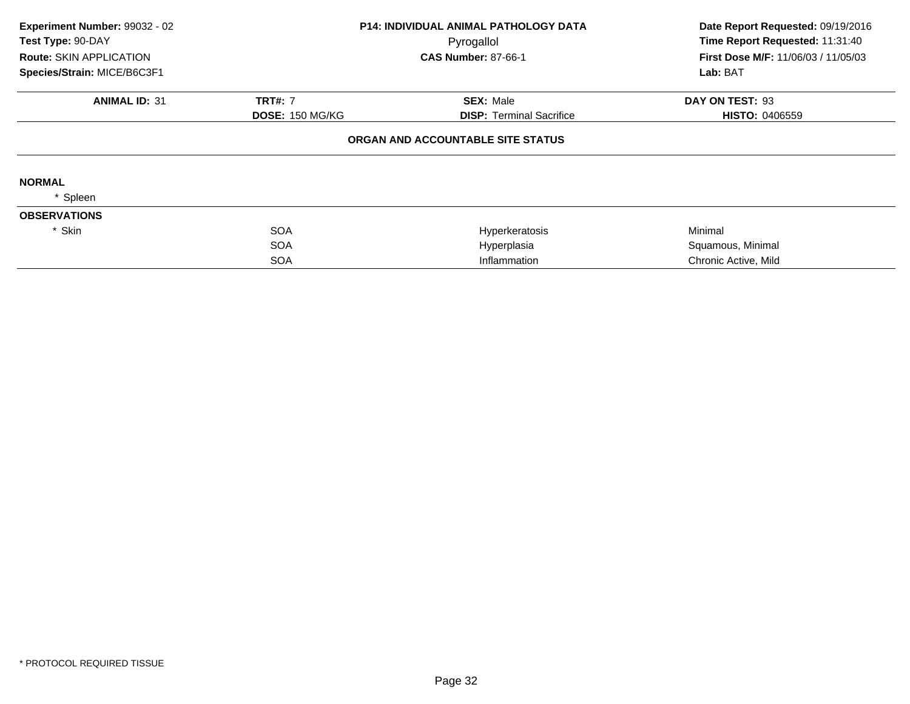| Experiment Number: 99032 - 02<br>Test Type: 90-DAY |                        | <b>P14: INDIVIDUAL ANIMAL PATHOLOGY DATA</b> | Date Report Requested: 09/19/2016<br>Time Report Requested: 11:31:40 |  |
|----------------------------------------------------|------------------------|----------------------------------------------|----------------------------------------------------------------------|--|
| <b>Route: SKIN APPLICATION</b>                     |                        | Pyrogallol<br><b>CAS Number: 87-66-1</b>     | First Dose M/F: 11/06/03 / 11/05/03                                  |  |
| Species/Strain: MICE/B6C3F1                        |                        |                                              | Lab: BAT                                                             |  |
| <b>ANIMAL ID: 31</b>                               | <b>TRT#: 7</b>         | <b>SEX: Male</b>                             | DAY ON TEST: 93                                                      |  |
|                                                    | <b>DOSE: 150 MG/KG</b> | <b>DISP:</b> Terminal Sacrifice              | <b>HISTO: 0406559</b>                                                |  |
|                                                    |                        | ORGAN AND ACCOUNTABLE SITE STATUS            |                                                                      |  |
| <b>NORMAL</b>                                      |                        |                                              |                                                                      |  |
| Spleen                                             |                        |                                              |                                                                      |  |
| <b>OBSERVATIONS</b>                                |                        |                                              |                                                                      |  |
| * Skin                                             | <b>SOA</b>             | Hyperkeratosis                               | Minimal                                                              |  |
|                                                    | <b>SOA</b>             | Hyperplasia                                  | Squamous, Minimal                                                    |  |
|                                                    | <b>SOA</b>             | Inflammation                                 | Chronic Active, Mild                                                 |  |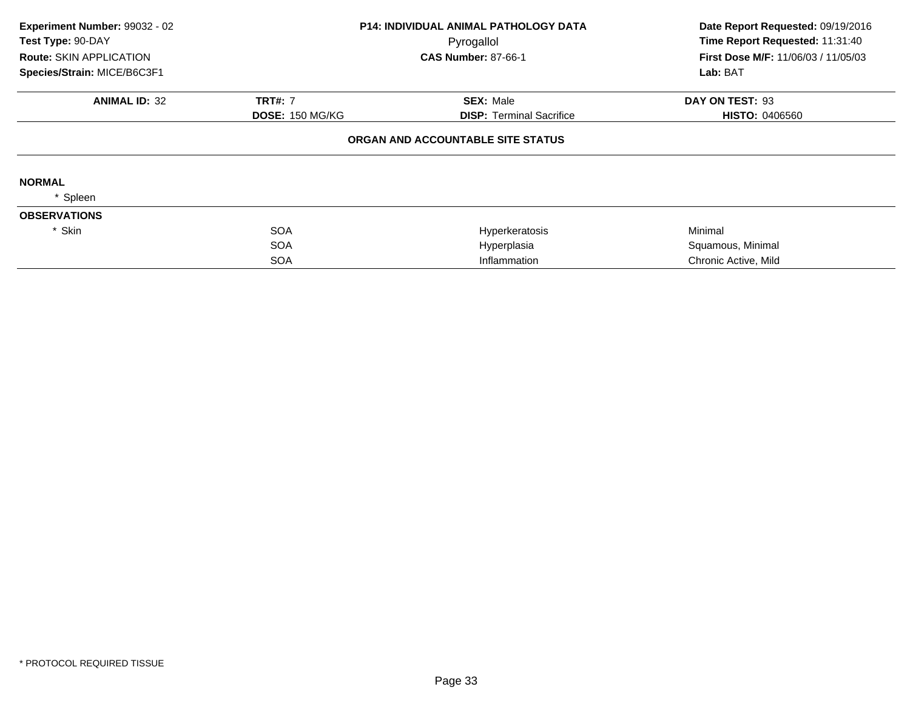| Experiment Number: 99032 - 02  |                        | <b>P14: INDIVIDUAL ANIMAL PATHOLOGY DATA</b> | Date Report Requested: 09/19/2016          |
|--------------------------------|------------------------|----------------------------------------------|--------------------------------------------|
| Test Type: 90-DAY              |                        | Pyrogallol                                   | Time Report Requested: 11:31:40            |
| <b>Route: SKIN APPLICATION</b> |                        | <b>CAS Number: 87-66-1</b>                   | <b>First Dose M/F: 11/06/03 / 11/05/03</b> |
| Species/Strain: MICE/B6C3F1    |                        |                                              | Lab: BAT                                   |
| <b>ANIMAL ID: 32</b>           | <b>TRT#: 7</b>         | <b>SEX: Male</b>                             | DAY ON TEST: 93                            |
|                                | <b>DOSE: 150 MG/KG</b> | <b>DISP:</b> Terminal Sacrifice              | <b>HISTO: 0406560</b>                      |
|                                |                        | ORGAN AND ACCOUNTABLE SITE STATUS            |                                            |
| <b>NORMAL</b>                  |                        |                                              |                                            |
| Spleen                         |                        |                                              |                                            |
| <b>OBSERVATIONS</b>            |                        |                                              |                                            |
| * Skin                         | <b>SOA</b>             | Hyperkeratosis                               | Minimal                                    |
|                                | <b>SOA</b>             | Hyperplasia                                  | Squamous, Minimal                          |
|                                | <b>SOA</b>             | Inflammation                                 | Chronic Active, Mild                       |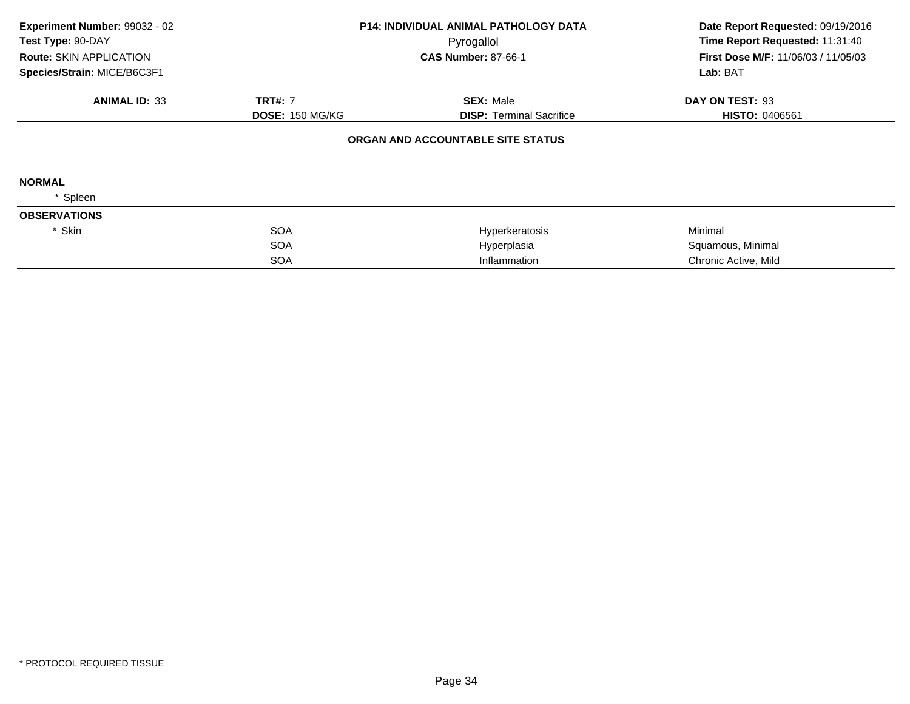| Experiment Number: 99032 - 02<br>Test Type: 90-DAY |                        | <b>P14: INDIVIDUAL ANIMAL PATHOLOGY DATA</b> | Date Report Requested: 09/19/2016<br>Time Report Requested: 11:31:40 |  |
|----------------------------------------------------|------------------------|----------------------------------------------|----------------------------------------------------------------------|--|
| <b>Route: SKIN APPLICATION</b>                     |                        | Pyrogallol<br><b>CAS Number: 87-66-1</b>     | First Dose M/F: 11/06/03 / 11/05/03                                  |  |
| Species/Strain: MICE/B6C3F1                        |                        |                                              | Lab: BAT                                                             |  |
| <b>ANIMAL ID: 33</b>                               | <b>TRT#: 7</b>         | <b>SEX: Male</b>                             | DAY ON TEST: 93                                                      |  |
|                                                    | <b>DOSE: 150 MG/KG</b> | <b>DISP:</b> Terminal Sacrifice              | <b>HISTO: 0406561</b>                                                |  |
|                                                    |                        | ORGAN AND ACCOUNTABLE SITE STATUS            |                                                                      |  |
| <b>NORMAL</b>                                      |                        |                                              |                                                                      |  |
| Spleen                                             |                        |                                              |                                                                      |  |
| <b>OBSERVATIONS</b>                                |                        |                                              |                                                                      |  |
| * Skin                                             | <b>SOA</b>             | Hyperkeratosis                               | Minimal                                                              |  |
|                                                    | <b>SOA</b>             | Hyperplasia                                  | Squamous, Minimal                                                    |  |
|                                                    | <b>SOA</b>             | Inflammation                                 | Chronic Active, Mild                                                 |  |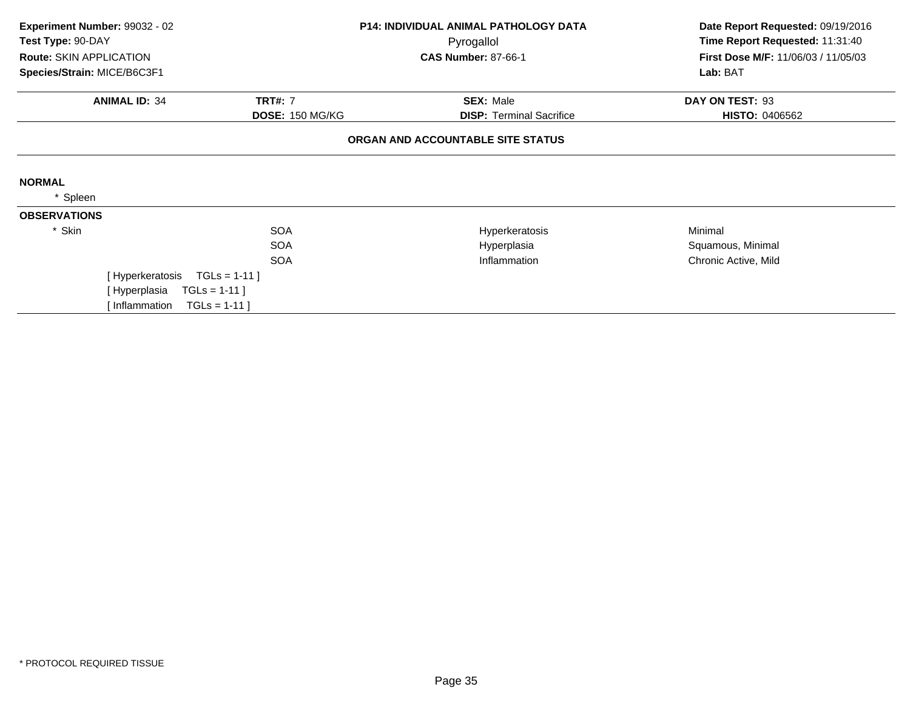| Experiment Number: 99032 - 02<br><b>P14: INDIVIDUAL ANIMAL PATHOLOGY DATA</b><br>Test Type: 90-DAY<br>Pyrogallol |                        |                                   | Date Report Requested: 09/19/2016<br>Time Report Requested: 11:31:40 |  |
|------------------------------------------------------------------------------------------------------------------|------------------------|-----------------------------------|----------------------------------------------------------------------|--|
| <b>Route: SKIN APPLICATION</b>                                                                                   |                        | <b>CAS Number: 87-66-1</b>        | First Dose M/F: 11/06/03 / 11/05/03                                  |  |
| Species/Strain: MICE/B6C3F1                                                                                      |                        |                                   | Lab: BAT                                                             |  |
| <b>ANIMAL ID: 34</b>                                                                                             | <b>TRT#: 7</b>         | <b>SEX: Male</b>                  | DAY ON TEST: 93                                                      |  |
|                                                                                                                  | <b>DOSE: 150 MG/KG</b> | <b>DISP: Terminal Sacrifice</b>   | <b>HISTO: 0406562</b>                                                |  |
|                                                                                                                  |                        | ORGAN AND ACCOUNTABLE SITE STATUS |                                                                      |  |
| <b>NORMAL</b>                                                                                                    |                        |                                   |                                                                      |  |
| Spleen                                                                                                           |                        |                                   |                                                                      |  |
| <b>OBSERVATIONS</b>                                                                                              |                        |                                   |                                                                      |  |
| * Skin                                                                                                           | <b>SOA</b>             | Hyperkeratosis                    | Minimal                                                              |  |
|                                                                                                                  | <b>SOA</b>             | Hyperplasia                       | Squamous, Minimal                                                    |  |
|                                                                                                                  | <b>SOA</b>             | Inflammation                      | Chronic Active, Mild                                                 |  |
| [Hyperkeratosis                                                                                                  | $TGLS = 1-11$          |                                   |                                                                      |  |
| [Hyperplasia                                                                                                     | $TGLs = 1-11$          |                                   |                                                                      |  |
| Inflammation                                                                                                     | $TGLS = 1-11$          |                                   |                                                                      |  |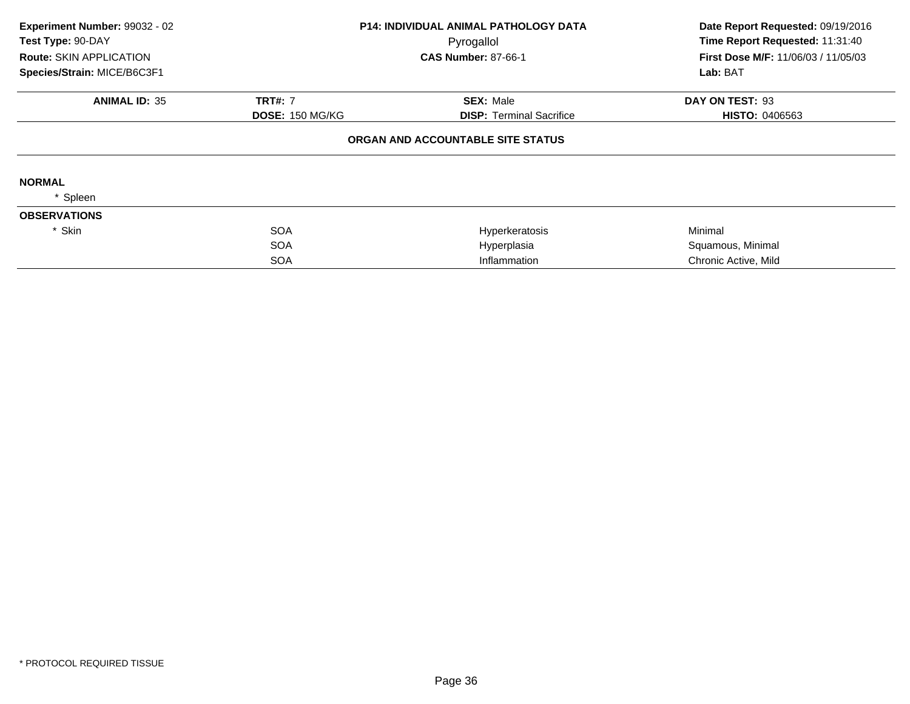| Experiment Number: 99032 - 02<br>Test Type: 90-DAY |                        | P14: INDIVIDUAL ANIMAL PATHOLOGY DATA<br>Pyrogallol | Date Report Requested: 09/19/2016<br>Time Report Requested: 11:31:40 |
|----------------------------------------------------|------------------------|-----------------------------------------------------|----------------------------------------------------------------------|
| Route: SKIN APPLICATION                            |                        | <b>CAS Number: 87-66-1</b>                          | First Dose M/F: 11/06/03 / 11/05/03                                  |
| Species/Strain: MICE/B6C3F1                        |                        |                                                     | Lab: BAT                                                             |
| <b>ANIMAL ID: 35</b>                               | <b>TRT#: 7</b>         | <b>SEX: Male</b>                                    | DAY ON TEST: 93                                                      |
|                                                    | <b>DOSE: 150 MG/KG</b> | <b>DISP: Terminal Sacrifice</b>                     | <b>HISTO: 0406563</b>                                                |
|                                                    |                        | ORGAN AND ACCOUNTABLE SITE STATUS                   |                                                                      |
| <b>NORMAL</b>                                      |                        |                                                     |                                                                      |
| Spleen                                             |                        |                                                     |                                                                      |
| <b>OBSERVATIONS</b>                                |                        |                                                     |                                                                      |
| * Skin                                             | <b>SOA</b>             | Hyperkeratosis                                      | Minimal                                                              |
|                                                    | <b>SOA</b>             | Hyperplasia                                         | Squamous, Minimal                                                    |
|                                                    | <b>SOA</b>             | Inflammation                                        | Chronic Active, Mild                                                 |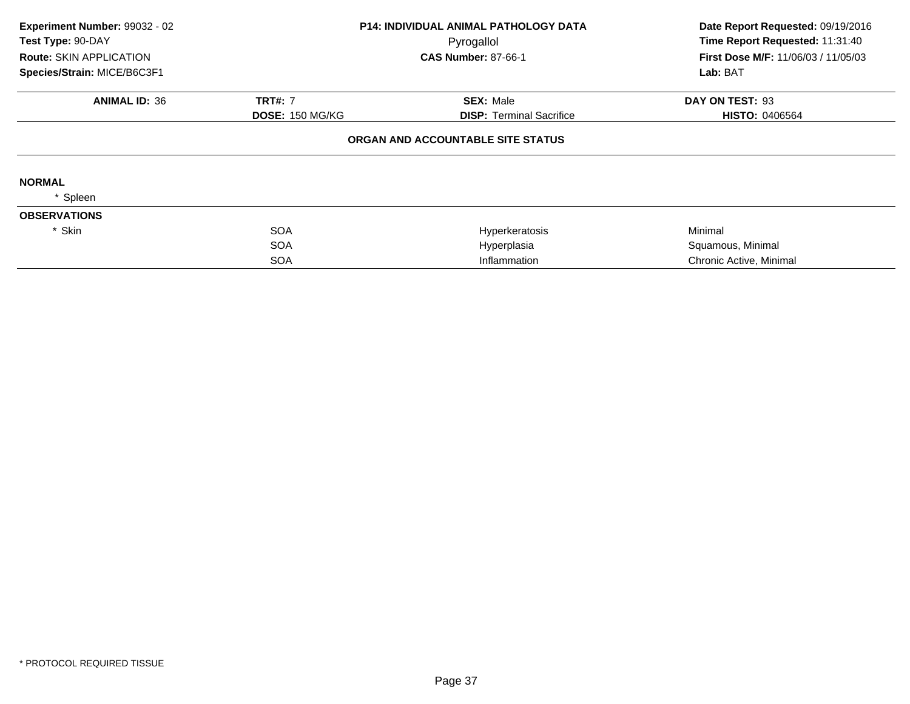| Experiment Number: 99032 - 02<br>Test Type: 90-DAY |                        | <b>P14: INDIVIDUAL ANIMAL PATHOLOGY DATA</b><br>Pyrogallol | Date Report Requested: 09/19/2016<br>Time Report Requested: 11:31:40 |
|----------------------------------------------------|------------------------|------------------------------------------------------------|----------------------------------------------------------------------|
| <b>Route: SKIN APPLICATION</b>                     |                        | <b>CAS Number: 87-66-1</b>                                 | <b>First Dose M/F: 11/06/03 / 11/05/03</b>                           |
| Species/Strain: MICE/B6C3F1                        |                        |                                                            | Lab: BAT                                                             |
| <b>ANIMAL ID: 36</b>                               | <b>TRT#: 7</b>         | <b>SEX: Male</b>                                           | DAY ON TEST: 93                                                      |
|                                                    | <b>DOSE: 150 MG/KG</b> | <b>DISP:</b> Terminal Sacrifice                            | <b>HISTO: 0406564</b>                                                |
|                                                    |                        | ORGAN AND ACCOUNTABLE SITE STATUS                          |                                                                      |
| <b>NORMAL</b>                                      |                        |                                                            |                                                                      |
| Spleen                                             |                        |                                                            |                                                                      |
| <b>OBSERVATIONS</b>                                |                        |                                                            |                                                                      |
| * Skin                                             | <b>SOA</b>             | Hyperkeratosis                                             | Minimal                                                              |
|                                                    | <b>SOA</b>             | Hyperplasia                                                | Squamous, Minimal                                                    |
|                                                    | <b>SOA</b>             | Inflammation                                               | Chronic Active, Minimal                                              |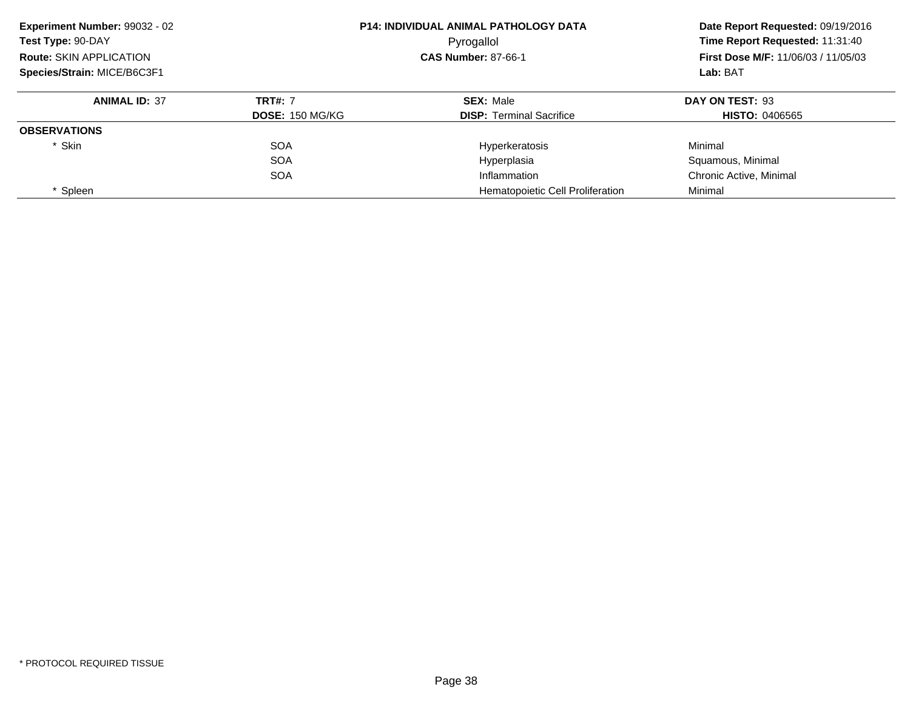| Experiment Number: 99032 - 02  |                        | <b>P14: INDIVIDUAL ANIMAL PATHOLOGY DATA</b> | Date Report Requested: 09/19/2016<br>Time Report Requested: 11:31:40<br><b>First Dose M/F: 11/06/03 / 11/05/03</b> |
|--------------------------------|------------------------|----------------------------------------------|--------------------------------------------------------------------------------------------------------------------|
| Test Type: 90-DAY              |                        | Pyrogallol                                   |                                                                                                                    |
| <b>Route: SKIN APPLICATION</b> |                        | <b>CAS Number: 87-66-1</b>                   |                                                                                                                    |
| Species/Strain: MICE/B6C3F1    |                        |                                              | Lab: BAT                                                                                                           |
| <b>ANIMAL ID: 37</b>           | <b>TRT#: 7</b>         | <b>SEX: Male</b>                             | DAY ON TEST: 93                                                                                                    |
|                                | <b>DOSE: 150 MG/KG</b> | <b>DISP:</b> Terminal Sacrifice              | <b>HISTO: 0406565</b>                                                                                              |
| <b>OBSERVATIONS</b>            |                        |                                              |                                                                                                                    |
| * Skin                         | <b>SOA</b>             | Hyperkeratosis                               | Minimal                                                                                                            |
|                                | <b>SOA</b>             | Hyperplasia                                  | Squamous, Minimal                                                                                                  |
|                                | <b>SOA</b>             | Inflammation                                 | Chronic Active, Minimal                                                                                            |
| Spleen                         |                        | Hematopoietic Cell Proliferation             | Minimal                                                                                                            |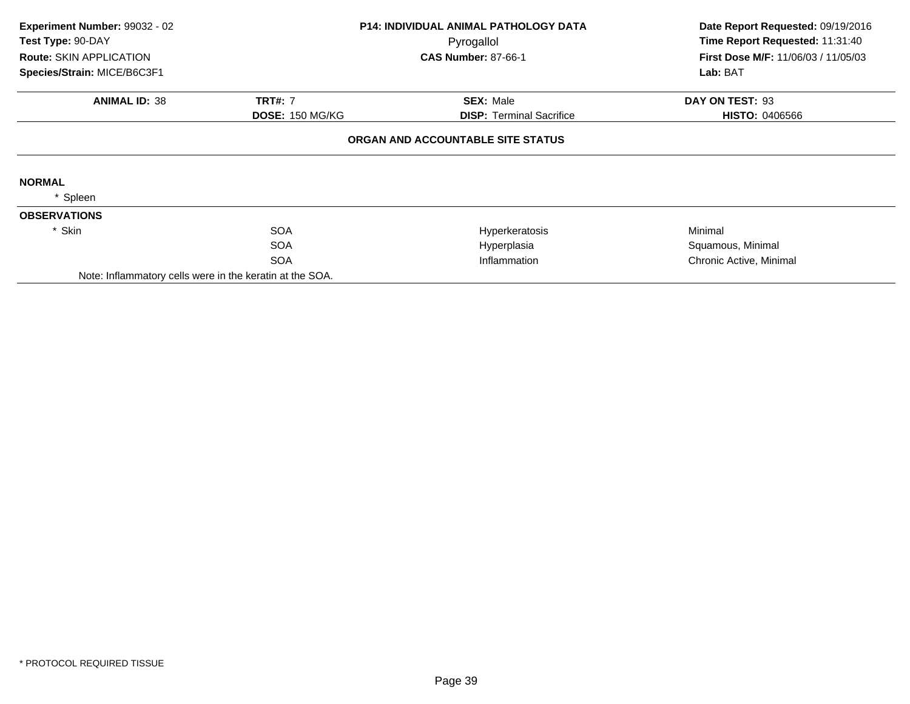| Experiment Number: 99032 - 02<br>Test Type: 90-DAY       |                        | <b>P14: INDIVIDUAL ANIMAL PATHOLOGY DATA</b> | Date Report Requested: 09/19/2016<br>Time Report Requested: 11:31:40 |  |
|----------------------------------------------------------|------------------------|----------------------------------------------|----------------------------------------------------------------------|--|
| <b>Route: SKIN APPLICATION</b>                           |                        | Pyrogallol<br><b>CAS Number: 87-66-1</b>     | <b>First Dose M/F: 11/06/03 / 11/05/03</b>                           |  |
| Species/Strain: MICE/B6C3F1                              |                        |                                              | Lab: BAT                                                             |  |
| <b>ANIMAL ID: 38</b>                                     | <b>TRT#: 7</b>         | <b>SEX: Male</b>                             | DAY ON TEST: 93                                                      |  |
|                                                          | <b>DOSE: 150 MG/KG</b> | <b>DISP:</b> Terminal Sacrifice              | <b>HISTO: 0406566</b>                                                |  |
|                                                          |                        | ORGAN AND ACCOUNTABLE SITE STATUS            |                                                                      |  |
| <b>NORMAL</b>                                            |                        |                                              |                                                                      |  |
| Spleen                                                   |                        |                                              |                                                                      |  |
| <b>OBSERVATIONS</b>                                      |                        |                                              |                                                                      |  |
| * Skin                                                   | <b>SOA</b>             | Hyperkeratosis                               | Minimal                                                              |  |
|                                                          | <b>SOA</b>             | Hyperplasia                                  | Squamous, Minimal                                                    |  |
|                                                          | <b>SOA</b>             | Inflammation                                 | Chronic Active, Minimal                                              |  |
| Note: Inflammatory cells were in the keratin at the SOA. |                        |                                              |                                                                      |  |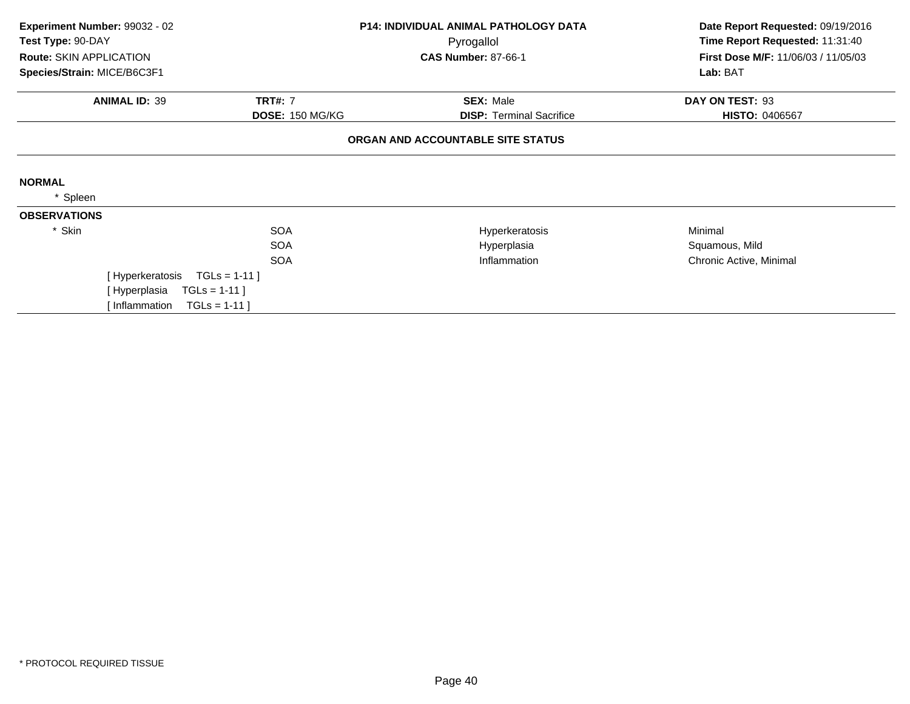| Experiment Number: 99032 - 02<br>Test Type: 90-DAY            | <b>P14: INDIVIDUAL ANIMAL PATHOLOGY DATA</b><br>Pyrogallol |                                   | Date Report Requested: 09/19/2016<br>Time Report Requested: 11:31:40 |  |
|---------------------------------------------------------------|------------------------------------------------------------|-----------------------------------|----------------------------------------------------------------------|--|
| <b>Route: SKIN APPLICATION</b><br>Species/Strain: MICE/B6C3F1 |                                                            | <b>CAS Number: 87-66-1</b>        | First Dose M/F: 11/06/03 / 11/05/03<br>Lab: BAT                      |  |
|                                                               |                                                            |                                   |                                                                      |  |
| <b>ANIMAL ID: 39</b>                                          | <b>TRT#: 7</b>                                             | <b>SEX: Male</b>                  | DAY ON TEST: 93                                                      |  |
|                                                               | <b>DOSE: 150 MG/KG</b>                                     | <b>DISP: Terminal Sacrifice</b>   | <b>HISTO: 0406567</b>                                                |  |
|                                                               |                                                            | ORGAN AND ACCOUNTABLE SITE STATUS |                                                                      |  |
| <b>NORMAL</b>                                                 |                                                            |                                   |                                                                      |  |
| Spleen                                                        |                                                            |                                   |                                                                      |  |
| <b>OBSERVATIONS</b>                                           |                                                            |                                   |                                                                      |  |
| * Skin                                                        | <b>SOA</b>                                                 | Hyperkeratosis                    | Minimal                                                              |  |
|                                                               | <b>SOA</b>                                                 | Hyperplasia                       | Squamous, Mild                                                       |  |
|                                                               | <b>SOA</b>                                                 | Inflammation                      | Chronic Active, Minimal                                              |  |
| [Hyperkeratosis                                               | $TGLS = 1-11$                                              |                                   |                                                                      |  |
| [Hyperplasia                                                  | $TGLs = 1-11$                                              |                                   |                                                                      |  |
| Inflammation                                                  | $TGLS = 1-11$                                              |                                   |                                                                      |  |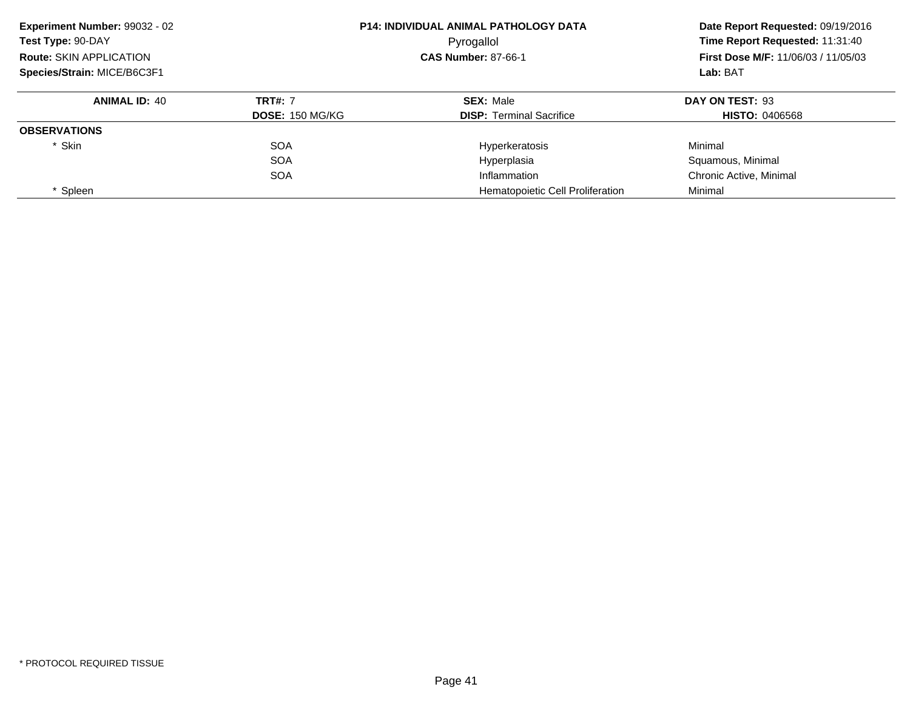| Experiment Number: 99032 - 02  |                        | <b>P14: INDIVIDUAL ANIMAL PATHOLOGY DATA</b> | Date Report Requested: 09/19/2016                                                         |
|--------------------------------|------------------------|----------------------------------------------|-------------------------------------------------------------------------------------------|
| Test Type: 90-DAY              |                        | Pyrogallol                                   | Time Report Requested: 11:31:40<br><b>First Dose M/F: 11/06/03 / 11/05/03</b><br>Lab: BAT |
| <b>Route: SKIN APPLICATION</b> |                        | <b>CAS Number: 87-66-1</b>                   |                                                                                           |
| Species/Strain: MICE/B6C3F1    |                        |                                              |                                                                                           |
| <b>ANIMAL ID: 40</b>           | <b>TRT#: 7</b>         | <b>SEX: Male</b>                             | DAY ON TEST: 93                                                                           |
|                                | <b>DOSE: 150 MG/KG</b> | <b>DISP: Terminal Sacrifice</b>              | <b>HISTO: 0406568</b>                                                                     |
| <b>OBSERVATIONS</b>            |                        |                                              |                                                                                           |
| * Skin                         | <b>SOA</b>             | Hyperkeratosis                               | Minimal                                                                                   |
|                                | <b>SOA</b>             | Hyperplasia                                  | Squamous, Minimal                                                                         |
|                                | <b>SOA</b>             | Inflammation                                 | Chronic Active, Minimal                                                                   |
| Spleen                         |                        | Hematopoietic Cell Proliferation             | Minimal                                                                                   |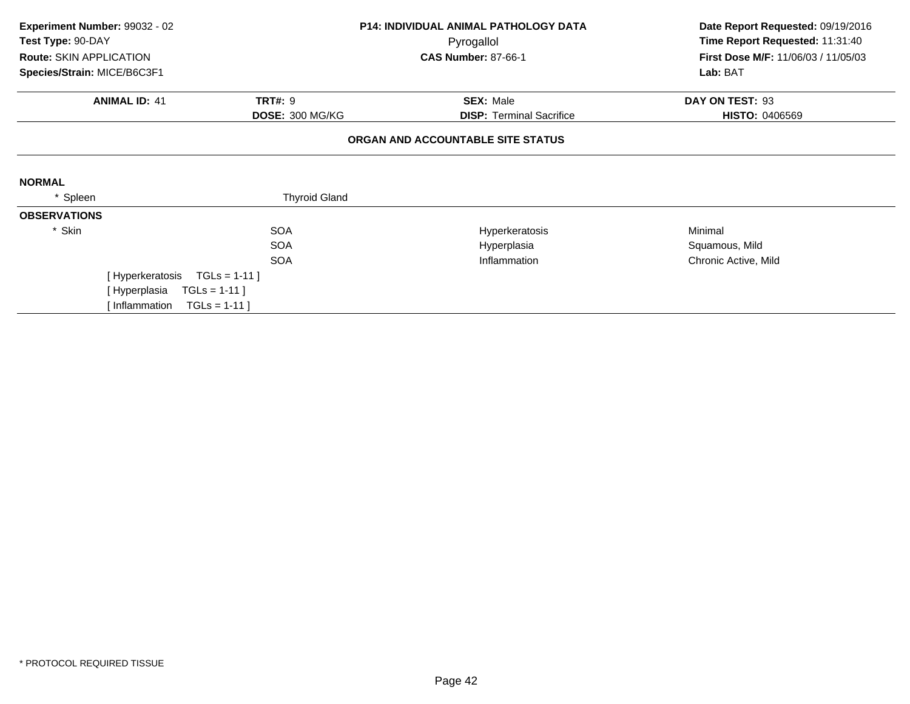| Experiment Number: 99032 - 02<br>Test Type: 90-DAY | <b>P14: INDIVIDUAL ANIMAL PATHOLOGY DATA</b><br>Pyrogallol |                                   | Date Report Requested: 09/19/2016<br>Time Report Requested: 11:31:40 |
|----------------------------------------------------|------------------------------------------------------------|-----------------------------------|----------------------------------------------------------------------|
| <b>Route: SKIN APPLICATION</b>                     |                                                            | <b>CAS Number: 87-66-1</b>        | First Dose M/F: 11/06/03 / 11/05/03                                  |
| Species/Strain: MICE/B6C3F1                        |                                                            |                                   | Lab: BAT                                                             |
| <b>ANIMAL ID: 41</b>                               | <b>TRT#: 9</b>                                             | <b>SEX: Male</b>                  | DAY ON TEST: 93                                                      |
|                                                    | DOSE: 300 MG/KG                                            | <b>DISP:</b> Terminal Sacrifice   | <b>HISTO: 0406569</b>                                                |
|                                                    |                                                            | ORGAN AND ACCOUNTABLE SITE STATUS |                                                                      |
| <b>NORMAL</b>                                      |                                                            |                                   |                                                                      |
| * Spleen                                           | <b>Thyroid Gland</b>                                       |                                   |                                                                      |
| <b>OBSERVATIONS</b>                                |                                                            |                                   |                                                                      |
| * Skin                                             | <b>SOA</b>                                                 | Hyperkeratosis                    | Minimal                                                              |
|                                                    | <b>SOA</b>                                                 | Hyperplasia                       | Squamous, Mild                                                       |
|                                                    | <b>SOA</b>                                                 | Inflammation                      | Chronic Active, Mild                                                 |
| [Hyperkeratosis                                    | $TGLs = 1-11$ ]                                            |                                   |                                                                      |
| [Hyperplasia                                       | $TGLs = 1-11$                                              |                                   |                                                                      |
| [Inflammation                                      | $TGLs = 1-11$                                              |                                   |                                                                      |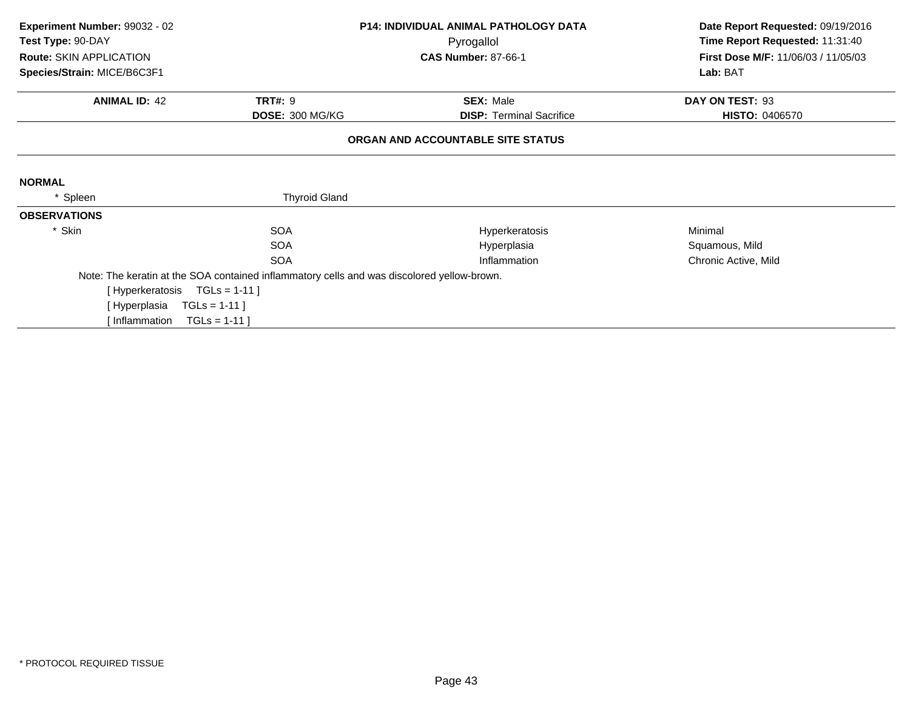| Experiment Number: 99032 - 02                |                                                                                            | <b>P14: INDIVIDUAL ANIMAL PATHOLOGY DATA</b> | Date Report Requested: 09/19/2016                      |
|----------------------------------------------|--------------------------------------------------------------------------------------------|----------------------------------------------|--------------------------------------------------------|
| Test Type: 90-DAY<br>Route: SKIN APPLICATION |                                                                                            | Pyrogallol<br><b>CAS Number: 87-66-1</b>     | Time Report Requested: 11:31:40                        |
| Species/Strain: MICE/B6C3F1                  |                                                                                            |                                              | <b>First Dose M/F: 11/06/03 / 11/05/03</b><br>Lab: BAT |
|                                              |                                                                                            |                                              |                                                        |
| <b>ANIMAL ID: 42</b>                         | <b>TRT#: 9</b>                                                                             | <b>SEX: Male</b>                             | DAY ON TEST: 93                                        |
|                                              | DOSE: 300 MG/KG                                                                            | <b>DISP: Terminal Sacrifice</b>              | <b>HISTO: 0406570</b>                                  |
|                                              |                                                                                            | ORGAN AND ACCOUNTABLE SITE STATUS            |                                                        |
|                                              |                                                                                            |                                              |                                                        |
| <b>NORMAL</b>                                |                                                                                            |                                              |                                                        |
| Spleen                                       | <b>Thyroid Gland</b>                                                                       |                                              |                                                        |
| <b>OBSERVATIONS</b>                          |                                                                                            |                                              |                                                        |
| * Skin                                       | <b>SOA</b>                                                                                 | Hyperkeratosis                               | Minimal                                                |
|                                              | <b>SOA</b>                                                                                 | Hyperplasia                                  | Squamous, Mild                                         |
|                                              | <b>SOA</b>                                                                                 | Inflammation                                 | Chronic Active, Mild                                   |
|                                              | Note: The keratin at the SOA contained inflammatory cells and was discolored yellow-brown. |                                              |                                                        |
| [Hyperkeratosis TGLs = 1-11]                 |                                                                                            |                                              |                                                        |
| [ Hyperplasia                                | $TGLs = 1-11$ ]                                                                            |                                              |                                                        |
| [ Inflammation                               | $TGLs = 1-11$                                                                              |                                              |                                                        |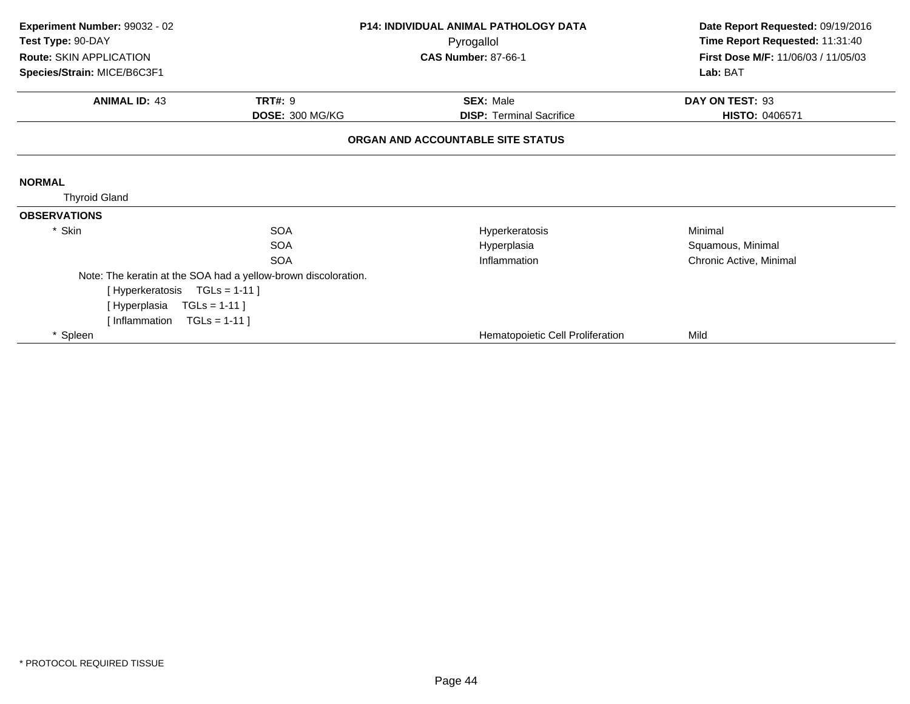| Experiment Number: 99032 - 02<br>Test Type: 90-DAY<br>Route: SKIN APPLICATION<br>Species/Strain: MICE/B6C3F1 | <b>P14: INDIVIDUAL ANIMAL PATHOLOGY DATA</b><br>Pyrogallol<br><b>CAS Number: 87-66-1</b> |                                                     | Date Report Requested: 09/19/2016<br>Time Report Requested: 11:31:40<br>First Dose M/F: 11/06/03 / 11/05/03<br>Lab: BAT |
|--------------------------------------------------------------------------------------------------------------|------------------------------------------------------------------------------------------|-----------------------------------------------------|-------------------------------------------------------------------------------------------------------------------------|
| <b>ANIMAL ID: 43</b>                                                                                         | <b>TRT#: 9</b><br>DOSE: 300 MG/KG                                                        | <b>SEX: Male</b><br><b>DISP: Terminal Sacrifice</b> | DAY ON TEST: 93<br>HISTO: 0406571                                                                                       |
|                                                                                                              |                                                                                          | ORGAN AND ACCOUNTABLE SITE STATUS                   |                                                                                                                         |
| <b>NORMAL</b><br><b>Thyroid Gland</b>                                                                        |                                                                                          |                                                     |                                                                                                                         |
| <b>OBSERVATIONS</b>                                                                                          |                                                                                          |                                                     |                                                                                                                         |
| * Skin                                                                                                       | <b>SOA</b>                                                                               | Hyperkeratosis                                      | Minimal                                                                                                                 |
|                                                                                                              | <b>SOA</b>                                                                               | Hyperplasia                                         | Squamous, Minimal                                                                                                       |
|                                                                                                              | <b>SOA</b>                                                                               | Inflammation                                        | Chronic Active, Minimal                                                                                                 |
|                                                                                                              | Note: The keratin at the SOA had a yellow-brown discoloration.                           |                                                     |                                                                                                                         |
| [Hyperkeratosis TGLs = 1-11]                                                                                 |                                                                                          |                                                     |                                                                                                                         |
| [Hyperplasia                                                                                                 | $TGLs = 1-11$ ]                                                                          |                                                     |                                                                                                                         |
| [Inflammation                                                                                                | $TGLs = 1-11$                                                                            |                                                     |                                                                                                                         |
| * Spleen                                                                                                     |                                                                                          | Hematopoietic Cell Proliferation                    | Mild                                                                                                                    |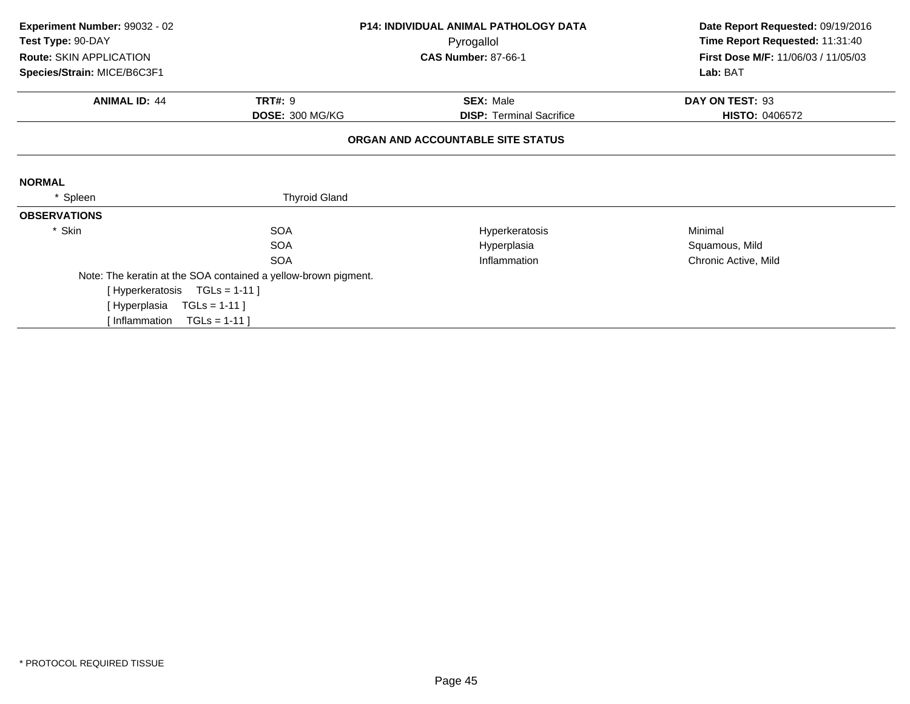| Experiment Number: 99032 - 02<br>Test Type: 90-DAY |                                                                | <b>P14: INDIVIDUAL ANIMAL PATHOLOGY DATA</b><br>Pyrogallol | Date Report Requested: 09/19/2016<br>Time Report Requested: 11:31:40 |
|----------------------------------------------------|----------------------------------------------------------------|------------------------------------------------------------|----------------------------------------------------------------------|
| Route: SKIN APPLICATION                            |                                                                | <b>CAS Number: 87-66-1</b>                                 | First Dose M/F: 11/06/03 / 11/05/03                                  |
| Species/Strain: MICE/B6C3F1                        |                                                                |                                                            | Lab: BAT                                                             |
| <b>ANIMAL ID: 44</b>                               | <b>TRT#: 9</b>                                                 | <b>SEX: Male</b>                                           | DAY ON TEST: 93                                                      |
|                                                    | DOSE: 300 MG/KG                                                | <b>DISP: Terminal Sacrifice</b>                            | <b>HISTO: 0406572</b>                                                |
|                                                    |                                                                | ORGAN AND ACCOUNTABLE SITE STATUS                          |                                                                      |
| <b>NORMAL</b>                                      |                                                                |                                                            |                                                                      |
| Spleen                                             | <b>Thyroid Gland</b>                                           |                                                            |                                                                      |
| <b>OBSERVATIONS</b>                                |                                                                |                                                            |                                                                      |
| * Skin                                             | <b>SOA</b>                                                     | Hyperkeratosis                                             | Minimal                                                              |
|                                                    | <b>SOA</b>                                                     | Hyperplasia                                                | Squamous, Mild                                                       |
|                                                    | <b>SOA</b>                                                     | Inflammation                                               | Chronic Active, Mild                                                 |
|                                                    | Note: The keratin at the SOA contained a yellow-brown pigment. |                                                            |                                                                      |
| [Hyperkeratosis TGLs = 1-11]                       |                                                                |                                                            |                                                                      |
| [Hyperplasia                                       | $TGLs = 1-11$ ]                                                |                                                            |                                                                      |
| lnflammation                                       | $TGLS = 1-11$                                                  |                                                            |                                                                      |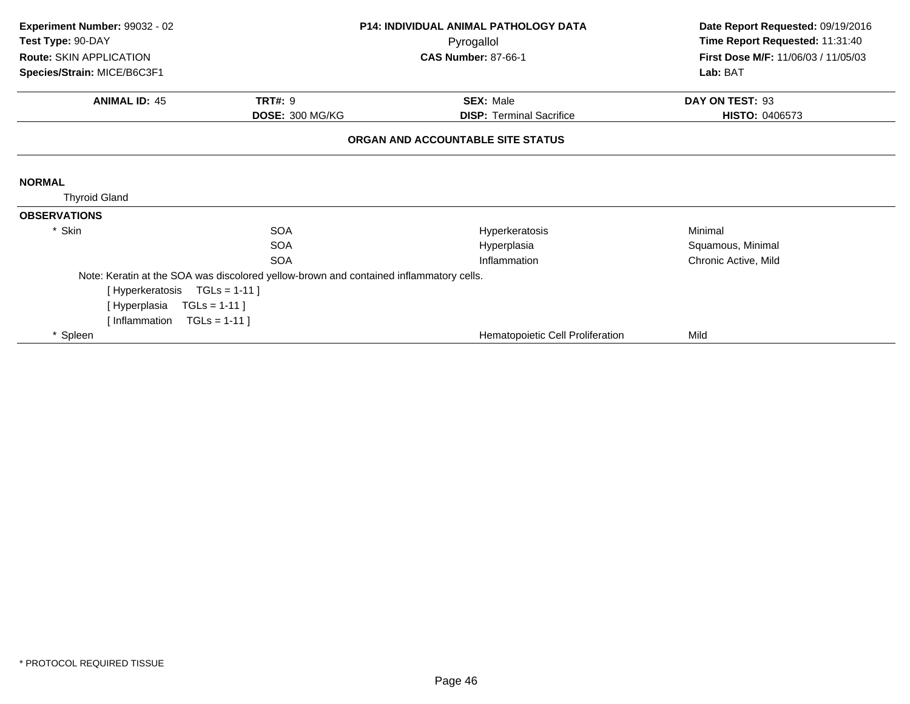| Experiment Number: 99032 - 02 | <b>P14: INDIVIDUAL ANIMAL PATHOLOGY DATA</b>                                           |                                   |                                     |  | Date Report Requested: 09/19/2016 |
|-------------------------------|----------------------------------------------------------------------------------------|-----------------------------------|-------------------------------------|--|-----------------------------------|
| Test Type: 90-DAY             |                                                                                        | Pyrogallol                        | Time Report Requested: 11:31:40     |  |                                   |
| Route: SKIN APPLICATION       |                                                                                        | <b>CAS Number: 87-66-1</b>        | First Dose M/F: 11/06/03 / 11/05/03 |  |                                   |
| Species/Strain: MICE/B6C3F1   |                                                                                        |                                   | Lab: BAT                            |  |                                   |
| <b>ANIMAL ID: 45</b>          | <b>TRT#: 9</b>                                                                         | <b>SEX: Male</b>                  | DAY ON TEST: 93                     |  |                                   |
|                               | DOSE: 300 MG/KG                                                                        | <b>DISP: Terminal Sacrifice</b>   | <b>HISTO: 0406573</b>               |  |                                   |
|                               |                                                                                        | ORGAN AND ACCOUNTABLE SITE STATUS |                                     |  |                                   |
|                               |                                                                                        |                                   |                                     |  |                                   |
| <b>NORMAL</b>                 |                                                                                        |                                   |                                     |  |                                   |
| <b>Thyroid Gland</b>          |                                                                                        |                                   |                                     |  |                                   |
| <b>OBSERVATIONS</b>           |                                                                                        |                                   |                                     |  |                                   |
| * Skin                        | <b>SOA</b>                                                                             | Hyperkeratosis                    | Minimal                             |  |                                   |
|                               | <b>SOA</b>                                                                             | Hyperplasia                       | Squamous, Minimal                   |  |                                   |
|                               | <b>SOA</b>                                                                             | Inflammation                      | Chronic Active, Mild                |  |                                   |
|                               | Note: Keratin at the SOA was discolored yellow-brown and contained inflammatory cells. |                                   |                                     |  |                                   |
| [Hyperkeratosis               | $TGLs = 1-11$ ]                                                                        |                                   |                                     |  |                                   |
| [Hyperplasia                  | $TGLs = 1-11$                                                                          |                                   |                                     |  |                                   |
| [Inflammation $TGLs = 1-11$ ] |                                                                                        |                                   |                                     |  |                                   |
| * Spleen                      |                                                                                        | Hematopoietic Cell Proliferation  | Mild                                |  |                                   |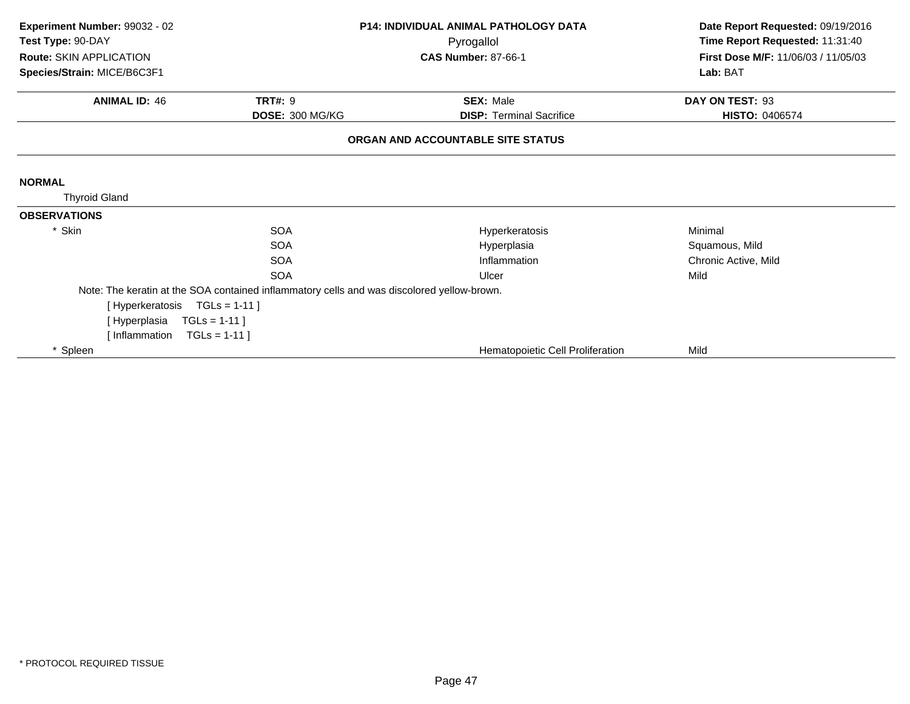| Experiment Number: 99032 - 02 | P14: INDIVIDUAL ANIMAL PATHOLOGY DATA                                                      |                                   | Date Report Requested: 09/19/2016   |
|-------------------------------|--------------------------------------------------------------------------------------------|-----------------------------------|-------------------------------------|
| Test Type: 90-DAY             |                                                                                            | Pyrogallol                        | Time Report Requested: 11:31:40     |
| Route: SKIN APPLICATION       |                                                                                            | <b>CAS Number: 87-66-1</b>        | First Dose M/F: 11/06/03 / 11/05/03 |
| Species/Strain: MICE/B6C3F1   |                                                                                            |                                   | Lab: BAT                            |
| <b>ANIMAL ID: 46</b>          | <b>TRT#: 9</b>                                                                             | <b>SEX: Male</b>                  | DAY ON TEST: 93                     |
|                               | DOSE: 300 MG/KG                                                                            | <b>DISP: Terminal Sacrifice</b>   | <b>HISTO: 0406574</b>               |
|                               |                                                                                            | ORGAN AND ACCOUNTABLE SITE STATUS |                                     |
|                               |                                                                                            |                                   |                                     |
| <b>NORMAL</b>                 |                                                                                            |                                   |                                     |
| <b>Thyroid Gland</b>          |                                                                                            |                                   |                                     |
| <b>OBSERVATIONS</b>           |                                                                                            |                                   |                                     |
| * Skin                        | <b>SOA</b>                                                                                 | Hyperkeratosis                    | Minimal                             |
|                               | SOA                                                                                        | Hyperplasia                       | Squamous, Mild                      |
|                               | <b>SOA</b>                                                                                 | Inflammation                      | Chronic Active, Mild                |
|                               | SOA                                                                                        | Ulcer                             | Mild                                |
|                               | Note: The keratin at the SOA contained inflammatory cells and was discolored yellow-brown. |                                   |                                     |
| [Hyperkeratosis               | $TGLs = 1-11$ ]                                                                            |                                   |                                     |
| [Hyperplasia                  | $TGLs = 1-11$ ]                                                                            |                                   |                                     |
| [Inflammation                 | $TGLs = 1-11$                                                                              |                                   |                                     |
| * Spleen                      |                                                                                            | Hematopoietic Cell Proliferation  | Mild                                |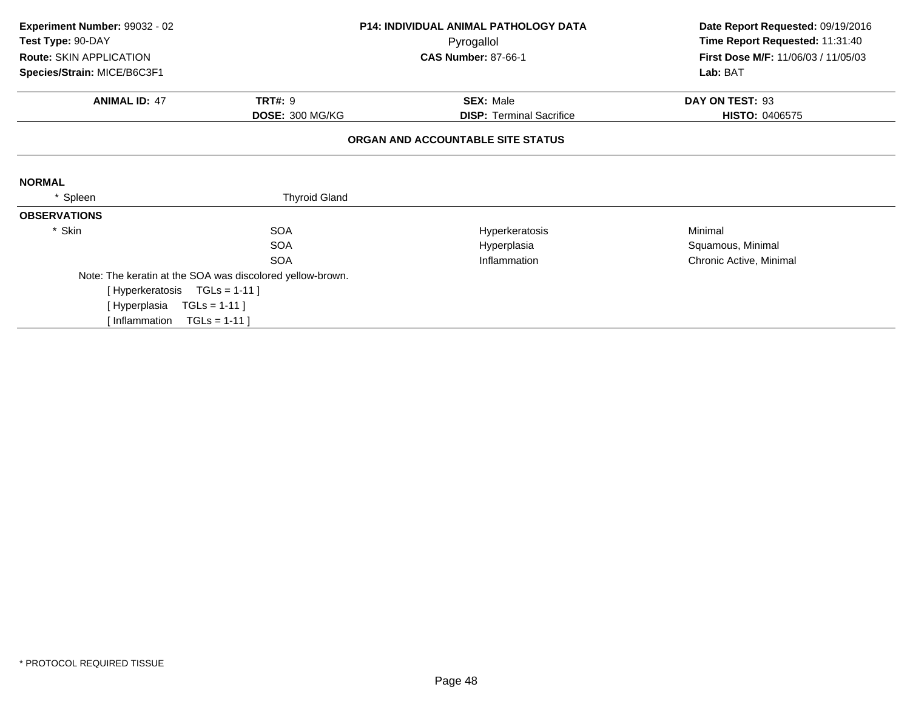| Experiment Number: 99032 - 02<br>Test Type: 90-DAY |                                                           | <b>P14: INDIVIDUAL ANIMAL PATHOLOGY DATA</b><br>Pyrogallol | Date Report Requested: 09/19/2016<br>Time Report Requested: 11:31:40 |  |
|----------------------------------------------------|-----------------------------------------------------------|------------------------------------------------------------|----------------------------------------------------------------------|--|
| Route: SKIN APPLICATION                            |                                                           | <b>CAS Number: 87-66-1</b>                                 | First Dose M/F: 11/06/03 / 11/05/03                                  |  |
| Species/Strain: MICE/B6C3F1                        |                                                           |                                                            | Lab: BAT                                                             |  |
| <b>ANIMAL ID: 47</b>                               | <b>TRT#: 9</b>                                            | <b>SEX: Male</b>                                           | DAY ON TEST: 93                                                      |  |
|                                                    | DOSE: 300 MG/KG                                           | <b>DISP: Terminal Sacrifice</b>                            | <b>HISTO: 0406575</b>                                                |  |
|                                                    |                                                           | ORGAN AND ACCOUNTABLE SITE STATUS                          |                                                                      |  |
| <b>NORMAL</b>                                      |                                                           |                                                            |                                                                      |  |
| Spleen                                             | <b>Thyroid Gland</b>                                      |                                                            |                                                                      |  |
| <b>OBSERVATIONS</b>                                |                                                           |                                                            |                                                                      |  |
| * Skin                                             | <b>SOA</b>                                                | Hyperkeratosis                                             | Minimal                                                              |  |
|                                                    | <b>SOA</b>                                                | Hyperplasia                                                | Squamous, Minimal                                                    |  |
|                                                    | SOA                                                       | Inflammation                                               | Chronic Active, Minimal                                              |  |
|                                                    | Note: The keratin at the SOA was discolored yellow-brown. |                                                            |                                                                      |  |
| [Hyperkeratosis TGLs = 1-11]                       |                                                           |                                                            |                                                                      |  |
| [Hyperplasia                                       | $TGLs = 1-11$ ]                                           |                                                            |                                                                      |  |
| lnflammation                                       | $TGLS = 1-11$                                             |                                                            |                                                                      |  |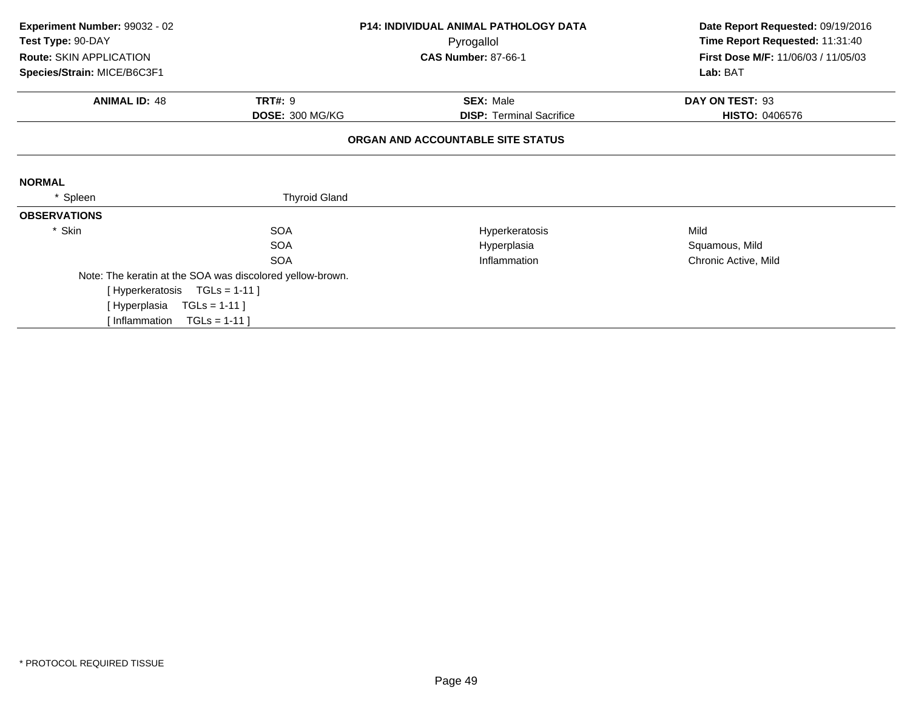| Experiment Number: 99032 - 02<br>Test Type: 90-DAY | <b>P14: INDIVIDUAL ANIMAL PATHOLOGY DATA</b>              |                                          | Date Report Requested: 09/19/2016<br>Time Report Requested: 11:31:40 |  |
|----------------------------------------------------|-----------------------------------------------------------|------------------------------------------|----------------------------------------------------------------------|--|
| Route: SKIN APPLICATION                            |                                                           | Pyrogallol<br><b>CAS Number: 87-66-1</b> | <b>First Dose M/F: 11/06/03 / 11/05/03</b>                           |  |
| Species/Strain: MICE/B6C3F1                        |                                                           |                                          | Lab: BAT                                                             |  |
| <b>ANIMAL ID: 48</b>                               | <b>TRT#: 9</b>                                            | <b>SEX: Male</b>                         | DAY ON TEST: 93                                                      |  |
|                                                    | DOSE: 300 MG/KG                                           | <b>DISP: Terminal Sacrifice</b>          | <b>HISTO: 0406576</b>                                                |  |
|                                                    |                                                           | ORGAN AND ACCOUNTABLE SITE STATUS        |                                                                      |  |
| <b>NORMAL</b>                                      |                                                           |                                          |                                                                      |  |
| Spleen                                             | <b>Thyroid Gland</b>                                      |                                          |                                                                      |  |
| <b>OBSERVATIONS</b>                                |                                                           |                                          |                                                                      |  |
| * Skin                                             | <b>SOA</b>                                                | Hyperkeratosis                           | Mild                                                                 |  |
|                                                    | <b>SOA</b>                                                | Hyperplasia                              | Squamous, Mild                                                       |  |
|                                                    | <b>SOA</b>                                                | Inflammation                             | Chronic Active, Mild                                                 |  |
|                                                    | Note: The keratin at the SOA was discolored yellow-brown. |                                          |                                                                      |  |
| [Hyperkeratosis TGLs = 1-11]                       |                                                           |                                          |                                                                      |  |
| [Hyperplasia                                       | $TGLs = 1-11$ ]                                           |                                          |                                                                      |  |
| [Inflammation $TGLs = 1-11$ ]                      |                                                           |                                          |                                                                      |  |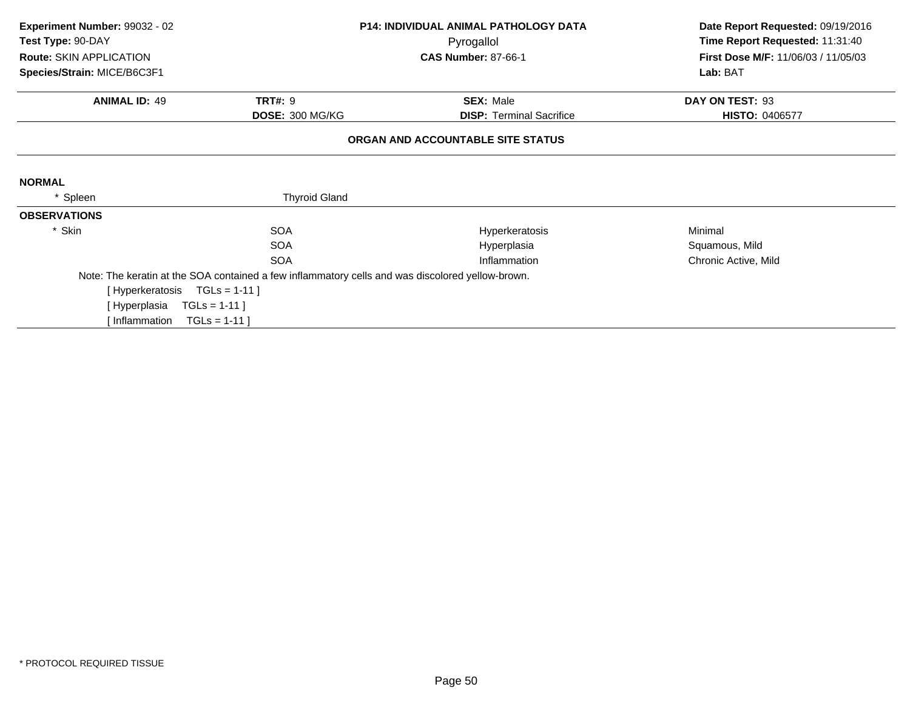| Experiment Number: 99032 - 02 | <b>P14: INDIVIDUAL ANIMAL PATHOLOGY DATA</b>                                                     |                                   | Date Report Requested: 09/19/2016   |
|-------------------------------|--------------------------------------------------------------------------------------------------|-----------------------------------|-------------------------------------|
| Test Type: 90-DAY             |                                                                                                  | Pyrogallol                        | Time Report Requested: 11:31:40     |
| Route: SKIN APPLICATION       |                                                                                                  | <b>CAS Number: 87-66-1</b>        | First Dose M/F: 11/06/03 / 11/05/03 |
| Species/Strain: MICE/B6C3F1   |                                                                                                  |                                   | Lab: BAT                            |
| <b>ANIMAL ID: 49</b>          | <b>TRT#: 9</b>                                                                                   | <b>SEX: Male</b>                  | DAY ON TEST: 93                     |
|                               | DOSE: 300 MG/KG                                                                                  | <b>DISP: Terminal Sacrifice</b>   | HISTO: 0406577                      |
|                               |                                                                                                  | ORGAN AND ACCOUNTABLE SITE STATUS |                                     |
| <b>NORMAL</b>                 |                                                                                                  |                                   |                                     |
| Spleen                        | <b>Thyroid Gland</b>                                                                             |                                   |                                     |
| <b>OBSERVATIONS</b>           |                                                                                                  |                                   |                                     |
| * Skin                        | <b>SOA</b>                                                                                       | Hyperkeratosis                    | Minimal                             |
|                               | <b>SOA</b>                                                                                       | Hyperplasia                       | Squamous, Mild                      |
|                               | <b>SOA</b>                                                                                       | Inflammation                      | Chronic Active, Mild                |
|                               | Note: The keratin at the SOA contained a few inflammatory cells and was discolored yellow-brown. |                                   |                                     |
| [Hyperkeratosis TGLs = 1-11]  |                                                                                                  |                                   |                                     |
| [ Hyperplasia                 | $TGLs = 1-11$ ]                                                                                  |                                   |                                     |
| [ Inflammation                | $TGLS = 1-11$                                                                                    |                                   |                                     |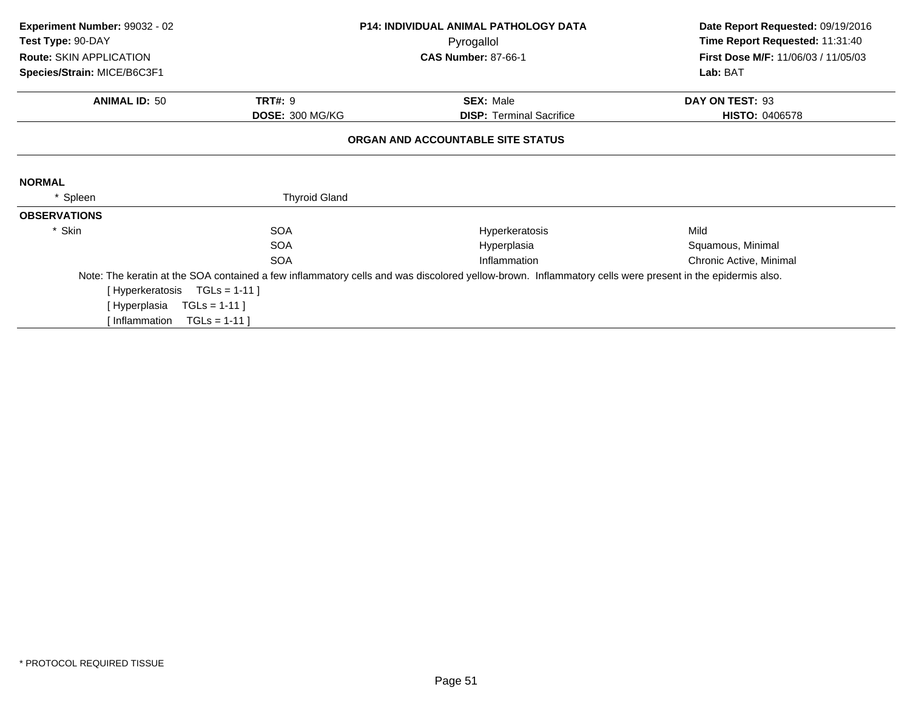| Experiment Number: 99032 - 02 | <b>P14: INDIVIDUAL ANIMAL PATHOLOGY DATA</b> |                                                                                                                                                         | Date Report Requested: 09/19/2016   |  |
|-------------------------------|----------------------------------------------|---------------------------------------------------------------------------------------------------------------------------------------------------------|-------------------------------------|--|
| Test Type: 90-DAY             |                                              | Pyrogallol                                                                                                                                              | Time Report Requested: 11:31:40     |  |
| Route: SKIN APPLICATION       |                                              | <b>CAS Number: 87-66-1</b>                                                                                                                              | First Dose M/F: 11/06/03 / 11/05/03 |  |
| Species/Strain: MICE/B6C3F1   |                                              |                                                                                                                                                         | Lab: BAT                            |  |
| <b>ANIMAL ID: 50</b>          | <b>TRT#: 9</b>                               | <b>SEX: Male</b>                                                                                                                                        | DAY ON TEST: 93                     |  |
|                               | <b>DOSE: 300 MG/KG</b>                       | <b>DISP:</b> Terminal Sacrifice                                                                                                                         | <b>HISTO: 0406578</b>               |  |
|                               |                                              | ORGAN AND ACCOUNTABLE SITE STATUS                                                                                                                       |                                     |  |
|                               |                                              |                                                                                                                                                         |                                     |  |
| <b>NORMAL</b>                 |                                              |                                                                                                                                                         |                                     |  |
| Spleen                        | <b>Thyroid Gland</b>                         |                                                                                                                                                         |                                     |  |
| <b>OBSERVATIONS</b>           |                                              |                                                                                                                                                         |                                     |  |
| * Skin                        | <b>SOA</b>                                   | Hyperkeratosis                                                                                                                                          | Mild                                |  |
|                               | <b>SOA</b>                                   | Hyperplasia                                                                                                                                             | Squamous, Minimal                   |  |
|                               | <b>SOA</b>                                   | Inflammation                                                                                                                                            | Chronic Active, Minimal             |  |
|                               |                                              | Note: The keratin at the SOA contained a few inflammatory cells and was discolored yellow-brown. Inflammatory cells were present in the epidermis also. |                                     |  |
| [Hyperkeratosis TGLs = 1-11]  |                                              |                                                                                                                                                         |                                     |  |
| [ Hyperplasia                 | $TGLs = 1-11$ ]                              |                                                                                                                                                         |                                     |  |
| [ Inflammation                | $TGLS = 1-11$                                |                                                                                                                                                         |                                     |  |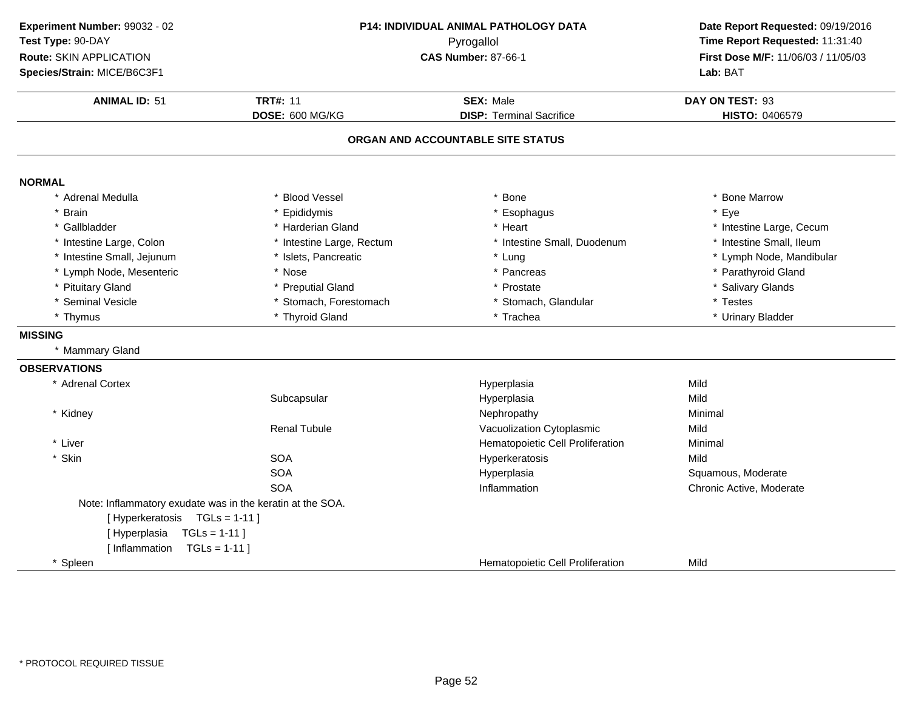| Experiment Number: 99032 - 02                             |                                     | <b>P14: INDIVIDUAL ANIMAL PATHOLOGY DATA</b> | Date Report Requested: 09/19/2016                                      |
|-----------------------------------------------------------|-------------------------------------|----------------------------------------------|------------------------------------------------------------------------|
| Test Type: 90-DAY                                         | Pyrogallol                          |                                              | Time Report Requested: 11:31:40<br>First Dose M/F: 11/06/03 / 11/05/03 |
| Route: SKIN APPLICATION                                   |                                     | <b>CAS Number: 87-66-1</b>                   |                                                                        |
| Species/Strain: MICE/B6C3F1                               |                                     |                                              | Lab: BAT                                                               |
| <b>ANIMAL ID: 51</b>                                      | <b>TRT#: 11</b><br><b>SEX: Male</b> |                                              | DAY ON TEST: 93                                                        |
|                                                           | DOSE: 600 MG/KG                     | <b>DISP: Terminal Sacrifice</b>              | HISTO: 0406579                                                         |
|                                                           |                                     |                                              |                                                                        |
|                                                           |                                     | ORGAN AND ACCOUNTABLE SITE STATUS            |                                                                        |
| <b>NORMAL</b>                                             |                                     |                                              |                                                                        |
| * Adrenal Medulla                                         | * Blood Vessel                      | * Bone                                       | * Bone Marrow                                                          |
| * Brain                                                   | Epididymis                          | * Esophagus                                  | * Eye                                                                  |
| * Gallbladder                                             | * Harderian Gland                   | * Heart                                      | * Intestine Large, Cecum                                               |
| * Intestine Large, Colon                                  | * Intestine Large, Rectum           | * Intestine Small, Duodenum                  | * Intestine Small, Ileum                                               |
| * Intestine Small, Jejunum                                | * Islets, Pancreatic                | * Lung                                       | * Lymph Node, Mandibular                                               |
| * Lymph Node, Mesenteric                                  | * Nose                              | * Pancreas                                   | * Parathyroid Gland                                                    |
| * Pituitary Gland                                         | * Preputial Gland                   | * Prostate                                   | * Salivary Glands                                                      |
| * Seminal Vesicle                                         | * Stomach, Forestomach              | * Stomach, Glandular                         | * Testes                                                               |
| * Thymus                                                  | * Thyroid Gland                     | * Trachea                                    | * Urinary Bladder                                                      |
| <b>MISSING</b>                                            |                                     |                                              |                                                                        |
| * Mammary Gland                                           |                                     |                                              |                                                                        |
| <b>OBSERVATIONS</b>                                       |                                     |                                              |                                                                        |
| * Adrenal Cortex                                          |                                     | Hyperplasia                                  | Mild                                                                   |
|                                                           | Subcapsular                         | Hyperplasia                                  | Mild                                                                   |
| * Kidney                                                  |                                     | Nephropathy                                  | Minimal                                                                |
|                                                           | <b>Renal Tubule</b>                 | Vacuolization Cytoplasmic                    | Mild                                                                   |
| * Liver                                                   |                                     | Hematopoietic Cell Proliferation             | Minimal                                                                |
| * Skin                                                    | <b>SOA</b>                          | Hyperkeratosis                               | Mild                                                                   |
|                                                           | <b>SOA</b>                          | Hyperplasia                                  | Squamous, Moderate                                                     |
|                                                           | <b>SOA</b>                          | Inflammation                                 | Chronic Active, Moderate                                               |
| Note: Inflammatory exudate was in the keratin at the SOA. |                                     |                                              |                                                                        |
| [Hyperkeratosis TGLs = 1-11]                              |                                     |                                              |                                                                        |
| [Hyperplasia<br>$TGLs = 1-11$                             |                                     |                                              |                                                                        |
| [ Inflammation<br>$TGLs = 1-11$                           |                                     |                                              |                                                                        |
| * Spleen                                                  |                                     | Hematopoietic Cell Proliferation             | Mild                                                                   |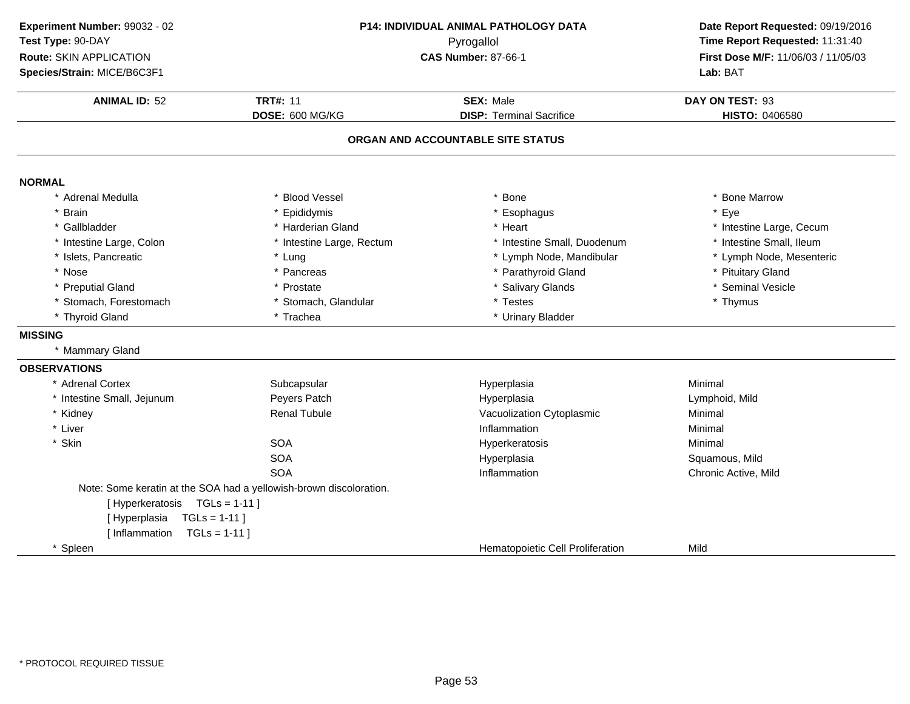| Experiment Number: 99032 - 02   |                                                                    | P14: INDIVIDUAL ANIMAL PATHOLOGY DATA | Date Report Requested: 09/19/2016                                      |
|---------------------------------|--------------------------------------------------------------------|---------------------------------------|------------------------------------------------------------------------|
| Test Type: 90-DAY               | Pyrogallol<br><b>CAS Number: 87-66-1</b>                           |                                       | Time Report Requested: 11:31:40<br>First Dose M/F: 11/06/03 / 11/05/03 |
| Route: SKIN APPLICATION         |                                                                    |                                       |                                                                        |
| Species/Strain: MICE/B6C3F1     |                                                                    |                                       | Lab: BAT                                                               |
| <b>ANIMAL ID: 52</b>            | <b>TRT#: 11</b>                                                    | <b>SEX: Male</b>                      | DAY ON TEST: 93                                                        |
|                                 | DOSE: 600 MG/KG                                                    | <b>DISP: Terminal Sacrifice</b>       | HISTO: 0406580                                                         |
|                                 |                                                                    | ORGAN AND ACCOUNTABLE SITE STATUS     |                                                                        |
| <b>NORMAL</b>                   |                                                                    |                                       |                                                                        |
| * Adrenal Medulla               | <b>Blood Vessel</b>                                                | Bone                                  | * Bone Marrow                                                          |
| * Brain                         | Epididymis                                                         | * Esophagus                           | * Eye                                                                  |
| * Gallbladder                   | * Harderian Gland                                                  | * Heart                               | * Intestine Large, Cecum                                               |
| * Intestine Large, Colon        | * Intestine Large, Rectum                                          | * Intestine Small, Duodenum           | * Intestine Small, Ileum                                               |
| * Islets, Pancreatic            | * Lung                                                             | * Lymph Node, Mandibular              | * Lymph Node, Mesenteric                                               |
| * Nose                          | * Pancreas                                                         | * Parathyroid Gland                   | * Pituitary Gland                                                      |
| * Preputial Gland               | * Prostate                                                         | * Salivary Glands                     | * Seminal Vesicle                                                      |
| * Stomach, Forestomach          | * Stomach, Glandular                                               | * Testes                              | * Thymus                                                               |
| * Thyroid Gland                 | * Trachea                                                          | * Urinary Bladder                     |                                                                        |
| <b>MISSING</b>                  |                                                                    |                                       |                                                                        |
| * Mammary Gland                 |                                                                    |                                       |                                                                        |
| <b>OBSERVATIONS</b>             |                                                                    |                                       |                                                                        |
| * Adrenal Cortex                | Subcapsular                                                        | Hyperplasia                           | Minimal                                                                |
| * Intestine Small, Jejunum      | Peyers Patch                                                       | Hyperplasia                           | Lymphoid, Mild                                                         |
| * Kidney                        | <b>Renal Tubule</b>                                                | Vacuolization Cytoplasmic             | Minimal                                                                |
| * Liver                         |                                                                    | Inflammation                          | Minimal                                                                |
| * Skin                          | <b>SOA</b>                                                         | Hyperkeratosis                        | Minimal                                                                |
|                                 | <b>SOA</b>                                                         | Hyperplasia                           | Squamous, Mild                                                         |
|                                 | <b>SOA</b>                                                         | Inflammation                          | Chronic Active, Mild                                                   |
|                                 | Note: Some keratin at the SOA had a yellowish-brown discoloration. |                                       |                                                                        |
| [Hyperkeratosis TGLs = 1-11]    |                                                                    |                                       |                                                                        |
| [Hyperplasia<br>$TGLs = 1-11$   |                                                                    |                                       |                                                                        |
| [ Inflammation<br>$TGLs = 1-11$ |                                                                    |                                       |                                                                        |
| * Spleen                        |                                                                    | Hematopoietic Cell Proliferation      | Mild                                                                   |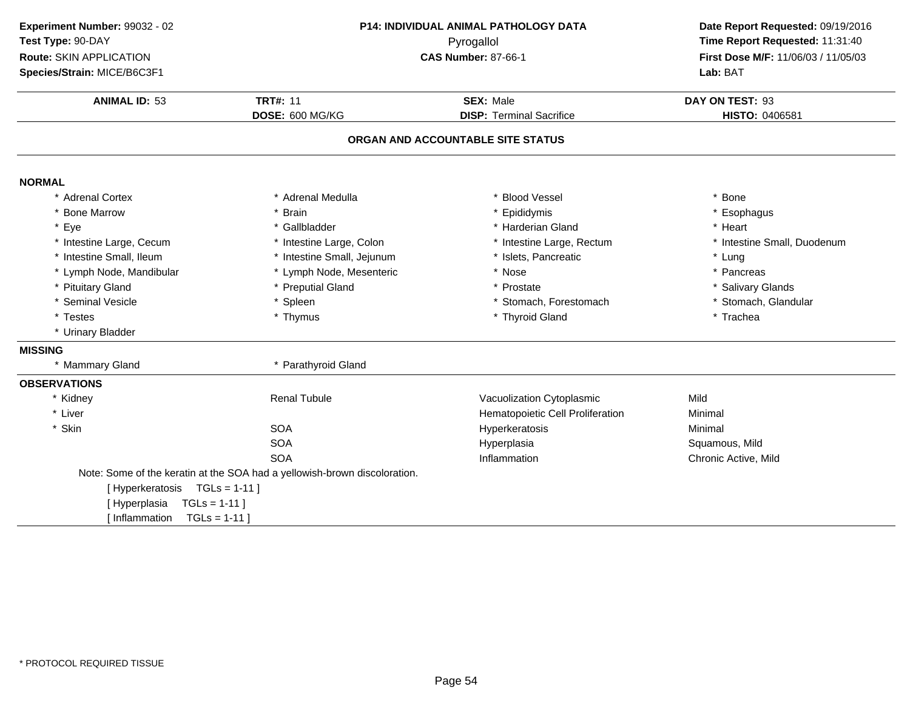| Experiment Number: 99032 - 02 |                                                                           | P14: INDIVIDUAL ANIMAL PATHOLOGY DATA | Date Report Requested: 09/19/2016   |
|-------------------------------|---------------------------------------------------------------------------|---------------------------------------|-------------------------------------|
| Test Type: 90-DAY             | Pyrogallol                                                                |                                       | Time Report Requested: 11:31:40     |
| Route: SKIN APPLICATION       |                                                                           | <b>CAS Number: 87-66-1</b>            | First Dose M/F: 11/06/03 / 11/05/03 |
| Species/Strain: MICE/B6C3F1   |                                                                           |                                       | Lab: BAT                            |
| <b>ANIMAL ID: 53</b>          | <b>TRT#: 11</b>                                                           | <b>SEX: Male</b>                      | DAY ON TEST: 93                     |
|                               | DOSE: 600 MG/KG                                                           | <b>DISP: Terminal Sacrifice</b>       | HISTO: 0406581                      |
|                               |                                                                           | ORGAN AND ACCOUNTABLE SITE STATUS     |                                     |
| <b>NORMAL</b>                 |                                                                           |                                       |                                     |
| * Adrenal Cortex              | * Adrenal Medulla                                                         | * Blood Vessel                        | * Bone                              |
| * Bone Marrow                 | * Brain                                                                   | Epididymis                            | * Esophagus                         |
| * Eye                         | * Gallbladder                                                             | * Harderian Gland                     | * Heart                             |
| * Intestine Large, Cecum      | * Intestine Large, Colon                                                  | * Intestine Large, Rectum             | * Intestine Small, Duodenum         |
| * Intestine Small, Ileum      | * Intestine Small, Jejunum                                                | * Islets, Pancreatic                  | * Lung                              |
| * Lymph Node, Mandibular      | * Lymph Node, Mesenteric                                                  | * Nose                                | * Pancreas                          |
| * Pituitary Gland             | * Preputial Gland                                                         | Prostate                              | * Salivary Glands                   |
| * Seminal Vesicle             | * Spleen                                                                  | * Stomach, Forestomach                | * Stomach, Glandular                |
| * Testes                      | * Thymus                                                                  | * Thyroid Gland                       | * Trachea                           |
| * Urinary Bladder             |                                                                           |                                       |                                     |
| <b>MISSING</b>                |                                                                           |                                       |                                     |
| * Mammary Gland               | * Parathyroid Gland                                                       |                                       |                                     |
| <b>OBSERVATIONS</b>           |                                                                           |                                       |                                     |
| * Kidney                      | <b>Renal Tubule</b>                                                       | Vacuolization Cytoplasmic             | Mild                                |
| * Liver                       |                                                                           | Hematopoietic Cell Proliferation      | Minimal                             |
| * Skin                        | <b>SOA</b>                                                                | Hyperkeratosis                        | Minimal                             |
|                               | <b>SOA</b>                                                                | Hyperplasia                           | Squamous, Mild                      |
|                               | <b>SOA</b>                                                                | Inflammation                          | Chronic Active, Mild                |
|                               | Note: Some of the keratin at the SOA had a yellowish-brown discoloration. |                                       |                                     |
| [Hyperkeratosis TGLs = 1-11]  |                                                                           |                                       |                                     |
| [Hyperplasia<br>$TGLs = 1-11$ |                                                                           |                                       |                                     |
| [Inflammation                 | $TGLs = 1-11$                                                             |                                       |                                     |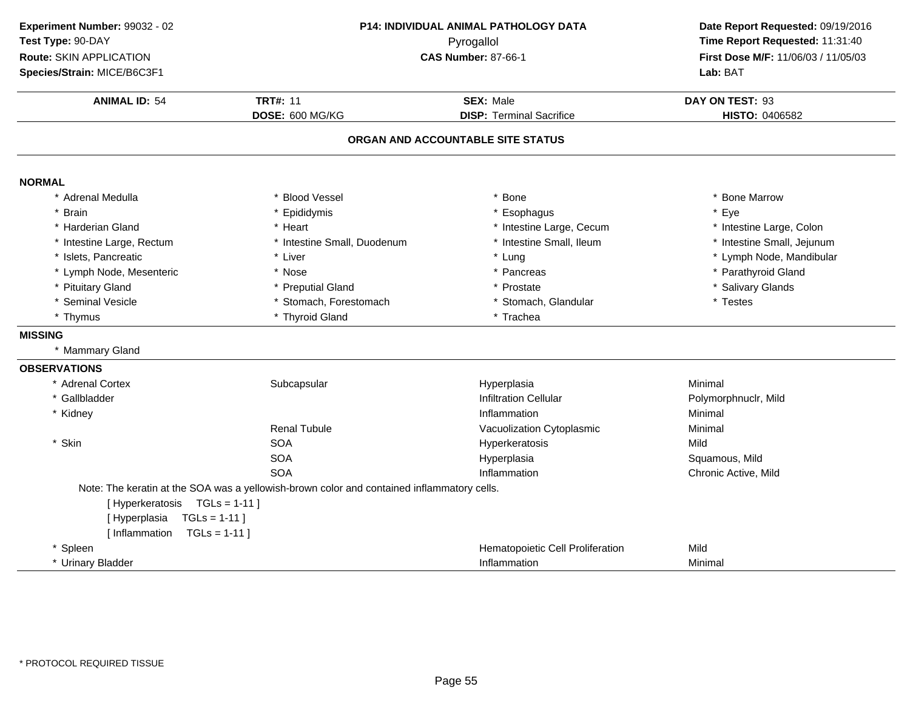| Experiment Number: 99032 - 02   |                                                                                            | <b>P14: INDIVIDUAL ANIMAL PATHOLOGY DATA</b> | Date Report Requested: 09/19/2016   |
|---------------------------------|--------------------------------------------------------------------------------------------|----------------------------------------------|-------------------------------------|
| Test Type: 90-DAY               |                                                                                            | Pyrogallol                                   | Time Report Requested: 11:31:40     |
| Route: SKIN APPLICATION         |                                                                                            | <b>CAS Number: 87-66-1</b>                   | First Dose M/F: 11/06/03 / 11/05/03 |
| Species/Strain: MICE/B6C3F1     |                                                                                            |                                              | Lab: BAT                            |
| <b>ANIMAL ID: 54</b>            | <b>TRT#: 11</b>                                                                            | <b>SEX: Male</b>                             | DAY ON TEST: 93                     |
|                                 | DOSE: 600 MG/KG                                                                            | <b>DISP: Terminal Sacrifice</b>              | HISTO: 0406582                      |
|                                 |                                                                                            | ORGAN AND ACCOUNTABLE SITE STATUS            |                                     |
| <b>NORMAL</b>                   |                                                                                            |                                              |                                     |
| * Adrenal Medulla               | <b>Blood Vessel</b>                                                                        | * Bone                                       | * Bone Marrow                       |
| * Brain                         | Epididymis                                                                                 | * Esophagus                                  | * Eye                               |
| * Harderian Gland               | * Heart                                                                                    | * Intestine Large, Cecum                     | * Intestine Large, Colon            |
| * Intestine Large, Rectum       | * Intestine Small, Duodenum                                                                | * Intestine Small, Ileum                     | * Intestine Small, Jejunum          |
| * Islets, Pancreatic            | * Liver                                                                                    | * Lung                                       | * Lymph Node, Mandibular            |
| * Lymph Node, Mesenteric        | * Nose                                                                                     | * Pancreas                                   | * Parathyroid Gland                 |
| * Pituitary Gland               | * Preputial Gland                                                                          | * Prostate                                   | * Salivary Glands                   |
| * Seminal Vesicle               | * Stomach, Forestomach                                                                     | * Stomach, Glandular                         | * Testes                            |
| * Thymus                        | * Thyroid Gland                                                                            | * Trachea                                    |                                     |
| <b>MISSING</b>                  |                                                                                            |                                              |                                     |
| * Mammary Gland                 |                                                                                            |                                              |                                     |
| <b>OBSERVATIONS</b>             |                                                                                            |                                              |                                     |
| * Adrenal Cortex                | Subcapsular                                                                                | Hyperplasia                                  | Minimal                             |
| * Gallbladder                   |                                                                                            | <b>Infiltration Cellular</b>                 | Polymorphnuclr, Mild                |
| * Kidney                        |                                                                                            | Inflammation                                 | Minimal                             |
|                                 | <b>Renal Tubule</b>                                                                        | Vacuolization Cytoplasmic                    | Minimal                             |
| * Skin                          | <b>SOA</b>                                                                                 | Hyperkeratosis                               | Mild                                |
|                                 | <b>SOA</b>                                                                                 | Hyperplasia                                  | Squamous, Mild                      |
|                                 | <b>SOA</b>                                                                                 | Inflammation                                 | Chronic Active, Mild                |
|                                 | Note: The keratin at the SOA was a yellowish-brown color and contained inflammatory cells. |                                              |                                     |
| [Hyperkeratosis TGLs = 1-11]    |                                                                                            |                                              |                                     |
| [Hyperplasia<br>$TGLs = 1-11$   |                                                                                            |                                              |                                     |
| [ Inflammation<br>$TGLs = 1-11$ |                                                                                            |                                              |                                     |
| * Spleen                        |                                                                                            | Hematopoietic Cell Proliferation             | Mild                                |
| * Urinary Bladder               |                                                                                            | Inflammation                                 | Minimal                             |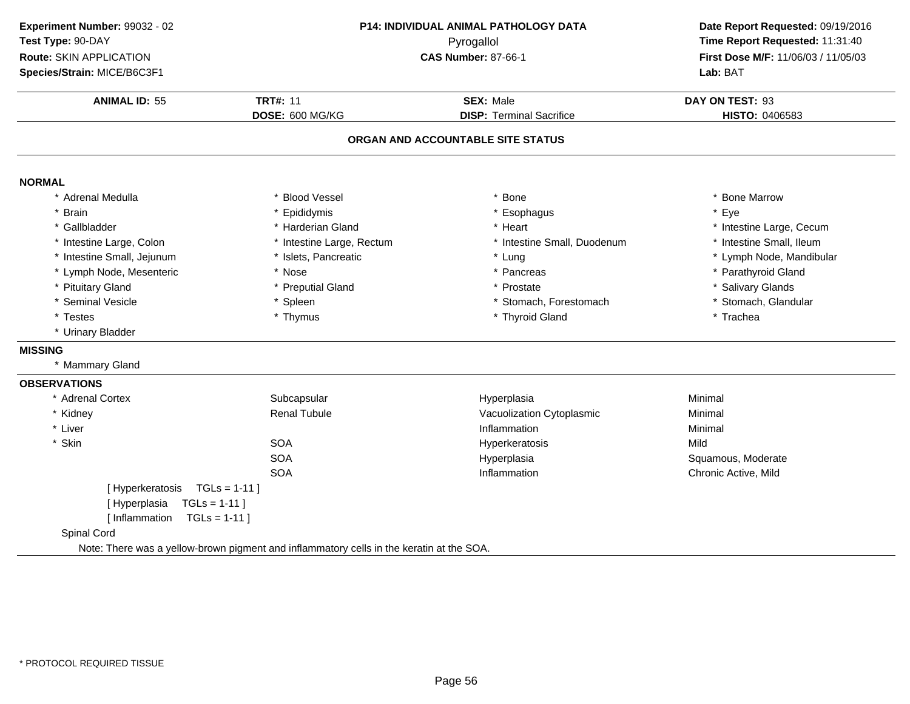| Experiment Number: 99032 - 02<br>Test Type: 90-DAY<br>Route: SKIN APPLICATION<br>Species/Strain: MICE/B6C3F1 | P14: INDIVIDUAL ANIMAL PATHOLOGY DATA<br>Pyrogallol<br><b>CAS Number: 87-66-1</b>        |                                                                      | Date Report Requested: 09/19/2016<br>Time Report Requested: 11:31:40<br>First Dose M/F: 11/06/03 / 11/05/03<br>Lab: BAT |
|--------------------------------------------------------------------------------------------------------------|------------------------------------------------------------------------------------------|----------------------------------------------------------------------|-------------------------------------------------------------------------------------------------------------------------|
| <b>ANIMAL ID: 55</b>                                                                                         | <b>TRT#: 11</b>                                                                          | <b>SEX: Male</b>                                                     | DAY ON TEST: 93                                                                                                         |
|                                                                                                              | DOSE: 600 MG/KG                                                                          | <b>DISP: Terminal Sacrifice</b><br>ORGAN AND ACCOUNTABLE SITE STATUS | HISTO: 0406583                                                                                                          |
| <b>NORMAL</b>                                                                                                |                                                                                          |                                                                      |                                                                                                                         |
| * Adrenal Medulla                                                                                            | * Blood Vessel                                                                           | * Bone                                                               | * Bone Marrow                                                                                                           |
| * Brain                                                                                                      | Epididymis                                                                               | Esophagus                                                            | * Eye                                                                                                                   |
| * Gallbladder                                                                                                | * Harderian Gland                                                                        | * Heart                                                              | * Intestine Large, Cecum                                                                                                |
| * Intestine Large, Colon                                                                                     | * Intestine Large, Rectum                                                                | * Intestine Small, Duodenum                                          | * Intestine Small, Ileum                                                                                                |
| * Intestine Small, Jejunum                                                                                   | * Islets, Pancreatic                                                                     | * Lung                                                               | * Lymph Node, Mandibular                                                                                                |
| * Lymph Node, Mesenteric                                                                                     | * Nose                                                                                   | * Pancreas                                                           | * Parathyroid Gland                                                                                                     |
| * Pituitary Gland                                                                                            | * Preputial Gland                                                                        | * Prostate                                                           | * Salivary Glands                                                                                                       |
| * Seminal Vesicle                                                                                            | * Spleen                                                                                 | * Stomach, Forestomach                                               | * Stomach, Glandular                                                                                                    |
| * Testes                                                                                                     | * Thymus                                                                                 | * Thyroid Gland                                                      | * Trachea                                                                                                               |
| * Urinary Bladder                                                                                            |                                                                                          |                                                                      |                                                                                                                         |
| <b>MISSING</b>                                                                                               |                                                                                          |                                                                      |                                                                                                                         |
| * Mammary Gland                                                                                              |                                                                                          |                                                                      |                                                                                                                         |
| <b>OBSERVATIONS</b>                                                                                          |                                                                                          |                                                                      |                                                                                                                         |
| * Adrenal Cortex                                                                                             | Subcapsular                                                                              | Hyperplasia                                                          | Minimal                                                                                                                 |
| * Kidney                                                                                                     | <b>Renal Tubule</b>                                                                      | Vacuolization Cytoplasmic                                            | Minimal                                                                                                                 |
| * Liver                                                                                                      |                                                                                          | Inflammation                                                         | Minimal                                                                                                                 |
| * Skin                                                                                                       | <b>SOA</b>                                                                               | Hyperkeratosis                                                       | Mild                                                                                                                    |
|                                                                                                              | <b>SOA</b>                                                                               | Hyperplasia                                                          | Squamous, Moderate                                                                                                      |
|                                                                                                              | <b>SOA</b>                                                                               | Inflammation                                                         | Chronic Active, Mild                                                                                                    |
| [Hyperkeratosis TGLs = 1-11]                                                                                 |                                                                                          |                                                                      |                                                                                                                         |
| [Hyperplasia<br>$TGLs = 1-11$                                                                                |                                                                                          |                                                                      |                                                                                                                         |
| [Inflammation $TGLs = 1-11$ ]                                                                                |                                                                                          |                                                                      |                                                                                                                         |
| Spinal Cord                                                                                                  |                                                                                          |                                                                      |                                                                                                                         |
|                                                                                                              | Note: There was a yellow-brown pigment and inflammatory cells in the keratin at the SOA. |                                                                      |                                                                                                                         |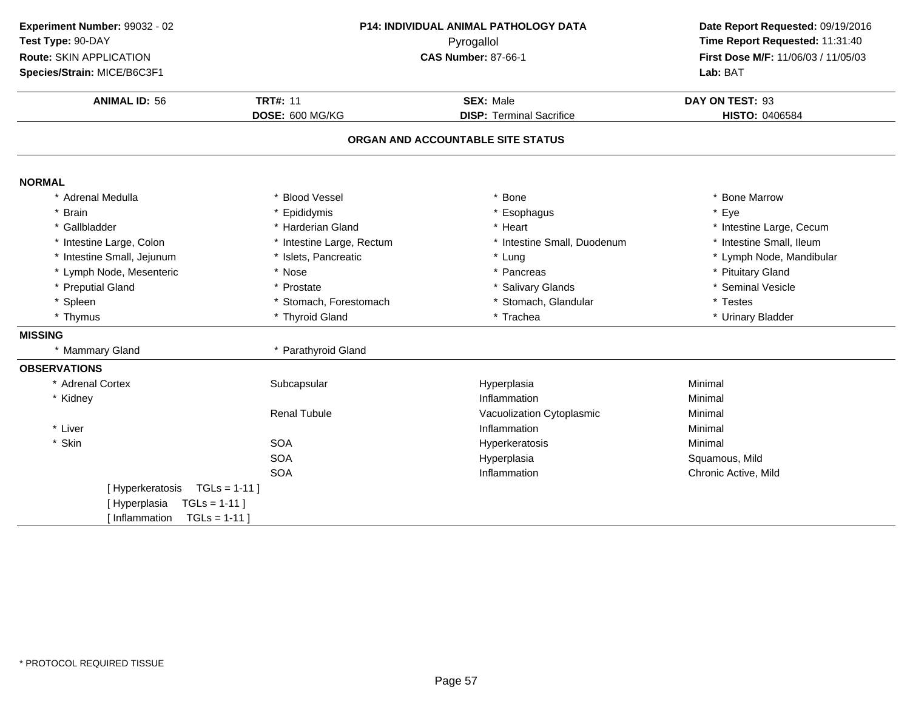| Experiment Number: 99032 - 02                         | P14: INDIVIDUAL ANIMAL PATHOLOGY DATA<br>Pyrogallol |                                   | Date Report Requested: 09/19/2016   |  |
|-------------------------------------------------------|-----------------------------------------------------|-----------------------------------|-------------------------------------|--|
| Test Type: 90-DAY                                     |                                                     |                                   | Time Report Requested: 11:31:40     |  |
| Route: SKIN APPLICATION<br><b>CAS Number: 87-66-1</b> |                                                     |                                   | First Dose M/F: 11/06/03 / 11/05/03 |  |
| Species/Strain: MICE/B6C3F1                           |                                                     |                                   | Lab: BAT                            |  |
| <b>ANIMAL ID: 56</b>                                  | <b>TRT#: 11</b>                                     | <b>SEX: Male</b>                  | DAY ON TEST: 93                     |  |
|                                                       | DOSE: 600 MG/KG                                     | <b>DISP: Terminal Sacrifice</b>   | HISTO: 0406584                      |  |
|                                                       |                                                     | ORGAN AND ACCOUNTABLE SITE STATUS |                                     |  |
| <b>NORMAL</b>                                         |                                                     |                                   |                                     |  |
| * Adrenal Medulla                                     | * Blood Vessel                                      | Bone                              | * Bone Marrow                       |  |
| * Brain                                               | * Epididymis                                        | Esophagus                         | * Eye                               |  |
| * Gallbladder                                         | * Harderian Gland                                   | * Heart                           | * Intestine Large, Cecum            |  |
| * Intestine Large, Colon                              | * Intestine Large, Rectum                           | * Intestine Small, Duodenum       | * Intestine Small, Ileum            |  |
| * Intestine Small, Jejunum                            | * Islets, Pancreatic                                | * Lung                            | * Lymph Node, Mandibular            |  |
| * Lymph Node, Mesenteric                              | * Nose                                              | * Pancreas                        | * Pituitary Gland                   |  |
| * Preputial Gland                                     | * Prostate                                          | * Salivary Glands                 | * Seminal Vesicle                   |  |
| * Spleen                                              | * Stomach, Forestomach                              | Stomach, Glandular                | * Testes                            |  |
| * Thymus                                              | * Thyroid Gland                                     | * Trachea                         | * Urinary Bladder                   |  |
| <b>MISSING</b>                                        |                                                     |                                   |                                     |  |
| * Mammary Gland                                       | * Parathyroid Gland                                 |                                   |                                     |  |
| <b>OBSERVATIONS</b>                                   |                                                     |                                   |                                     |  |
| * Adrenal Cortex                                      | Subcapsular                                         | Hyperplasia                       | Minimal                             |  |
| * Kidney                                              |                                                     | Inflammation                      | Minimal                             |  |
|                                                       | <b>Renal Tubule</b>                                 | Vacuolization Cytoplasmic         | Minimal                             |  |
| * Liver                                               |                                                     | Inflammation                      | Minimal                             |  |
| * Skin                                                | <b>SOA</b>                                          | Hyperkeratosis                    | Minimal                             |  |
|                                                       | <b>SOA</b>                                          | Hyperplasia                       | Squamous, Mild                      |  |
|                                                       | <b>SOA</b>                                          | Inflammation                      | Chronic Active, Mild                |  |
| [Hyperkeratosis                                       | $TGLs = 1-11$                                       |                                   |                                     |  |
| [Hyperplasia<br>$TGLs = 1-11$                         |                                                     |                                   |                                     |  |
| [Inflammation<br>$TGLs = 1-11$                        |                                                     |                                   |                                     |  |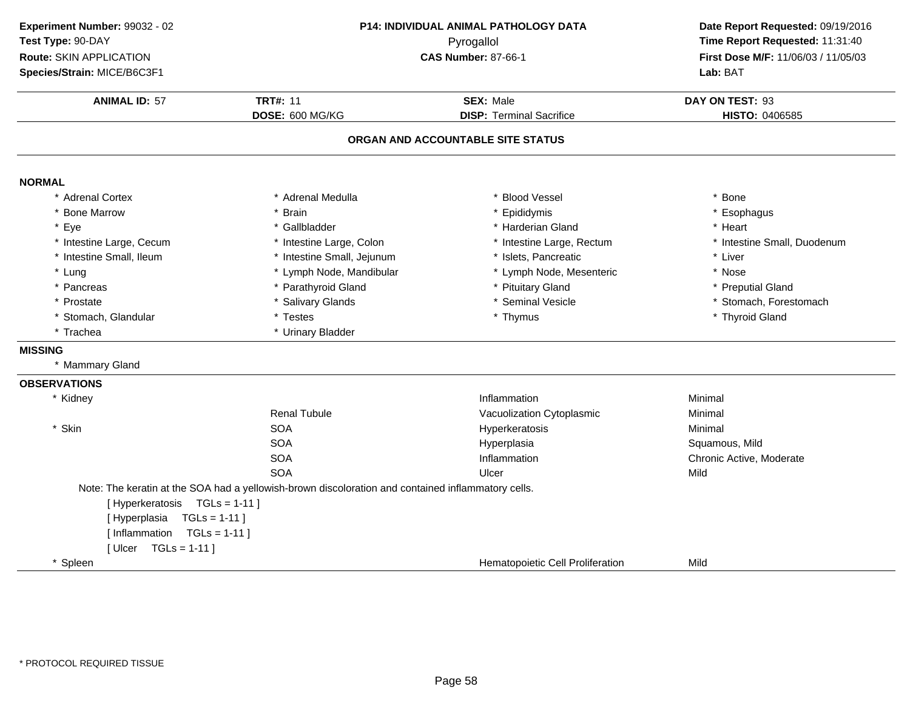| Experiment Number: 99032 - 02 |                                                                                                    | <b>P14: INDIVIDUAL ANIMAL PATHOLOGY DATA</b> | Date Report Requested: 09/19/2016                                      |
|-------------------------------|----------------------------------------------------------------------------------------------------|----------------------------------------------|------------------------------------------------------------------------|
| Test Type: 90-DAY             | Pyrogallol                                                                                         |                                              | Time Report Requested: 11:31:40<br>First Dose M/F: 11/06/03 / 11/05/03 |
| Route: SKIN APPLICATION       |                                                                                                    | <b>CAS Number: 87-66-1</b>                   |                                                                        |
| Species/Strain: MICE/B6C3F1   |                                                                                                    |                                              | Lab: BAT                                                               |
| <b>ANIMAL ID: 57</b>          | <b>TRT#: 11</b>                                                                                    | <b>SEX: Male</b>                             | DAY ON TEST: 93                                                        |
|                               | DOSE: 600 MG/KG                                                                                    | <b>DISP: Terminal Sacrifice</b>              | HISTO: 0406585                                                         |
|                               |                                                                                                    | ORGAN AND ACCOUNTABLE SITE STATUS            |                                                                        |
| <b>NORMAL</b>                 |                                                                                                    |                                              |                                                                        |
| * Adrenal Cortex              | * Adrenal Medulla                                                                                  | * Blood Vessel                               | * Bone                                                                 |
| * Bone Marrow                 | <b>Brain</b>                                                                                       | * Epididymis                                 | * Esophagus                                                            |
| * Eye                         | * Gallbladder                                                                                      | * Harderian Gland                            | * Heart                                                                |
| * Intestine Large, Cecum      | * Intestine Large, Colon                                                                           | * Intestine Large, Rectum                    | * Intestine Small, Duodenum                                            |
| * Intestine Small, Ileum      | * Intestine Small, Jejunum                                                                         | * Islets, Pancreatic                         | * Liver                                                                |
| * Lung                        | * Lymph Node, Mandibular                                                                           | * Lymph Node, Mesenteric                     | * Nose                                                                 |
| * Pancreas                    | * Parathyroid Gland                                                                                | * Pituitary Gland                            | * Preputial Gland                                                      |
| * Prostate                    | * Salivary Glands                                                                                  | * Seminal Vesicle                            | * Stomach, Forestomach                                                 |
| * Stomach, Glandular          | * Testes                                                                                           | * Thymus                                     | * Thyroid Gland                                                        |
| * Trachea                     | * Urinary Bladder                                                                                  |                                              |                                                                        |
| <b>MISSING</b>                |                                                                                                    |                                              |                                                                        |
| * Mammary Gland               |                                                                                                    |                                              |                                                                        |
| <b>OBSERVATIONS</b>           |                                                                                                    |                                              |                                                                        |
| * Kidney                      |                                                                                                    | Inflammation                                 | Minimal                                                                |
|                               | <b>Renal Tubule</b>                                                                                | Vacuolization Cytoplasmic                    | Minimal                                                                |
| * Skin                        | <b>SOA</b>                                                                                         | Hyperkeratosis                               | Minimal                                                                |
|                               | <b>SOA</b>                                                                                         | Hyperplasia                                  | Squamous, Mild                                                         |
|                               | <b>SOA</b>                                                                                         | Inflammation                                 | Chronic Active, Moderate                                               |
|                               | <b>SOA</b>                                                                                         | Ulcer                                        | Mild                                                                   |
|                               | Note: The keratin at the SOA had a yellowish-brown discoloration and contained inflammatory cells. |                                              |                                                                        |
| [Hyperkeratosis TGLs = 1-11]  |                                                                                                    |                                              |                                                                        |
| $TGLs = 1-11$<br>[Hyperplasia |                                                                                                    |                                              |                                                                        |
| [Inflammation TGLs = 1-11]    |                                                                                                    |                                              |                                                                        |
| [Ulcer TGLs = 1-11]           |                                                                                                    |                                              |                                                                        |
| * Spleen                      |                                                                                                    | Hematopoietic Cell Proliferation             | Mild                                                                   |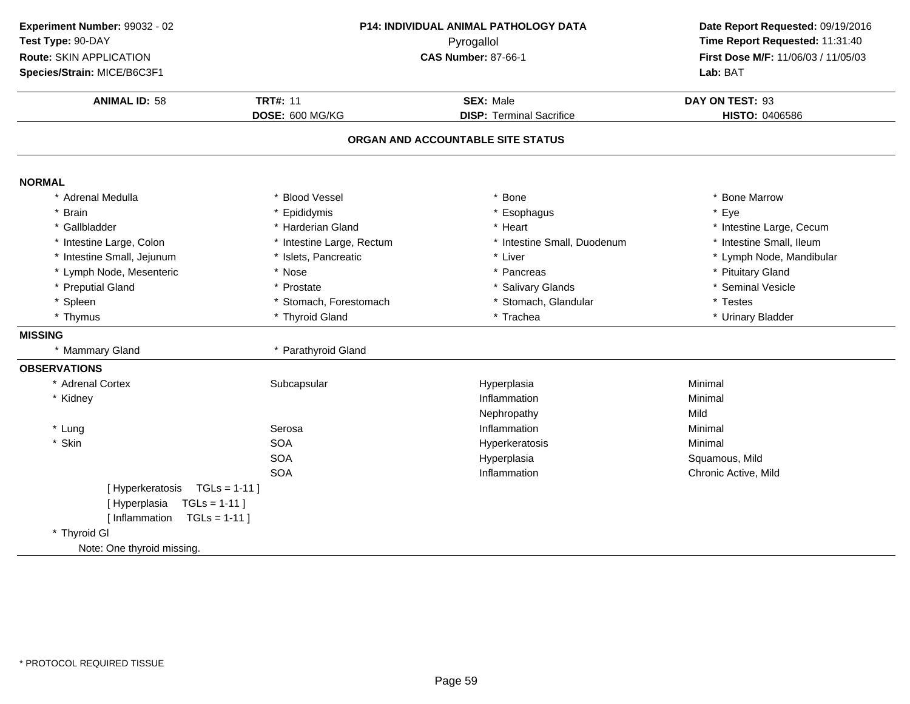| Experiment Number: 99032 - 02   |                                          | P14: INDIVIDUAL ANIMAL PATHOLOGY DATA | Date Report Requested: 09/19/2016   |
|---------------------------------|------------------------------------------|---------------------------------------|-------------------------------------|
| Test Type: 90-DAY               | Pyrogallol<br><b>CAS Number: 87-66-1</b> |                                       | Time Report Requested: 11:31:40     |
| Route: SKIN APPLICATION         |                                          |                                       | First Dose M/F: 11/06/03 / 11/05/03 |
| Species/Strain: MICE/B6C3F1     |                                          |                                       | Lab: BAT                            |
| <b>ANIMAL ID: 58</b>            | <b>TRT#: 11</b>                          | <b>SEX: Male</b>                      | DAY ON TEST: 93                     |
|                                 | DOSE: 600 MG/KG                          | <b>DISP: Terminal Sacrifice</b>       | HISTO: 0406586                      |
|                                 |                                          | ORGAN AND ACCOUNTABLE SITE STATUS     |                                     |
| <b>NORMAL</b>                   |                                          |                                       |                                     |
| * Adrenal Medulla               | * Blood Vessel                           | Bone                                  | * Bone Marrow                       |
| * Brain                         | * Epididymis                             | Esophagus                             | * Eye                               |
| * Gallbladder                   | * Harderian Gland                        | * Heart                               | * Intestine Large, Cecum            |
| * Intestine Large, Colon        | * Intestine Large, Rectum                | * Intestine Small, Duodenum           | * Intestine Small, Ileum            |
| * Intestine Small, Jejunum      | * Islets, Pancreatic                     | * Liver                               | * Lymph Node, Mandibular            |
| * Lymph Node, Mesenteric        | * Nose                                   | * Pancreas                            | * Pituitary Gland                   |
| * Preputial Gland               | * Prostate                               | * Salivary Glands                     | * Seminal Vesicle                   |
| * Spleen                        | * Stomach, Forestomach                   | * Stomach, Glandular                  | * Testes                            |
| * Thymus                        | * Thyroid Gland                          | * Trachea                             | * Urinary Bladder                   |
| <b>MISSING</b>                  |                                          |                                       |                                     |
| * Mammary Gland                 | * Parathyroid Gland                      |                                       |                                     |
| <b>OBSERVATIONS</b>             |                                          |                                       |                                     |
| * Adrenal Cortex                | Subcapsular                              | Hyperplasia                           | Minimal                             |
| * Kidney                        |                                          | Inflammation                          | Minimal                             |
|                                 |                                          | Nephropathy                           | Mild                                |
| * Lung                          | Serosa                                   | Inflammation                          | Minimal                             |
| * Skin                          | <b>SOA</b>                               | Hyperkeratosis                        | Minimal                             |
|                                 | <b>SOA</b>                               | Hyperplasia                           | Squamous, Mild                      |
|                                 | <b>SOA</b>                               | Inflammation                          | Chronic Active, Mild                |
| [Hyperkeratosis TGLs = 1-11]    |                                          |                                       |                                     |
| $TGLs = 1-11$<br>[Hyperplasia   |                                          |                                       |                                     |
| $TGLs = 1-11$<br>[ Inflammation |                                          |                                       |                                     |
| * Thyroid GI                    |                                          |                                       |                                     |
| Note: One thyroid missing.      |                                          |                                       |                                     |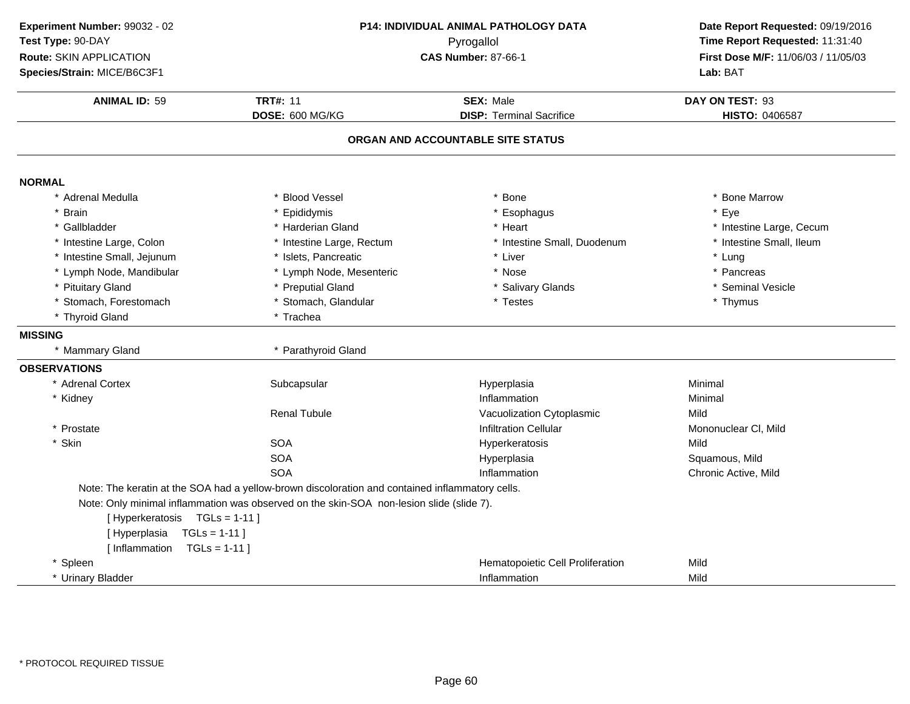| Experiment Number: 99032 - 02   |                                                                                                 | <b>P14: INDIVIDUAL ANIMAL PATHOLOGY DATA</b> | Date Report Requested: 09/19/2016                                      |
|---------------------------------|-------------------------------------------------------------------------------------------------|----------------------------------------------|------------------------------------------------------------------------|
| Test Type: 90-DAY               | Pyrogallol                                                                                      |                                              | Time Report Requested: 11:31:40<br>First Dose M/F: 11/06/03 / 11/05/03 |
| Route: SKIN APPLICATION         |                                                                                                 | <b>CAS Number: 87-66-1</b>                   |                                                                        |
| Species/Strain: MICE/B6C3F1     |                                                                                                 |                                              | Lab: BAT                                                               |
| <b>ANIMAL ID: 59</b>            | <b>TRT#: 11</b>                                                                                 | <b>SEX: Male</b>                             | DAY ON TEST: 93                                                        |
|                                 | DOSE: 600 MG/KG                                                                                 | <b>DISP: Terminal Sacrifice</b>              | HISTO: 0406587                                                         |
|                                 |                                                                                                 | ORGAN AND ACCOUNTABLE SITE STATUS            |                                                                        |
|                                 |                                                                                                 |                                              |                                                                        |
| <b>NORMAL</b>                   |                                                                                                 |                                              |                                                                        |
| * Adrenal Medulla               | * Blood Vessel                                                                                  | * Bone                                       | * Bone Marrow                                                          |
| <b>Brain</b>                    | * Epididymis                                                                                    | * Esophagus                                  | * Eye                                                                  |
| * Gallbladder                   | * Harderian Gland                                                                               | * Heart                                      | * Intestine Large, Cecum                                               |
| * Intestine Large, Colon        | * Intestine Large, Rectum                                                                       | * Intestine Small, Duodenum                  | * Intestine Small, Ileum                                               |
| * Intestine Small, Jejunum      | * Islets, Pancreatic                                                                            | * Liver                                      | * Lung                                                                 |
| * Lymph Node, Mandibular        | * Lymph Node, Mesenteric                                                                        | * Nose                                       | * Pancreas                                                             |
| <b>Pituitary Gland</b>          | * Preputial Gland                                                                               | * Salivary Glands                            | * Seminal Vesicle                                                      |
| * Stomach, Forestomach          | * Stomach, Glandular                                                                            | * Testes                                     | * Thymus                                                               |
| * Thyroid Gland                 | * Trachea                                                                                       |                                              |                                                                        |
| <b>MISSING</b>                  |                                                                                                 |                                              |                                                                        |
| * Mammary Gland                 | * Parathyroid Gland                                                                             |                                              |                                                                        |
| <b>OBSERVATIONS</b>             |                                                                                                 |                                              |                                                                        |
| * Adrenal Cortex                | Subcapsular                                                                                     | Hyperplasia                                  | Minimal                                                                |
| * Kidney                        |                                                                                                 | Inflammation                                 | Minimal                                                                |
|                                 | <b>Renal Tubule</b>                                                                             | Vacuolization Cytoplasmic                    | Mild                                                                   |
| * Prostate                      |                                                                                                 | <b>Infiltration Cellular</b>                 | Mononuclear CI, Mild                                                   |
| * Skin                          | <b>SOA</b>                                                                                      | Hyperkeratosis                               | Mild                                                                   |
|                                 | <b>SOA</b>                                                                                      | Hyperplasia                                  | Squamous, Mild                                                         |
|                                 | <b>SOA</b>                                                                                      | Inflammation                                 | Chronic Active, Mild                                                   |
|                                 | Note: The keratin at the SOA had a yellow-brown discoloration and contained inflammatory cells. |                                              |                                                                        |
|                                 | Note: Only minimal inflammation was observed on the skin-SOA non-lesion slide (slide 7).        |                                              |                                                                        |
| [Hyperkeratosis TGLs = 1-11]    |                                                                                                 |                                              |                                                                        |
| $TGLs = 1-11$<br>[Hyperplasia   |                                                                                                 |                                              |                                                                        |
| [ Inflammation<br>$TGLs = 1-11$ |                                                                                                 |                                              |                                                                        |
| * Spleen                        |                                                                                                 | Hematopoietic Cell Proliferation             | Mild                                                                   |
| * Urinary Bladder               |                                                                                                 | Inflammation                                 | Mild                                                                   |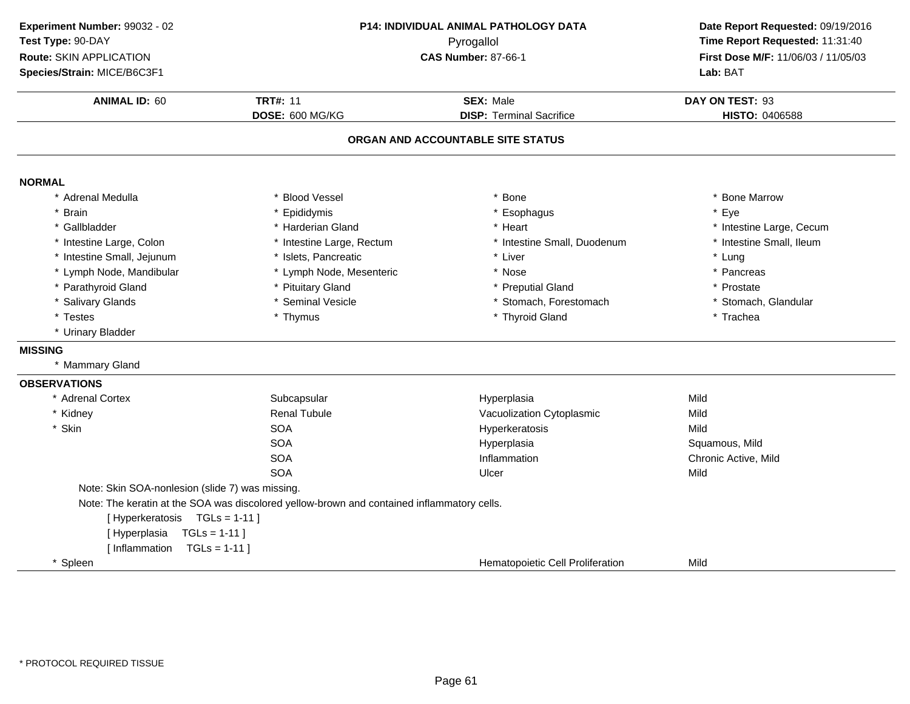| Experiment Number: 99032 - 02<br>Test Type: 90-DAY<br>Route: SKIN APPLICATION<br>Species/Strain: MICE/B6C3F1 | <b>P14: INDIVIDUAL ANIMAL PATHOLOGY DATA</b><br>Pyrogallol<br><b>CAS Number: 87-66-1</b>   |                                                     | Date Report Requested: 09/19/2016<br>Time Report Requested: 11:31:40<br>First Dose M/F: 11/06/03 / 11/05/03<br>Lab: BAT |
|--------------------------------------------------------------------------------------------------------------|--------------------------------------------------------------------------------------------|-----------------------------------------------------|-------------------------------------------------------------------------------------------------------------------------|
| <b>ANIMAL ID: 60</b>                                                                                         | <b>TRT#: 11</b><br>DOSE: 600 MG/KG                                                         | <b>SEX: Male</b><br><b>DISP: Terminal Sacrifice</b> | DAY ON TEST: 93<br>HISTO: 0406588                                                                                       |
|                                                                                                              |                                                                                            | ORGAN AND ACCOUNTABLE SITE STATUS                   |                                                                                                                         |
| <b>NORMAL</b>                                                                                                |                                                                                            |                                                     |                                                                                                                         |
| * Adrenal Medulla                                                                                            | * Blood Vessel                                                                             | * Bone                                              | * Bone Marrow                                                                                                           |
| <b>Brain</b>                                                                                                 | * Epididymis                                                                               | * Esophagus                                         | * Eye                                                                                                                   |
| * Gallbladder                                                                                                | * Harderian Gland                                                                          | * Heart                                             | * Intestine Large, Cecum                                                                                                |
| * Intestine Large, Colon                                                                                     | * Intestine Large, Rectum                                                                  | * Intestine Small, Duodenum                         | * Intestine Small, Ileum                                                                                                |
| * Intestine Small, Jejunum                                                                                   | * Islets, Pancreatic                                                                       | * Liver                                             | * Lung                                                                                                                  |
| * Lymph Node, Mandibular                                                                                     | * Lymph Node, Mesenteric                                                                   | * Nose                                              | * Pancreas                                                                                                              |
| * Parathyroid Gland                                                                                          | * Pituitary Gland                                                                          | * Preputial Gland                                   | * Prostate                                                                                                              |
| * Salivary Glands                                                                                            | * Seminal Vesicle                                                                          | * Stomach, Forestomach                              | * Stomach, Glandular                                                                                                    |
| * Testes                                                                                                     | * Thymus                                                                                   | * Thyroid Gland                                     | * Trachea                                                                                                               |
| * Urinary Bladder                                                                                            |                                                                                            |                                                     |                                                                                                                         |
| <b>MISSING</b>                                                                                               |                                                                                            |                                                     |                                                                                                                         |
| * Mammary Gland                                                                                              |                                                                                            |                                                     |                                                                                                                         |
| <b>OBSERVATIONS</b>                                                                                          |                                                                                            |                                                     |                                                                                                                         |
| * Adrenal Cortex                                                                                             | Subcapsular                                                                                | Hyperplasia                                         | Mild                                                                                                                    |
| * Kidney                                                                                                     | <b>Renal Tubule</b>                                                                        | Vacuolization Cytoplasmic                           | Mild                                                                                                                    |
| * Skin                                                                                                       | <b>SOA</b>                                                                                 | Hyperkeratosis                                      | Mild                                                                                                                    |
|                                                                                                              | <b>SOA</b>                                                                                 | Hyperplasia                                         | Squamous, Mild                                                                                                          |
|                                                                                                              | <b>SOA</b>                                                                                 | Inflammation                                        | Chronic Active, Mild                                                                                                    |
|                                                                                                              | <b>SOA</b>                                                                                 | Ulcer                                               | Mild                                                                                                                    |
| Note: Skin SOA-nonlesion (slide 7) was missing.                                                              |                                                                                            |                                                     |                                                                                                                         |
|                                                                                                              | Note: The keratin at the SOA was discolored yellow-brown and contained inflammatory cells. |                                                     |                                                                                                                         |
| [Hyperkeratosis TGLs = 1-11]                                                                                 |                                                                                            |                                                     |                                                                                                                         |
| [Hyperplasia<br>$TGLs = 1-11$                                                                                |                                                                                            |                                                     |                                                                                                                         |
| [ Inflammation<br>$TGLs = 1-11$ ]                                                                            |                                                                                            |                                                     |                                                                                                                         |
| * Spleen                                                                                                     |                                                                                            | Hematopoietic Cell Proliferation                    | Mild                                                                                                                    |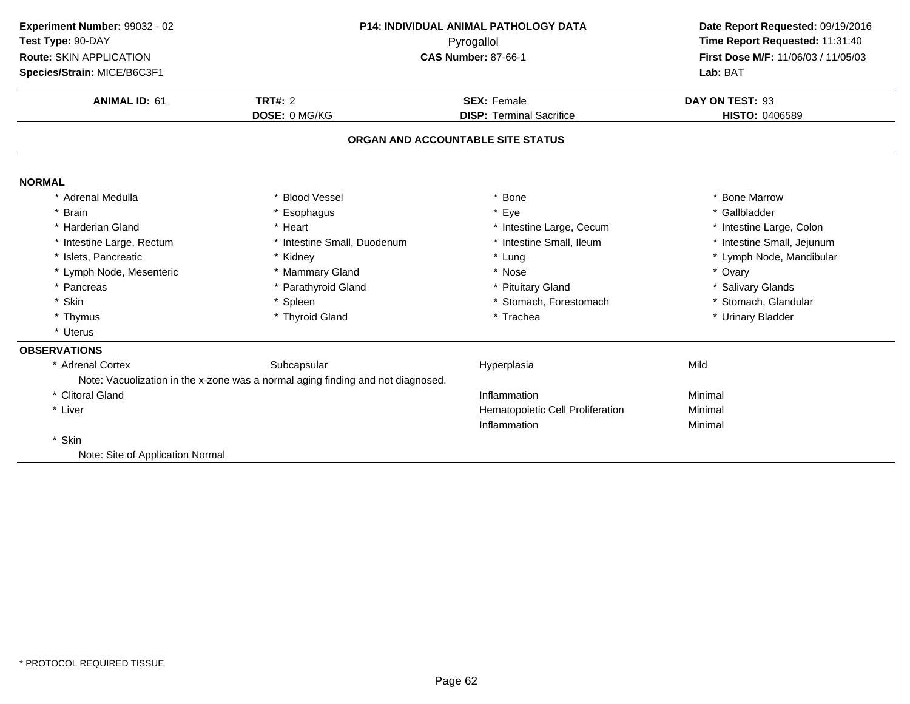| P14: INDIVIDUAL ANIMAL PATHOLOGY DATA<br>Experiment Number: 99032 - 02 |                                                                                 | Date Report Requested: 09/19/2016 |                                     |
|------------------------------------------------------------------------|---------------------------------------------------------------------------------|-----------------------------------|-------------------------------------|
| Test Type: 90-DAY                                                      | Pyrogallol                                                                      |                                   | Time Report Requested: 11:31:40     |
| Route: SKIN APPLICATION                                                |                                                                                 | <b>CAS Number: 87-66-1</b>        | First Dose M/F: 11/06/03 / 11/05/03 |
| Species/Strain: MICE/B6C3F1                                            |                                                                                 |                                   | Lab: BAT                            |
| <b>ANIMAL ID: 61</b>                                                   | <b>TRT#: 2</b>                                                                  | <b>SEX: Female</b>                | DAY ON TEST: 93                     |
|                                                                        | DOSE: 0 MG/KG                                                                   | <b>DISP: Terminal Sacrifice</b>   | HISTO: 0406589                      |
|                                                                        |                                                                                 | ORGAN AND ACCOUNTABLE SITE STATUS |                                     |
| <b>NORMAL</b>                                                          |                                                                                 |                                   |                                     |
| * Adrenal Medulla                                                      | * Blood Vessel                                                                  | * Bone                            | * Bone Marrow                       |
| * Brain                                                                | * Esophagus                                                                     | * Eye                             | * Gallbladder                       |
| * Harderian Gland                                                      | * Heart                                                                         | * Intestine Large, Cecum          | * Intestine Large, Colon            |
| * Intestine Large, Rectum                                              | * Intestine Small, Duodenum                                                     | * Intestine Small, Ileum          | * Intestine Small, Jejunum          |
| * Islets, Pancreatic                                                   | * Kidney                                                                        | * Lung                            | * Lymph Node, Mandibular            |
| * Lymph Node, Mesenteric                                               | * Mammary Gland                                                                 | * Nose                            | * Ovary                             |
| * Pancreas                                                             | * Parathyroid Gland                                                             | * Pituitary Gland                 | * Salivary Glands                   |
| * Skin                                                                 | * Spleen                                                                        | * Stomach, Forestomach            | * Stomach, Glandular                |
| * Thymus                                                               | * Thyroid Gland                                                                 | * Trachea                         | * Urinary Bladder                   |
| * Uterus                                                               |                                                                                 |                                   |                                     |
| <b>OBSERVATIONS</b>                                                    |                                                                                 |                                   |                                     |
| * Adrenal Cortex                                                       | Subcapsular                                                                     | Hyperplasia                       | Mild                                |
|                                                                        | Note: Vacuolization in the x-zone was a normal aging finding and not diagnosed. |                                   |                                     |
| * Clitoral Gland                                                       |                                                                                 | Inflammation                      | Minimal                             |
| * Liver                                                                |                                                                                 | Hematopoietic Cell Proliferation  | Minimal                             |
|                                                                        |                                                                                 | Inflammation                      | Minimal                             |
| * Skin                                                                 |                                                                                 |                                   |                                     |
| Note: Site of Application Normal                                       |                                                                                 |                                   |                                     |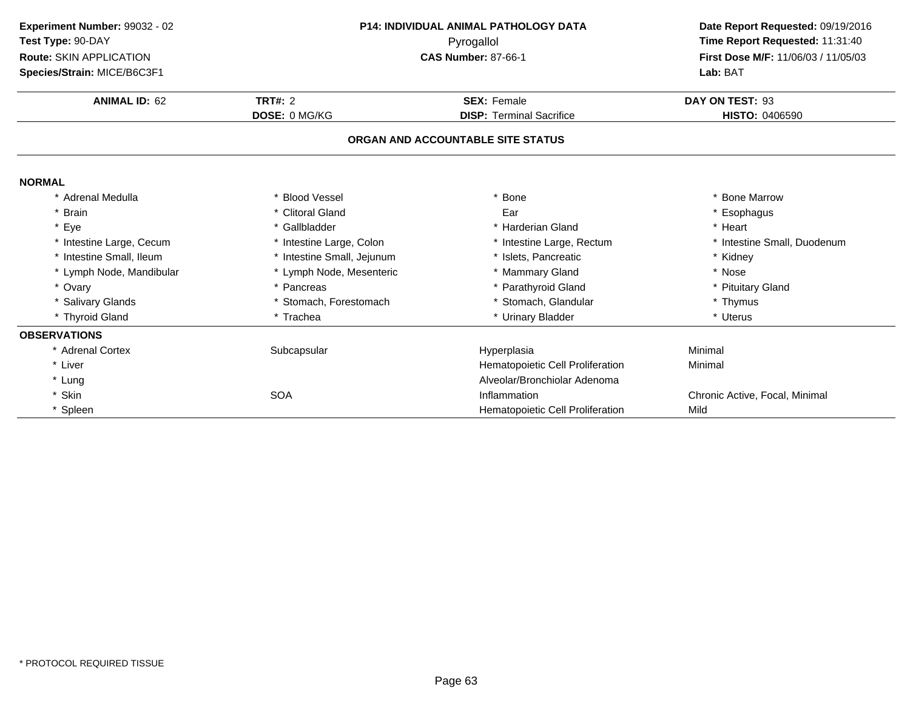| Experiment Number: 99032 - 02 | <b>P14: INDIVIDUAL ANIMAL PATHOLOGY DATA</b><br>Pyrogallol<br><b>CAS Number: 87-66-1</b> |                                   | Date Report Requested: 09/19/2016   |
|-------------------------------|------------------------------------------------------------------------------------------|-----------------------------------|-------------------------------------|
| Test Type: 90-DAY             |                                                                                          |                                   | Time Report Requested: 11:31:40     |
| Route: SKIN APPLICATION       |                                                                                          |                                   | First Dose M/F: 11/06/03 / 11/05/03 |
| Species/Strain: MICE/B6C3F1   |                                                                                          |                                   | Lab: BAT                            |
| <b>ANIMAL ID: 62</b>          | TRT#: $2$                                                                                | <b>SEX: Female</b>                | DAY ON TEST: 93                     |
|                               | <b>DOSE: 0 MG/KG</b>                                                                     | <b>DISP: Terminal Sacrifice</b>   | <b>HISTO: 0406590</b>               |
|                               |                                                                                          | ORGAN AND ACCOUNTABLE SITE STATUS |                                     |
| <b>NORMAL</b>                 |                                                                                          |                                   |                                     |
| * Adrenal Medulla             | * Blood Vessel                                                                           | Bone                              | * Bone Marrow                       |
| * Brain                       | * Clitoral Gland                                                                         | Ear                               | * Esophagus                         |
| * Eye                         | * Gallbladder                                                                            | * Harderian Gland                 | * Heart                             |
| * Intestine Large, Cecum      | * Intestine Large, Colon                                                                 | * Intestine Large, Rectum         | * Intestine Small, Duodenum         |
| * Intestine Small, Ileum      | * Intestine Small, Jejunum                                                               | * Islets, Pancreatic              | * Kidney                            |
| * Lymph Node, Mandibular      | * Lymph Node, Mesenteric                                                                 | * Mammary Gland                   | * Nose                              |
| * Ovary                       | * Pancreas                                                                               | * Parathyroid Gland               | * Pituitary Gland                   |
| * Salivary Glands             | * Stomach, Forestomach                                                                   | * Stomach, Glandular              | * Thymus                            |
| * Thyroid Gland               | * Trachea                                                                                | * Urinary Bladder                 | * Uterus                            |
| <b>OBSERVATIONS</b>           |                                                                                          |                                   |                                     |
| * Adrenal Cortex              | Subcapsular                                                                              | Hyperplasia                       | Minimal                             |
| * Liver                       |                                                                                          | Hematopoietic Cell Proliferation  | Minimal                             |
| * Lung                        |                                                                                          | Alveolar/Bronchiolar Adenoma      |                                     |
| * Skin                        | <b>SOA</b>                                                                               | Inflammation                      | Chronic Active, Focal, Minimal      |
| * Spleen                      |                                                                                          | Hematopoietic Cell Proliferation  | Mild                                |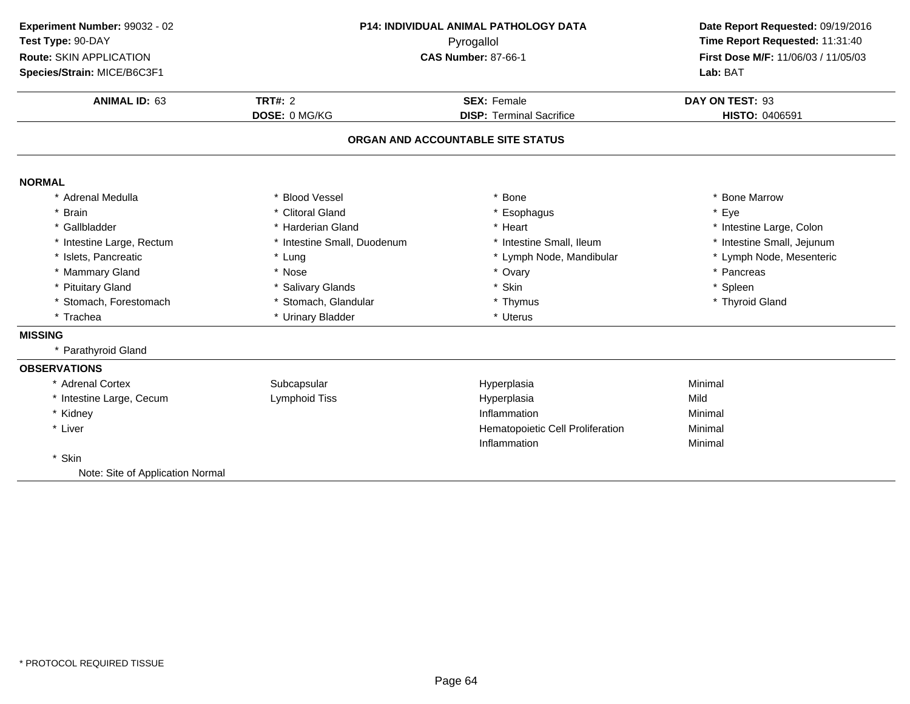| Experiment Number: 99032 - 02    | P14: INDIVIDUAL ANIMAL PATHOLOGY DATA<br>Pyrogallol |                                   | Date Report Requested: 09/19/2016   |  |
|----------------------------------|-----------------------------------------------------|-----------------------------------|-------------------------------------|--|
| Test Type: 90-DAY                |                                                     |                                   | Time Report Requested: 11:31:40     |  |
| Route: SKIN APPLICATION          |                                                     | <b>CAS Number: 87-66-1</b>        | First Dose M/F: 11/06/03 / 11/05/03 |  |
| Species/Strain: MICE/B6C3F1      |                                                     |                                   | Lab: BAT                            |  |
| <b>ANIMAL ID: 63</b>             | <b>TRT#: 2</b>                                      | <b>SEX: Female</b>                | DAY ON TEST: 93                     |  |
|                                  | DOSE: 0 MG/KG                                       | <b>DISP: Terminal Sacrifice</b>   | HISTO: 0406591                      |  |
|                                  |                                                     | ORGAN AND ACCOUNTABLE SITE STATUS |                                     |  |
| <b>NORMAL</b>                    |                                                     |                                   |                                     |  |
| * Adrenal Medulla                | * Blood Vessel                                      | <b>Bone</b>                       | * Bone Marrow                       |  |
| * Brain                          | * Clitoral Gland                                    | Esophagus                         | * Eye                               |  |
| * Gallbladder                    | * Harderian Gland                                   | * Heart                           | * Intestine Large, Colon            |  |
| * Intestine Large, Rectum        | * Intestine Small, Duodenum                         | * Intestine Small, Ileum          | * Intestine Small, Jejunum          |  |
| * Islets, Pancreatic             | * Lung                                              | * Lymph Node, Mandibular          | * Lymph Node, Mesenteric            |  |
| * Mammary Gland                  | * Nose                                              | * Ovary                           | * Pancreas                          |  |
| * Pituitary Gland                | * Salivary Glands                                   | * Skin                            | * Spleen                            |  |
| * Stomach, Forestomach           | * Stomach, Glandular                                | * Thymus                          | * Thyroid Gland                     |  |
| * Trachea                        | * Urinary Bladder                                   | * Uterus                          |                                     |  |
| <b>MISSING</b>                   |                                                     |                                   |                                     |  |
| * Parathyroid Gland              |                                                     |                                   |                                     |  |
| <b>OBSERVATIONS</b>              |                                                     |                                   |                                     |  |
| * Adrenal Cortex                 | Subcapsular                                         | Hyperplasia                       | Minimal                             |  |
| * Intestine Large, Cecum         | Lymphoid Tiss                                       | Hyperplasia                       | Mild                                |  |
| * Kidney                         |                                                     | Inflammation                      | Minimal                             |  |
| * Liver                          |                                                     | Hematopoietic Cell Proliferation  | Minimal                             |  |
|                                  |                                                     | Inflammation                      | Minimal                             |  |
| * Skin                           |                                                     |                                   |                                     |  |
| Note: Site of Application Normal |                                                     |                                   |                                     |  |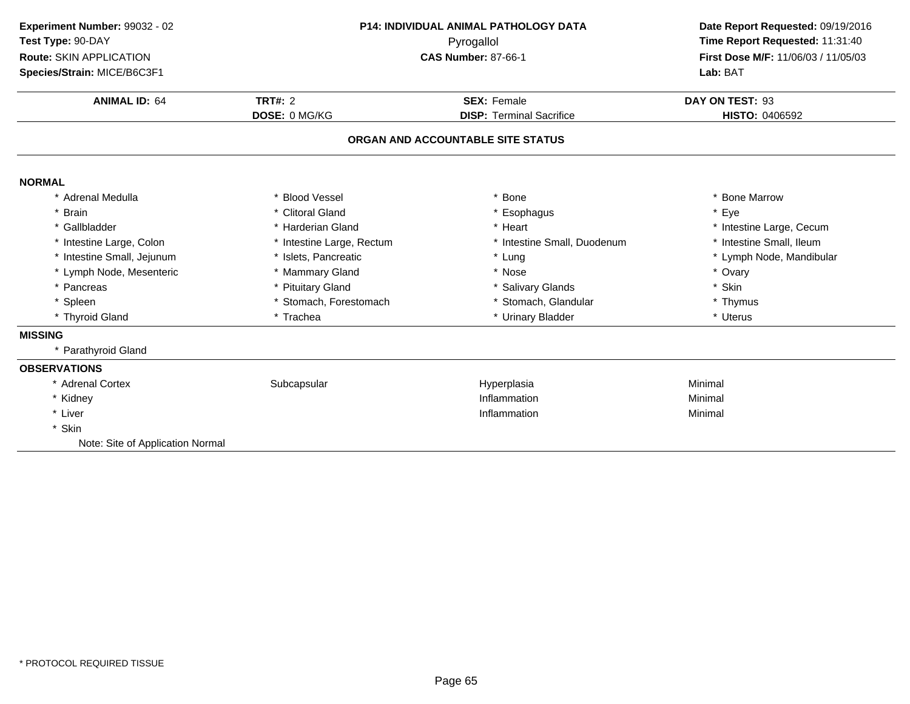| Experiment Number: 99032 - 02    | P14: INDIVIDUAL ANIMAL PATHOLOGY DATA |                                   | Date Report Requested: 09/19/2016                                      |  |
|----------------------------------|---------------------------------------|-----------------------------------|------------------------------------------------------------------------|--|
| Test Type: 90-DAY                |                                       | Pyrogallol                        | Time Report Requested: 11:31:40<br>First Dose M/F: 11/06/03 / 11/05/03 |  |
| <b>Route: SKIN APPLICATION</b>   |                                       | <b>CAS Number: 87-66-1</b>        |                                                                        |  |
| Species/Strain: MICE/B6C3F1      |                                       |                                   | Lab: BAT                                                               |  |
| <b>ANIMAL ID: 64</b>             | <b>TRT#: 2</b>                        | <b>SEX: Female</b>                | DAY ON TEST: 93                                                        |  |
|                                  | DOSE: 0 MG/KG                         | <b>DISP: Terminal Sacrifice</b>   | HISTO: 0406592                                                         |  |
|                                  |                                       | ORGAN AND ACCOUNTABLE SITE STATUS |                                                                        |  |
| <b>NORMAL</b>                    |                                       |                                   |                                                                        |  |
| * Adrenal Medulla                | * Blood Vessel                        | * Bone                            | <b>Bone Marrow</b>                                                     |  |
| * Brain                          | * Clitoral Gland                      | * Esophagus                       | * Eye                                                                  |  |
| * Gallbladder                    | * Harderian Gland                     | * Heart                           | * Intestine Large, Cecum                                               |  |
| * Intestine Large, Colon         | * Intestine Large, Rectum             | * Intestine Small, Duodenum       | * Intestine Small, Ileum                                               |  |
| * Intestine Small, Jejunum       | * Islets, Pancreatic                  | * Lung                            | * Lymph Node, Mandibular                                               |  |
| * Lymph Node, Mesenteric         | * Mammary Gland                       | * Nose                            | * Ovary                                                                |  |
| * Pancreas                       | * Pituitary Gland                     | * Salivary Glands                 | * Skin                                                                 |  |
| * Spleen                         | * Stomach, Forestomach                | * Stomach, Glandular              | * Thymus                                                               |  |
| * Thyroid Gland                  | * Trachea                             | * Urinary Bladder                 | * Uterus                                                               |  |
| <b>MISSING</b>                   |                                       |                                   |                                                                        |  |
| * Parathyroid Gland              |                                       |                                   |                                                                        |  |
| <b>OBSERVATIONS</b>              |                                       |                                   |                                                                        |  |
| * Adrenal Cortex                 | Subcapsular                           | Hyperplasia                       | Minimal                                                                |  |
| * Kidney                         |                                       | Inflammation                      | Minimal                                                                |  |
| * Liver                          |                                       | Inflammation                      | Minimal                                                                |  |
| * Skin                           |                                       |                                   |                                                                        |  |
| Note: Site of Application Normal |                                       |                                   |                                                                        |  |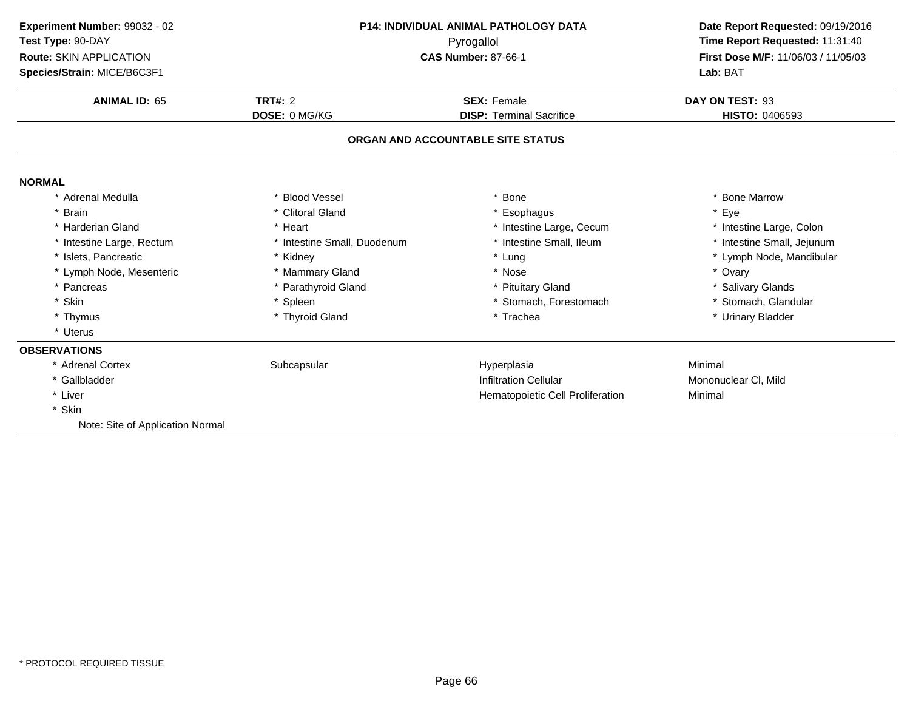| Experiment Number: 99032 - 02    | <b>P14: INDIVIDUAL ANIMAL PATHOLOGY DATA</b><br>Pyrogallol |                                   | Date Report Requested: 09/19/2016   |  |
|----------------------------------|------------------------------------------------------------|-----------------------------------|-------------------------------------|--|
| Test Type: 90-DAY                |                                                            |                                   | Time Report Requested: 11:31:40     |  |
| <b>Route: SKIN APPLICATION</b>   |                                                            | <b>CAS Number: 87-66-1</b>        | First Dose M/F: 11/06/03 / 11/05/03 |  |
| Species/Strain: MICE/B6C3F1      |                                                            |                                   | Lab: BAT                            |  |
| <b>ANIMAL ID: 65</b>             | <b>TRT#: 2</b>                                             | <b>SEX: Female</b>                | DAY ON TEST: 93                     |  |
|                                  | DOSE: 0 MG/KG                                              | <b>DISP: Terminal Sacrifice</b>   | <b>HISTO: 0406593</b>               |  |
|                                  |                                                            | ORGAN AND ACCOUNTABLE SITE STATUS |                                     |  |
| <b>NORMAL</b>                    |                                                            |                                   |                                     |  |
| * Adrenal Medulla                | * Blood Vessel                                             | Bone                              | * Bone Marrow                       |  |
| * Brain                          | * Clitoral Gland                                           | * Esophagus                       | * Eye                               |  |
| * Harderian Gland                | * Heart                                                    | * Intestine Large, Cecum          | * Intestine Large, Colon            |  |
| * Intestine Large, Rectum        | * Intestine Small, Duodenum                                | * Intestine Small, Ileum          | * Intestine Small, Jejunum          |  |
| * Islets, Pancreatic             | * Kidney                                                   | Lung                              | * Lymph Node, Mandibular            |  |
| * Lymph Node, Mesenteric         | * Mammary Gland                                            | * Nose                            | * Ovary                             |  |
| * Pancreas                       | * Parathyroid Gland                                        | * Pituitary Gland                 | * Salivary Glands                   |  |
| * Skin                           | * Spleen                                                   | * Stomach, Forestomach            | * Stomach, Glandular                |  |
| * Thymus                         | * Thyroid Gland                                            | * Trachea                         | * Urinary Bladder                   |  |
| * Uterus                         |                                                            |                                   |                                     |  |
| <b>OBSERVATIONS</b>              |                                                            |                                   |                                     |  |
| * Adrenal Cortex                 | Subcapsular                                                | Hyperplasia                       | Minimal                             |  |
| * Gallbladder                    |                                                            | <b>Infiltration Cellular</b>      | Mononuclear CI, Mild                |  |
| * Liver                          |                                                            | Hematopoietic Cell Proliferation  | Minimal                             |  |
| * Skin                           |                                                            |                                   |                                     |  |
| Note: Site of Application Normal |                                                            |                                   |                                     |  |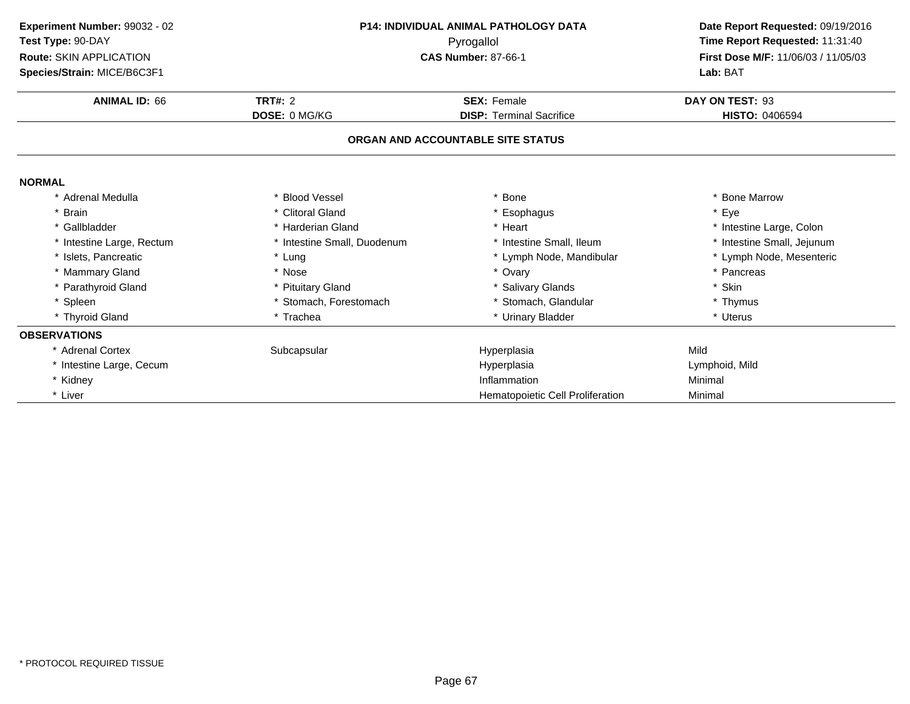| Experiment Number: 99032 - 02<br>Test Type: 90-DAY | <b>P14: INDIVIDUAL ANIMAL PATHOLOGY DATA</b><br>Pyrogallol |                                   | Date Report Requested: 09/19/2016<br>Time Report Requested: 11:31:40 |
|----------------------------------------------------|------------------------------------------------------------|-----------------------------------|----------------------------------------------------------------------|
| <b>Route: SKIN APPLICATION</b>                     |                                                            | <b>CAS Number: 87-66-1</b>        | First Dose M/F: 11/06/03 / 11/05/03                                  |
| Species/Strain: MICE/B6C3F1                        |                                                            |                                   | Lab: BAT                                                             |
| <b>ANIMAL ID: 66</b>                               | <b>TRT#: 2</b>                                             | <b>SEX: Female</b>                | DAY ON TEST: 93                                                      |
|                                                    | <b>DOSE: 0 MG/KG</b>                                       | <b>DISP: Terminal Sacrifice</b>   | <b>HISTO: 0406594</b>                                                |
|                                                    |                                                            | ORGAN AND ACCOUNTABLE SITE STATUS |                                                                      |
| <b>NORMAL</b>                                      |                                                            |                                   |                                                                      |
| * Adrenal Medulla                                  | * Blood Vessel                                             | Bone                              | * Bone Marrow                                                        |
| * Brain                                            | * Clitoral Gland                                           | * Esophagus                       | * Eye                                                                |
| * Gallbladder                                      | * Harderian Gland                                          | * Heart                           | * Intestine Large, Colon                                             |
| * Intestine Large, Rectum                          | * Intestine Small, Duodenum                                | * Intestine Small, Ileum          | * Intestine Small, Jejunum                                           |
| * Islets, Pancreatic                               | * Lung                                                     | Lymph Node, Mandibular            | * Lymph Node, Mesenteric                                             |
| * Mammary Gland                                    | * Nose                                                     | * Ovary                           | * Pancreas                                                           |
| * Parathyroid Gland                                | * Pituitary Gland                                          | * Salivary Glands                 | * Skin                                                               |
| * Spleen                                           | * Stomach, Forestomach                                     | * Stomach, Glandular              | * Thymus                                                             |
| * Thyroid Gland                                    | * Trachea                                                  | * Urinary Bladder                 | * Uterus                                                             |
| <b>OBSERVATIONS</b>                                |                                                            |                                   |                                                                      |
| * Adrenal Cortex                                   | Subcapsular                                                | Hyperplasia                       | Mild                                                                 |
| * Intestine Large, Cecum                           |                                                            | Hyperplasia                       | Lymphoid, Mild                                                       |
| * Kidney                                           |                                                            | Inflammation                      | Minimal                                                              |
| * Liver                                            |                                                            | Hematopoietic Cell Proliferation  | Minimal                                                              |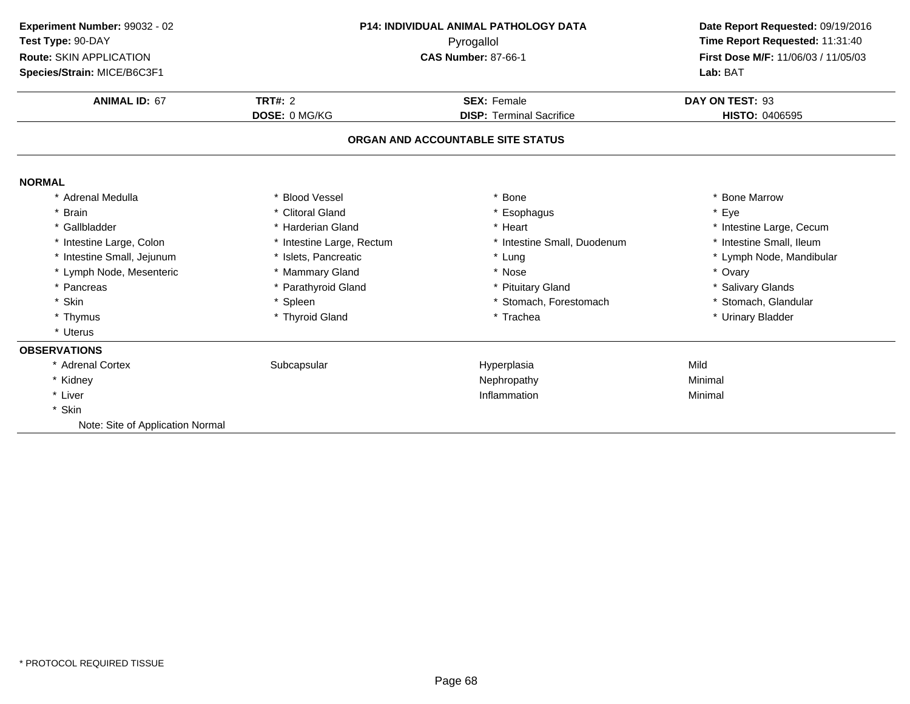| Experiment Number: 99032 - 02<br>Test Type: 90-DAY<br><b>Route: SKIN APPLICATION</b><br>Species/Strain: MICE/B6C3F1 | <b>P14: INDIVIDUAL ANIMAL PATHOLOGY DATA</b><br>Pyrogallol<br><b>CAS Number: 87-66-1</b> |                                   | Date Report Requested: 09/19/2016<br>Time Report Requested: 11:31:40<br>First Dose M/F: 11/06/03 / 11/05/03<br>Lab: BAT |  |
|---------------------------------------------------------------------------------------------------------------------|------------------------------------------------------------------------------------------|-----------------------------------|-------------------------------------------------------------------------------------------------------------------------|--|
| <b>ANIMAL ID: 67</b>                                                                                                | <b>TRT#: 2</b>                                                                           | <b>SEX: Female</b>                | DAY ON TEST: 93                                                                                                         |  |
|                                                                                                                     | DOSE: 0 MG/KG                                                                            | <b>DISP: Terminal Sacrifice</b>   | HISTO: 0406595                                                                                                          |  |
|                                                                                                                     |                                                                                          | ORGAN AND ACCOUNTABLE SITE STATUS |                                                                                                                         |  |
| <b>NORMAL</b>                                                                                                       |                                                                                          |                                   |                                                                                                                         |  |
| * Adrenal Medulla                                                                                                   | <b>Blood Vessel</b>                                                                      | * Bone                            | * Bone Marrow                                                                                                           |  |
| <b>Brain</b>                                                                                                        | * Clitoral Gland                                                                         | * Esophagus                       | * Eye                                                                                                                   |  |
| * Gallbladder                                                                                                       | * Harderian Gland                                                                        | * Heart                           | * Intestine Large, Cecum                                                                                                |  |
| * Intestine Large, Colon                                                                                            | * Intestine Large, Rectum                                                                | * Intestine Small, Duodenum       | * Intestine Small, Ileum                                                                                                |  |
| * Intestine Small, Jejunum                                                                                          | * Islets, Pancreatic                                                                     | * Lung                            | * Lymph Node, Mandibular                                                                                                |  |
| * Lymph Node, Mesenteric                                                                                            | * Mammary Gland                                                                          | * Nose                            | * Ovary                                                                                                                 |  |
| * Pancreas                                                                                                          | * Parathyroid Gland                                                                      | * Pituitary Gland                 | * Salivary Glands                                                                                                       |  |
| Skin                                                                                                                | * Spleen                                                                                 | * Stomach, Forestomach            | * Stomach, Glandular                                                                                                    |  |
| * Thymus                                                                                                            | * Thyroid Gland                                                                          | * Trachea                         | * Urinary Bladder                                                                                                       |  |
| * Uterus                                                                                                            |                                                                                          |                                   |                                                                                                                         |  |
| <b>OBSERVATIONS</b>                                                                                                 |                                                                                          |                                   |                                                                                                                         |  |
| * Adrenal Cortex                                                                                                    | Subcapsular                                                                              | Hyperplasia                       | Mild                                                                                                                    |  |
| * Kidney                                                                                                            |                                                                                          | Nephropathy                       | Minimal                                                                                                                 |  |
| * Liver                                                                                                             |                                                                                          | Inflammation                      | Minimal                                                                                                                 |  |
| * Skin                                                                                                              |                                                                                          |                                   |                                                                                                                         |  |
| Note: Site of Application Normal                                                                                    |                                                                                          |                                   |                                                                                                                         |  |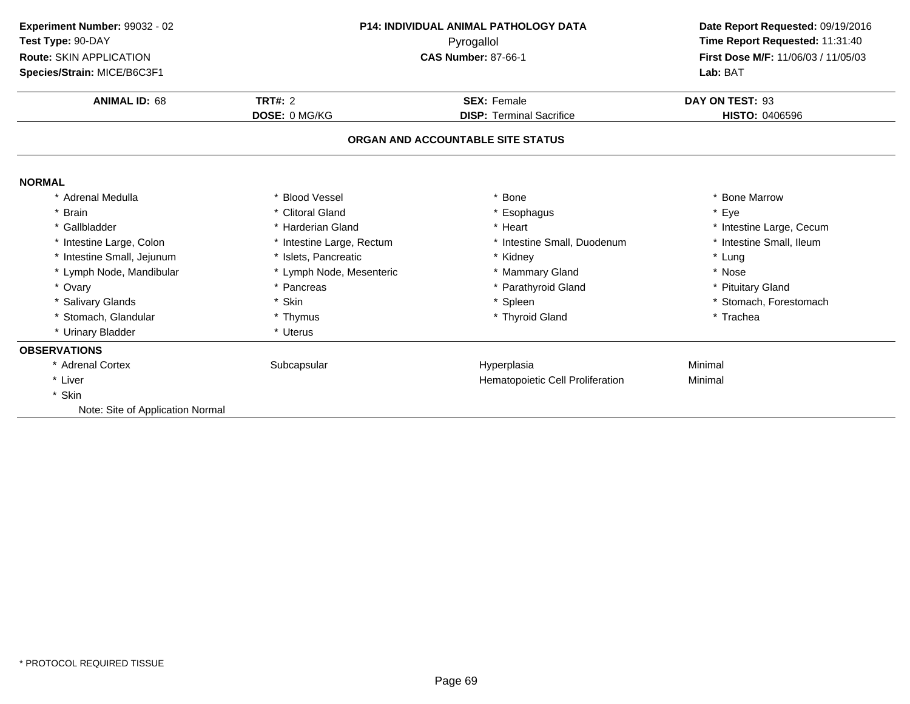| Experiment Number: 99032 - 02    | <b>P14: INDIVIDUAL ANIMAL PATHOLOGY DATA</b> |                                   | Date Report Requested: 09/19/2016   |  |
|----------------------------------|----------------------------------------------|-----------------------------------|-------------------------------------|--|
| Test Type: 90-DAY                |                                              | Time Report Requested: 11:31:40   |                                     |  |
| Route: SKIN APPLICATION          | Pyrogallol<br><b>CAS Number: 87-66-1</b>     |                                   | First Dose M/F: 11/06/03 / 11/05/03 |  |
| Species/Strain: MICE/B6C3F1      |                                              |                                   | Lab: BAT                            |  |
| <b>ANIMAL ID: 68</b>             | <b>TRT#: 2</b>                               | <b>SEX: Female</b>                | DAY ON TEST: 93                     |  |
|                                  | <b>DOSE: 0 MG/KG</b>                         | <b>DISP: Terminal Sacrifice</b>   | <b>HISTO: 0406596</b>               |  |
|                                  |                                              | ORGAN AND ACCOUNTABLE SITE STATUS |                                     |  |
| <b>NORMAL</b>                    |                                              |                                   |                                     |  |
| * Adrenal Medulla                | * Blood Vessel                               | <b>Bone</b>                       | * Bone Marrow                       |  |
| * Brain                          | * Clitoral Gland                             | * Esophagus                       | * Eye                               |  |
| * Gallbladder                    | * Harderian Gland                            | * Heart                           | * Intestine Large, Cecum            |  |
| * Intestine Large, Colon         | * Intestine Large, Rectum                    | * Intestine Small, Duodenum       | * Intestine Small, Ileum            |  |
| * Intestine Small, Jejunum       | * Islets, Pancreatic                         | * Kidney                          | * Lung                              |  |
| * Lymph Node, Mandibular         | * Lymph Node, Mesenteric                     | * Mammary Gland                   | * Nose                              |  |
| * Ovary                          | * Pancreas                                   | * Parathyroid Gland               | * Pituitary Gland                   |  |
| * Salivary Glands                | * Skin                                       | * Spleen                          | * Stomach, Forestomach              |  |
| * Stomach, Glandular             | * Thymus                                     | * Thyroid Gland                   | * Trachea                           |  |
| * Urinary Bladder                | * Uterus                                     |                                   |                                     |  |
| <b>OBSERVATIONS</b>              |                                              |                                   |                                     |  |
| * Adrenal Cortex                 | Subcapsular                                  | Hyperplasia                       | Minimal                             |  |
| * Liver                          |                                              | Hematopoietic Cell Proliferation  | Minimal                             |  |
| * Skin                           |                                              |                                   |                                     |  |
| Note: Site of Application Normal |                                              |                                   |                                     |  |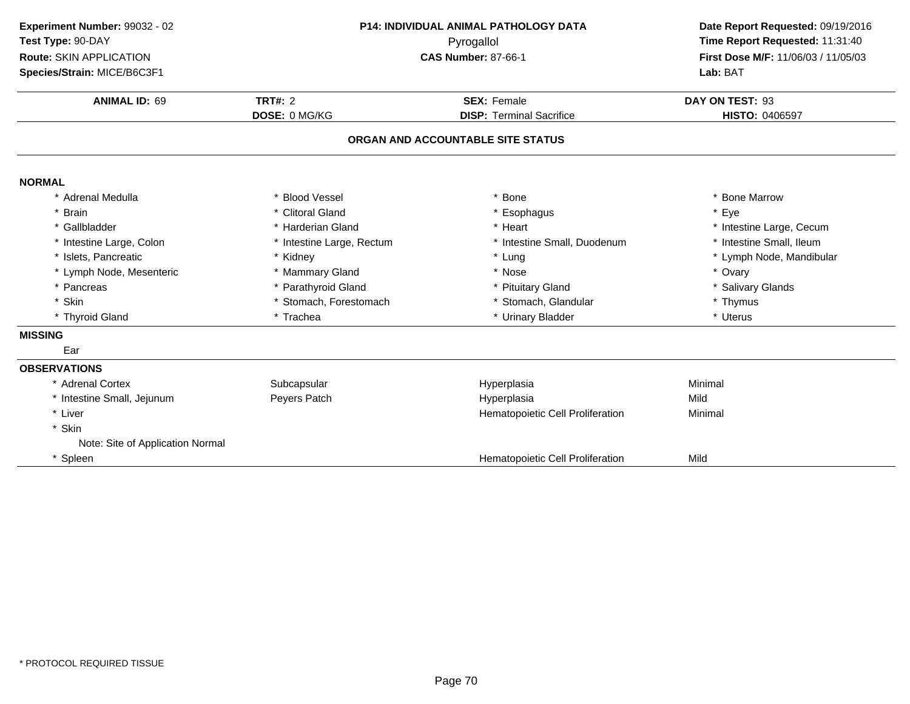| Experiment Number: 99032 - 02                | <b>P14: INDIVIDUAL ANIMAL PATHOLOGY DATA</b> | Date Report Requested: 09/19/2016<br>Time Report Requested: 11:31:40<br>First Dose M/F: 11/06/03 / 11/05/03 |                          |  |
|----------------------------------------------|----------------------------------------------|-------------------------------------------------------------------------------------------------------------|--------------------------|--|
| Test Type: 90-DAY<br>Route: SKIN APPLICATION |                                              |                                                                                                             |                          |  |
| Species/Strain: MICE/B6C3F1                  |                                              | <b>CAS Number: 87-66-1</b>                                                                                  |                          |  |
| <b>ANIMAL ID: 69</b>                         | <b>TRT#: 2</b>                               | <b>SEX: Female</b>                                                                                          |                          |  |
|                                              | DOSE: 0 MG/KG                                | <b>DISP: Terminal Sacrifice</b>                                                                             | HISTO: 0406597           |  |
|                                              |                                              | ORGAN AND ACCOUNTABLE SITE STATUS                                                                           |                          |  |
| <b>NORMAL</b>                                |                                              |                                                                                                             |                          |  |
| * Adrenal Medulla                            | * Blood Vessel                               | * Bone                                                                                                      | * Bone Marrow            |  |
| * Brain                                      | * Clitoral Gland                             | * Esophagus                                                                                                 | * Eye                    |  |
| * Gallbladder                                | * Harderian Gland                            | * Heart                                                                                                     | * Intestine Large, Cecum |  |
| * Intestine Large, Colon                     | * Intestine Large, Rectum                    | * Intestine Small, Duodenum                                                                                 | * Intestine Small, Ileum |  |
| * Islets, Pancreatic                         | * Kidney                                     | * Lung                                                                                                      | * Lymph Node, Mandibular |  |
| * Lymph Node, Mesenteric                     | * Mammary Gland                              | * Nose                                                                                                      | * Ovary                  |  |
| * Pancreas                                   | * Parathyroid Gland                          | * Pituitary Gland                                                                                           | * Salivary Glands        |  |
| * Skin                                       | * Stomach, Forestomach                       | * Stomach, Glandular                                                                                        | * Thymus                 |  |
| * Thyroid Gland                              | * Trachea                                    | * Urinary Bladder                                                                                           | * Uterus                 |  |
| <b>MISSING</b>                               |                                              |                                                                                                             |                          |  |
| Ear                                          |                                              |                                                                                                             |                          |  |
| <b>OBSERVATIONS</b>                          |                                              |                                                                                                             |                          |  |
| * Adrenal Cortex                             | Subcapsular                                  | Hyperplasia                                                                                                 | Minimal                  |  |
| * Intestine Small, Jejunum                   | Peyers Patch                                 | Hyperplasia                                                                                                 | Mild                     |  |
| * Liver                                      |                                              | Hematopoietic Cell Proliferation                                                                            | Minimal                  |  |
| * Skin                                       |                                              |                                                                                                             |                          |  |
| Note: Site of Application Normal             |                                              |                                                                                                             |                          |  |
| * Spleen                                     |                                              | Hematopoietic Cell Proliferation                                                                            | Mild                     |  |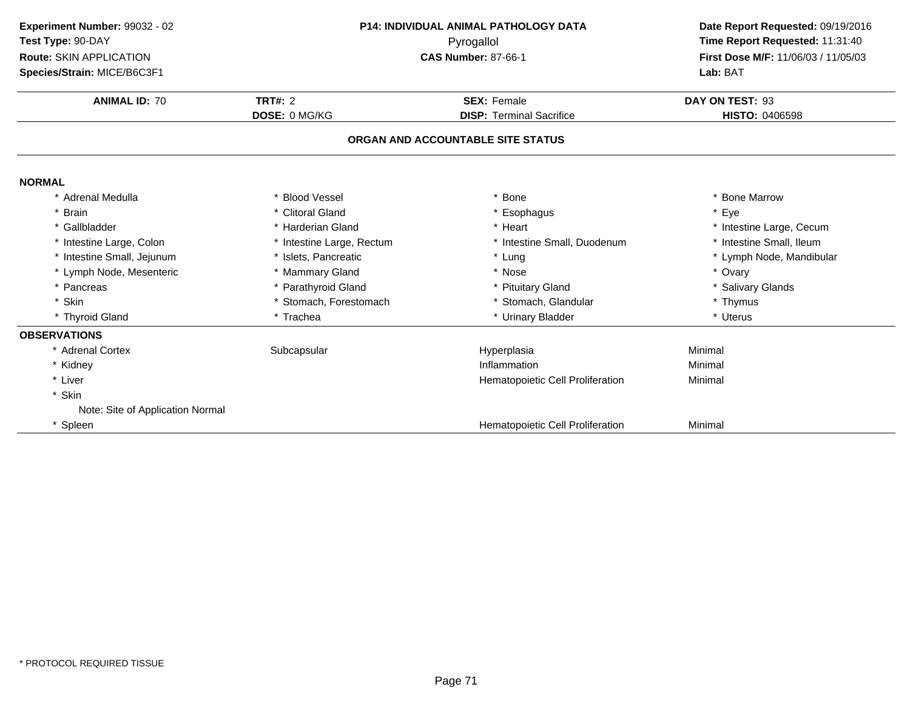| Experiment Number: 99032 - 02<br>Test Type: 90-DAY<br>Route: SKIN APPLICATION<br>Species/Strain: MICE/B6C3F1 | <b>P14: INDIVIDUAL ANIMAL PATHOLOGY DATA</b><br>Pyrogallol<br><b>CAS Number: 87-66-1</b> |                                   | Date Report Requested: 09/19/2016<br>Time Report Requested: 11:31:40<br>First Dose M/F: 11/06/03 / 11/05/03<br>Lab: BAT |  |
|--------------------------------------------------------------------------------------------------------------|------------------------------------------------------------------------------------------|-----------------------------------|-------------------------------------------------------------------------------------------------------------------------|--|
| <b>ANIMAL ID: 70</b>                                                                                         | <b>TRT#: 2</b>                                                                           | <b>SEX: Female</b>                |                                                                                                                         |  |
|                                                                                                              | DOSE: 0 MG/KG                                                                            | <b>DISP: Terminal Sacrifice</b>   | HISTO: 0406598                                                                                                          |  |
|                                                                                                              |                                                                                          | ORGAN AND ACCOUNTABLE SITE STATUS |                                                                                                                         |  |
| <b>NORMAL</b>                                                                                                |                                                                                          |                                   |                                                                                                                         |  |
| * Adrenal Medulla                                                                                            | <b>Blood Vessel</b>                                                                      | <b>Bone</b>                       | * Bone Marrow                                                                                                           |  |
| * Brain                                                                                                      | * Clitoral Gland                                                                         | * Esophagus                       | * Eye                                                                                                                   |  |
| * Gallbladder                                                                                                | * Harderian Gland                                                                        | * Heart                           | * Intestine Large, Cecum                                                                                                |  |
| * Intestine Large, Colon                                                                                     | * Intestine Large, Rectum                                                                | * Intestine Small, Duodenum       | * Intestine Small, Ileum                                                                                                |  |
| * Intestine Small, Jejunum                                                                                   | * Islets, Pancreatic                                                                     | * Lung                            | * Lymph Node, Mandibular                                                                                                |  |
| * Lymph Node, Mesenteric                                                                                     | * Mammary Gland                                                                          | * Nose                            | * Ovary                                                                                                                 |  |
| * Pancreas                                                                                                   | * Parathyroid Gland                                                                      | * Pituitary Gland                 | * Salivary Glands                                                                                                       |  |
| * Skin                                                                                                       | * Stomach, Forestomach                                                                   | * Stomach, Glandular              | * Thymus                                                                                                                |  |
| * Thyroid Gland                                                                                              | * Trachea                                                                                | * Urinary Bladder                 | * Uterus                                                                                                                |  |
| <b>OBSERVATIONS</b>                                                                                          |                                                                                          |                                   |                                                                                                                         |  |
| * Adrenal Cortex                                                                                             | Subcapsular                                                                              | Hyperplasia                       | Minimal                                                                                                                 |  |
| * Kidney                                                                                                     |                                                                                          | Inflammation                      | Minimal                                                                                                                 |  |
| * Liver                                                                                                      |                                                                                          | Hematopoietic Cell Proliferation  | Minimal                                                                                                                 |  |
| * Skin                                                                                                       |                                                                                          |                                   |                                                                                                                         |  |
| Note: Site of Application Normal                                                                             |                                                                                          |                                   |                                                                                                                         |  |
| * Spleen                                                                                                     |                                                                                          | Hematopoietic Cell Proliferation  | Minimal                                                                                                                 |  |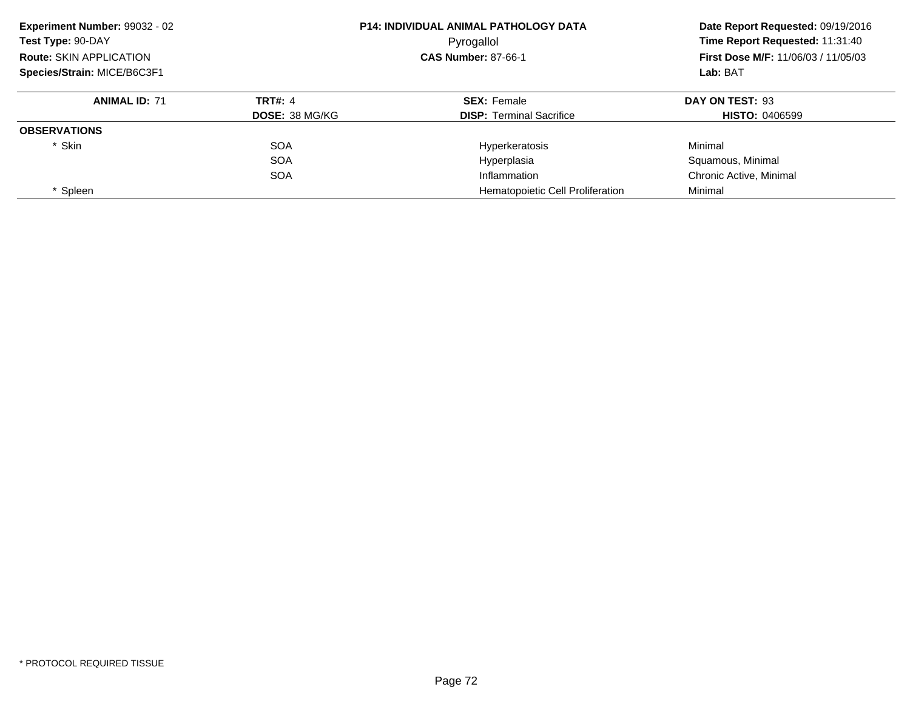| Experiment Number: 99032 - 02<br><b>P14: INDIVIDUAL ANIMAL PATHOLOGY DATA</b><br>Test Type: 90-DAY<br>Pyrogallol<br><b>Route: SKIN APPLICATION</b><br><b>CAS Number: 87-66-1</b><br>Species/Strain: MICE/B6C3F1 |                       |                                  | Date Report Requested: 09/19/2016<br>Time Report Requested: 11:31:40<br><b>First Dose M/F: 11/06/03 / 11/05/03</b> |
|-----------------------------------------------------------------------------------------------------------------------------------------------------------------------------------------------------------------|-----------------------|----------------------------------|--------------------------------------------------------------------------------------------------------------------|
|                                                                                                                                                                                                                 |                       |                                  |                                                                                                                    |
|                                                                                                                                                                                                                 |                       | Lab: BAT                         |                                                                                                                    |
| <b>ANIMAL ID: 71</b>                                                                                                                                                                                            | <b>TRT#: 4</b>        | <b>SEX: Female</b>               | DAY ON TEST: 93                                                                                                    |
|                                                                                                                                                                                                                 | <b>DOSE: 38 MG/KG</b> | <b>DISP:</b> Terminal Sacrifice  | <b>HISTO: 0406599</b>                                                                                              |
| <b>OBSERVATIONS</b>                                                                                                                                                                                             |                       |                                  |                                                                                                                    |
| * Skin                                                                                                                                                                                                          | <b>SOA</b>            | Hyperkeratosis                   | Minimal                                                                                                            |
|                                                                                                                                                                                                                 | <b>SOA</b>            | Hyperplasia                      | Squamous, Minimal                                                                                                  |
|                                                                                                                                                                                                                 | <b>SOA</b>            | Inflammation                     | Chronic Active, Minimal                                                                                            |
| * Spleen                                                                                                                                                                                                        |                       | Hematopoietic Cell Proliferation | Minimal                                                                                                            |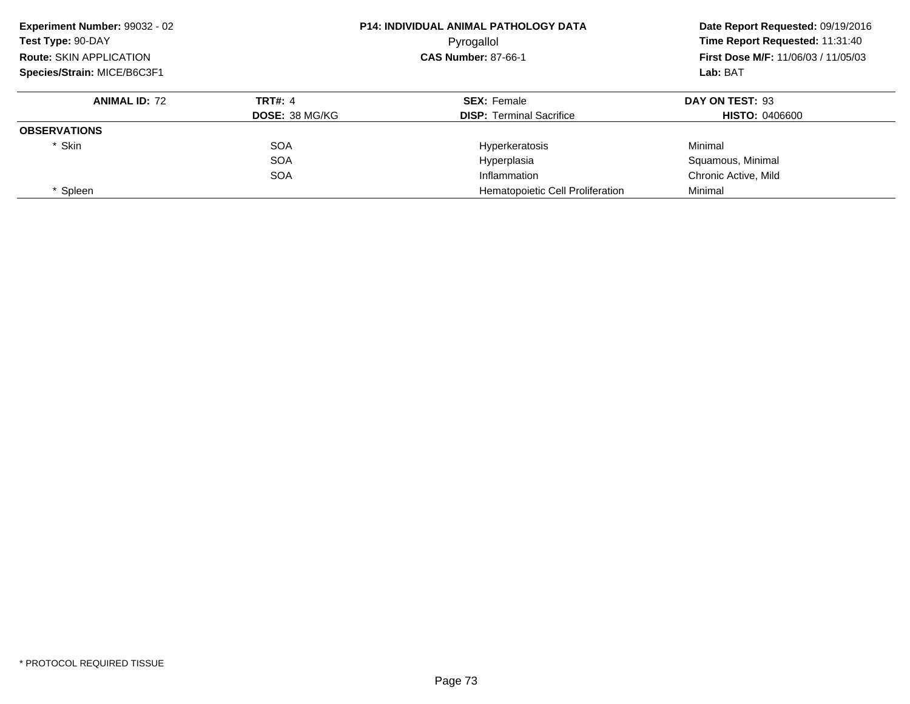| Experiment Number: 99032 - 02<br>Test Type: 90-DAY<br><b>Route: SKIN APPLICATION</b><br>Species/Strain: MICE/B6C3F1 |                       | <b>P14: INDIVIDUAL ANIMAL PATHOLOGY DATA</b><br>Pyrogallol | Date Report Requested: 09/19/2016<br>Time Report Requested: 11:31:40<br><b>First Dose M/F: 11/06/03 / 11/05/03</b><br>Lab: BAT |
|---------------------------------------------------------------------------------------------------------------------|-----------------------|------------------------------------------------------------|--------------------------------------------------------------------------------------------------------------------------------|
|                                                                                                                     |                       | <b>CAS Number: 87-66-1</b>                                 |                                                                                                                                |
|                                                                                                                     |                       |                                                            |                                                                                                                                |
| <b>ANIMAL ID: 72</b>                                                                                                | <b>TRT#: 4</b>        | <b>SEX: Female</b>                                         | DAY ON TEST: 93                                                                                                                |
|                                                                                                                     | <b>DOSE: 38 MG/KG</b> | <b>DISP:</b> Terminal Sacrifice                            | <b>HISTO: 0406600</b>                                                                                                          |
| <b>OBSERVATIONS</b>                                                                                                 |                       |                                                            |                                                                                                                                |
| * Skin                                                                                                              | <b>SOA</b>            | Hyperkeratosis                                             | Minimal                                                                                                                        |
|                                                                                                                     | <b>SOA</b>            | Hyperplasia                                                | Squamous, Minimal                                                                                                              |
|                                                                                                                     | <b>SOA</b>            | Inflammation                                               | Chronic Active, Mild                                                                                                           |
| * Spleen                                                                                                            |                       | <b>Hematopoietic Cell Proliferation</b>                    | Minimal                                                                                                                        |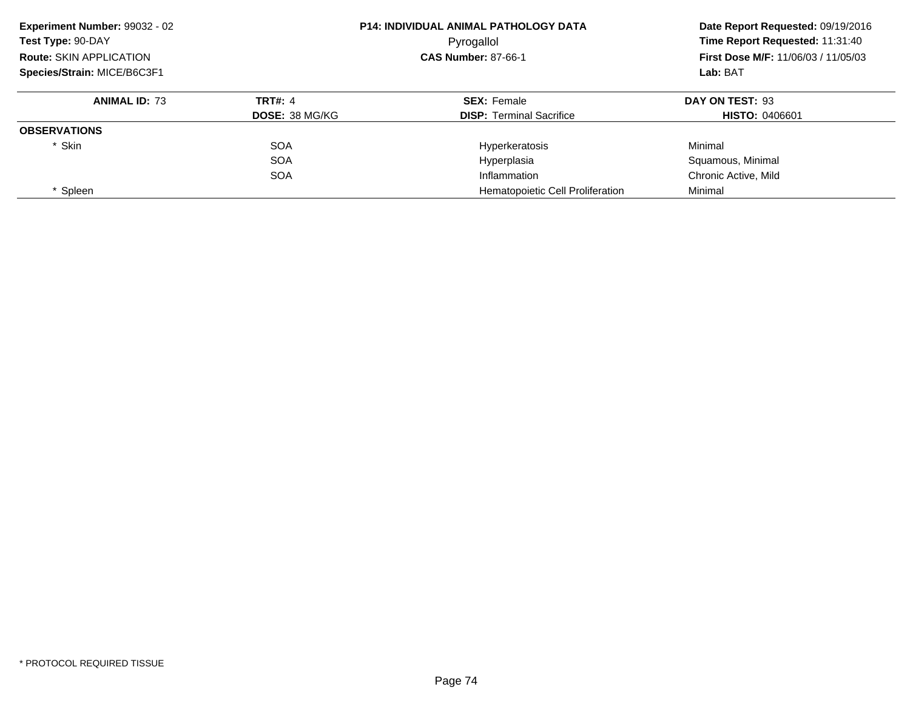| Experiment Number: 99032 - 02<br>Test Type: 90-DAY<br><b>Route: SKIN APPLICATION</b><br>Species/Strain: MICE/B6C3F1 |                       | <b>P14: INDIVIDUAL ANIMAL PATHOLOGY DATA</b><br>Pyrogallol | Date Report Requested: 09/19/2016<br>Time Report Requested: 11:31:40<br><b>First Dose M/F: 11/06/03 / 11/05/03</b><br>Lab: BAT |
|---------------------------------------------------------------------------------------------------------------------|-----------------------|------------------------------------------------------------|--------------------------------------------------------------------------------------------------------------------------------|
|                                                                                                                     |                       | <b>CAS Number: 87-66-1</b>                                 |                                                                                                                                |
|                                                                                                                     |                       |                                                            |                                                                                                                                |
| <b>ANIMAL ID: 73</b>                                                                                                | <b>TRT#: 4</b>        | <b>SEX: Female</b>                                         | DAY ON TEST: 93                                                                                                                |
|                                                                                                                     | <b>DOSE: 38 MG/KG</b> | <b>DISP:</b> Terminal Sacrifice                            | <b>HISTO: 0406601</b>                                                                                                          |
| <b>OBSERVATIONS</b>                                                                                                 |                       |                                                            |                                                                                                                                |
| * Skin                                                                                                              | <b>SOA</b>            | Hyperkeratosis                                             | Minimal                                                                                                                        |
|                                                                                                                     | <b>SOA</b>            | Hyperplasia                                                | Squamous, Minimal                                                                                                              |
|                                                                                                                     | <b>SOA</b>            | Inflammation                                               | Chronic Active, Mild                                                                                                           |
| * Spleen                                                                                                            |                       | Hematopoietic Cell Proliferation                           | Minimal                                                                                                                        |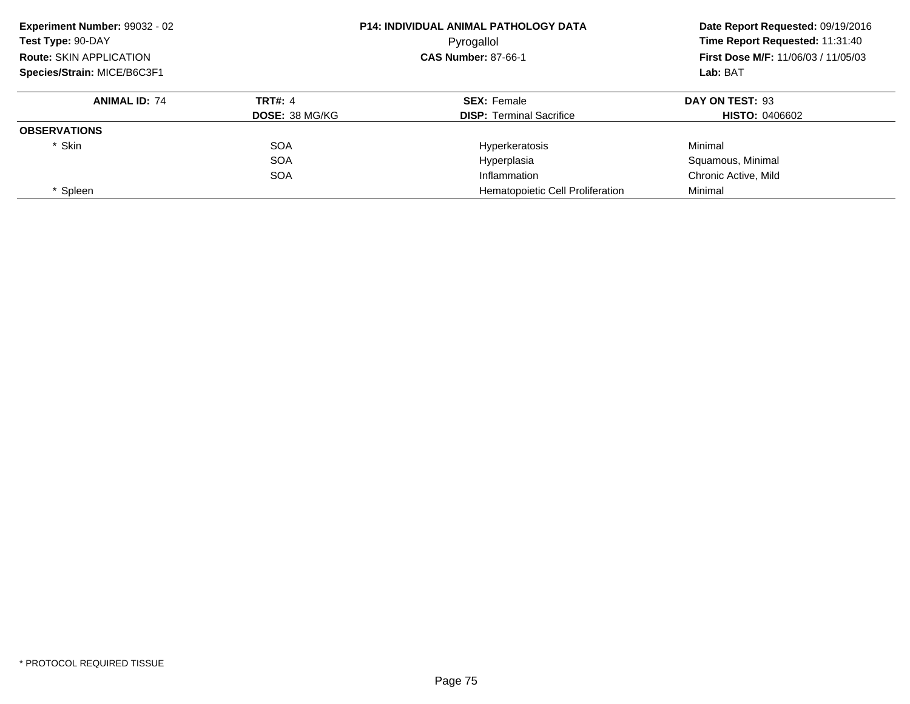| Experiment Number: 99032 - 02<br>Test Type: 90-DAY<br><b>Route: SKIN APPLICATION</b><br>Species/Strain: MICE/B6C3F1 |                       | <b>P14: INDIVIDUAL ANIMAL PATHOLOGY DATA</b><br>Pyrogallol | Date Report Requested: 09/19/2016<br>Time Report Requested: 11:31:40<br><b>First Dose M/F: 11/06/03 / 11/05/03</b><br>Lab: BAT |
|---------------------------------------------------------------------------------------------------------------------|-----------------------|------------------------------------------------------------|--------------------------------------------------------------------------------------------------------------------------------|
|                                                                                                                     |                       | <b>CAS Number: 87-66-1</b>                                 |                                                                                                                                |
|                                                                                                                     |                       |                                                            |                                                                                                                                |
| <b>ANIMAL ID: 74</b>                                                                                                | <b>TRT#: 4</b>        | <b>SEX: Female</b>                                         | DAY ON TEST: 93                                                                                                                |
|                                                                                                                     | <b>DOSE: 38 MG/KG</b> | <b>DISP:</b> Terminal Sacrifice                            | <b>HISTO: 0406602</b>                                                                                                          |
| <b>OBSERVATIONS</b>                                                                                                 |                       |                                                            |                                                                                                                                |
| * Skin                                                                                                              | <b>SOA</b>            | Hyperkeratosis                                             | Minimal                                                                                                                        |
|                                                                                                                     | <b>SOA</b>            | Hyperplasia                                                | Squamous, Minimal                                                                                                              |
|                                                                                                                     | <b>SOA</b>            | Inflammation                                               | Chronic Active, Mild                                                                                                           |
| * Spleen                                                                                                            |                       | Hematopoietic Cell Proliferation                           | Minimal                                                                                                                        |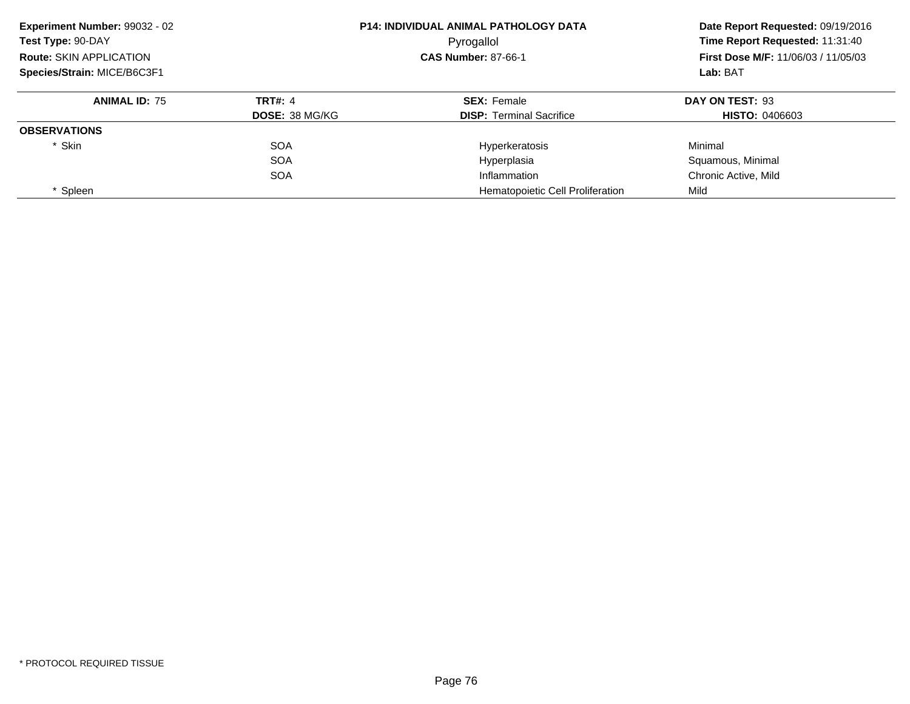| Experiment Number: 99032 - 02<br>Test Type: 90-DAY<br><b>Route: SKIN APPLICATION</b><br>Species/Strain: MICE/B6C3F1 |                       | <b>P14: INDIVIDUAL ANIMAL PATHOLOGY DATA</b><br>Pyrogallol | Date Report Requested: 09/19/2016<br>Time Report Requested: 11:31:40<br><b>First Dose M/F: 11/06/03 / 11/05/03</b><br>Lab: BAT |
|---------------------------------------------------------------------------------------------------------------------|-----------------------|------------------------------------------------------------|--------------------------------------------------------------------------------------------------------------------------------|
|                                                                                                                     |                       | <b>CAS Number: 87-66-1</b>                                 |                                                                                                                                |
|                                                                                                                     |                       |                                                            |                                                                                                                                |
| <b>ANIMAL ID: 75</b>                                                                                                | <b>TRT#: 4</b>        | <b>SEX: Female</b>                                         | DAY ON TEST: 93                                                                                                                |
|                                                                                                                     | <b>DOSE: 38 MG/KG</b> | <b>DISP:</b> Terminal Sacrifice                            | <b>HISTO: 0406603</b>                                                                                                          |
| <b>OBSERVATIONS</b>                                                                                                 |                       |                                                            |                                                                                                                                |
| * Skin                                                                                                              | <b>SOA</b>            | Hyperkeratosis                                             | Minimal                                                                                                                        |
|                                                                                                                     | <b>SOA</b>            | Hyperplasia                                                | Squamous, Minimal                                                                                                              |
|                                                                                                                     | <b>SOA</b>            | Inflammation                                               | Chronic Active, Mild                                                                                                           |
| * Spleen                                                                                                            |                       | Hematopoietic Cell Proliferation                           | Mild                                                                                                                           |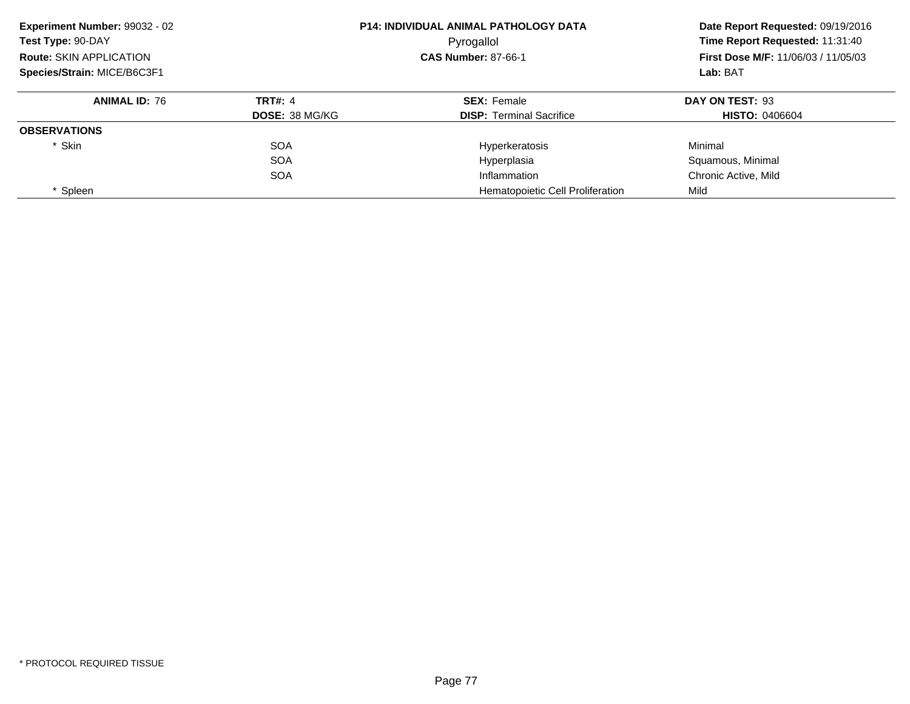| Experiment Number: 99032 - 02<br>Test Type: 90-DAY<br><b>Route: SKIN APPLICATION</b><br>Species/Strain: MICE/B6C3F1 |                       | <b>P14: INDIVIDUAL ANIMAL PATHOLOGY DATA</b><br>Pyrogallol | Date Report Requested: 09/19/2016<br>Time Report Requested: 11:31:40<br><b>First Dose M/F: 11/06/03 / 11/05/03</b><br>Lab: BAT |
|---------------------------------------------------------------------------------------------------------------------|-----------------------|------------------------------------------------------------|--------------------------------------------------------------------------------------------------------------------------------|
|                                                                                                                     |                       | <b>CAS Number: 87-66-1</b>                                 |                                                                                                                                |
|                                                                                                                     |                       |                                                            |                                                                                                                                |
| <b>ANIMAL ID: 76</b>                                                                                                | <b>TRT#: 4</b>        | <b>SEX: Female</b>                                         | DAY ON TEST: 93                                                                                                                |
|                                                                                                                     | <b>DOSE: 38 MG/KG</b> | <b>DISP:</b> Terminal Sacrifice                            | <b>HISTO: 0406604</b>                                                                                                          |
| <b>OBSERVATIONS</b>                                                                                                 |                       |                                                            |                                                                                                                                |
| * Skin                                                                                                              | <b>SOA</b>            | Hyperkeratosis                                             | Minimal                                                                                                                        |
|                                                                                                                     | <b>SOA</b>            | Hyperplasia                                                | Squamous, Minimal                                                                                                              |
|                                                                                                                     | <b>SOA</b>            | Inflammation                                               | Chronic Active, Mild                                                                                                           |
| * Spleen                                                                                                            |                       | <b>Hematopoietic Cell Proliferation</b>                    | Mild                                                                                                                           |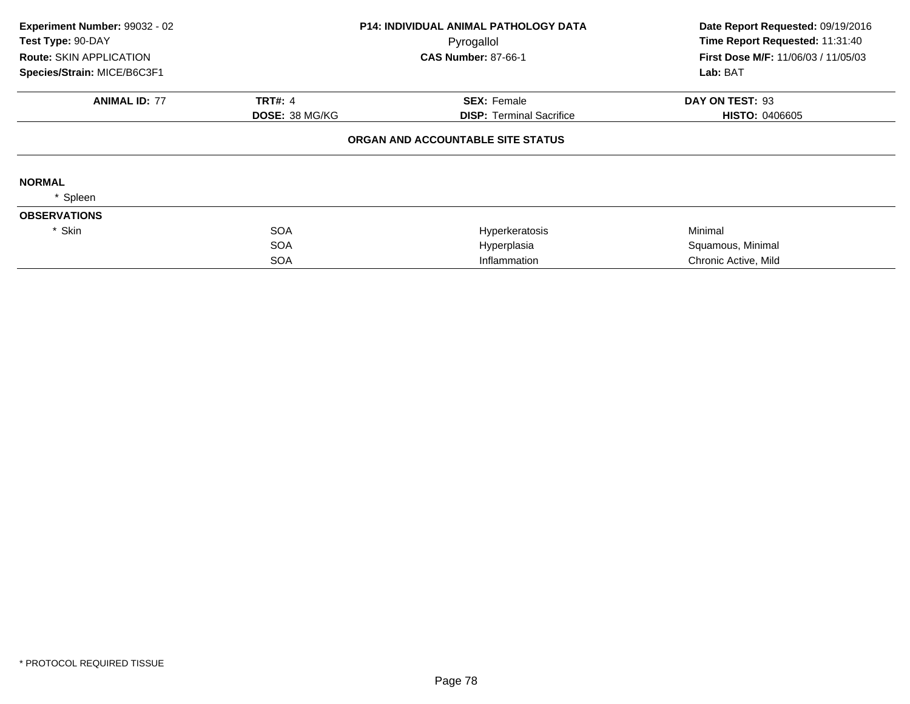| Experiment Number: 99032 - 02  |                       | <b>P14: INDIVIDUAL ANIMAL PATHOLOGY DATA</b> | Date Report Requested: 09/19/2016          |  |
|--------------------------------|-----------------------|----------------------------------------------|--------------------------------------------|--|
| Test Type: 90-DAY              |                       | Pyrogallol                                   | Time Report Requested: 11:31:40            |  |
| <b>Route: SKIN APPLICATION</b> |                       | <b>CAS Number: 87-66-1</b>                   | <b>First Dose M/F: 11/06/03 / 11/05/03</b> |  |
| Species/Strain: MICE/B6C3F1    |                       |                                              | Lab: BAT                                   |  |
| <b>ANIMAL ID: 77</b>           | <b>TRT#: 4</b>        | <b>SEX: Female</b>                           | DAY ON TEST: 93                            |  |
|                                | <b>DOSE: 38 MG/KG</b> | <b>DISP: Terminal Sacrifice</b>              | <b>HISTO: 0406605</b>                      |  |
|                                |                       | ORGAN AND ACCOUNTABLE SITE STATUS            |                                            |  |
| <b>NORMAL</b>                  |                       |                                              |                                            |  |
| Spleen                         |                       |                                              |                                            |  |
| <b>OBSERVATIONS</b>            |                       |                                              |                                            |  |
| * Skin                         | <b>SOA</b>            | Hyperkeratosis                               | Minimal                                    |  |
|                                | <b>SOA</b>            | Hyperplasia                                  | Squamous, Minimal                          |  |
|                                | <b>SOA</b>            | Inflammation                                 | Chronic Active, Mild                       |  |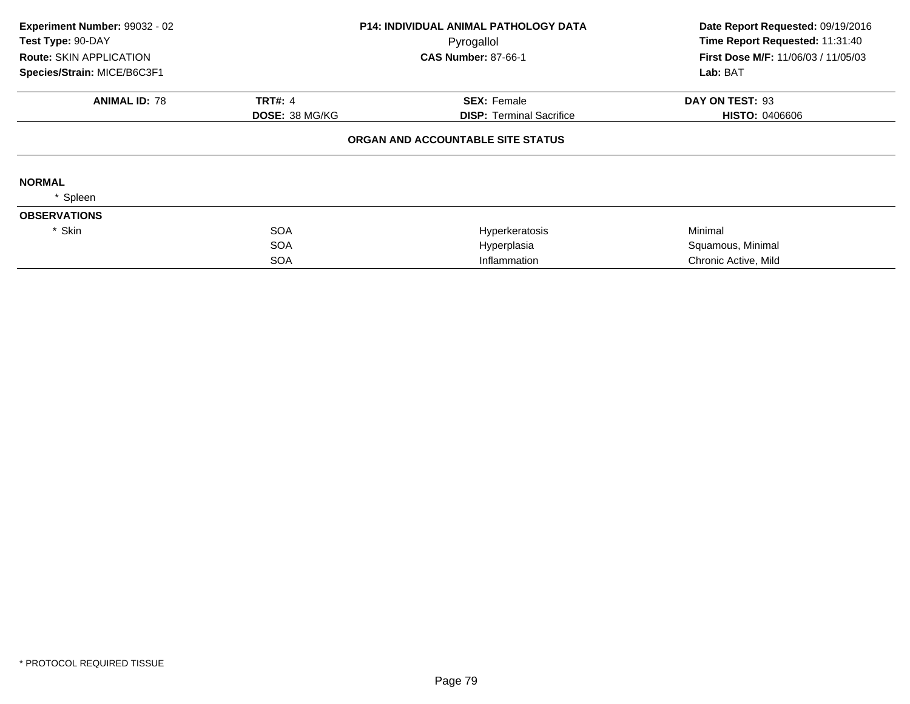| Experiment Number: 99032 - 02  |                       | <b>P14: INDIVIDUAL ANIMAL PATHOLOGY DATA</b> | Date Report Requested: 09/19/2016          |
|--------------------------------|-----------------------|----------------------------------------------|--------------------------------------------|
| Test Type: 90-DAY              |                       | Pyrogallol                                   | Time Report Requested: 11:31:40            |
| <b>Route: SKIN APPLICATION</b> |                       | <b>CAS Number: 87-66-1</b>                   | <b>First Dose M/F: 11/06/03 / 11/05/03</b> |
| Species/Strain: MICE/B6C3F1    |                       |                                              | Lab: BAT                                   |
| <b>ANIMAL ID: 78</b>           | <b>TRT#: 4</b>        | <b>SEX: Female</b>                           | DAY ON TEST: 93                            |
|                                | <b>DOSE: 38 MG/KG</b> | <b>DISP: Terminal Sacrifice</b>              | <b>HISTO: 0406606</b>                      |
|                                |                       | ORGAN AND ACCOUNTABLE SITE STATUS            |                                            |
| <b>NORMAL</b>                  |                       |                                              |                                            |
| Spleen                         |                       |                                              |                                            |
| <b>OBSERVATIONS</b>            |                       |                                              |                                            |
| * Skin                         | <b>SOA</b>            | Hyperkeratosis                               | Minimal                                    |
|                                | <b>SOA</b>            | Hyperplasia                                  | Squamous, Minimal                          |
|                                | <b>SOA</b>            | Inflammation                                 | Chronic Active, Mild                       |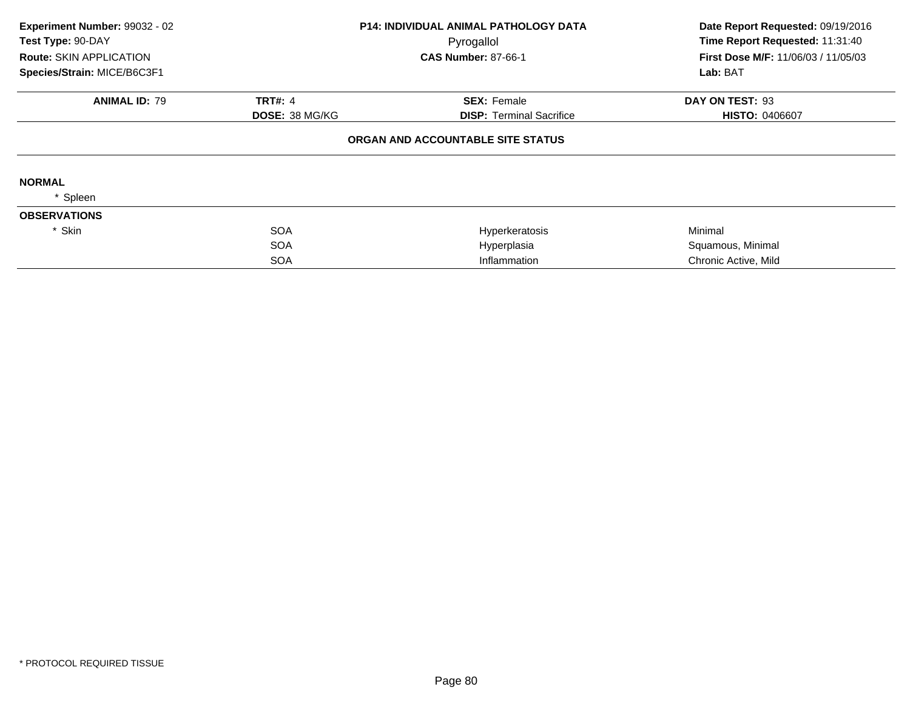| Experiment Number: 99032 - 02  |                       | <b>P14: INDIVIDUAL ANIMAL PATHOLOGY DATA</b> | Date Report Requested: 09/19/2016   |  |
|--------------------------------|-----------------------|----------------------------------------------|-------------------------------------|--|
| Test Type: 90-DAY              |                       | Pyrogallol                                   | Time Report Requested: 11:31:40     |  |
| <b>Route: SKIN APPLICATION</b> |                       | <b>CAS Number: 87-66-1</b>                   | First Dose M/F: 11/06/03 / 11/05/03 |  |
| Species/Strain: MICE/B6C3F1    |                       |                                              | Lab: BAT                            |  |
| <b>ANIMAL ID: 79</b>           | <b>TRT#: 4</b>        | <b>SEX: Female</b>                           | DAY ON TEST: 93                     |  |
|                                | <b>DOSE: 38 MG/KG</b> | <b>DISP:</b> Terminal Sacrifice              | <b>HISTO: 0406607</b>               |  |
|                                |                       | ORGAN AND ACCOUNTABLE SITE STATUS            |                                     |  |
| <b>NORMAL</b>                  |                       |                                              |                                     |  |
| Spleen                         |                       |                                              |                                     |  |
| <b>OBSERVATIONS</b>            |                       |                                              |                                     |  |
| * Skin                         | <b>SOA</b>            | Hyperkeratosis                               | Minimal                             |  |
|                                | <b>SOA</b>            | Hyperplasia                                  | Squamous, Minimal                   |  |
|                                | <b>SOA</b>            | Inflammation                                 | Chronic Active, Mild                |  |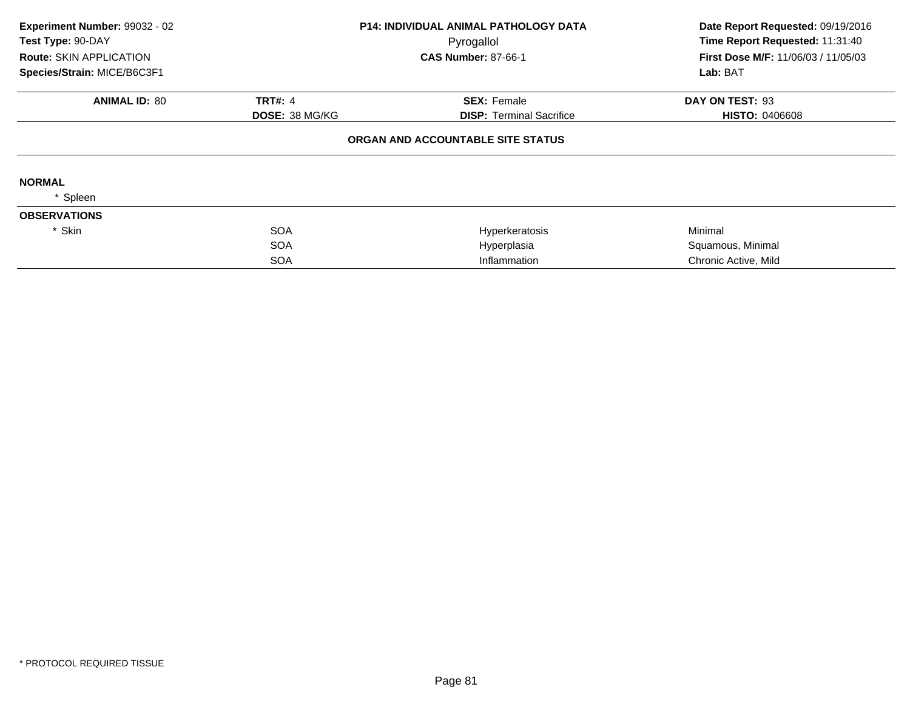| Experiment Number: 99032 - 02  |                       | <b>P14: INDIVIDUAL ANIMAL PATHOLOGY DATA</b> | Date Report Requested: 09/19/2016   |  |
|--------------------------------|-----------------------|----------------------------------------------|-------------------------------------|--|
| Test Type: 90-DAY              |                       | Pyrogallol                                   | Time Report Requested: 11:31:40     |  |
| <b>Route: SKIN APPLICATION</b> |                       | <b>CAS Number: 87-66-1</b>                   | First Dose M/F: 11/06/03 / 11/05/03 |  |
| Species/Strain: MICE/B6C3F1    |                       |                                              | Lab: BAT                            |  |
| <b>ANIMAL ID: 80</b>           | <b>TRT#: 4</b>        | <b>SEX: Female</b>                           | DAY ON TEST: 93                     |  |
|                                | <b>DOSE: 38 MG/KG</b> | <b>DISP:</b> Terminal Sacrifice              | <b>HISTO: 0406608</b>               |  |
|                                |                       | ORGAN AND ACCOUNTABLE SITE STATUS            |                                     |  |
| <b>NORMAL</b>                  |                       |                                              |                                     |  |
| Spleen                         |                       |                                              |                                     |  |
| <b>OBSERVATIONS</b>            |                       |                                              |                                     |  |
| * Skin                         | <b>SOA</b>            | Hyperkeratosis                               | Minimal                             |  |
|                                | <b>SOA</b>            | Hyperplasia                                  | Squamous, Minimal                   |  |
|                                | <b>SOA</b>            | Inflammation                                 | Chronic Active, Mild                |  |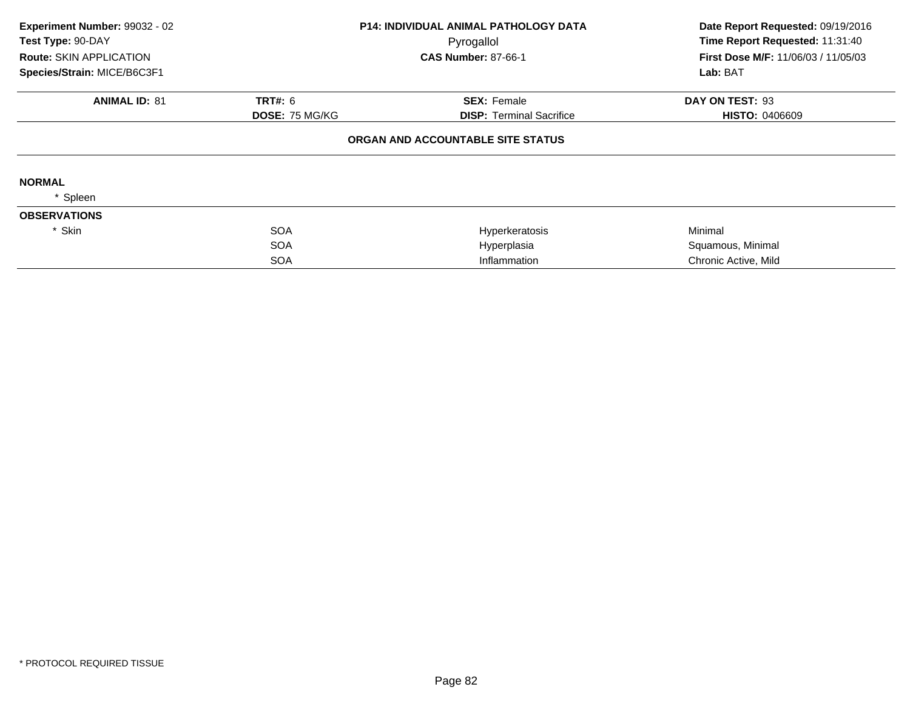| Experiment Number: 99032 - 02<br>Test Type: 90-DAY |                | <b>P14: INDIVIDUAL ANIMAL PATHOLOGY DATA</b> | Date Report Requested: 09/19/2016<br>Time Report Requested: 11:31:40 |  |
|----------------------------------------------------|----------------|----------------------------------------------|----------------------------------------------------------------------|--|
|                                                    |                | Pyrogallol<br><b>CAS Number: 87-66-1</b>     | First Dose M/F: 11/06/03 / 11/05/03                                  |  |
| <b>Route: SKIN APPLICATION</b>                     |                |                                              |                                                                      |  |
| Species/Strain: MICE/B6C3F1                        |                |                                              | Lab: BAT                                                             |  |
| <b>ANIMAL ID: 81</b>                               | <b>TRT#: 6</b> | <b>SEX: Female</b>                           | DAY ON TEST: 93                                                      |  |
|                                                    | DOSE: 75 MG/KG | <b>DISP:</b> Terminal Sacrifice              | <b>HISTO: 0406609</b>                                                |  |
|                                                    |                | ORGAN AND ACCOUNTABLE SITE STATUS            |                                                                      |  |
| <b>NORMAL</b>                                      |                |                                              |                                                                      |  |
| Spleen                                             |                |                                              |                                                                      |  |
| <b>OBSERVATIONS</b>                                |                |                                              |                                                                      |  |
| * Skin                                             | <b>SOA</b>     | Hyperkeratosis                               | Minimal                                                              |  |
|                                                    | <b>SOA</b>     | Hyperplasia                                  | Squamous, Minimal                                                    |  |
|                                                    | <b>SOA</b>     | Inflammation                                 | Chronic Active, Mild                                                 |  |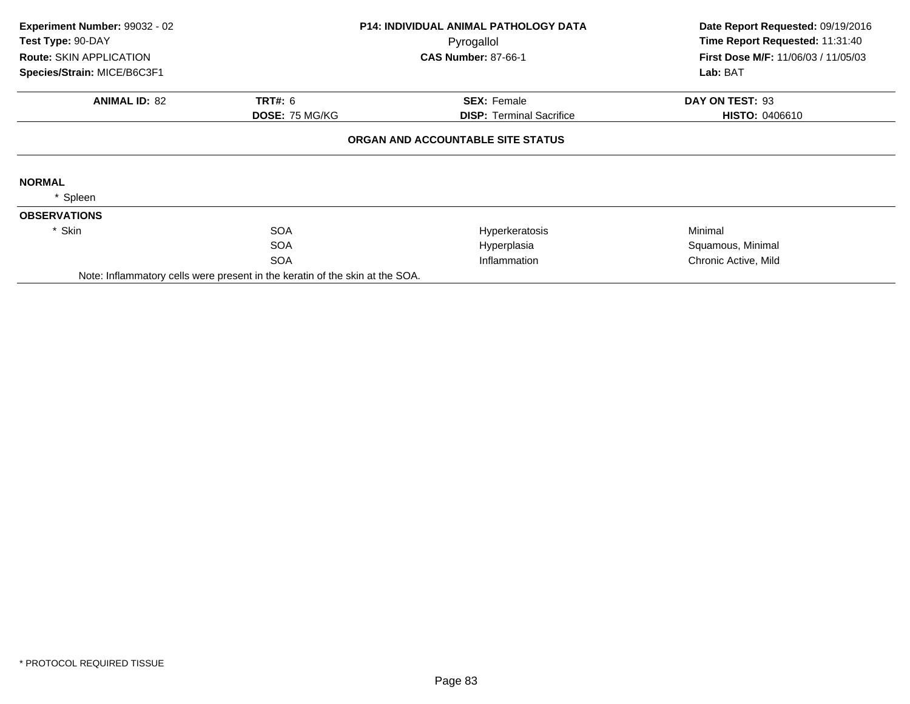| Experiment Number: 99032 - 02<br>Test Type: 90-DAY |                                                                              | <b>P14: INDIVIDUAL ANIMAL PATHOLOGY DATA</b> | Date Report Requested: 09/19/2016   |  |
|----------------------------------------------------|------------------------------------------------------------------------------|----------------------------------------------|-------------------------------------|--|
|                                                    |                                                                              | Pyrogallol                                   | Time Report Requested: 11:31:40     |  |
| Route: SKIN APPLICATION                            |                                                                              | <b>CAS Number: 87-66-1</b>                   | First Dose M/F: 11/06/03 / 11/05/03 |  |
| Species/Strain: MICE/B6C3F1                        |                                                                              |                                              | Lab: BAT                            |  |
| <b>ANIMAL ID: 82</b>                               | <b>TRT#: 6</b>                                                               | <b>SEX: Female</b>                           | DAY ON TEST: 93                     |  |
|                                                    | <b>DOSE: 75 MG/KG</b>                                                        | <b>DISP: Terminal Sacrifice</b>              | <b>HISTO: 0406610</b>               |  |
|                                                    |                                                                              | ORGAN AND ACCOUNTABLE SITE STATUS            |                                     |  |
| <b>NORMAL</b>                                      |                                                                              |                                              |                                     |  |
| * Spleen                                           |                                                                              |                                              |                                     |  |
| <b>OBSERVATIONS</b>                                |                                                                              |                                              |                                     |  |
| * Skin                                             | <b>SOA</b>                                                                   | Hyperkeratosis                               | Minimal                             |  |
|                                                    | <b>SOA</b>                                                                   | Hyperplasia                                  | Squamous, Minimal                   |  |
|                                                    | <b>SOA</b>                                                                   | Inflammation                                 | Chronic Active, Mild                |  |
|                                                    | Note: Inflammatory cells were present in the keratin of the skin at the SOA. |                                              |                                     |  |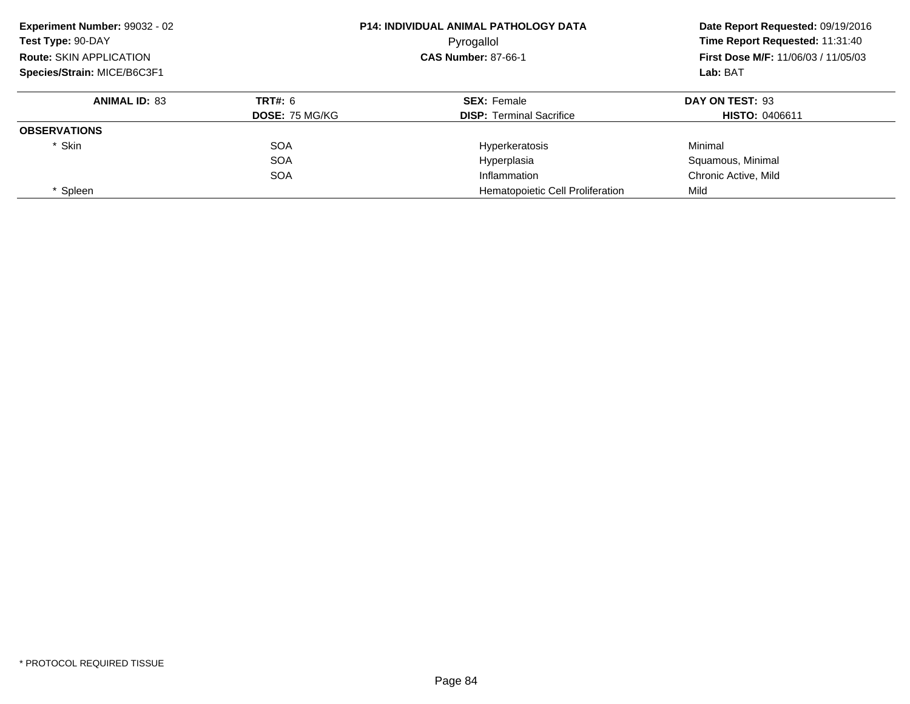| Experiment Number: 99032 - 02<br>Test Type: 90-DAY<br><b>Route: SKIN APPLICATION</b><br>Species/Strain: MICE/B6C3F1 |                       | <b>P14: INDIVIDUAL ANIMAL PATHOLOGY DATA</b><br>Pyrogallol | Date Report Requested: 09/19/2016<br>Time Report Requested: 11:31:40<br><b>First Dose M/F: 11/06/03 / 11/05/03</b><br>Lab: BAT |
|---------------------------------------------------------------------------------------------------------------------|-----------------------|------------------------------------------------------------|--------------------------------------------------------------------------------------------------------------------------------|
|                                                                                                                     |                       | <b>CAS Number: 87-66-1</b>                                 |                                                                                                                                |
|                                                                                                                     |                       |                                                            |                                                                                                                                |
| <b>ANIMAL ID: 83</b>                                                                                                | TRT#: 6               | <b>SEX: Female</b>                                         | DAY ON TEST: 93                                                                                                                |
|                                                                                                                     | <b>DOSE: 75 MG/KG</b> | <b>DISP:</b> Terminal Sacrifice                            | <b>HISTO: 0406611</b>                                                                                                          |
| <b>OBSERVATIONS</b>                                                                                                 |                       |                                                            |                                                                                                                                |
| * Skin                                                                                                              | <b>SOA</b>            | Hyperkeratosis                                             | Minimal                                                                                                                        |
|                                                                                                                     | <b>SOA</b>            | Hyperplasia                                                | Squamous, Minimal                                                                                                              |
|                                                                                                                     | <b>SOA</b>            | Inflammation                                               | Chronic Active, Mild                                                                                                           |
| * Spleen                                                                                                            |                       | Hematopoietic Cell Proliferation                           | Mild                                                                                                                           |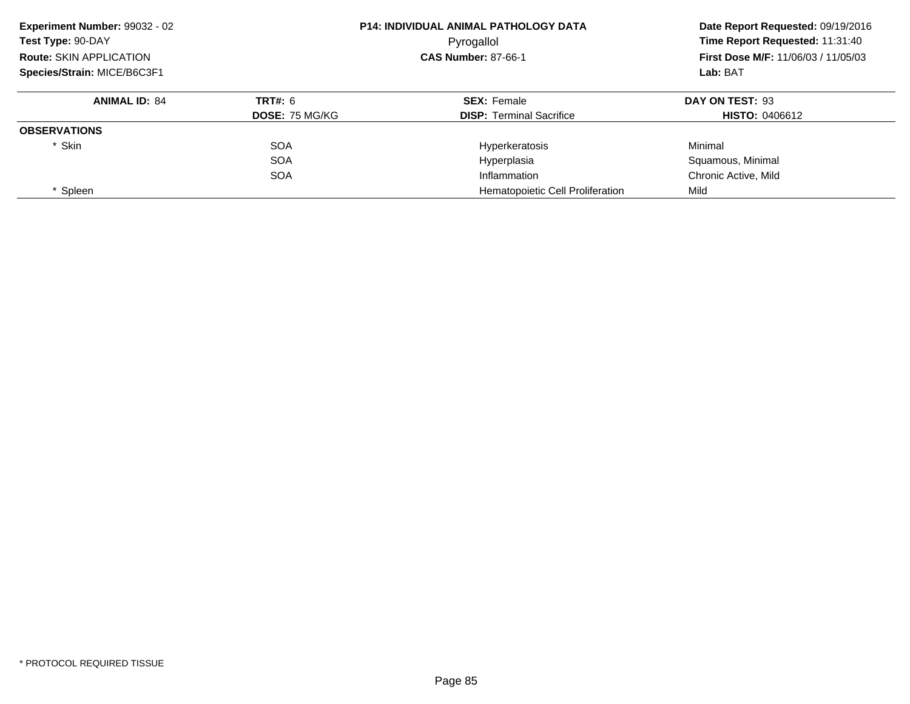| Experiment Number: 99032 - 02  |                       | <b>P14: INDIVIDUAL ANIMAL PATHOLOGY DATA</b> | Date Report Requested: 09/19/2016<br>Time Report Requested: 11:31:40 |
|--------------------------------|-----------------------|----------------------------------------------|----------------------------------------------------------------------|
| Test Type: 90-DAY              |                       | Pyrogallol                                   |                                                                      |
| <b>Route: SKIN APPLICATION</b> |                       | <b>CAS Number: 87-66-1</b>                   | <b>First Dose M/F: 11/06/03 / 11/05/03</b>                           |
| Species/Strain: MICE/B6C3F1    |                       |                                              | Lab: BAT                                                             |
| <b>ANIMAL ID: 84</b>           | TRT#: 6               | <b>SEX: Female</b>                           | DAY ON TEST: 93                                                      |
|                                | <b>DOSE: 75 MG/KG</b> | <b>DISP:</b> Terminal Sacrifice              | <b>HISTO: 0406612</b>                                                |
| <b>OBSERVATIONS</b>            |                       |                                              |                                                                      |
| * Skin                         | <b>SOA</b>            | Hyperkeratosis                               | Minimal                                                              |
|                                | <b>SOA</b>            | Hyperplasia                                  | Squamous, Minimal                                                    |
|                                | <b>SOA</b>            | Inflammation                                 | Chronic Active, Mild                                                 |
| * Spleen                       |                       | Hematopoietic Cell Proliferation             | Mild                                                                 |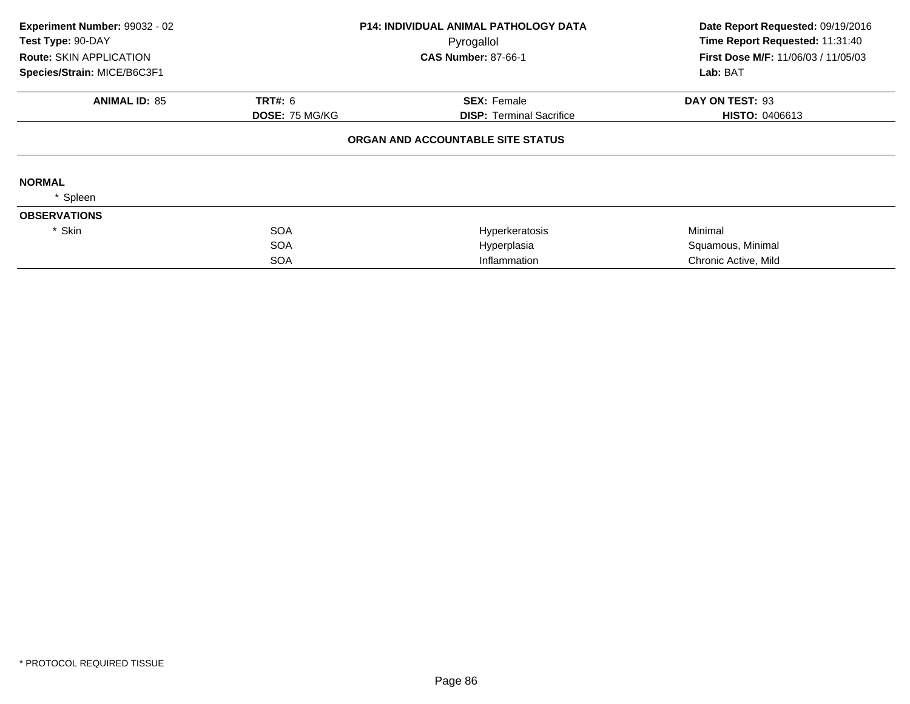| Experiment Number: 99032 - 02  |                | <b>P14: INDIVIDUAL ANIMAL PATHOLOGY DATA</b> | Date Report Requested: 09/19/2016          |
|--------------------------------|----------------|----------------------------------------------|--------------------------------------------|
| Test Type: 90-DAY              |                | Pyrogallol                                   | Time Report Requested: 11:31:40            |
| <b>Route: SKIN APPLICATION</b> |                | <b>CAS Number: 87-66-1</b>                   | <b>First Dose M/F: 11/06/03 / 11/05/03</b> |
| Species/Strain: MICE/B6C3F1    |                |                                              | Lab: BAT                                   |
| <b>ANIMAL ID: 85</b>           | <b>TRT#: 6</b> | <b>SEX: Female</b>                           | DAY ON TEST: 93                            |
|                                | DOSE: 75 MG/KG | <b>DISP: Terminal Sacrifice</b>              | <b>HISTO: 0406613</b>                      |
|                                |                | ORGAN AND ACCOUNTABLE SITE STATUS            |                                            |
| <b>NORMAL</b>                  |                |                                              |                                            |
| Spleen                         |                |                                              |                                            |
| <b>OBSERVATIONS</b>            |                |                                              |                                            |
| * Skin                         | <b>SOA</b>     | Hyperkeratosis                               | Minimal                                    |
|                                | <b>SOA</b>     | Hyperplasia                                  | Squamous, Minimal                          |
|                                | <b>SOA</b>     | Inflammation                                 | Chronic Active, Mild                       |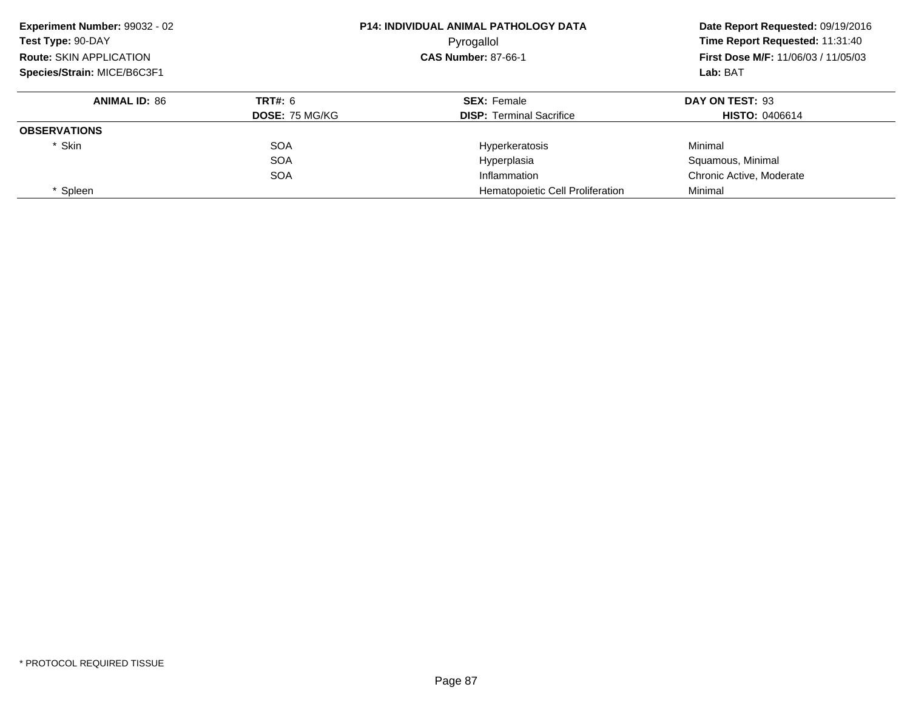| Experiment Number: 99032 - 02  |                       | <b>P14: INDIVIDUAL ANIMAL PATHOLOGY DATA</b> | Date Report Requested: 09/19/2016<br>Time Report Requested: 11:31:40 |
|--------------------------------|-----------------------|----------------------------------------------|----------------------------------------------------------------------|
| Test Type: 90-DAY              |                       | Pyrogallol                                   |                                                                      |
| <b>Route: SKIN APPLICATION</b> |                       | <b>CAS Number: 87-66-1</b>                   | <b>First Dose M/F: 11/06/03 / 11/05/03</b>                           |
| Species/Strain: MICE/B6C3F1    |                       |                                              | Lab: BAT                                                             |
| <b>ANIMAL ID: 86</b>           | <b>TRT#: 6</b>        | <b>SEX: Female</b>                           | DAY ON TEST: 93                                                      |
|                                | <b>DOSE: 75 MG/KG</b> | <b>DISP: Terminal Sacrifice</b>              | <b>HISTO: 0406614</b>                                                |
| <b>OBSERVATIONS</b>            |                       |                                              |                                                                      |
| * Skin                         | <b>SOA</b>            | Hyperkeratosis                               | Minimal                                                              |
|                                | <b>SOA</b>            | Hyperplasia                                  | Squamous, Minimal                                                    |
|                                | <b>SOA</b>            | Inflammation                                 | Chronic Active, Moderate                                             |
| * Spleen                       |                       | Hematopoietic Cell Proliferation             | Minimal                                                              |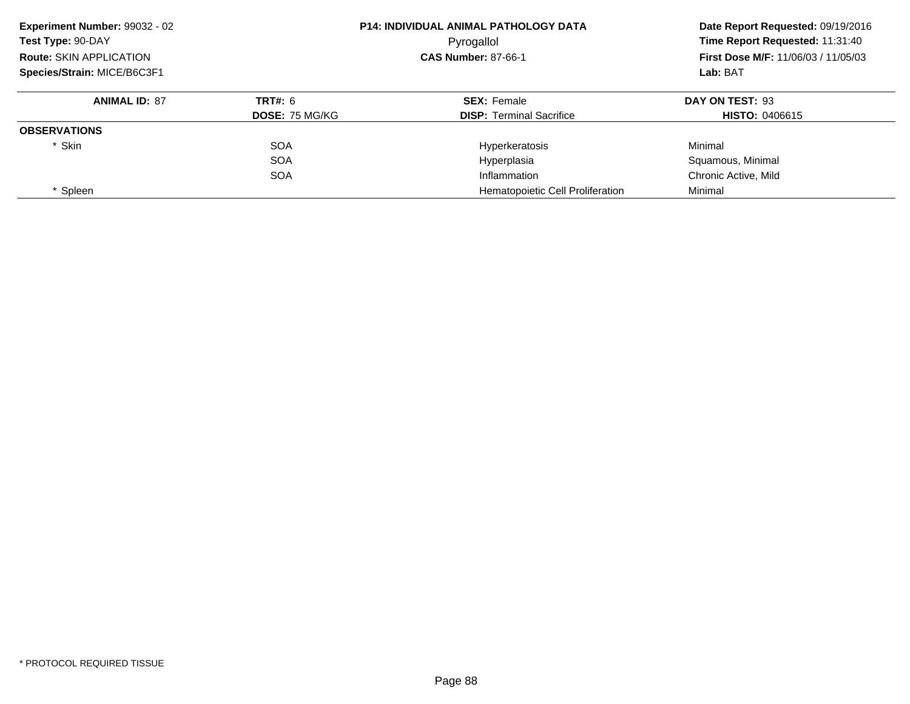| Experiment Number: 99032 - 02<br>Test Type: 90-DAY<br><b>Route: SKIN APPLICATION</b> |                       | <b>P14: INDIVIDUAL ANIMAL PATHOLOGY DATA</b><br>Pyrogallol | Date Report Requested: 09/19/2016<br>Time Report Requested: 11:31:40<br><b>First Dose M/F: 11/06/03 / 11/05/03</b> |
|--------------------------------------------------------------------------------------|-----------------------|------------------------------------------------------------|--------------------------------------------------------------------------------------------------------------------|
|                                                                                      |                       | <b>CAS Number: 87-66-1</b>                                 |                                                                                                                    |
| Species/Strain: MICE/B6C3F1                                                          |                       |                                                            | Lab: BAT                                                                                                           |
| <b>ANIMAL ID: 87</b>                                                                 | TRT#: 6               | <b>SEX: Female</b>                                         | DAY ON TEST: 93                                                                                                    |
|                                                                                      | <b>DOSE: 75 MG/KG</b> | <b>DISP:</b> Terminal Sacrifice                            | <b>HISTO: 0406615</b>                                                                                              |
| <b>OBSERVATIONS</b>                                                                  |                       |                                                            |                                                                                                                    |
| * Skin                                                                               | <b>SOA</b>            | Hyperkeratosis                                             | Minimal                                                                                                            |
|                                                                                      | <b>SOA</b>            | Hyperplasia                                                | Squamous, Minimal                                                                                                  |
|                                                                                      | <b>SOA</b>            | Inflammation                                               | Chronic Active, Mild                                                                                               |
| * Spleen                                                                             |                       | Hematopoietic Cell Proliferation                           | Minimal                                                                                                            |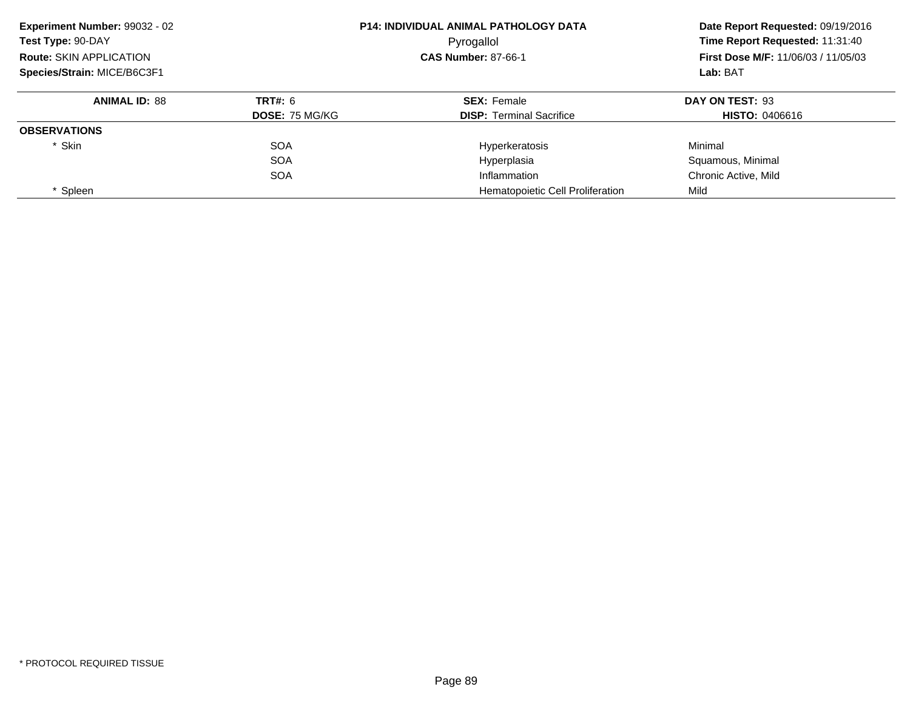| Experiment Number: 99032 - 02<br>Test Type: 90-DAY<br><b>Route: SKIN APPLICATION</b> |                       | <b>P14: INDIVIDUAL ANIMAL PATHOLOGY DATA</b><br>Pyrogallol | Date Report Requested: 09/19/2016<br>Time Report Requested: 11:31:40<br><b>First Dose M/F: 11/06/03 / 11/05/03</b> |  |
|--------------------------------------------------------------------------------------|-----------------------|------------------------------------------------------------|--------------------------------------------------------------------------------------------------------------------|--|
|                                                                                      |                       | <b>CAS Number: 87-66-1</b>                                 |                                                                                                                    |  |
| Species/Strain: MICE/B6C3F1                                                          |                       |                                                            | Lab: BAT                                                                                                           |  |
| <b>ANIMAL ID: 88</b>                                                                 | TRT#: 6               | <b>SEX: Female</b>                                         | DAY ON TEST: 93                                                                                                    |  |
|                                                                                      | <b>DOSE: 75 MG/KG</b> | <b>DISP:</b> Terminal Sacrifice                            | <b>HISTO: 0406616</b>                                                                                              |  |
| <b>OBSERVATIONS</b>                                                                  |                       |                                                            |                                                                                                                    |  |
| * Skin                                                                               | <b>SOA</b>            | Hyperkeratosis                                             | Minimal                                                                                                            |  |
|                                                                                      | <b>SOA</b>            | Hyperplasia                                                | Squamous, Minimal                                                                                                  |  |
|                                                                                      | <b>SOA</b>            | Inflammation                                               | Chronic Active, Mild                                                                                               |  |
| * Spleen                                                                             |                       | Hematopoietic Cell Proliferation                           | Mild                                                                                                               |  |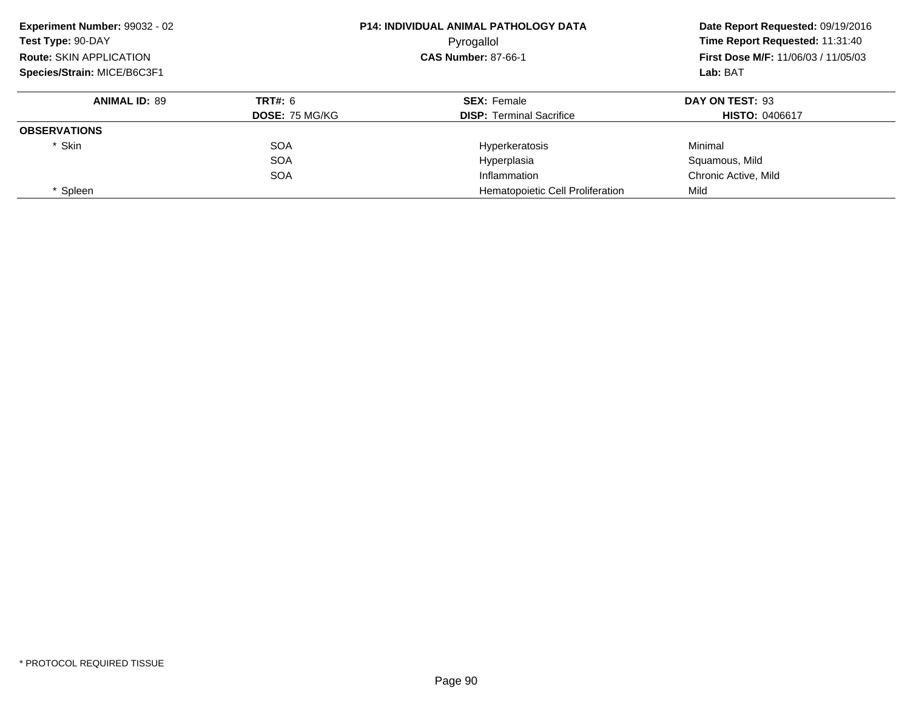| Experiment Number: 99032 - 02  |                       | <b>P14: INDIVIDUAL ANIMAL PATHOLOGY DATA</b> | Date Report Requested: 09/19/2016<br>Time Report Requested: 11:31:40 |
|--------------------------------|-----------------------|----------------------------------------------|----------------------------------------------------------------------|
| Test Type: 90-DAY              |                       | Pyrogallol                                   |                                                                      |
| <b>Route: SKIN APPLICATION</b> |                       | <b>CAS Number: 87-66-1</b>                   | <b>First Dose M/F: 11/06/03 / 11/05/03</b>                           |
| Species/Strain: MICE/B6C3F1    |                       |                                              | Lab: BAT                                                             |
| <b>ANIMAL ID: 89</b>           | <b>TRT#: 6</b>        | <b>SEX: Female</b>                           | DAY ON TEST: 93                                                      |
|                                | <b>DOSE: 75 MG/KG</b> | <b>DISP: Terminal Sacrifice</b>              | <b>HISTO: 0406617</b>                                                |
| <b>OBSERVATIONS</b>            |                       |                                              |                                                                      |
| * Skin                         | <b>SOA</b>            | Hyperkeratosis                               | Minimal                                                              |
|                                | <b>SOA</b>            | Hyperplasia                                  | Squamous, Mild                                                       |
|                                | <b>SOA</b>            | Inflammation                                 | Chronic Active, Mild                                                 |
| * Spleen                       |                       | Hematopoietic Cell Proliferation             | Mild                                                                 |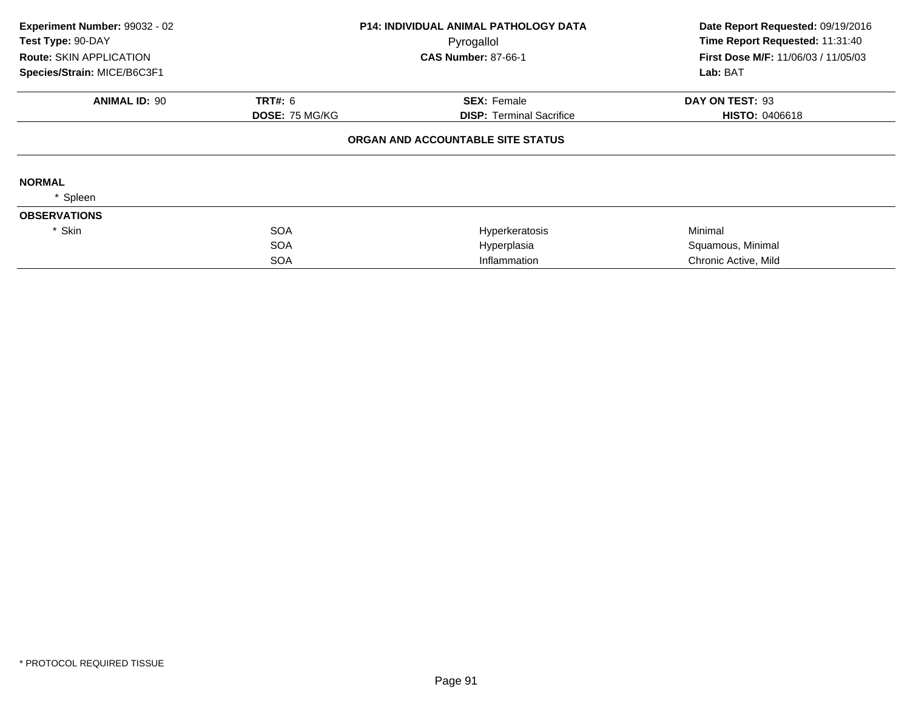| Experiment Number: 99032 - 02  |                | <b>P14: INDIVIDUAL ANIMAL PATHOLOGY DATA</b> | Date Report Requested: 09/19/2016   |
|--------------------------------|----------------|----------------------------------------------|-------------------------------------|
| Test Type: 90-DAY              |                | Pyrogallol                                   | Time Report Requested: 11:31:40     |
| <b>Route: SKIN APPLICATION</b> |                | <b>CAS Number: 87-66-1</b>                   | First Dose M/F: 11/06/03 / 11/05/03 |
| Species/Strain: MICE/B6C3F1    |                |                                              | Lab: BAT                            |
| <b>ANIMAL ID: 90</b>           | <b>TRT#: 6</b> | <b>SEX: Female</b>                           | DAY ON TEST: 93                     |
|                                | DOSE: 75 MG/KG | <b>DISP:</b> Terminal Sacrifice              | <b>HISTO: 0406618</b>               |
|                                |                | ORGAN AND ACCOUNTABLE SITE STATUS            |                                     |
| <b>NORMAL</b>                  |                |                                              |                                     |
| Spleen                         |                |                                              |                                     |
| <b>OBSERVATIONS</b>            |                |                                              |                                     |
| * Skin                         | <b>SOA</b>     | Hyperkeratosis                               | Minimal                             |
|                                | <b>SOA</b>     | Hyperplasia                                  | Squamous, Minimal                   |
|                                | <b>SOA</b>     | Inflammation                                 | Chronic Active, Mild                |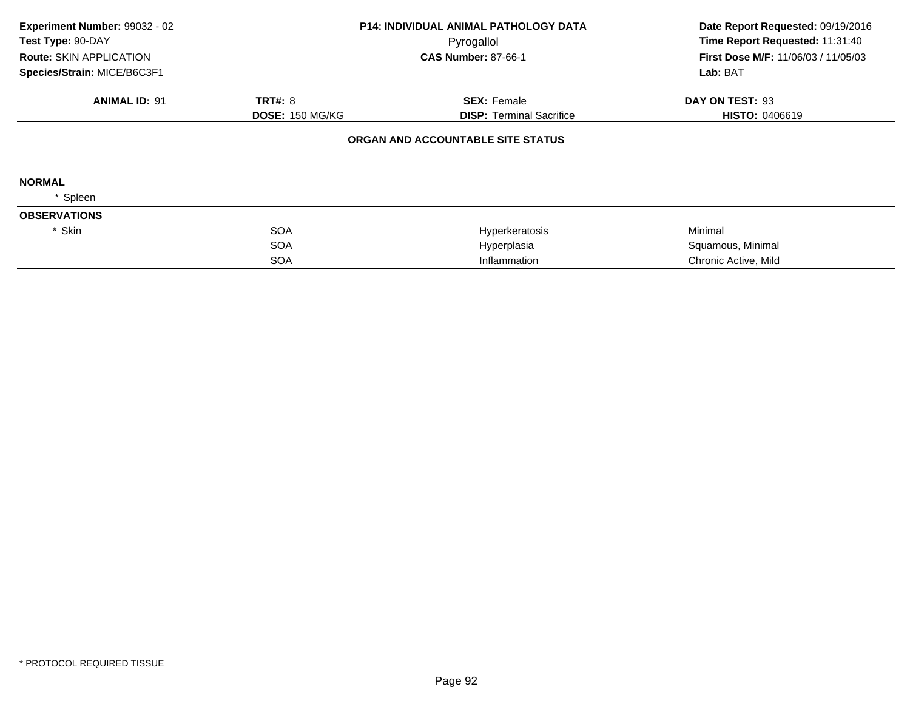| Experiment Number: 99032 - 02  |                        | <b>P14: INDIVIDUAL ANIMAL PATHOLOGY DATA</b> | Date Report Requested: 09/19/2016   |
|--------------------------------|------------------------|----------------------------------------------|-------------------------------------|
| Test Type: 90-DAY              |                        | Pyrogallol                                   | Time Report Requested: 11:31:40     |
| <b>Route: SKIN APPLICATION</b> |                        | <b>CAS Number: 87-66-1</b>                   | First Dose M/F: 11/06/03 / 11/05/03 |
| Species/Strain: MICE/B6C3F1    |                        |                                              | Lab: BAT                            |
| <b>ANIMAL ID: 91</b>           | <b>TRT#: 8</b>         | <b>SEX: Female</b>                           | DAY ON TEST: 93                     |
|                                | <b>DOSE: 150 MG/KG</b> | <b>DISP:</b> Terminal Sacrifice              | <b>HISTO: 0406619</b>               |
|                                |                        | ORGAN AND ACCOUNTABLE SITE STATUS            |                                     |
| <b>NORMAL</b>                  |                        |                                              |                                     |
| Spleen                         |                        |                                              |                                     |
| <b>OBSERVATIONS</b>            |                        |                                              |                                     |
| * Skin                         | <b>SOA</b>             | Hyperkeratosis                               | Minimal                             |
|                                | <b>SOA</b>             | Hyperplasia                                  | Squamous, Minimal                   |
|                                | <b>SOA</b>             | Inflammation                                 | Chronic Active, Mild                |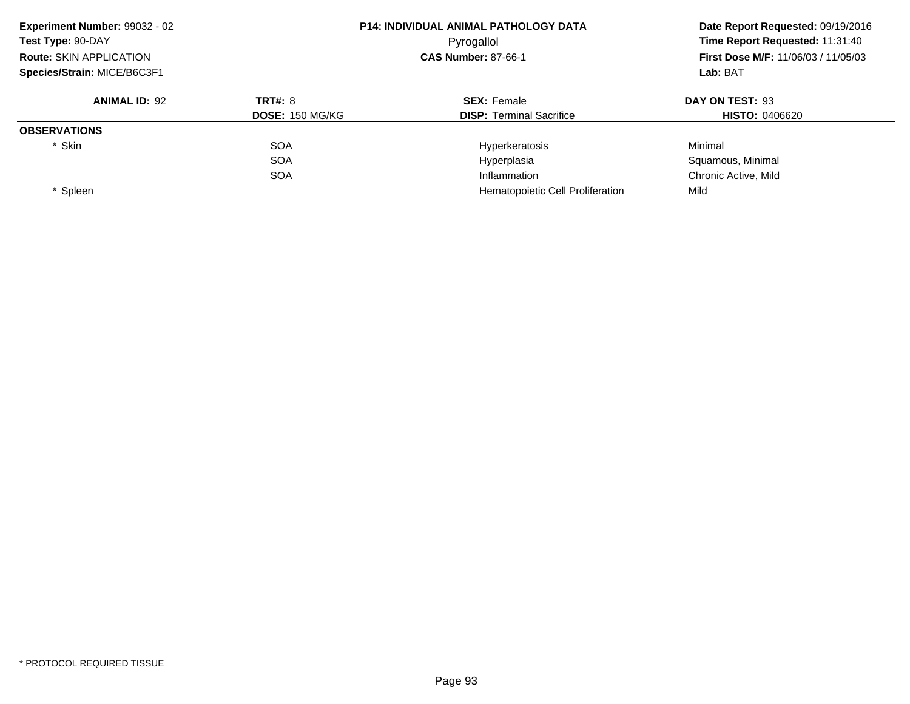| Experiment Number: 99032 - 02  |                        | <b>P14: INDIVIDUAL ANIMAL PATHOLOGY DATA</b> | Date Report Requested: 09/19/2016<br>Time Report Requested: 11:31:40 |  |
|--------------------------------|------------------------|----------------------------------------------|----------------------------------------------------------------------|--|
| Test Type: 90-DAY              |                        | Pyrogallol                                   |                                                                      |  |
| <b>Route: SKIN APPLICATION</b> |                        | <b>CAS Number: 87-66-1</b>                   | <b>First Dose M/F: 11/06/03 / 11/05/03</b>                           |  |
| Species/Strain: MICE/B6C3F1    |                        |                                              | Lab: BAT                                                             |  |
| <b>ANIMAL ID: 92</b>           | <b>TRT#: 8</b>         | <b>SEX: Female</b>                           | DAY ON TEST: 93                                                      |  |
|                                | <b>DOSE: 150 MG/KG</b> | <b>DISP:</b> Terminal Sacrifice              | <b>HISTO: 0406620</b>                                                |  |
| <b>OBSERVATIONS</b>            |                        |                                              |                                                                      |  |
| * Skin                         | <b>SOA</b>             | Hyperkeratosis                               | Minimal                                                              |  |
|                                | <b>SOA</b>             | Hyperplasia                                  | Squamous, Minimal                                                    |  |
|                                | <b>SOA</b>             | Inflammation                                 | Chronic Active, Mild                                                 |  |
| Spleen                         |                        | Hematopoietic Cell Proliferation             | Mild                                                                 |  |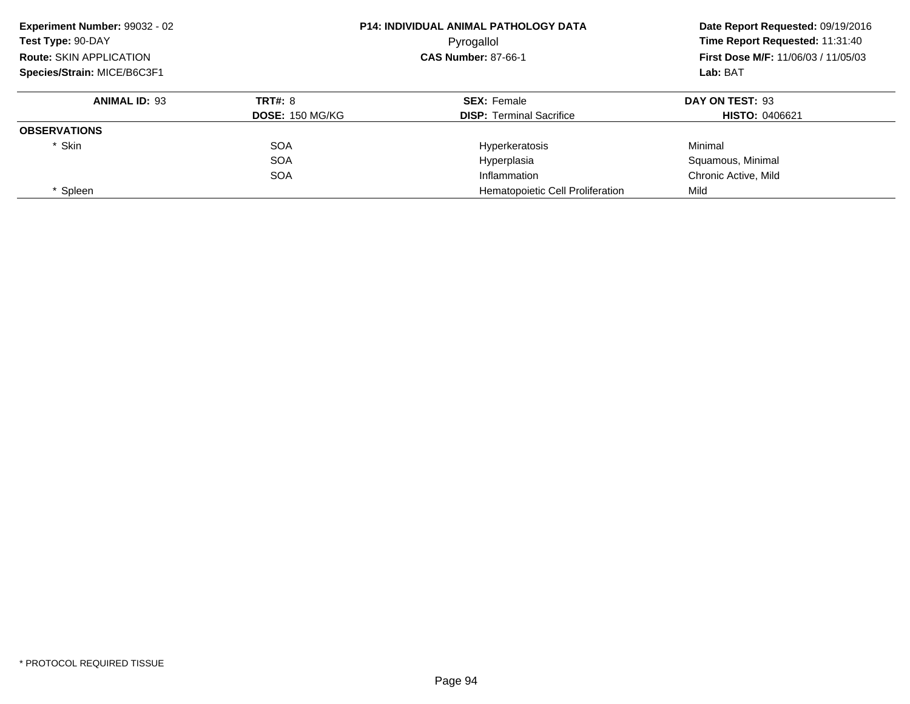| Experiment Number: 99032 - 02  |                        | <b>P14: INDIVIDUAL ANIMAL PATHOLOGY DATA</b> | Date Report Requested: 09/19/2016<br>Time Report Requested: 11:31:40 |  |
|--------------------------------|------------------------|----------------------------------------------|----------------------------------------------------------------------|--|
| Test Type: 90-DAY              |                        | Pyrogallol                                   |                                                                      |  |
| <b>Route: SKIN APPLICATION</b> |                        | <b>CAS Number: 87-66-1</b>                   | <b>First Dose M/F: 11/06/03 / 11/05/03</b>                           |  |
| Species/Strain: MICE/B6C3F1    |                        |                                              | Lab: BAT                                                             |  |
| <b>ANIMAL ID: 93</b>           | <b>TRT#: 8</b>         | <b>SEX: Female</b>                           | DAY ON TEST: 93                                                      |  |
|                                | <b>DOSE: 150 MG/KG</b> | <b>DISP:</b> Terminal Sacrifice              | <b>HISTO: 0406621</b>                                                |  |
| <b>OBSERVATIONS</b>            |                        |                                              |                                                                      |  |
| * Skin                         | <b>SOA</b>             | Hyperkeratosis                               | Minimal                                                              |  |
|                                | <b>SOA</b>             | Hyperplasia                                  | Squamous, Minimal                                                    |  |
|                                | <b>SOA</b>             | Inflammation                                 | Chronic Active, Mild                                                 |  |
| Spleen                         |                        | Hematopoietic Cell Proliferation             | Mild                                                                 |  |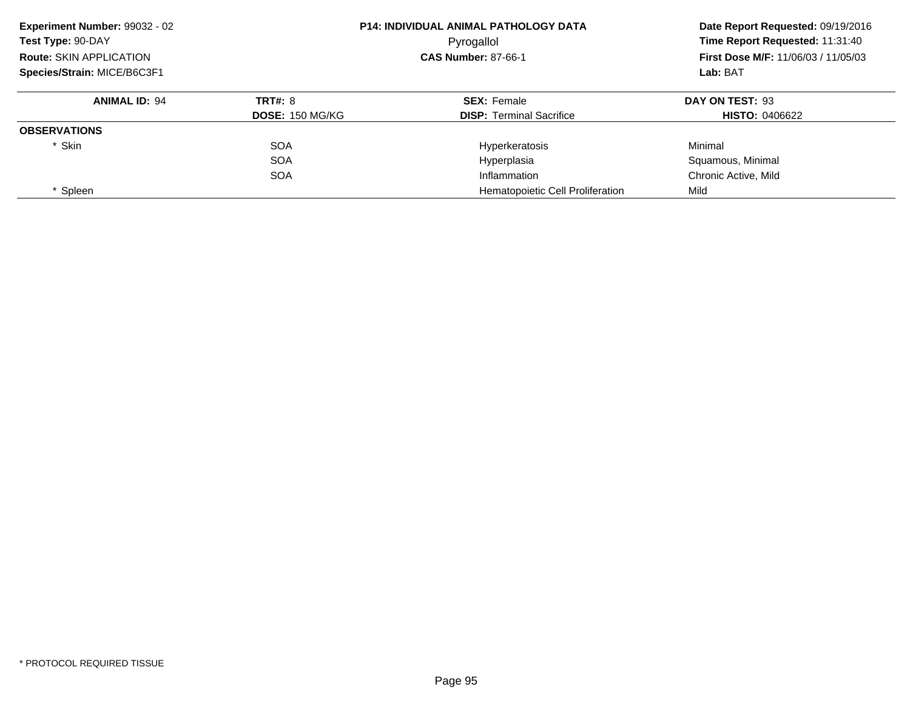| Experiment Number: 99032 - 02  |                        | <b>P14: INDIVIDUAL ANIMAL PATHOLOGY DATA</b> | Date Report Requested: 09/19/2016<br>Time Report Requested: 11:31:40 |
|--------------------------------|------------------------|----------------------------------------------|----------------------------------------------------------------------|
| Test Type: 90-DAY              |                        | Pyrogallol                                   |                                                                      |
| <b>Route: SKIN APPLICATION</b> |                        | <b>CAS Number: 87-66-1</b>                   | <b>First Dose M/F: 11/06/03 / 11/05/03</b>                           |
| Species/Strain: MICE/B6C3F1    |                        |                                              | Lab: BAT                                                             |
| <b>ANIMAL ID: 94</b>           | <b>TRT#: 8</b>         | <b>SEX: Female</b>                           | DAY ON TEST: 93                                                      |
|                                | <b>DOSE: 150 MG/KG</b> | <b>DISP: Terminal Sacrifice</b>              | <b>HISTO: 0406622</b>                                                |
| <b>OBSERVATIONS</b>            |                        |                                              |                                                                      |
| * Skin                         | <b>SOA</b>             | Hyperkeratosis                               | Minimal                                                              |
|                                | <b>SOA</b>             | Hyperplasia                                  | Squamous, Minimal                                                    |
|                                | <b>SOA</b>             | Inflammation                                 | Chronic Active, Mild                                                 |
| Spleen                         |                        | Hematopoietic Cell Proliferation             | Mild                                                                 |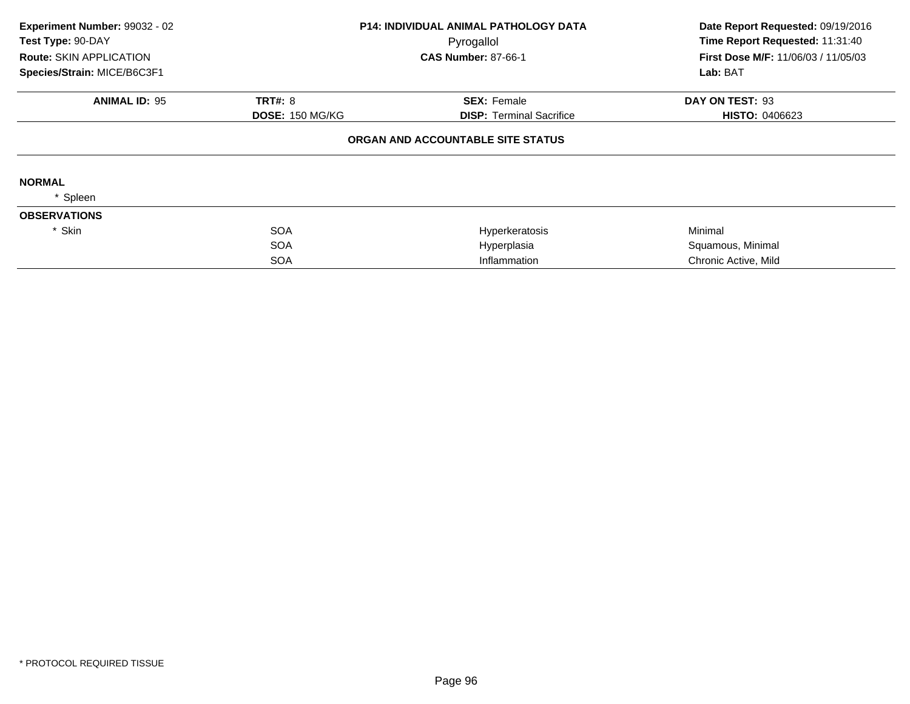| Experiment Number: 99032 - 02<br>Test Type: 90-DAY |                        | P14: INDIVIDUAL ANIMAL PATHOLOGY DATA<br>Pyrogallol | Date Report Requested: 09/19/2016<br>Time Report Requested: 11:31:40 |  |
|----------------------------------------------------|------------------------|-----------------------------------------------------|----------------------------------------------------------------------|--|
| Route: SKIN APPLICATION                            |                        | <b>CAS Number: 87-66-1</b>                          | First Dose M/F: 11/06/03 / 11/05/03                                  |  |
| Species/Strain: MICE/B6C3F1                        |                        |                                                     | Lab: BAT                                                             |  |
| <b>ANIMAL ID: 95</b>                               | <b>TRT#: 8</b>         | <b>SEX: Female</b>                                  | DAY ON TEST: 93                                                      |  |
|                                                    | <b>DOSE: 150 MG/KG</b> | <b>DISP: Terminal Sacrifice</b>                     | <b>HISTO: 0406623</b>                                                |  |
|                                                    |                        | ORGAN AND ACCOUNTABLE SITE STATUS                   |                                                                      |  |
| <b>NORMAL</b>                                      |                        |                                                     |                                                                      |  |
| Spleen                                             |                        |                                                     |                                                                      |  |
| <b>OBSERVATIONS</b>                                |                        |                                                     |                                                                      |  |
| * Skin                                             | <b>SOA</b>             | Hyperkeratosis                                      | Minimal                                                              |  |
|                                                    | <b>SOA</b>             | Hyperplasia                                         | Squamous, Minimal                                                    |  |
|                                                    | <b>SOA</b>             | Inflammation                                        | Chronic Active, Mild                                                 |  |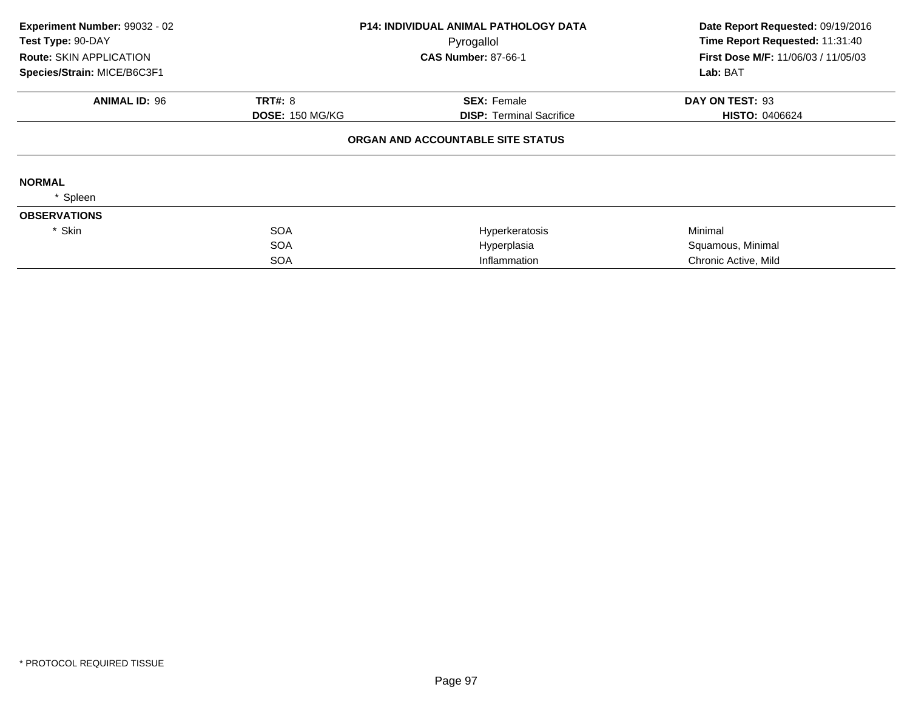| Experiment Number: 99032 - 02  |                        | <b>P14: INDIVIDUAL ANIMAL PATHOLOGY DATA</b> | Date Report Requested: 09/19/2016   |  |
|--------------------------------|------------------------|----------------------------------------------|-------------------------------------|--|
| Test Type: 90-DAY              |                        | Pyrogallol                                   | Time Report Requested: 11:31:40     |  |
| <b>Route: SKIN APPLICATION</b> |                        | <b>CAS Number: 87-66-1</b>                   | First Dose M/F: 11/06/03 / 11/05/03 |  |
| Species/Strain: MICE/B6C3F1    |                        |                                              | Lab: BAT                            |  |
| <b>ANIMAL ID: 96</b>           | <b>TRT#: 8</b>         | <b>SEX: Female</b>                           | DAY ON TEST: 93                     |  |
|                                | <b>DOSE: 150 MG/KG</b> | <b>DISP: Terminal Sacrifice</b>              | <b>HISTO: 0406624</b>               |  |
|                                |                        | ORGAN AND ACCOUNTABLE SITE STATUS            |                                     |  |
| <b>NORMAL</b>                  |                        |                                              |                                     |  |
| Spleen                         |                        |                                              |                                     |  |
| <b>OBSERVATIONS</b>            |                        |                                              |                                     |  |
| * Skin                         | <b>SOA</b>             | Hyperkeratosis                               | Minimal                             |  |
|                                | <b>SOA</b>             | Hyperplasia                                  | Squamous, Minimal                   |  |
|                                | <b>SOA</b>             | Inflammation                                 | Chronic Active, Mild                |  |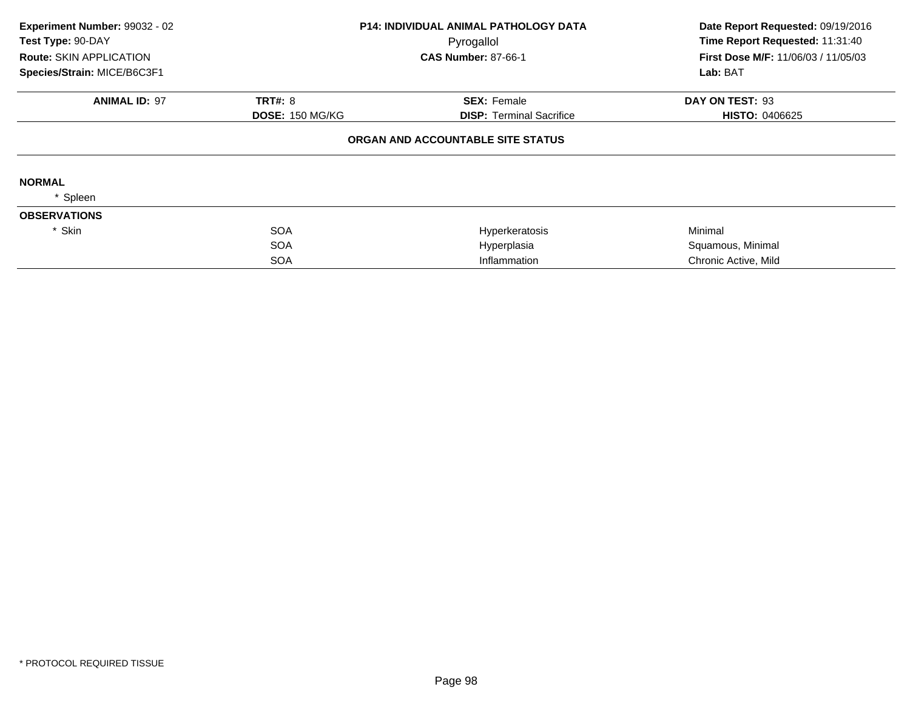| Experiment Number: 99032 - 02<br>Test Type: 90-DAY |                        | <b>P14: INDIVIDUAL ANIMAL PATHOLOGY DATA</b> | Date Report Requested: 09/19/2016<br>Time Report Requested: 11:31:40<br>First Dose M/F: 11/06/03 / 11/05/03<br>Lab: BAT |
|----------------------------------------------------|------------------------|----------------------------------------------|-------------------------------------------------------------------------------------------------------------------------|
| <b>Route: SKIN APPLICATION</b>                     |                        | Pyrogallol<br><b>CAS Number: 87-66-1</b>     |                                                                                                                         |
| Species/Strain: MICE/B6C3F1                        |                        |                                              |                                                                                                                         |
| <b>ANIMAL ID: 97</b>                               | TRT#: 8                | <b>SEX: Female</b>                           | DAY ON TEST: 93                                                                                                         |
|                                                    | <b>DOSE: 150 MG/KG</b> | <b>DISP:</b> Terminal Sacrifice              | <b>HISTO: 0406625</b>                                                                                                   |
|                                                    |                        | ORGAN AND ACCOUNTABLE SITE STATUS            |                                                                                                                         |
| <b>NORMAL</b>                                      |                        |                                              |                                                                                                                         |
| Spleen                                             |                        |                                              |                                                                                                                         |
| <b>OBSERVATIONS</b>                                |                        |                                              |                                                                                                                         |
| * Skin                                             | <b>SOA</b>             | Hyperkeratosis                               | Minimal                                                                                                                 |
|                                                    | <b>SOA</b>             | Hyperplasia                                  | Squamous, Minimal                                                                                                       |
|                                                    | <b>SOA</b>             | Inflammation                                 | Chronic Active, Mild                                                                                                    |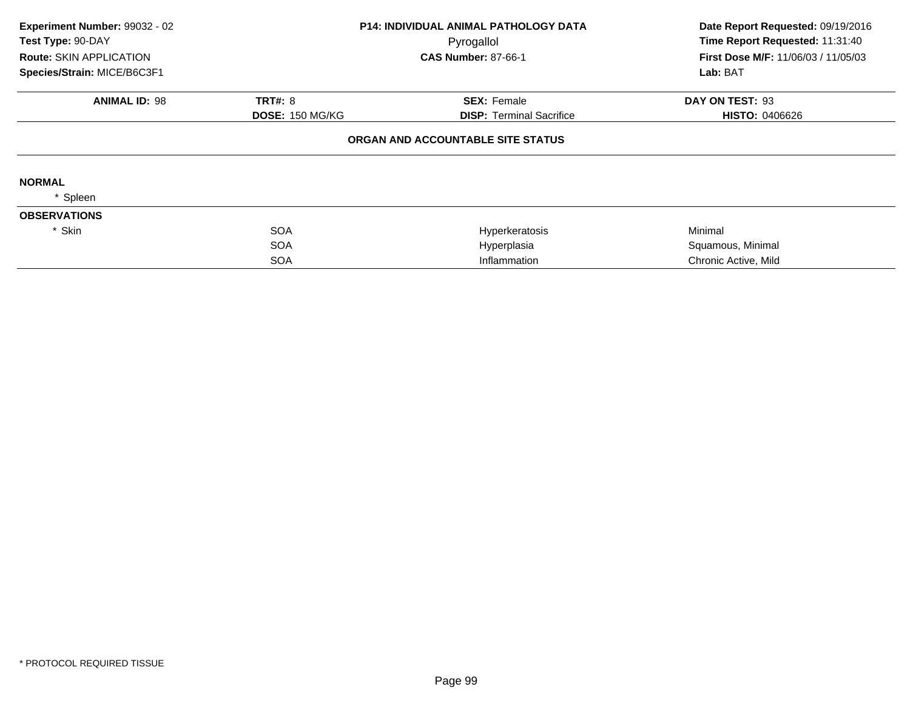| Experiment Number: 99032 - 02<br>Test Type: 90-DAY |                        | <b>P14: INDIVIDUAL ANIMAL PATHOLOGY DATA</b> | Date Report Requested: 09/19/2016<br>Time Report Requested: 11:31:40 |
|----------------------------------------------------|------------------------|----------------------------------------------|----------------------------------------------------------------------|
| <b>Route: SKIN APPLICATION</b>                     |                        | Pyrogallol<br><b>CAS Number: 87-66-1</b>     | First Dose M/F: 11/06/03 / 11/05/03                                  |
| Species/Strain: MICE/B6C3F1                        |                        |                                              | Lab: BAT                                                             |
| <b>ANIMAL ID: 98</b>                               | <b>TRT#: 8</b>         | <b>SEX: Female</b>                           | DAY ON TEST: 93                                                      |
|                                                    | <b>DOSE: 150 MG/KG</b> | <b>DISP: Terminal Sacrifice</b>              | <b>HISTO: 0406626</b>                                                |
|                                                    |                        | ORGAN AND ACCOUNTABLE SITE STATUS            |                                                                      |
| <b>NORMAL</b>                                      |                        |                                              |                                                                      |
| Spleen                                             |                        |                                              |                                                                      |
| <b>OBSERVATIONS</b>                                |                        |                                              |                                                                      |
| * Skin                                             | <b>SOA</b>             | Hyperkeratosis                               | Minimal                                                              |
|                                                    | <b>SOA</b>             | Hyperplasia                                  | Squamous, Minimal                                                    |
|                                                    | <b>SOA</b>             | Inflammation                                 | Chronic Active, Mild                                                 |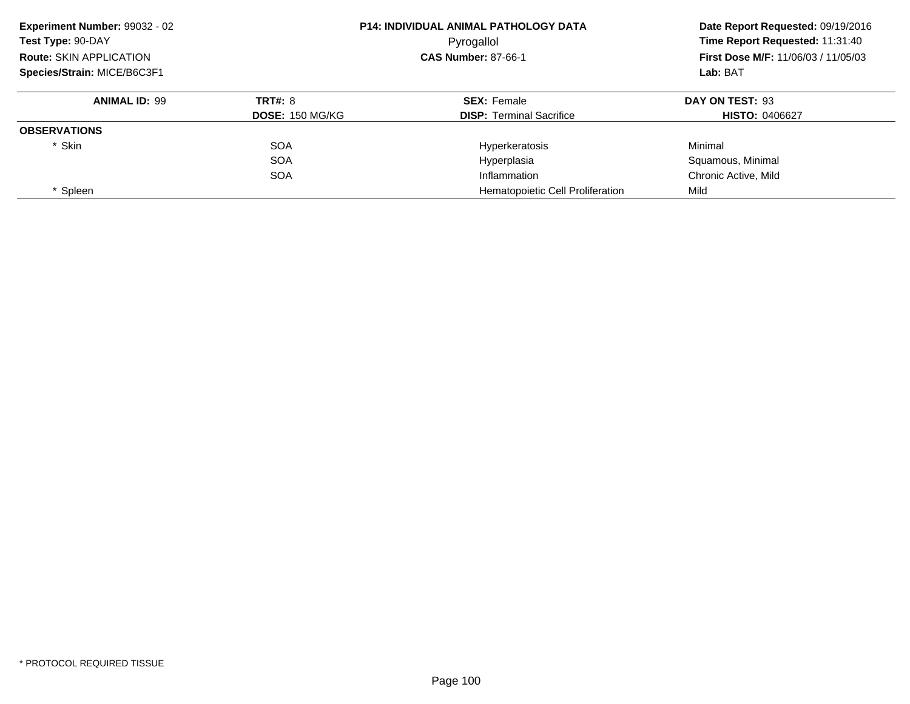| Experiment Number: 99032 - 02  |                        | <b>P14: INDIVIDUAL ANIMAL PATHOLOGY DATA</b> | Date Report Requested: 09/19/2016<br>Time Report Requested: 11:31:40<br><b>First Dose M/F: 11/06/03 / 11/05/03</b><br>Lab: BAT |
|--------------------------------|------------------------|----------------------------------------------|--------------------------------------------------------------------------------------------------------------------------------|
| Test Type: 90-DAY              |                        | Pyrogallol                                   |                                                                                                                                |
| <b>Route: SKIN APPLICATION</b> |                        | <b>CAS Number: 87-66-1</b>                   |                                                                                                                                |
| Species/Strain: MICE/B6C3F1    |                        |                                              |                                                                                                                                |
| <b>ANIMAL ID: 99</b>           | <b>TRT#: 8</b>         | <b>SEX: Female</b>                           | DAY ON TEST: 93                                                                                                                |
|                                | <b>DOSE: 150 MG/KG</b> | <b>DISP: Terminal Sacrifice</b>              | <b>HISTO: 0406627</b>                                                                                                          |
| <b>OBSERVATIONS</b>            |                        |                                              |                                                                                                                                |
| * Skin                         | <b>SOA</b>             | Hyperkeratosis                               | Minimal                                                                                                                        |
|                                | <b>SOA</b>             | Hyperplasia                                  | Squamous, Minimal                                                                                                              |
|                                | <b>SOA</b>             | Inflammation                                 | Chronic Active, Mild                                                                                                           |
| Spleen                         |                        | Hematopoietic Cell Proliferation             | Mild                                                                                                                           |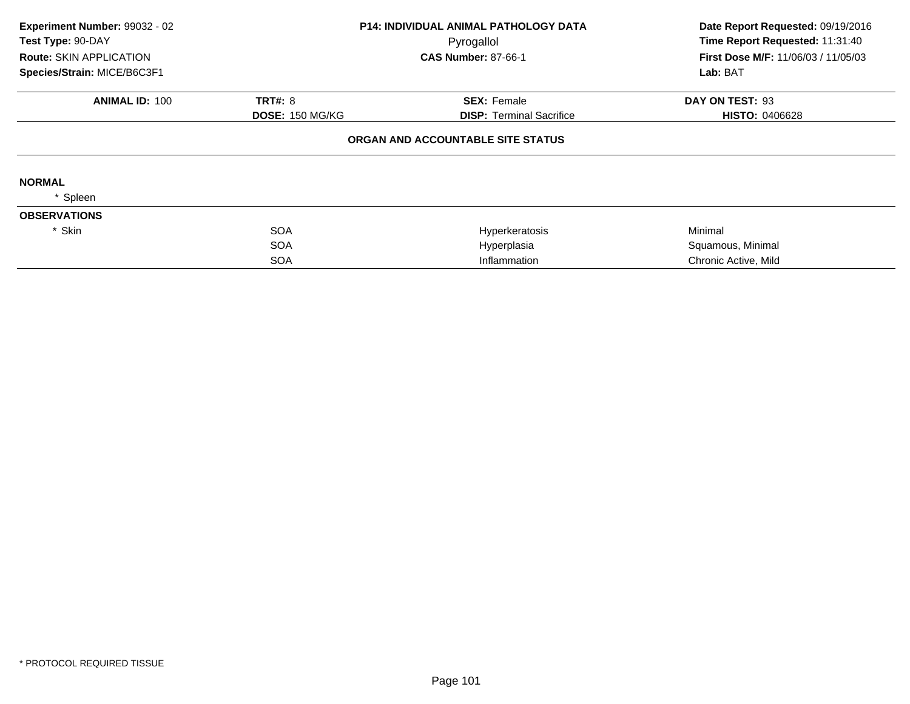| Experiment Number: 99032 - 02<br>Test Type: 90-DAY |                        | <b>P14: INDIVIDUAL ANIMAL PATHOLOGY DATA</b><br>Pyrogallol | Date Report Requested: 09/19/2016<br>Time Report Requested: 11:31:40 |
|----------------------------------------------------|------------------------|------------------------------------------------------------|----------------------------------------------------------------------|
| <b>Route: SKIN APPLICATION</b>                     |                        | <b>CAS Number: 87-66-1</b>                                 | First Dose M/F: 11/06/03 / 11/05/03                                  |
| Species/Strain: MICE/B6C3F1                        |                        |                                                            | Lab: BAT                                                             |
| <b>ANIMAL ID: 100</b>                              | TRT#: 8                | <b>SEX: Female</b>                                         | DAY ON TEST: 93                                                      |
|                                                    | <b>DOSE: 150 MG/KG</b> | <b>DISP:</b> Terminal Sacrifice                            | <b>HISTO: 0406628</b>                                                |
|                                                    |                        | ORGAN AND ACCOUNTABLE SITE STATUS                          |                                                                      |
| <b>NORMAL</b>                                      |                        |                                                            |                                                                      |
| Spleen                                             |                        |                                                            |                                                                      |
| <b>OBSERVATIONS</b>                                |                        |                                                            |                                                                      |
| * Skin                                             | <b>SOA</b>             | Hyperkeratosis                                             | Minimal                                                              |
|                                                    | <b>SOA</b>             | Hyperplasia                                                | Squamous, Minimal                                                    |
|                                                    | <b>SOA</b>             | Inflammation                                               | Chronic Active, Mild                                                 |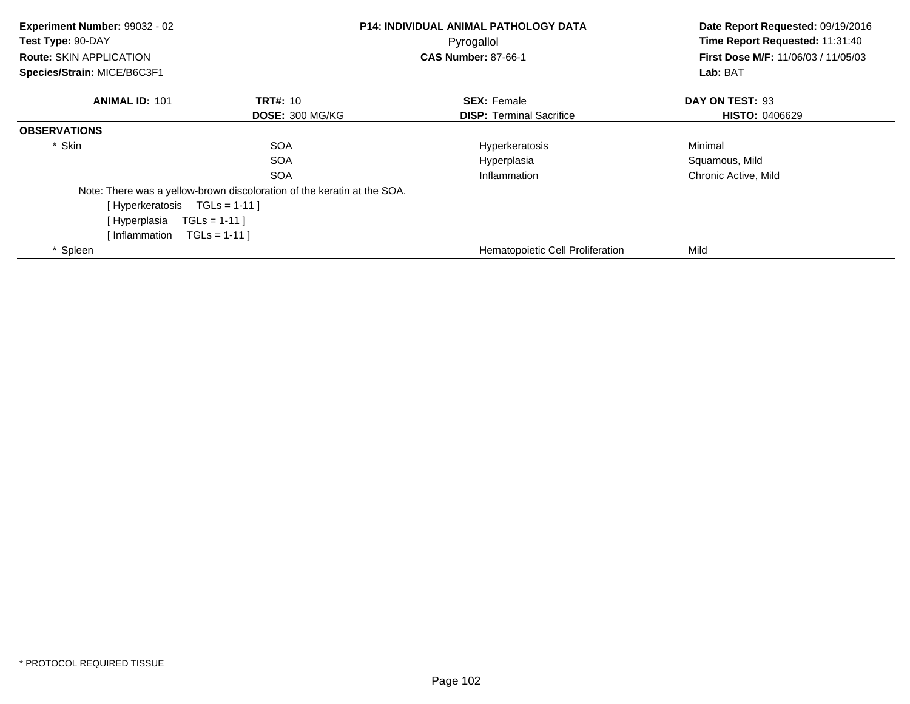| Experiment Number: 99032 - 02<br>Test Type: 90-DAY<br><b>Route: SKIN APPLICATION</b><br>Species/Strain: MICE/B6C3F1 |                                                                         | <b>P14: INDIVIDUAL ANIMAL PATHOLOGY DATA</b><br>Pyrogallol<br><b>CAS Number: 87-66-1</b> |                       |
|---------------------------------------------------------------------------------------------------------------------|-------------------------------------------------------------------------|------------------------------------------------------------------------------------------|-----------------------|
| <b>ANIMAL ID: 101</b>                                                                                               | <b>TRT#: 10</b>                                                         | <b>SEX: Female</b>                                                                       | DAY ON TEST: 93       |
|                                                                                                                     | <b>DOSE: 300 MG/KG</b>                                                  | <b>DISP: Terminal Sacrifice</b>                                                          | <b>HISTO: 0406629</b> |
| <b>OBSERVATIONS</b>                                                                                                 |                                                                         |                                                                                          |                       |
| * Skin                                                                                                              | <b>SOA</b>                                                              | Hyperkeratosis                                                                           | Minimal               |
|                                                                                                                     | <b>SOA</b>                                                              | Hyperplasia                                                                              | Squamous, Mild        |
|                                                                                                                     | <b>SOA</b>                                                              | Inflammation                                                                             | Chronic Active, Mild  |
|                                                                                                                     | Note: There was a yellow-brown discoloration of the keratin at the SOA. |                                                                                          |                       |
| [Hyperkeratosis TGLs = 1-11]                                                                                        |                                                                         |                                                                                          |                       |
| [ Hyperplasia                                                                                                       | $TGLs = 1-11$ ]                                                         |                                                                                          |                       |
| Inflammation                                                                                                        | $TGLS = 1-11$                                                           |                                                                                          |                       |
| * Spleen                                                                                                            |                                                                         | Hematopoietic Cell Proliferation                                                         | Mild                  |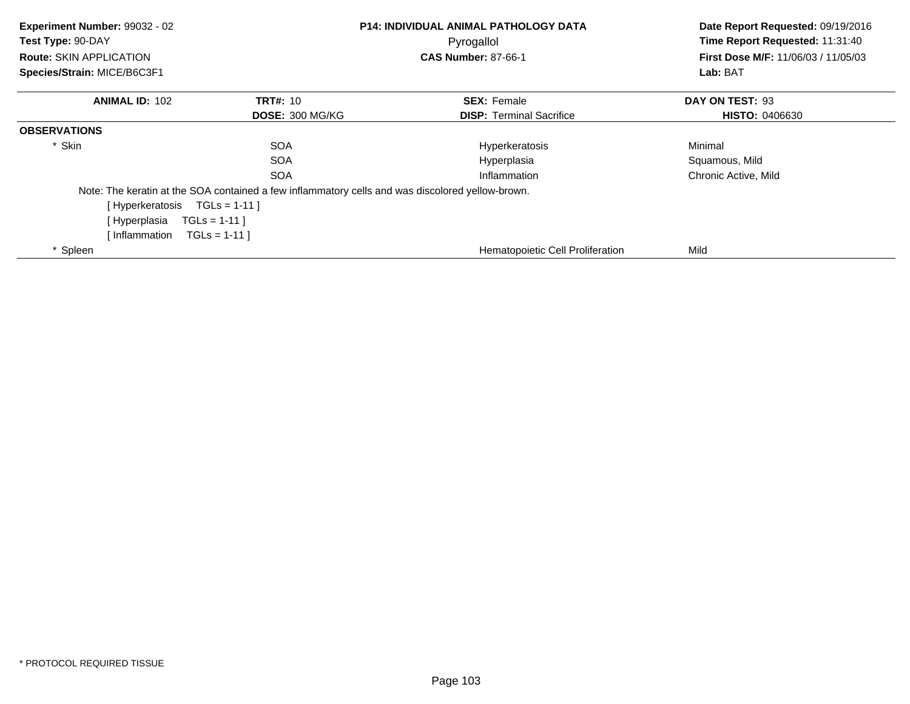| Experiment Number: 99032 - 02<br>Test Type: 90-DAY<br><b>Route: SKIN APPLICATION</b><br>Species/Strain: MICE/B6C3F1 |                                                                                                  | <b>P14: INDIVIDUAL ANIMAL PATHOLOGY DATA</b><br>Pyrogallol<br><b>CAS Number: 87-66-1</b> | Date Report Requested: 09/19/2016<br>Time Report Requested: 11:31:40<br>First Dose M/F: 11/06/03 / 11/05/03<br>Lab: BAT |
|---------------------------------------------------------------------------------------------------------------------|--------------------------------------------------------------------------------------------------|------------------------------------------------------------------------------------------|-------------------------------------------------------------------------------------------------------------------------|
| <b>ANIMAL ID: 102</b>                                                                                               | <b>TRT#: 10</b>                                                                                  | <b>SEX: Female</b>                                                                       | DAY ON TEST: 93                                                                                                         |
|                                                                                                                     | <b>DOSE: 300 MG/KG</b>                                                                           | <b>DISP:</b> Terminal Sacrifice                                                          | <b>HISTO: 0406630</b>                                                                                                   |
| <b>OBSERVATIONS</b>                                                                                                 |                                                                                                  |                                                                                          |                                                                                                                         |
| * Skin                                                                                                              | <b>SOA</b>                                                                                       | Hyperkeratosis                                                                           | Minimal                                                                                                                 |
|                                                                                                                     | <b>SOA</b>                                                                                       | Hyperplasia                                                                              | Squamous, Mild                                                                                                          |
|                                                                                                                     | <b>SOA</b>                                                                                       | Inflammation                                                                             | Chronic Active, Mild                                                                                                    |
|                                                                                                                     | Note: The keratin at the SOA contained a few inflammatory cells and was discolored yellow-brown. |                                                                                          |                                                                                                                         |
| [Hyperkeratosis TGLs = 1-11]                                                                                        |                                                                                                  |                                                                                          |                                                                                                                         |
| [Hyperplasia                                                                                                        | $TGLs = 1-11$                                                                                    |                                                                                          |                                                                                                                         |
| [ Inflammation                                                                                                      | $TGLs = 1-11$                                                                                    |                                                                                          |                                                                                                                         |
| * Spleen                                                                                                            |                                                                                                  | <b>Hematopoietic Cell Proliferation</b>                                                  | Mild                                                                                                                    |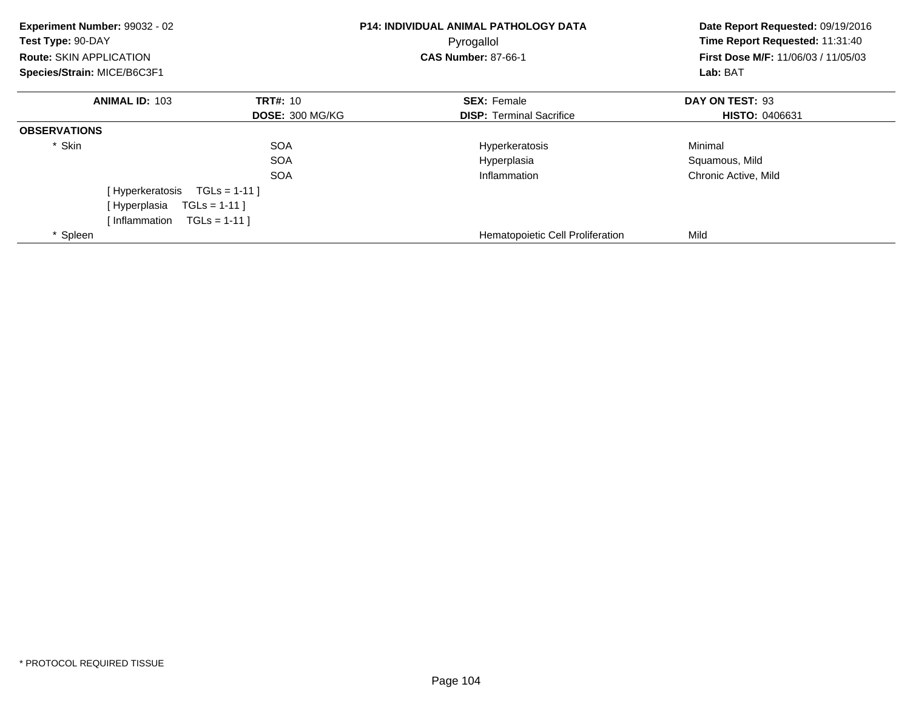| Experiment Number: 99032 - 02<br>Test Type: 90-DAY<br><b>Route: SKIN APPLICATION</b><br>Species/Strain: MICE/B6C3F1 |                        | <b>P14: INDIVIDUAL ANIMAL PATHOLOGY DATA</b><br>Pyrogallol<br><b>CAS Number: 87-66-1</b> | Date Report Requested: 09/19/2016<br>Time Report Requested: 11:31:40<br><b>First Dose M/F: 11/06/03 / 11/05/03</b><br>Lab: BAT |
|---------------------------------------------------------------------------------------------------------------------|------------------------|------------------------------------------------------------------------------------------|--------------------------------------------------------------------------------------------------------------------------------|
| <b>ANIMAL ID: 103</b>                                                                                               | <b>TRT#: 10</b>        | <b>SEX: Female</b>                                                                       | DAY ON TEST: 93                                                                                                                |
|                                                                                                                     | <b>DOSE: 300 MG/KG</b> | <b>DISP:</b> Terminal Sacrifice                                                          | <b>HISTO: 0406631</b>                                                                                                          |
| <b>OBSERVATIONS</b>                                                                                                 |                        |                                                                                          |                                                                                                                                |
| * Skin                                                                                                              | <b>SOA</b>             | Hyperkeratosis                                                                           | Minimal                                                                                                                        |
|                                                                                                                     | <b>SOA</b>             | Hyperplasia                                                                              | Squamous, Mild                                                                                                                 |
|                                                                                                                     | <b>SOA</b>             | Inflammation                                                                             | Chronic Active, Mild                                                                                                           |
| [Hyperkeratosis                                                                                                     | $TGLs = 1-11$          |                                                                                          |                                                                                                                                |
| [Hyperplasia                                                                                                        | $TGLS = 1-11$          |                                                                                          |                                                                                                                                |
| [Inflammation                                                                                                       | $TGLS = 1-111$         |                                                                                          |                                                                                                                                |
| * Spleen                                                                                                            |                        | Hematopoietic Cell Proliferation                                                         | Mild                                                                                                                           |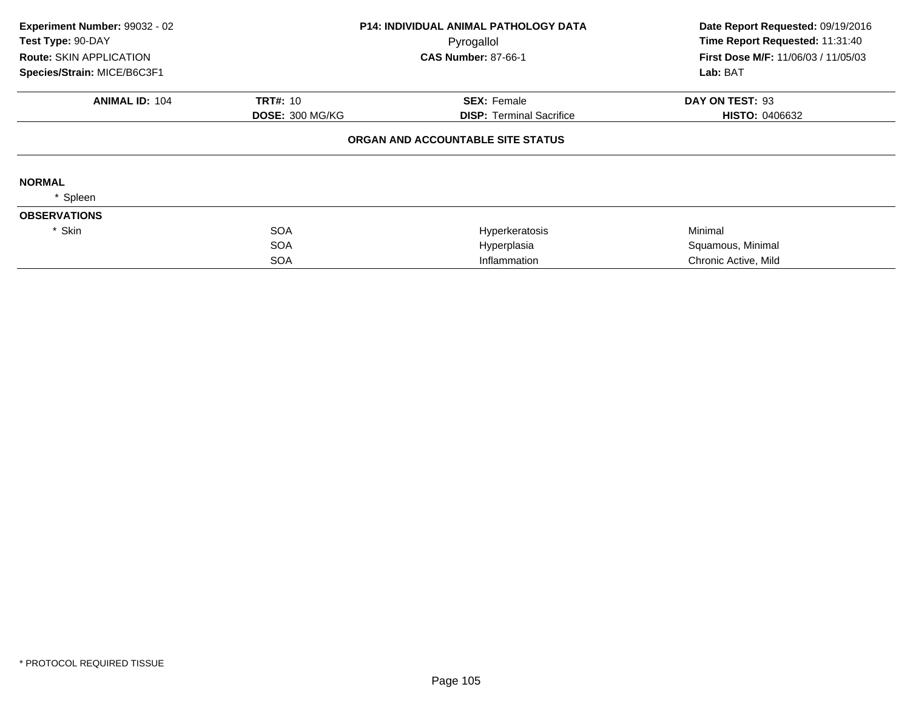| Experiment Number: 99032 - 02<br>Test Type: 90-DAY |                        | <b>P14: INDIVIDUAL ANIMAL PATHOLOGY DATA</b><br>Pyrogallol | Date Report Requested: 09/19/2016<br>Time Report Requested: 11:31:40 |  |
|----------------------------------------------------|------------------------|------------------------------------------------------------|----------------------------------------------------------------------|--|
| <b>Route: SKIN APPLICATION</b>                     |                        | <b>CAS Number: 87-66-1</b>                                 | First Dose M/F: 11/06/03 / 11/05/03                                  |  |
| Species/Strain: MICE/B6C3F1                        |                        |                                                            | Lab: BAT                                                             |  |
| <b>ANIMAL ID: 104</b>                              | <b>TRT#: 10</b>        | <b>SEX: Female</b>                                         | DAY ON TEST: 93                                                      |  |
|                                                    | <b>DOSE: 300 MG/KG</b> | <b>DISP:</b> Terminal Sacrifice                            | <b>HISTO: 0406632</b>                                                |  |
|                                                    |                        | ORGAN AND ACCOUNTABLE SITE STATUS                          |                                                                      |  |
| <b>NORMAL</b>                                      |                        |                                                            |                                                                      |  |
| Spleen                                             |                        |                                                            |                                                                      |  |
| <b>OBSERVATIONS</b>                                |                        |                                                            |                                                                      |  |
| * Skin                                             | <b>SOA</b>             | Hyperkeratosis                                             | Minimal                                                              |  |
|                                                    | <b>SOA</b>             | Hyperplasia                                                | Squamous, Minimal                                                    |  |
|                                                    | <b>SOA</b>             | Inflammation                                               | Chronic Active, Mild                                                 |  |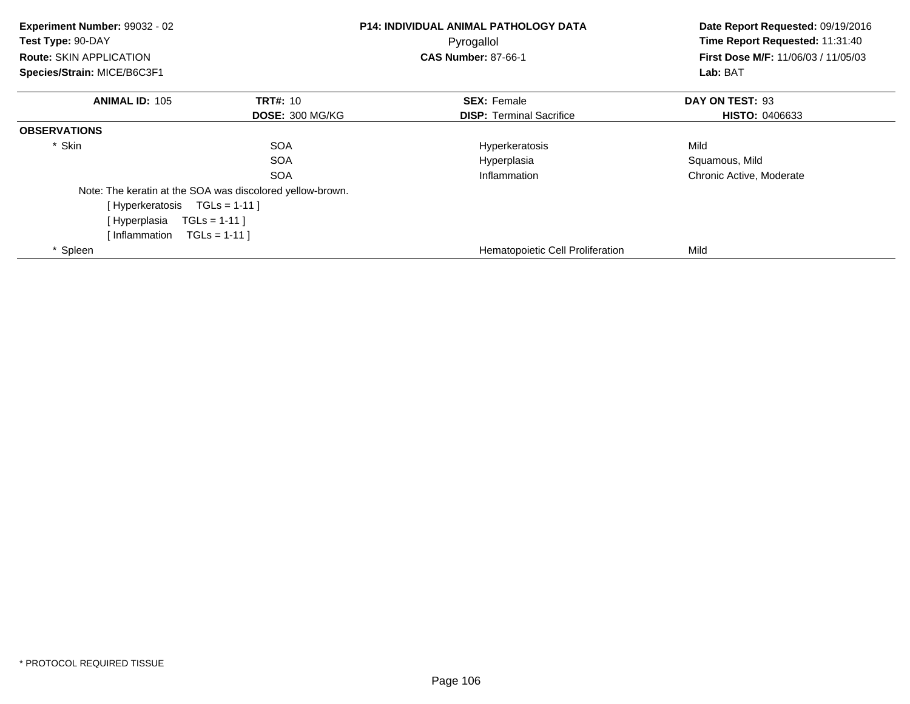| Experiment Number: 99032 - 02<br>Test Type: 90-DAY<br><b>Route: SKIN APPLICATION</b><br>Species/Strain: MICE/B6C3F1 |                                                           | P14: INDIVIDUAL ANIMAL PATHOLOGY DATA<br>Pyrogallol<br><b>CAS Number: 87-66-1</b> | Date Report Requested: 09/19/2016<br>Time Report Requested: 11:31:40<br>First Dose M/F: 11/06/03 / 11/05/03<br>Lab: BAT |
|---------------------------------------------------------------------------------------------------------------------|-----------------------------------------------------------|-----------------------------------------------------------------------------------|-------------------------------------------------------------------------------------------------------------------------|
| <b>ANIMAL ID: 105</b>                                                                                               | <b>TRT#: 10</b>                                           | <b>SEX: Female</b>                                                                | DAY ON TEST: 93                                                                                                         |
|                                                                                                                     | <b>DOSE: 300 MG/KG</b>                                    | <b>DISP:</b> Terminal Sacrifice                                                   | <b>HISTO: 0406633</b>                                                                                                   |
| <b>OBSERVATIONS</b>                                                                                                 |                                                           |                                                                                   |                                                                                                                         |
| * Skin                                                                                                              | <b>SOA</b>                                                | Hyperkeratosis                                                                    | Mild                                                                                                                    |
|                                                                                                                     | <b>SOA</b>                                                | Hyperplasia                                                                       | Squamous, Mild                                                                                                          |
|                                                                                                                     | <b>SOA</b>                                                | Inflammation                                                                      | Chronic Active, Moderate                                                                                                |
|                                                                                                                     | Note: The keratin at the SOA was discolored yellow-brown. |                                                                                   |                                                                                                                         |
| [Hyperkeratosis TGLs = 1-11]                                                                                        |                                                           |                                                                                   |                                                                                                                         |
| [ Hyperplasia                                                                                                       | $TGLs = 1-11$ ]                                           |                                                                                   |                                                                                                                         |
| [Inflammation                                                                                                       | $TGLs = 1-11$                                             |                                                                                   |                                                                                                                         |
| * Spleen                                                                                                            |                                                           | Hematopoietic Cell Proliferation                                                  | Mild                                                                                                                    |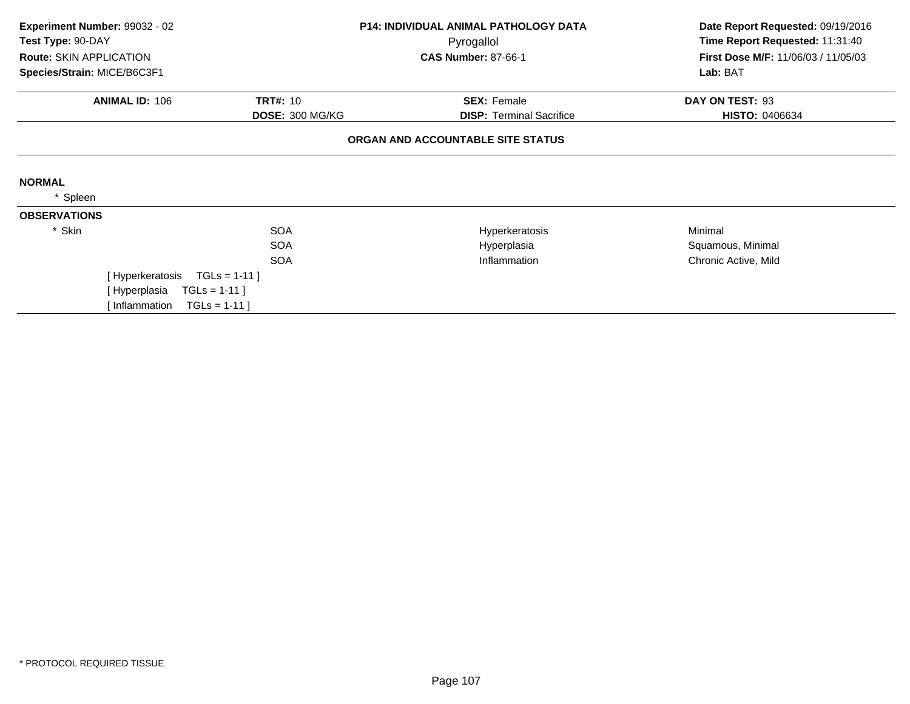| Experiment Number: 99032 - 02<br>Test Type: 90-DAY |                 | <b>P14: INDIVIDUAL ANIMAL PATHOLOGY DATA</b><br>Pyrogallol | Date Report Requested: 09/19/2016<br>Time Report Requested: 11:31:40 |
|----------------------------------------------------|-----------------|------------------------------------------------------------|----------------------------------------------------------------------|
| Route: SKIN APPLICATION                            |                 | <b>CAS Number: 87-66-1</b>                                 | First Dose M/F: 11/06/03 / 11/05/03                                  |
| Species/Strain: MICE/B6C3F1                        |                 |                                                            | Lab: BAT                                                             |
| <b>ANIMAL ID: 106</b>                              | <b>TRT#: 10</b> | <b>SEX: Female</b>                                         | DAY ON TEST: 93                                                      |
|                                                    | DOSE: 300 MG/KG | <b>DISP:</b> Terminal Sacrifice                            | <b>HISTO: 0406634</b>                                                |
|                                                    |                 | ORGAN AND ACCOUNTABLE SITE STATUS                          |                                                                      |
| <b>NORMAL</b>                                      |                 |                                                            |                                                                      |
| Spleen                                             |                 |                                                            |                                                                      |
| <b>OBSERVATIONS</b>                                |                 |                                                            |                                                                      |
| * Skin                                             | <b>SOA</b>      | Hyperkeratosis                                             | Minimal                                                              |
|                                                    | <b>SOA</b>      | Hyperplasia                                                | Squamous, Minimal                                                    |
|                                                    | <b>SOA</b>      | Inflammation                                               | Chronic Active, Mild                                                 |
| [Hyperkeratosis                                    | $TGLs = 1-11$   |                                                            |                                                                      |
| [ Hyperplasia                                      | $TGLs = 1-11$ ] |                                                            |                                                                      |
| [Inflammation                                      | $TGLS = 1-11$   |                                                            |                                                                      |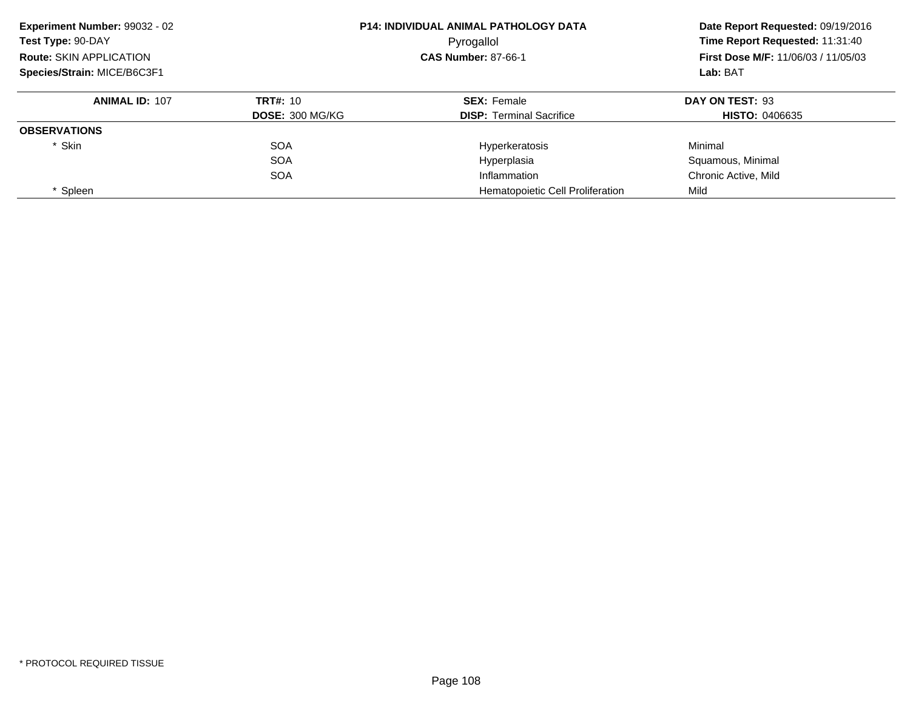| Experiment Number: 99032 - 02<br>Test Type: 90-DAY | <b>P14: INDIVIDUAL ANIMAL PATHOLOGY DATA</b><br>Pyrogallol |                                         | Date Report Requested: 09/19/2016<br>Time Report Requested: 11:31:40 |
|----------------------------------------------------|------------------------------------------------------------|-----------------------------------------|----------------------------------------------------------------------|
| <b>Route: SKIN APPLICATION</b>                     |                                                            | <b>CAS Number: 87-66-1</b>              | <b>First Dose M/F: 11/06/03 / 11/05/03</b><br>Lab: BAT               |
| Species/Strain: MICE/B6C3F1                        |                                                            |                                         |                                                                      |
| <b>ANIMAL ID: 107</b>                              | TRT#: 10                                                   | <b>SEX: Female</b>                      | DAY ON TEST: 93                                                      |
|                                                    | <b>DOSE: 300 MG/KG</b>                                     | <b>DISP:</b> Terminal Sacrifice         | <b>HISTO: 0406635</b>                                                |
| <b>OBSERVATIONS</b>                                |                                                            |                                         |                                                                      |
| * Skin                                             | <b>SOA</b>                                                 | Hyperkeratosis                          | Minimal                                                              |
|                                                    | <b>SOA</b>                                                 | Hyperplasia                             | Squamous, Minimal                                                    |
|                                                    | <b>SOA</b>                                                 | Inflammation                            | Chronic Active, Mild                                                 |
| * Spleen                                           |                                                            | <b>Hematopoietic Cell Proliferation</b> | Mild                                                                 |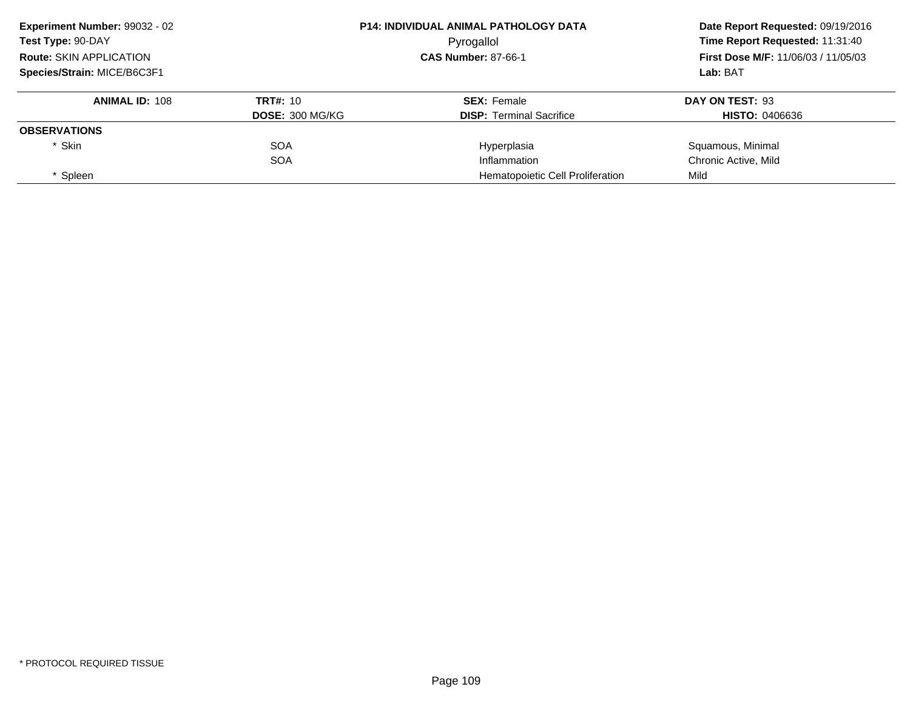| Experiment Number: 99032 - 02<br>Test Type: 90-DAY |                        | <b>P14: INDIVIDUAL ANIMAL PATHOLOGY DATA</b> | Date Report Requested: 09/19/2016<br>Time Report Requested: 11:31:40 |  |
|----------------------------------------------------|------------------------|----------------------------------------------|----------------------------------------------------------------------|--|
|                                                    |                        | Pyrogallol                                   |                                                                      |  |
| <b>Route: SKIN APPLICATION</b>                     |                        | <b>CAS Number: 87-66-1</b>                   | First Dose M/F: 11/06/03 / 11/05/03                                  |  |
| Species/Strain: MICE/B6C3F1                        |                        |                                              | Lab: BAT                                                             |  |
| <b>ANIMAL ID: 108</b>                              | <b>TRT#: 10</b>        | <b>SEX: Female</b>                           | DAY ON TEST: 93                                                      |  |
|                                                    | <b>DOSE: 300 MG/KG</b> | <b>DISP:</b> Terminal Sacrifice              | <b>HISTO: 0406636</b>                                                |  |
| <b>OBSERVATIONS</b>                                |                        |                                              |                                                                      |  |
| * Skin                                             | <b>SOA</b>             | Hyperplasia                                  | Squamous, Minimal                                                    |  |
|                                                    | <b>SOA</b>             | Inflammation                                 | Chronic Active, Mild                                                 |  |
| Spleen                                             |                        | Hematopoietic Cell Proliferation             | Mild                                                                 |  |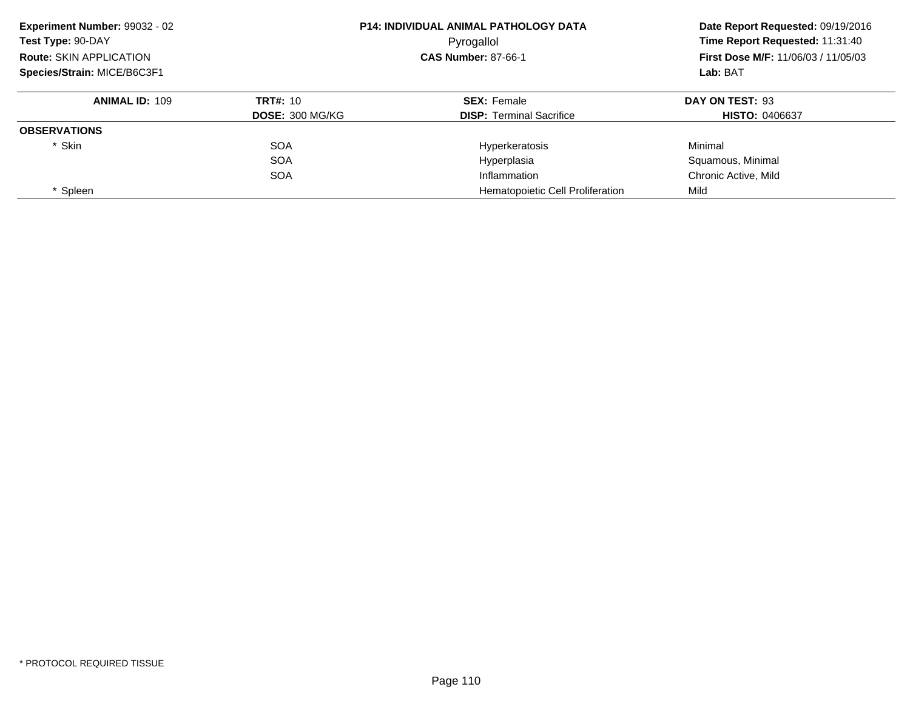| Experiment Number: 99032 - 02  |                        | <b>P14: INDIVIDUAL ANIMAL PATHOLOGY DATA</b> | Date Report Requested: 09/19/2016<br>Time Report Requested: 11:31:40<br><b>First Dose M/F: 11/06/03 / 11/05/03</b> |
|--------------------------------|------------------------|----------------------------------------------|--------------------------------------------------------------------------------------------------------------------|
| Test Type: 90-DAY              |                        | Pyrogallol                                   |                                                                                                                    |
| <b>Route: SKIN APPLICATION</b> |                        | <b>CAS Number: 87-66-1</b>                   |                                                                                                                    |
| Species/Strain: MICE/B6C3F1    |                        |                                              | Lab: BAT                                                                                                           |
| <b>ANIMAL ID: 109</b>          | <b>TRT#: 10</b>        | <b>SEX: Female</b>                           | DAY ON TEST: 93                                                                                                    |
|                                | <b>DOSE: 300 MG/KG</b> | <b>DISP:</b> Terminal Sacrifice              | <b>HISTO: 0406637</b>                                                                                              |
| <b>OBSERVATIONS</b>            |                        |                                              |                                                                                                                    |
| * Skin                         | <b>SOA</b>             | Hyperkeratosis                               | Minimal                                                                                                            |
|                                | <b>SOA</b>             | Hyperplasia                                  | Squamous, Minimal                                                                                                  |
|                                | <b>SOA</b>             | Inflammation                                 | Chronic Active, Mild                                                                                               |
| * Spleen                       |                        | <b>Hematopoietic Cell Proliferation</b>      | Mild                                                                                                               |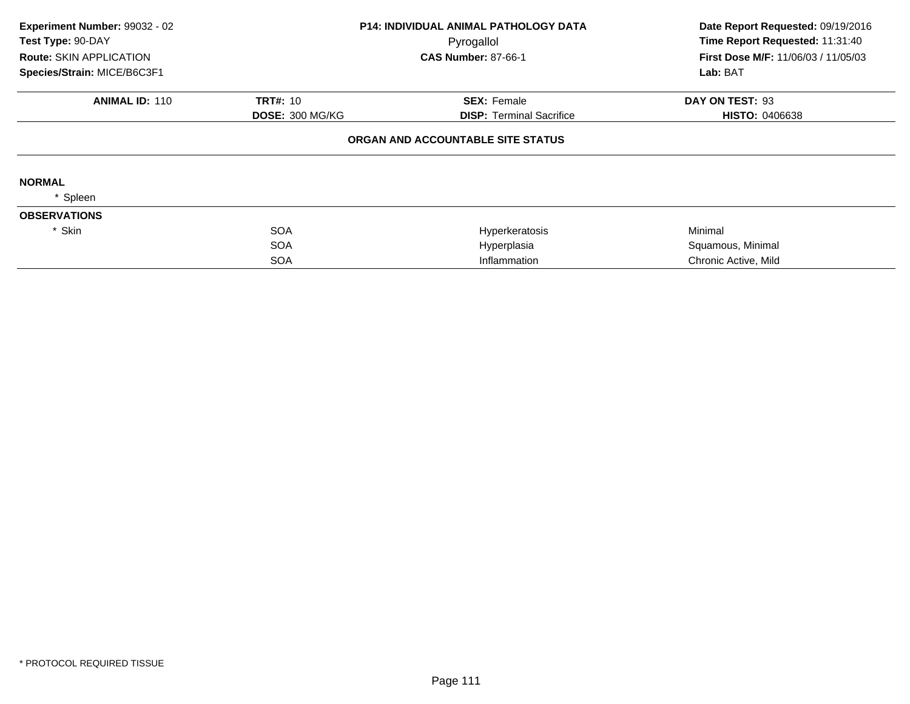| Experiment Number: 99032 - 02<br>Test Type: 90-DAY |                        | <b>P14: INDIVIDUAL ANIMAL PATHOLOGY DATA</b><br>Pyrogallol | Date Report Requested: 09/19/2016<br>Time Report Requested: 11:31:40 |  |
|----------------------------------------------------|------------------------|------------------------------------------------------------|----------------------------------------------------------------------|--|
| <b>Route: SKIN APPLICATION</b>                     |                        | <b>CAS Number: 87-66-1</b>                                 | First Dose M/F: 11/06/03 / 11/05/03                                  |  |
| Species/Strain: MICE/B6C3F1                        |                        |                                                            | Lab: BAT                                                             |  |
| <b>ANIMAL ID: 110</b>                              | <b>TRT#: 10</b>        | <b>SEX: Female</b>                                         | DAY ON TEST: 93                                                      |  |
|                                                    | <b>DOSE: 300 MG/KG</b> | <b>DISP:</b> Terminal Sacrifice                            | <b>HISTO: 0406638</b>                                                |  |
|                                                    |                        | ORGAN AND ACCOUNTABLE SITE STATUS                          |                                                                      |  |
| <b>NORMAL</b>                                      |                        |                                                            |                                                                      |  |
| Spleen                                             |                        |                                                            |                                                                      |  |
| <b>OBSERVATIONS</b>                                |                        |                                                            |                                                                      |  |
| * Skin                                             | <b>SOA</b>             | Hyperkeratosis                                             | Minimal                                                              |  |
|                                                    | <b>SOA</b>             | Hyperplasia                                                | Squamous, Minimal                                                    |  |
|                                                    | <b>SOA</b>             | Inflammation                                               | Chronic Active, Mild                                                 |  |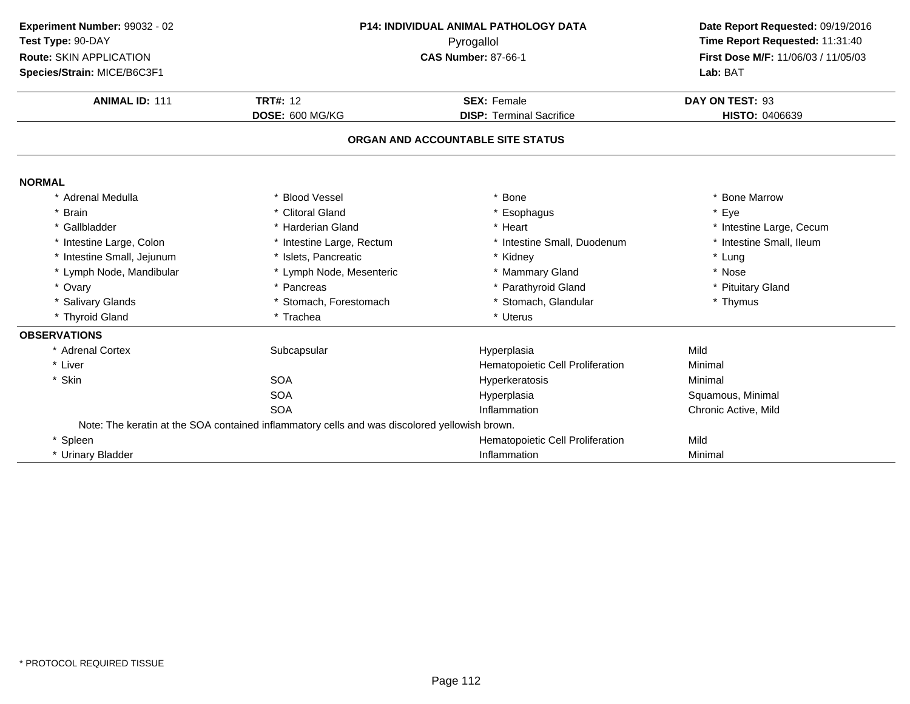| Experiment Number: 99032 - 02 | P14: INDIVIDUAL ANIMAL PATHOLOGY DATA                                                         | Date Report Requested: 09/19/2016 |                                     |
|-------------------------------|-----------------------------------------------------------------------------------------------|-----------------------------------|-------------------------------------|
| Test Type: 90-DAY             |                                                                                               | Pyrogallol                        | Time Report Requested: 11:31:40     |
| Route: SKIN APPLICATION       |                                                                                               | <b>CAS Number: 87-66-1</b>        | First Dose M/F: 11/06/03 / 11/05/03 |
| Species/Strain: MICE/B6C3F1   |                                                                                               |                                   | Lab: BAT                            |
| <b>ANIMAL ID: 111</b>         | <b>TRT#: 12</b>                                                                               | <b>SEX: Female</b>                | DAY ON TEST: 93                     |
|                               | DOSE: 600 MG/KG                                                                               | <b>DISP: Terminal Sacrifice</b>   | HISTO: 0406639                      |
|                               |                                                                                               | ORGAN AND ACCOUNTABLE SITE STATUS |                                     |
| <b>NORMAL</b>                 |                                                                                               |                                   |                                     |
| * Adrenal Medulla             | <b>Blood Vessel</b>                                                                           | <b>Bone</b>                       | * Bone Marrow                       |
| * Brain                       | * Clitoral Gland                                                                              | * Esophagus                       | * Eye                               |
| * Gallbladder                 | * Harderian Gland                                                                             | * Heart                           | * Intestine Large, Cecum            |
| * Intestine Large, Colon      | * Intestine Large, Rectum                                                                     | * Intestine Small, Duodenum       | * Intestine Small, Ileum            |
| * Intestine Small, Jejunum    | * Islets, Pancreatic                                                                          | * Kidney                          | * Lung                              |
| * Lymph Node, Mandibular      | * Lymph Node, Mesenteric                                                                      | * Mammary Gland                   | * Nose                              |
| * Ovary                       | * Pancreas                                                                                    | * Parathyroid Gland               | * Pituitary Gland                   |
| * Salivary Glands             | * Stomach, Forestomach                                                                        | * Stomach, Glandular              | * Thymus                            |
| * Thyroid Gland               | * Trachea                                                                                     | * Uterus                          |                                     |
| <b>OBSERVATIONS</b>           |                                                                                               |                                   |                                     |
| * Adrenal Cortex              | Subcapsular                                                                                   | Hyperplasia                       | Mild                                |
| * Liver                       |                                                                                               | Hematopoietic Cell Proliferation  | Minimal                             |
| * Skin                        | <b>SOA</b>                                                                                    | Hyperkeratosis                    | Minimal                             |
|                               | <b>SOA</b>                                                                                    | Hyperplasia                       | Squamous, Minimal                   |
|                               | <b>SOA</b>                                                                                    | Inflammation                      | Chronic Active, Mild                |
|                               | Note: The keratin at the SOA contained inflammatory cells and was discolored yellowish brown. |                                   |                                     |
| * Spleen                      |                                                                                               | Hematopoietic Cell Proliferation  | Mild                                |
| * Urinary Bladder             |                                                                                               | Inflammation                      | Minimal                             |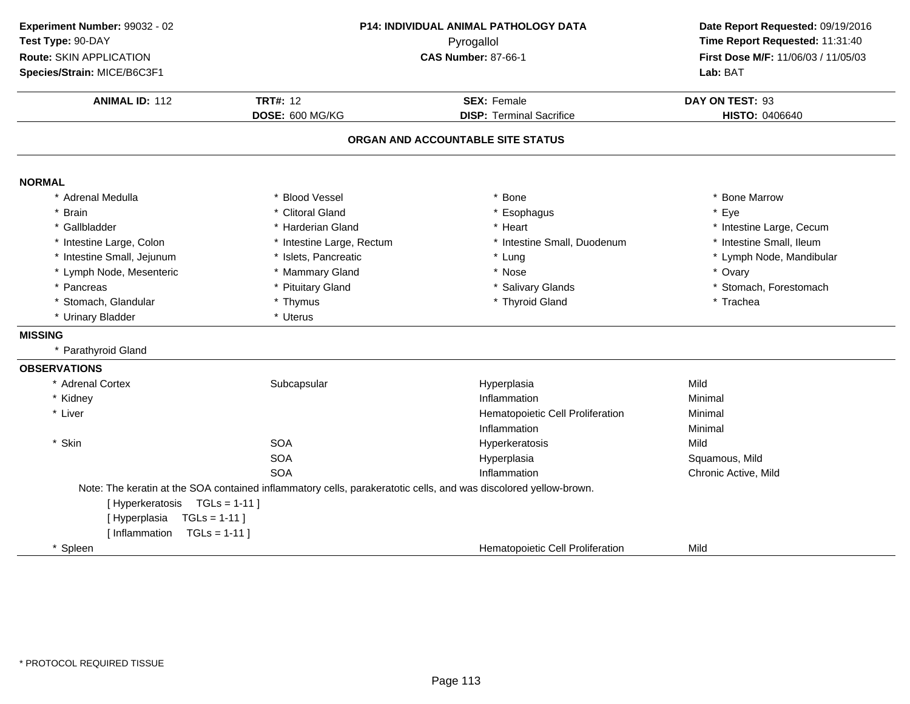| Experiment Number: 99032 - 02  |                                                                                                                  | P14: INDIVIDUAL ANIMAL PATHOLOGY DATA | Date Report Requested: 09/19/2016<br>Time Report Requested: 11:31:40<br>First Dose M/F: 11/06/03 / 11/05/03 |
|--------------------------------|------------------------------------------------------------------------------------------------------------------|---------------------------------------|-------------------------------------------------------------------------------------------------------------|
| Test Type: 90-DAY              |                                                                                                                  | Pyrogallol                            |                                                                                                             |
| Route: SKIN APPLICATION        |                                                                                                                  | <b>CAS Number: 87-66-1</b>            |                                                                                                             |
| Species/Strain: MICE/B6C3F1    |                                                                                                                  |                                       | Lab: BAT                                                                                                    |
| <b>ANIMAL ID: 112</b>          | <b>TRT#: 12</b>                                                                                                  | <b>SEX: Female</b>                    | DAY ON TEST: 93                                                                                             |
|                                | DOSE: 600 MG/KG                                                                                                  | <b>DISP: Terminal Sacrifice</b>       | HISTO: 0406640                                                                                              |
|                                |                                                                                                                  | ORGAN AND ACCOUNTABLE SITE STATUS     |                                                                                                             |
| <b>NORMAL</b>                  |                                                                                                                  |                                       |                                                                                                             |
| * Adrenal Medulla              | <b>Blood Vessel</b>                                                                                              | <b>Bone</b>                           | * Bone Marrow                                                                                               |
| * Brain                        | * Clitoral Gland                                                                                                 | * Esophagus                           | * Eye                                                                                                       |
| * Gallbladder                  | * Harderian Gland                                                                                                | * Heart                               | * Intestine Large, Cecum                                                                                    |
| * Intestine Large, Colon       | * Intestine Large, Rectum                                                                                        | * Intestine Small, Duodenum           | * Intestine Small, Ileum                                                                                    |
| * Intestine Small, Jejunum     | * Islets, Pancreatic                                                                                             | * Lung                                | * Lymph Node, Mandibular                                                                                    |
| * Lymph Node, Mesenteric       | * Mammary Gland                                                                                                  | * Nose                                | * Ovary                                                                                                     |
| * Pancreas                     | * Pituitary Gland                                                                                                | * Salivary Glands                     | * Stomach, Forestomach                                                                                      |
| * Stomach, Glandular           | * Thymus                                                                                                         | * Thyroid Gland                       | * Trachea                                                                                                   |
| * Urinary Bladder              | * Uterus                                                                                                         |                                       |                                                                                                             |
| <b>MISSING</b>                 |                                                                                                                  |                                       |                                                                                                             |
| * Parathyroid Gland            |                                                                                                                  |                                       |                                                                                                             |
| <b>OBSERVATIONS</b>            |                                                                                                                  |                                       |                                                                                                             |
| * Adrenal Cortex               | Subcapsular                                                                                                      | Hyperplasia                           | Mild                                                                                                        |
| * Kidney                       |                                                                                                                  | Inflammation                          | Minimal                                                                                                     |
| * Liver                        |                                                                                                                  | Hematopoietic Cell Proliferation      | Minimal                                                                                                     |
|                                |                                                                                                                  | Inflammation                          | Minimal                                                                                                     |
| * Skin                         | <b>SOA</b>                                                                                                       | Hyperkeratosis                        | Mild                                                                                                        |
|                                | <b>SOA</b>                                                                                                       | Hyperplasia                           | Squamous, Mild                                                                                              |
|                                | <b>SOA</b>                                                                                                       | Inflammation                          | Chronic Active, Mild                                                                                        |
|                                | Note: The keratin at the SOA contained inflammatory cells, parakeratotic cells, and was discolored yellow-brown. |                                       |                                                                                                             |
| [Hyperkeratosis TGLs = 1-11]   |                                                                                                                  |                                       |                                                                                                             |
| $TGLs = 1-11$<br>[Hyperplasia  |                                                                                                                  |                                       |                                                                                                             |
| [Inflammation<br>$TGLs = 1-11$ |                                                                                                                  |                                       |                                                                                                             |
| * Spleen                       |                                                                                                                  | Hematopoietic Cell Proliferation      | Mild                                                                                                        |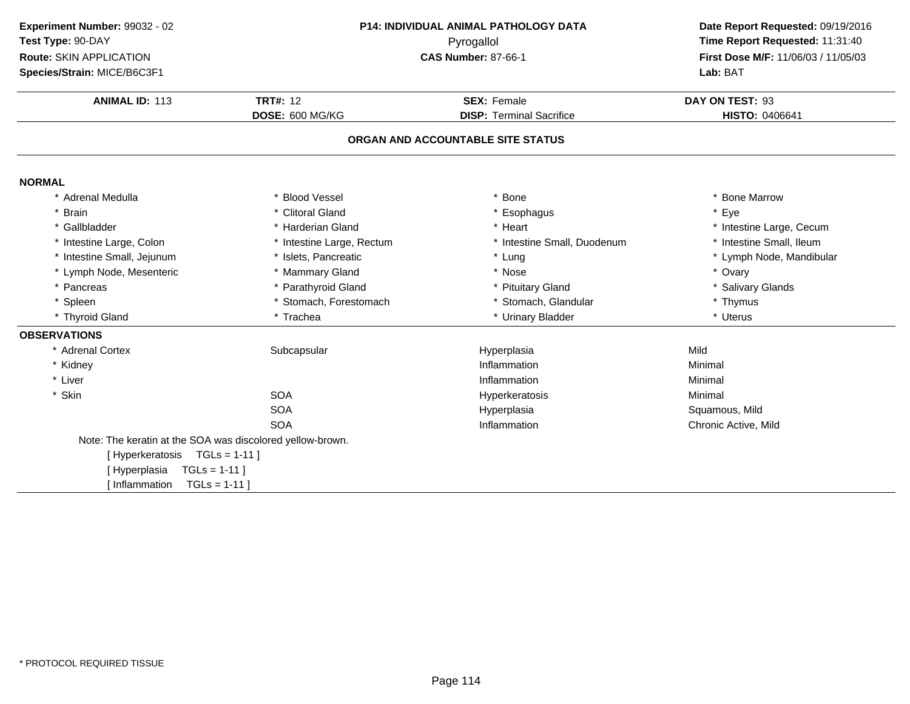| Experiment Number: 99032 - 02<br>Test Type: 90-DAY        |                                    | <b>P14: INDIVIDUAL ANIMAL PATHOLOGY DATA</b><br>Pyrogallol | Date Report Requested: 09/19/2016<br>Time Report Requested: 11:31:40 |
|-----------------------------------------------------------|------------------------------------|------------------------------------------------------------|----------------------------------------------------------------------|
| Route: SKIN APPLICATION<br>Species/Strain: MICE/B6C3F1    |                                    | <b>CAS Number: 87-66-1</b>                                 |                                                                      |
| <b>ANIMAL ID: 113</b>                                     | <b>TRT#: 12</b><br>DOSE: 600 MG/KG | <b>SEX: Female</b><br><b>DISP: Terminal Sacrifice</b>      | DAY ON TEST: 93<br><b>HISTO: 0406641</b>                             |
|                                                           |                                    | ORGAN AND ACCOUNTABLE SITE STATUS                          |                                                                      |
|                                                           |                                    |                                                            |                                                                      |
| <b>NORMAL</b>                                             |                                    |                                                            |                                                                      |
| * Adrenal Medulla<br>* Brain                              | * Blood Vessel<br>* Clitoral Gland | * Bone                                                     | * Bone Marrow<br>* Eye                                               |
| * Gallbladder                                             | * Harderian Gland                  | * Esophagus<br>* Heart                                     | * Intestine Large, Cecum                                             |
|                                                           | * Intestine Large, Rectum          |                                                            | * Intestine Small, Ileum                                             |
| * Intestine Large, Colon<br>* Intestine Small, Jejunum    | * Islets, Pancreatic               | * Intestine Small, Duodenum<br>* Lung                      | * Lymph Node, Mandibular                                             |
|                                                           | * Mammary Gland                    | * Nose                                                     | * Ovary                                                              |
| * Lymph Node, Mesenteric<br>* Pancreas                    | * Parathyroid Gland                | * Pituitary Gland                                          | * Salivary Glands                                                    |
| * Spleen                                                  | * Stomach, Forestomach             | * Stomach, Glandular                                       | * Thymus                                                             |
| * Thyroid Gland                                           | * Trachea                          | * Urinary Bladder                                          | * Uterus                                                             |
|                                                           |                                    |                                                            |                                                                      |
| <b>OBSERVATIONS</b>                                       |                                    |                                                            |                                                                      |
| * Adrenal Cortex                                          | Subcapsular                        | Hyperplasia                                                | Mild                                                                 |
| * Kidney                                                  |                                    | Inflammation                                               | Minimal                                                              |
| * Liver                                                   |                                    | Inflammation                                               | Minimal                                                              |
| * Skin                                                    | <b>SOA</b>                         | Hyperkeratosis                                             | Minimal                                                              |
|                                                           | <b>SOA</b>                         | Hyperplasia                                                | Squamous, Mild                                                       |
|                                                           | <b>SOA</b>                         | Inflammation                                               | Chronic Active, Mild                                                 |
| Note: The keratin at the SOA was discolored yellow-brown. |                                    |                                                            |                                                                      |
| [Hyperkeratosis TGLs = 1-11]                              |                                    |                                                            |                                                                      |
| $TGLs = 1-11$<br>[Hyperplasia                             |                                    |                                                            |                                                                      |
| $TGLs = 1-11$ ]<br>[ Inflammation                         |                                    |                                                            |                                                                      |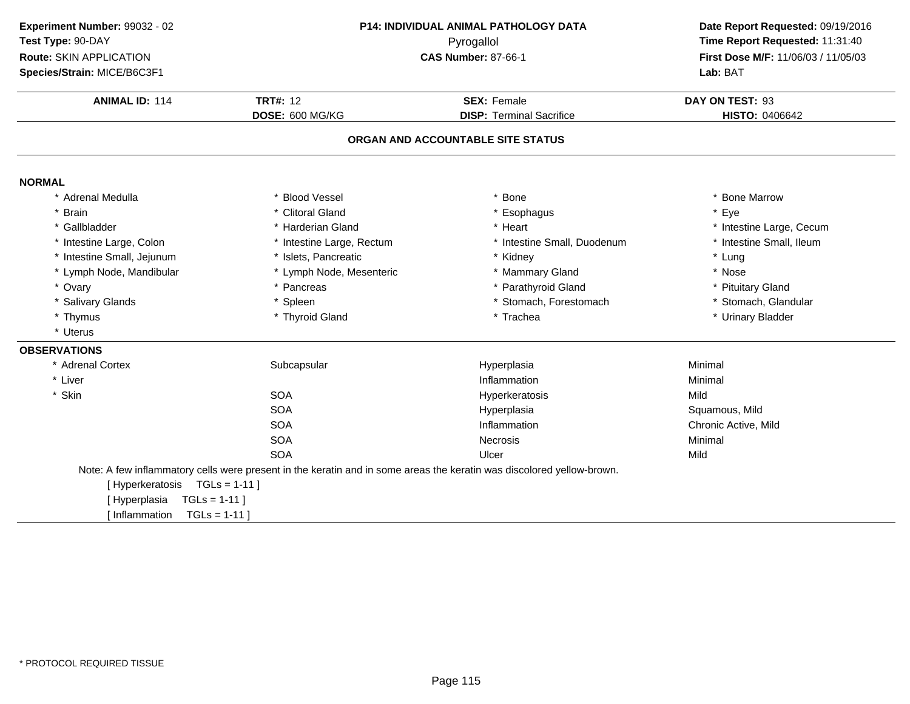| Experiment Number: 99032 - 02 |                                                                                                                       | P14: INDIVIDUAL ANIMAL PATHOLOGY DATA | Date Report Requested: 09/19/2016<br>Time Report Requested: 11:31:40<br>First Dose M/F: 11/06/03 / 11/05/03 |
|-------------------------------|-----------------------------------------------------------------------------------------------------------------------|---------------------------------------|-------------------------------------------------------------------------------------------------------------|
| Test Type: 90-DAY             |                                                                                                                       | Pyrogallol                            |                                                                                                             |
| Route: SKIN APPLICATION       |                                                                                                                       | <b>CAS Number: 87-66-1</b>            |                                                                                                             |
| Species/Strain: MICE/B6C3F1   |                                                                                                                       |                                       | Lab: BAT                                                                                                    |
| <b>ANIMAL ID: 114</b>         | <b>TRT#: 12</b>                                                                                                       | <b>SEX: Female</b>                    | DAY ON TEST: 93                                                                                             |
|                               | DOSE: 600 MG/KG                                                                                                       | <b>DISP: Terminal Sacrifice</b>       | <b>HISTO: 0406642</b>                                                                                       |
|                               |                                                                                                                       | ORGAN AND ACCOUNTABLE SITE STATUS     |                                                                                                             |
| <b>NORMAL</b>                 |                                                                                                                       |                                       |                                                                                                             |
| * Adrenal Medulla             | * Blood Vessel                                                                                                        | <b>Bone</b>                           | * Bone Marrow                                                                                               |
| <b>Brain</b>                  | * Clitoral Gland                                                                                                      | * Esophagus                           | * Eye                                                                                                       |
| * Gallbladder                 | * Harderian Gland                                                                                                     | * Heart                               | * Intestine Large, Cecum                                                                                    |
| * Intestine Large, Colon      | * Intestine Large, Rectum                                                                                             | * Intestine Small, Duodenum           | * Intestine Small, Ileum                                                                                    |
| * Intestine Small, Jejunum    | * Islets, Pancreatic                                                                                                  | * Kidney                              | * Lung                                                                                                      |
| * Lymph Node, Mandibular      | * Lymph Node, Mesenteric                                                                                              | * Mammary Gland                       | * Nose                                                                                                      |
| * Ovary                       | * Pancreas                                                                                                            | * Parathyroid Gland                   | * Pituitary Gland                                                                                           |
| * Salivary Glands             | * Spleen                                                                                                              | * Stomach, Forestomach                | * Stomach, Glandular                                                                                        |
| * Thymus                      | * Thyroid Gland                                                                                                       | * Trachea                             | * Urinary Bladder                                                                                           |
| * Uterus                      |                                                                                                                       |                                       |                                                                                                             |
| <b>OBSERVATIONS</b>           |                                                                                                                       |                                       |                                                                                                             |
| * Adrenal Cortex              | Subcapsular                                                                                                           | Hyperplasia                           | Minimal                                                                                                     |
| * Liver                       |                                                                                                                       | Inflammation                          | Minimal                                                                                                     |
| * Skin                        | <b>SOA</b>                                                                                                            | Hyperkeratosis                        | Mild                                                                                                        |
|                               | <b>SOA</b>                                                                                                            | Hyperplasia                           | Squamous, Mild                                                                                              |
|                               | <b>SOA</b>                                                                                                            | Inflammation                          | Chronic Active, Mild                                                                                        |
|                               | <b>SOA</b>                                                                                                            | <b>Necrosis</b>                       | Minimal                                                                                                     |
|                               | <b>SOA</b>                                                                                                            | Ulcer                                 | Mild                                                                                                        |
|                               | Note: A few inflammatory cells were present in the keratin and in some areas the keratin was discolored yellow-brown. |                                       |                                                                                                             |
| [Hyperkeratosis TGLs = 1-11]  |                                                                                                                       |                                       |                                                                                                             |
| [Hyperplasia<br>$TGLS = 1-11$ |                                                                                                                       |                                       |                                                                                                             |
| I Inflammation                | $TGLs = 1-11$                                                                                                         |                                       |                                                                                                             |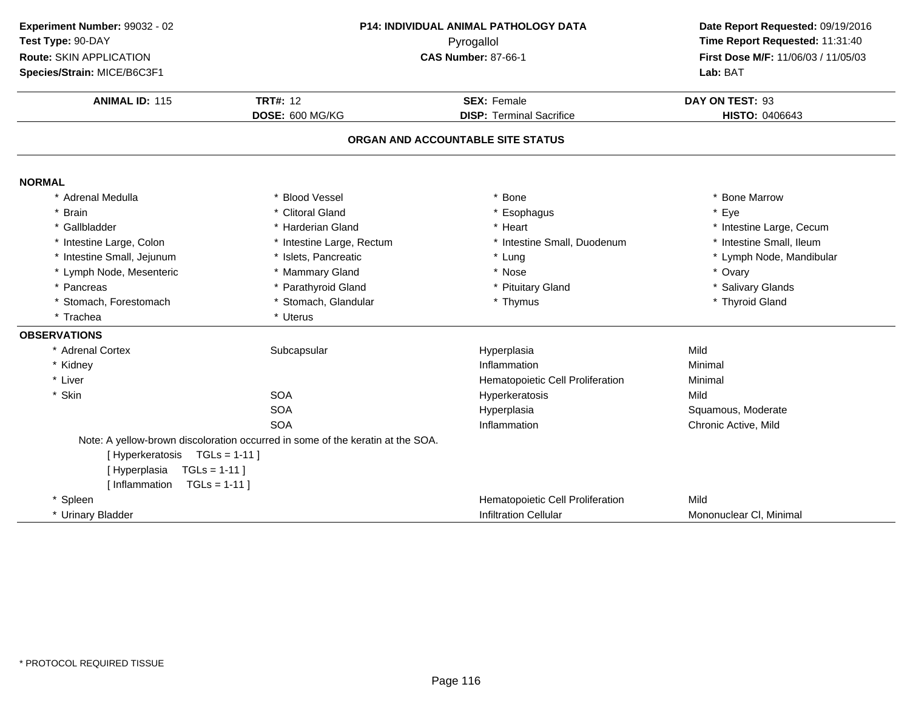| Experiment Number: 99032 - 02 |                                                                                | P14: INDIVIDUAL ANIMAL PATHOLOGY DATA | Date Report Requested: 09/19/2016<br>Time Report Requested: 11:31:40 |
|-------------------------------|--------------------------------------------------------------------------------|---------------------------------------|----------------------------------------------------------------------|
| Test Type: 90-DAY             |                                                                                | Pyrogallol                            |                                                                      |
| Route: SKIN APPLICATION       |                                                                                | <b>CAS Number: 87-66-1</b>            | First Dose M/F: 11/06/03 / 11/05/03                                  |
| Species/Strain: MICE/B6C3F1   |                                                                                |                                       | Lab: BAT                                                             |
|                               |                                                                                |                                       |                                                                      |
| <b>ANIMAL ID: 115</b>         | <b>TRT#: 12</b>                                                                | <b>SEX: Female</b>                    | DAY ON TEST: 93                                                      |
|                               | DOSE: 600 MG/KG                                                                | <b>DISP: Terminal Sacrifice</b>       | <b>HISTO: 0406643</b>                                                |
|                               |                                                                                | ORGAN AND ACCOUNTABLE SITE STATUS     |                                                                      |
| <b>NORMAL</b>                 |                                                                                |                                       |                                                                      |
| Adrenal Medulla               | * Blood Vessel                                                                 | Bone                                  | * Bone Marrow                                                        |
| <b>Brain</b>                  | * Clitoral Gland                                                               | * Esophagus                           | * Eye                                                                |
| Gallbladder                   | * Harderian Gland                                                              | * Heart                               | * Intestine Large, Cecum                                             |
| * Intestine Large, Colon      | * Intestine Large, Rectum                                                      | * Intestine Small, Duodenum           | * Intestine Small, Ileum                                             |
| * Intestine Small, Jejunum    | * Islets, Pancreatic                                                           | * Lung                                | * Lymph Node, Mandibular                                             |
| * Lymph Node, Mesenteric      | * Mammary Gland                                                                | * Nose                                | * Ovary                                                              |
| * Pancreas                    | * Parathyroid Gland                                                            | * Pituitary Gland                     | * Salivary Glands                                                    |
| * Stomach, Forestomach        | * Stomach, Glandular                                                           | * Thymus                              | * Thyroid Gland                                                      |
| * Trachea                     | * Uterus                                                                       |                                       |                                                                      |
| <b>OBSERVATIONS</b>           |                                                                                |                                       |                                                                      |
| * Adrenal Cortex              | Subcapsular                                                                    | Hyperplasia                           | Mild                                                                 |
| * Kidney                      |                                                                                | Inflammation                          | Minimal                                                              |
| * Liver                       |                                                                                | Hematopoietic Cell Proliferation      | Minimal                                                              |
| * Skin                        | <b>SOA</b>                                                                     | Hyperkeratosis                        | Mild                                                                 |
|                               | <b>SOA</b>                                                                     | Hyperplasia                           | Squamous, Moderate                                                   |
|                               | <b>SOA</b>                                                                     | Inflammation                          | Chronic Active, Mild                                                 |
|                               | Note: A yellow-brown discoloration occurred in some of the keratin at the SOA. |                                       |                                                                      |
| [Hyperkeratosis TGLs = 1-11]  |                                                                                |                                       |                                                                      |
| [Hyperplasia<br>$TGLs = 1-11$ |                                                                                |                                       |                                                                      |
| [Inflammation $TGLs = 1-11$ ] |                                                                                |                                       |                                                                      |
| * Spleen                      |                                                                                | Hematopoietic Cell Proliferation      | Mild                                                                 |
| * Urinary Bladder             |                                                                                | <b>Infiltration Cellular</b>          | Mononuclear CI, Minimal                                              |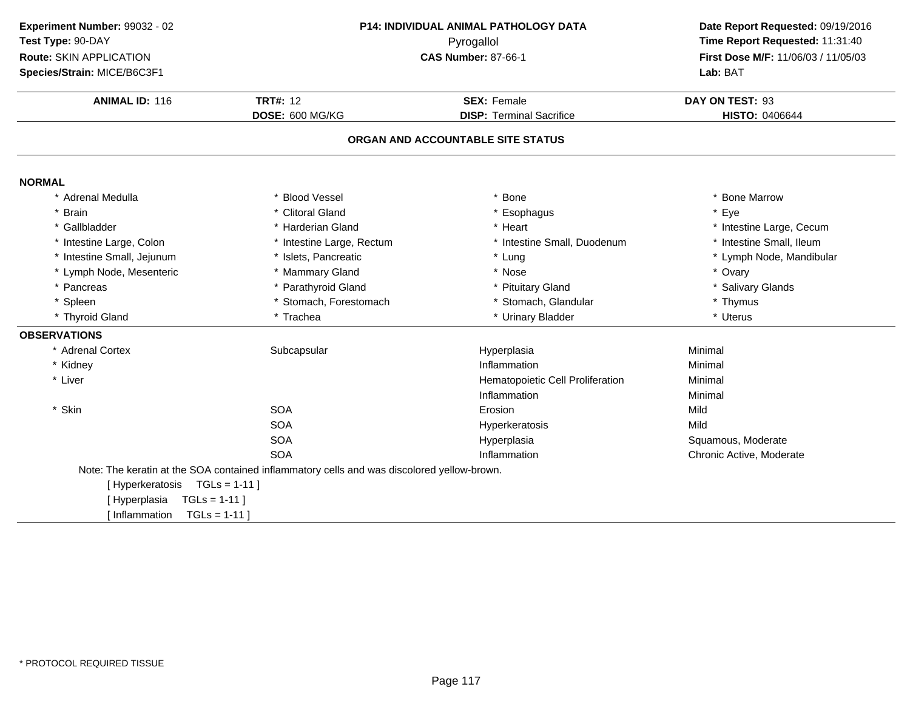| Experiment Number: 99032 - 02     |                                                                                            | P14: INDIVIDUAL ANIMAL PATHOLOGY DATA | Date Report Requested: 09/19/2016                                      |  |
|-----------------------------------|--------------------------------------------------------------------------------------------|---------------------------------------|------------------------------------------------------------------------|--|
| Test Type: 90-DAY                 |                                                                                            | Pyrogallol                            | Time Report Requested: 11:31:40<br>First Dose M/F: 11/06/03 / 11/05/03 |  |
| Route: SKIN APPLICATION           |                                                                                            | <b>CAS Number: 87-66-1</b>            |                                                                        |  |
| Species/Strain: MICE/B6C3F1       |                                                                                            |                                       | Lab: BAT                                                               |  |
| <b>ANIMAL ID: 116</b>             | <b>TRT#: 12</b>                                                                            | <b>SEX: Female</b>                    | DAY ON TEST: 93                                                        |  |
|                                   | DOSE: 600 MG/KG                                                                            | <b>DISP: Terminal Sacrifice</b>       | <b>HISTO: 0406644</b>                                                  |  |
|                                   |                                                                                            |                                       |                                                                        |  |
|                                   |                                                                                            | ORGAN AND ACCOUNTABLE SITE STATUS     |                                                                        |  |
| <b>NORMAL</b>                     |                                                                                            |                                       |                                                                        |  |
| * Adrenal Medulla                 | * Blood Vessel                                                                             | * Bone                                | * Bone Marrow                                                          |  |
| * Brain                           | * Clitoral Gland                                                                           | * Esophagus                           | * Eye                                                                  |  |
| * Gallbladder                     | * Harderian Gland                                                                          | * Heart                               | * Intestine Large, Cecum                                               |  |
| * Intestine Large, Colon          | * Intestine Large, Rectum                                                                  | * Intestine Small, Duodenum           | * Intestine Small, Ileum                                               |  |
| * Intestine Small, Jejunum        | * Islets, Pancreatic                                                                       | * Lung                                | * Lymph Node, Mandibular                                               |  |
| * Lymph Node, Mesenteric          | * Mammary Gland                                                                            | * Nose                                | * Ovary                                                                |  |
| * Pancreas                        | * Parathyroid Gland                                                                        | * Pituitary Gland                     | * Salivary Glands                                                      |  |
| * Spleen                          | * Stomach, Forestomach                                                                     | * Stomach, Glandular                  | * Thymus                                                               |  |
| * Thyroid Gland                   | * Trachea                                                                                  | * Urinary Bladder                     | * Uterus                                                               |  |
| <b>OBSERVATIONS</b>               |                                                                                            |                                       |                                                                        |  |
| * Adrenal Cortex                  | Subcapsular                                                                                | Hyperplasia                           | Minimal                                                                |  |
| * Kidney                          |                                                                                            | Inflammation                          | Minimal                                                                |  |
| * Liver                           |                                                                                            | Hematopoietic Cell Proliferation      | Minimal                                                                |  |
|                                   |                                                                                            | Inflammation                          | Minimal                                                                |  |
| * Skin                            | <b>SOA</b>                                                                                 | Erosion                               | Mild                                                                   |  |
|                                   | <b>SOA</b>                                                                                 | Hyperkeratosis                        | Mild                                                                   |  |
|                                   | <b>SOA</b>                                                                                 | Hyperplasia                           | Squamous, Moderate                                                     |  |
|                                   | <b>SOA</b>                                                                                 | Inflammation                          | Chronic Active, Moderate                                               |  |
|                                   | Note: The keratin at the SOA contained inflammatory cells and was discolored yellow-brown. |                                       |                                                                        |  |
| [Hyperkeratosis TGLs = 1-11]      |                                                                                            |                                       |                                                                        |  |
| $TGLs = 1-11$<br>[Hyperplasia     |                                                                                            |                                       |                                                                        |  |
| I Inflammation<br>$TGLs = 1-11$ ] |                                                                                            |                                       |                                                                        |  |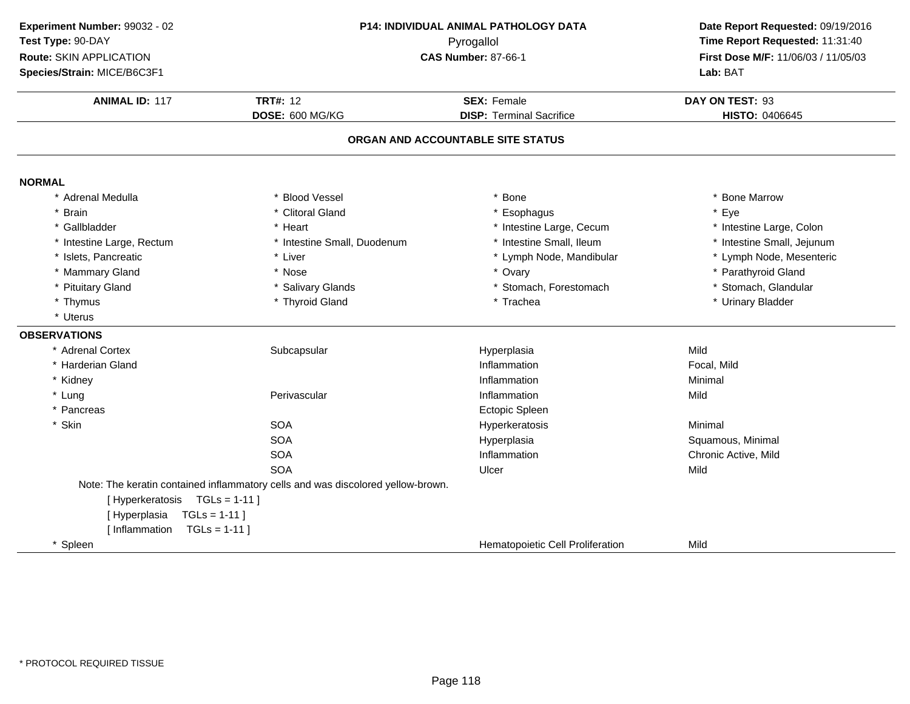| Experiment Number: 99032 - 02  |                                                                                 | P14: INDIVIDUAL ANIMAL PATHOLOGY DATA | Date Report Requested: 09/19/2016   |
|--------------------------------|---------------------------------------------------------------------------------|---------------------------------------|-------------------------------------|
| Test Type: 90-DAY              | Pyrogallol                                                                      |                                       | Time Report Requested: 11:31:40     |
| Route: SKIN APPLICATION        |                                                                                 | <b>CAS Number: 87-66-1</b>            | First Dose M/F: 11/06/03 / 11/05/03 |
| Species/Strain: MICE/B6C3F1    |                                                                                 |                                       | Lab: BAT                            |
|                                |                                                                                 |                                       |                                     |
| <b>ANIMAL ID: 117</b>          | <b>TRT#: 12</b>                                                                 | <b>SEX: Female</b>                    | DAY ON TEST: 93                     |
|                                | DOSE: 600 MG/KG                                                                 | <b>DISP: Terminal Sacrifice</b>       | HISTO: 0406645                      |
|                                |                                                                                 | ORGAN AND ACCOUNTABLE SITE STATUS     |                                     |
| <b>NORMAL</b>                  |                                                                                 |                                       |                                     |
| * Adrenal Medulla              | * Blood Vessel                                                                  | * Bone                                | * Bone Marrow                       |
| * Brain                        | * Clitoral Gland                                                                | Esophagus                             | * Eye                               |
| * Gallbladder                  | * Heart                                                                         | * Intestine Large, Cecum              | * Intestine Large, Colon            |
| * Intestine Large, Rectum      | * Intestine Small, Duodenum                                                     | * Intestine Small, Ileum              | * Intestine Small, Jejunum          |
| * Islets, Pancreatic           | * Liver                                                                         | * Lymph Node, Mandibular              | * Lymph Node, Mesenteric            |
| * Mammary Gland                | * Nose                                                                          | * Ovary                               | * Parathyroid Gland                 |
| * Pituitary Gland              | * Salivary Glands                                                               | * Stomach, Forestomach                | * Stomach, Glandular                |
| * Thymus                       | * Thyroid Gland                                                                 | * Trachea                             | * Urinary Bladder                   |
| * Uterus                       |                                                                                 |                                       |                                     |
| <b>OBSERVATIONS</b>            |                                                                                 |                                       |                                     |
| * Adrenal Cortex               | Subcapsular                                                                     | Hyperplasia                           | Mild                                |
| * Harderian Gland              |                                                                                 | Inflammation                          | Focal, Mild                         |
| * Kidney                       |                                                                                 | Inflammation                          | Minimal                             |
| * Lung                         | Perivascular                                                                    | Inflammation                          | Mild                                |
| * Pancreas                     |                                                                                 | Ectopic Spleen                        |                                     |
| * Skin                         | <b>SOA</b>                                                                      | Hyperkeratosis                        | Minimal                             |
|                                | <b>SOA</b>                                                                      | Hyperplasia                           | Squamous, Minimal                   |
|                                | <b>SOA</b>                                                                      | Inflammation                          | Chronic Active, Mild                |
|                                | <b>SOA</b>                                                                      | Ulcer                                 | Mild                                |
|                                | Note: The keratin contained inflammatory cells and was discolored yellow-brown. |                                       |                                     |
| [Hyperkeratosis TGLs = 1-11]   |                                                                                 |                                       |                                     |
| $TGLs = 1-11$<br>[Hyperplasia  |                                                                                 |                                       |                                     |
| [Inflammation<br>$TGLs = 1-11$ |                                                                                 |                                       |                                     |
| * Spleen                       |                                                                                 | Hematopoietic Cell Proliferation      | Mild                                |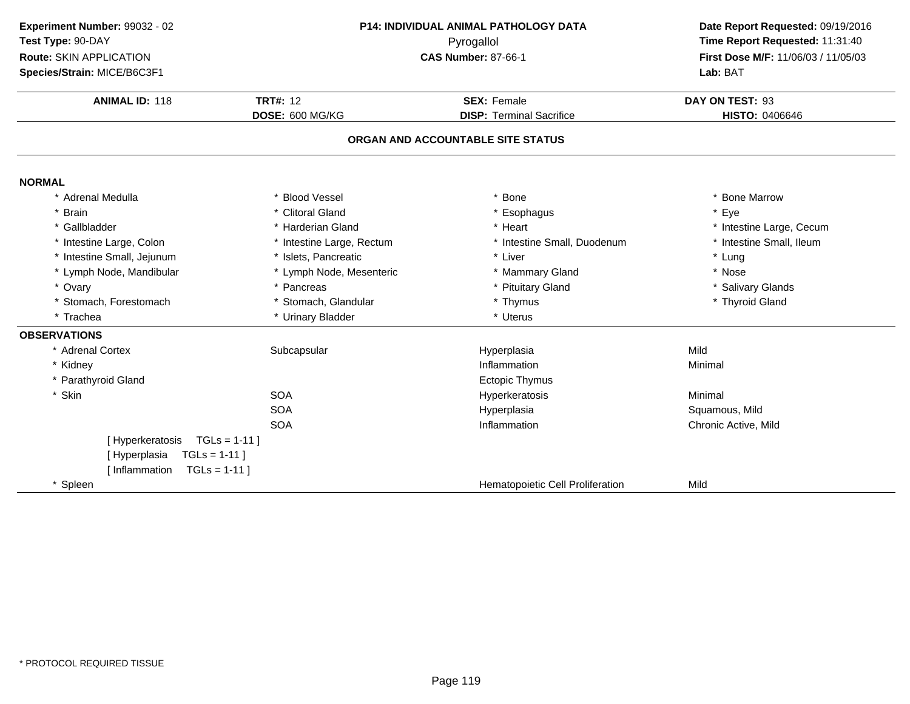| Experiment Number: 99032 - 02<br>Test Type: 90-DAY<br><b>Route: SKIN APPLICATION</b><br>Species/Strain: MICE/B6C3F1 | P14: INDIVIDUAL ANIMAL PATHOLOGY DATA<br>Pyrogallol<br><b>CAS Number: 87-66-1</b><br><b>TRT#: 12</b><br><b>SEX: Female</b><br>DOSE: 600 MG/KG<br><b>DISP: Terminal Sacrifice</b> |                                   | Date Report Requested: 09/19/2016<br>Time Report Requested: 11:31:40<br>First Dose M/F: 11/06/03 / 11/05/03<br>Lab: BAT |  |
|---------------------------------------------------------------------------------------------------------------------|----------------------------------------------------------------------------------------------------------------------------------------------------------------------------------|-----------------------------------|-------------------------------------------------------------------------------------------------------------------------|--|
| <b>ANIMAL ID: 118</b>                                                                                               |                                                                                                                                                                                  |                                   | DAY ON TEST: 93<br>HISTO: 0406646                                                                                       |  |
|                                                                                                                     |                                                                                                                                                                                  | ORGAN AND ACCOUNTABLE SITE STATUS |                                                                                                                         |  |
| <b>NORMAL</b>                                                                                                       |                                                                                                                                                                                  |                                   |                                                                                                                         |  |
| * Adrenal Medulla                                                                                                   | <b>Blood Vessel</b>                                                                                                                                                              | Bone                              | * Bone Marrow                                                                                                           |  |
| <b>Brain</b>                                                                                                        | * Clitoral Gland                                                                                                                                                                 | * Esophagus                       | * Eye                                                                                                                   |  |
| * Gallbladder                                                                                                       | * Harderian Gland                                                                                                                                                                | * Heart                           | * Intestine Large, Cecum                                                                                                |  |
| * Intestine Large, Colon                                                                                            | * Intestine Large, Rectum                                                                                                                                                        | * Intestine Small, Duodenum       | * Intestine Small, Ileum                                                                                                |  |
| * Intestine Small, Jejunum                                                                                          | * Islets, Pancreatic                                                                                                                                                             | * Liver                           | * Lung                                                                                                                  |  |
| * Lymph Node, Mandibular                                                                                            | * Lymph Node, Mesenteric                                                                                                                                                         | * Mammary Gland                   | * Nose                                                                                                                  |  |
| * Ovary                                                                                                             | * Pancreas                                                                                                                                                                       | * Pituitary Gland                 | * Salivary Glands                                                                                                       |  |
| * Stomach, Forestomach                                                                                              | * Stomach, Glandular                                                                                                                                                             | * Thymus                          | * Thyroid Gland                                                                                                         |  |
| * Trachea                                                                                                           | * Urinary Bladder                                                                                                                                                                | * Uterus                          |                                                                                                                         |  |
| <b>OBSERVATIONS</b>                                                                                                 |                                                                                                                                                                                  |                                   |                                                                                                                         |  |
| * Adrenal Cortex                                                                                                    | Subcapsular                                                                                                                                                                      | Hyperplasia                       | Mild                                                                                                                    |  |
| * Kidney                                                                                                            |                                                                                                                                                                                  | Inflammation                      | Minimal                                                                                                                 |  |
| * Parathyroid Gland                                                                                                 |                                                                                                                                                                                  | <b>Ectopic Thymus</b>             |                                                                                                                         |  |
| * Skin                                                                                                              | <b>SOA</b>                                                                                                                                                                       | Hyperkeratosis                    | Minimal                                                                                                                 |  |
|                                                                                                                     | <b>SOA</b>                                                                                                                                                                       | Hyperplasia                       | Squamous, Mild                                                                                                          |  |
|                                                                                                                     | <b>SOA</b>                                                                                                                                                                       | Inflammation                      | Chronic Active, Mild                                                                                                    |  |
| $TGLs = 1-11$<br>[Hyperkeratosis                                                                                    |                                                                                                                                                                                  |                                   |                                                                                                                         |  |
| [Hyperplasia<br>$TGLs = 1-11$                                                                                       |                                                                                                                                                                                  |                                   |                                                                                                                         |  |
| [ Inflammation<br>$TGLS = 1-11$                                                                                     |                                                                                                                                                                                  |                                   |                                                                                                                         |  |
| * Spleen                                                                                                            |                                                                                                                                                                                  | Hematopoietic Cell Proliferation  | Mild                                                                                                                    |  |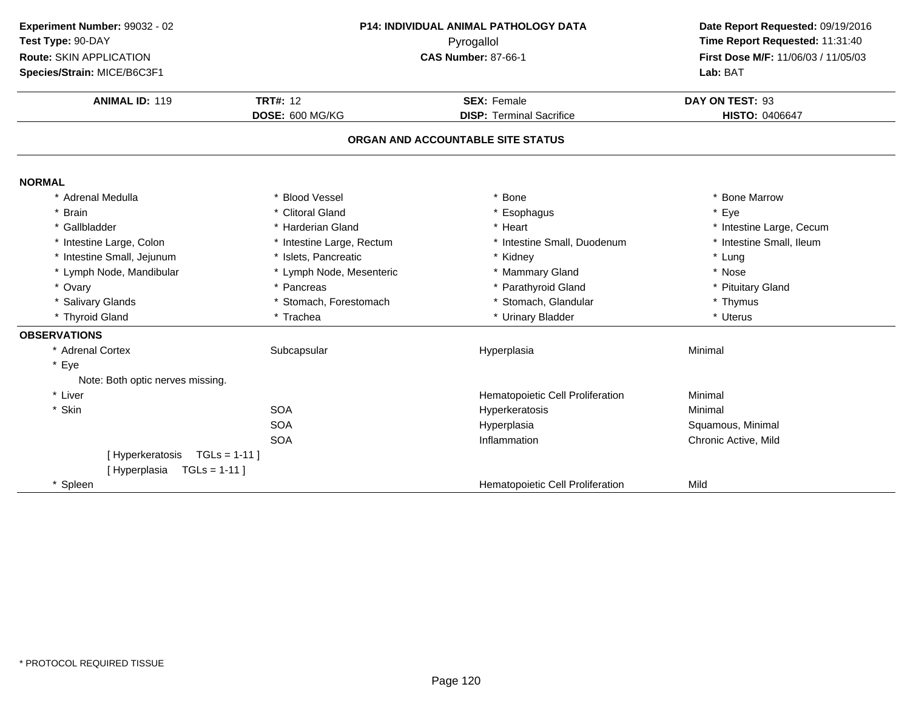| Experiment Number: 99032 - 02<br>Test Type: 90-DAY<br>Route: SKIN APPLICATION<br>Species/Strain: MICE/B6C3F1 | P14: INDIVIDUAL ANIMAL PATHOLOGY DATA<br>Pyrogallol<br><b>CAS Number: 87-66-1</b><br><b>TRT#: 12</b><br><b>SEX: Female</b><br><b>ANIMAL ID: 119</b><br>DOSE: 600 MG/KG<br><b>DISP: Terminal Sacrifice</b> |                                   | Date Report Requested: 09/19/2016<br>Time Report Requested: 11:31:40<br>First Dose M/F: 11/06/03 / 11/05/03<br>Lab: BAT |  |
|--------------------------------------------------------------------------------------------------------------|-----------------------------------------------------------------------------------------------------------------------------------------------------------------------------------------------------------|-----------------------------------|-------------------------------------------------------------------------------------------------------------------------|--|
|                                                                                                              |                                                                                                                                                                                                           |                                   | DAY ON TEST: 93<br>HISTO: 0406647                                                                                       |  |
|                                                                                                              |                                                                                                                                                                                                           | ORGAN AND ACCOUNTABLE SITE STATUS |                                                                                                                         |  |
| <b>NORMAL</b>                                                                                                |                                                                                                                                                                                                           |                                   |                                                                                                                         |  |
| * Adrenal Medulla                                                                                            | * Blood Vessel                                                                                                                                                                                            | * Bone                            | <b>Bone Marrow</b>                                                                                                      |  |
| * Brain                                                                                                      | * Clitoral Gland                                                                                                                                                                                          | * Esophagus                       | * Eye                                                                                                                   |  |
| * Gallbladder                                                                                                | * Harderian Gland                                                                                                                                                                                         | * Heart                           | * Intestine Large, Cecum                                                                                                |  |
| * Intestine Large, Colon                                                                                     | * Intestine Large, Rectum                                                                                                                                                                                 | * Intestine Small, Duodenum       | * Intestine Small, Ileum                                                                                                |  |
| * Intestine Small, Jejunum                                                                                   | * Islets, Pancreatic                                                                                                                                                                                      | * Kidney                          | * Lung                                                                                                                  |  |
| * Lymph Node, Mandibular                                                                                     | * Lymph Node, Mesenteric                                                                                                                                                                                  | * Mammary Gland                   | * Nose                                                                                                                  |  |
| * Ovary                                                                                                      | * Pancreas                                                                                                                                                                                                | * Parathyroid Gland               | * Pituitary Gland                                                                                                       |  |
| * Salivary Glands                                                                                            | * Stomach, Forestomach                                                                                                                                                                                    | * Stomach, Glandular              | * Thymus                                                                                                                |  |
| * Thyroid Gland                                                                                              | * Trachea                                                                                                                                                                                                 | * Urinary Bladder                 | * Uterus                                                                                                                |  |
| <b>OBSERVATIONS</b>                                                                                          |                                                                                                                                                                                                           |                                   |                                                                                                                         |  |
| * Adrenal Cortex                                                                                             | Subcapsular                                                                                                                                                                                               | Hyperplasia                       | Minimal                                                                                                                 |  |
| * Eye<br>Note: Both optic nerves missing.                                                                    |                                                                                                                                                                                                           |                                   |                                                                                                                         |  |
| * Liver                                                                                                      |                                                                                                                                                                                                           | Hematopoietic Cell Proliferation  | Minimal                                                                                                                 |  |
| * Skin                                                                                                       | <b>SOA</b>                                                                                                                                                                                                | Hyperkeratosis                    | Minimal                                                                                                                 |  |
|                                                                                                              | <b>SOA</b>                                                                                                                                                                                                | Hyperplasia                       | Squamous, Minimal                                                                                                       |  |
|                                                                                                              | <b>SOA</b>                                                                                                                                                                                                | Inflammation                      | Chronic Active, Mild                                                                                                    |  |
| $TGLs = 1-11$<br>[Hyperkeratosis                                                                             |                                                                                                                                                                                                           |                                   |                                                                                                                         |  |
| [Hyperplasia<br>$TGLs = 1-11$                                                                                |                                                                                                                                                                                                           |                                   |                                                                                                                         |  |
| * Spleen                                                                                                     |                                                                                                                                                                                                           | Hematopoietic Cell Proliferation  | Mild                                                                                                                    |  |